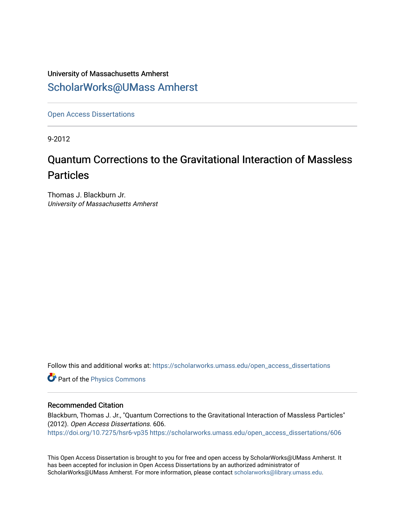## University of Massachusetts Amherst [ScholarWorks@UMass Amherst](https://scholarworks.umass.edu/)

[Open Access Dissertations](https://scholarworks.umass.edu/open_access_dissertations) 

9-2012

# Quantum Corrections to the Gravitational Interaction of Massless Particles

Thomas J. Blackburn Jr. University of Massachusetts Amherst

Follow this and additional works at: [https://scholarworks.umass.edu/open\\_access\\_dissertations](https://scholarworks.umass.edu/open_access_dissertations?utm_source=scholarworks.umass.edu%2Fopen_access_dissertations%2F606&utm_medium=PDF&utm_campaign=PDFCoverPages) 

Part of the [Physics Commons](http://network.bepress.com/hgg/discipline/193?utm_source=scholarworks.umass.edu%2Fopen_access_dissertations%2F606&utm_medium=PDF&utm_campaign=PDFCoverPages)

#### Recommended Citation

Blackburn, Thomas J. Jr., "Quantum Corrections to the Gravitational Interaction of Massless Particles" (2012). Open Access Dissertations. 606. <https://doi.org/10.7275/hsr6-vp35> [https://scholarworks.umass.edu/open\\_access\\_dissertations/606](https://scholarworks.umass.edu/open_access_dissertations/606?utm_source=scholarworks.umass.edu%2Fopen_access_dissertations%2F606&utm_medium=PDF&utm_campaign=PDFCoverPages)

This Open Access Dissertation is brought to you for free and open access by ScholarWorks@UMass Amherst. It has been accepted for inclusion in Open Access Dissertations by an authorized administrator of ScholarWorks@UMass Amherst. For more information, please contact [scholarworks@library.umass.edu.](mailto:scholarworks@library.umass.edu)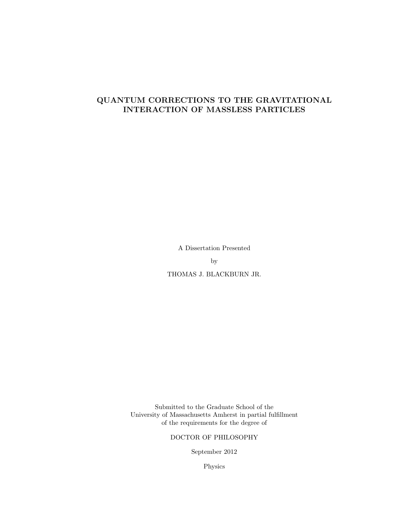## QUANTUM CORRECTIONS TO THE GRAVITATIONAL INTERACTION OF MASSLESS PARTICLES

A Dissertation Presented

by

THOMAS J. BLACKBURN JR.

Submitted to the Graduate School of the University of Massachusetts Amherst in partial fulfillment of the requirements for the degree of

DOCTOR OF PHILOSOPHY

September 2012

Physics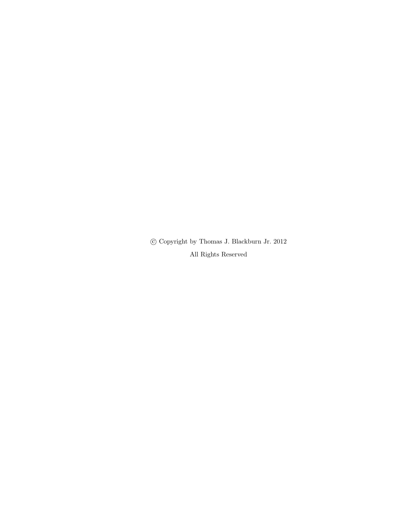$\copyright$  Copyright by Thomas J. Blackburn Jr. 2012 All Rights Reserved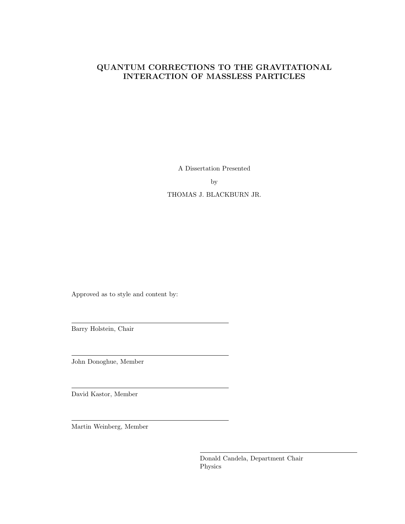## QUANTUM CORRECTIONS TO THE GRAVITATIONAL INTERACTION OF MASSLESS PARTICLES

A Dissertation Presented

by

THOMAS J. BLACKBURN JR.

Approved as to style and content by:

Barry Holstein, Chair

John Donoghue, Member

David Kastor, Member

Martin Weinberg, Member

Donald Candela, Department Chair Physics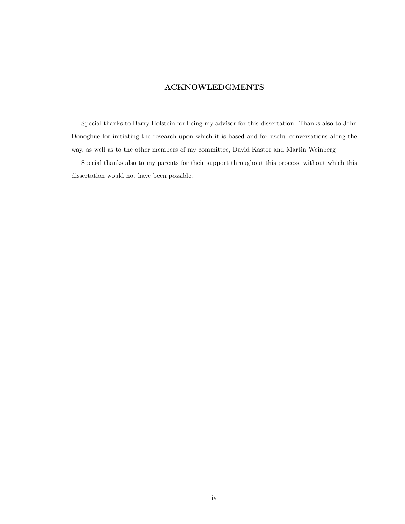## ACKNOWLEDGMENTS

Special thanks to Barry Holstein for being my advisor for this dissertation. Thanks also to John Donoghue for initiating the research upon which it is based and for useful conversations along the way, as well as to the other members of my committee, David Kastor and Martin Weinberg

Special thanks also to my parents for their support throughout this process, without which this dissertation would not have been possible.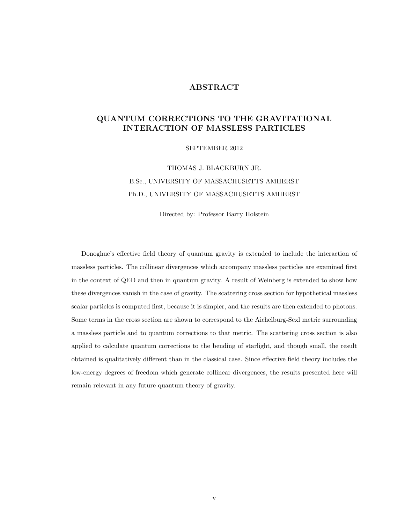### ABSTRACT

### QUANTUM CORRECTIONS TO THE GRAVITATIONAL INTERACTION OF MASSLESS PARTICLES

SEPTEMBER 2012

## THOMAS J. BLACKBURN JR. B.Sc., UNIVERSITY OF MASSACHUSETTS AMHERST Ph.D., UNIVERSITY OF MASSACHUSETTS AMHERST

Directed by: Professor Barry Holstein

Donoghue's effective field theory of quantum gravity is extended to include the interaction of massless particles. The collinear divergences which accompany massless particles are examined first in the context of QED and then in quantum gravity. A result of Weinberg is extended to show how these divergences vanish in the case of gravity. The scattering cross section for hypothetical massless scalar particles is computed first, because it is simpler, and the results are then extended to photons. Some terms in the cross section are shown to correspond to the Aichelburg-Sexl metric surrounding a massless particle and to quantum corrections to that metric. The scattering cross section is also applied to calculate quantum corrections to the bending of starlight, and though small, the result obtained is qualitatively different than in the classical case. Since effective field theory includes the low-energy degrees of freedom which generate collinear divergences, the results presented here will remain relevant in any future quantum theory of gravity.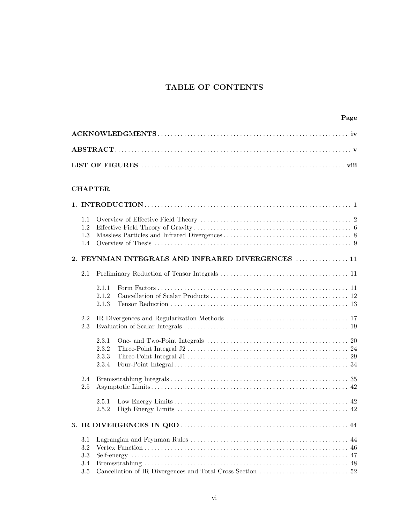## TABLE OF CONTENTS

#### CHAPTER

| 1.1<br>1.2<br>1.3<br>1.4        |                                  |                                                   |  |
|---------------------------------|----------------------------------|---------------------------------------------------|--|
|                                 |                                  | 2. FEYNMAN INTEGRALS AND INFRARED DIVERGENCES  11 |  |
| 2.1                             |                                  |                                                   |  |
|                                 | 2.1.1<br>2.1.2<br>2.1.3          |                                                   |  |
| 2.2<br>2.3                      |                                  |                                                   |  |
|                                 | 2.3.1<br>2.3.2<br>2.3.3<br>2.3.4 |                                                   |  |
| 2.4<br>2.5                      |                                  |                                                   |  |
|                                 | 2.5.1<br>2.5.2                   |                                                   |  |
|                                 |                                  |                                                   |  |
| 3.1<br>3.2<br>3.3<br>3.4<br>3.5 |                                  |                                                   |  |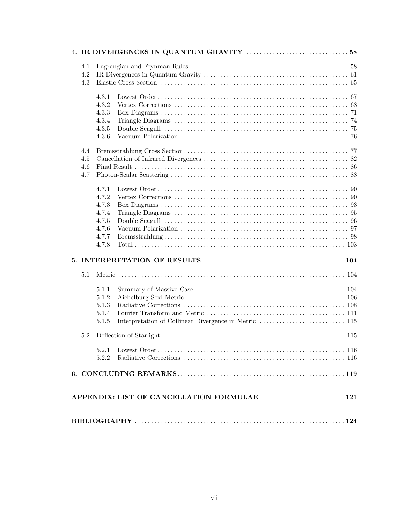| 4.1 |       |                                              |  |
|-----|-------|----------------------------------------------|--|
| 4.2 |       |                                              |  |
| 4.3 |       |                                              |  |
|     | 4.3.1 |                                              |  |
|     | 4.3.2 |                                              |  |
|     | 4.3.3 |                                              |  |
|     | 4.3.4 |                                              |  |
|     | 4.3.5 |                                              |  |
|     | 4.3.6 |                                              |  |
| 4.4 |       |                                              |  |
| 4.5 |       |                                              |  |
| 4.6 |       |                                              |  |
| 4.7 |       |                                              |  |
|     | 4.7.1 |                                              |  |
|     | 4.7.2 |                                              |  |
|     | 4.7.3 |                                              |  |
|     | 4.7.4 |                                              |  |
|     | 4.7.5 |                                              |  |
|     | 4.7.6 |                                              |  |
|     | 4.7.7 |                                              |  |
|     | 4.7.8 |                                              |  |
|     |       |                                              |  |
| 5.1 |       |                                              |  |
|     |       |                                              |  |
|     | 5.1.1 |                                              |  |
|     | 5.1.2 |                                              |  |
|     | 5.1.3 |                                              |  |
|     | 5.1.4 |                                              |  |
|     | 5.1.5 |                                              |  |
|     |       |                                              |  |
|     | 5.2.1 |                                              |  |
|     | 5.2.2 |                                              |  |
|     |       |                                              |  |
|     |       |                                              |  |
|     |       | APPENDIX: LIST OF CANCELLATION FORMULAE  121 |  |
|     |       |                                              |  |
|     |       |                                              |  |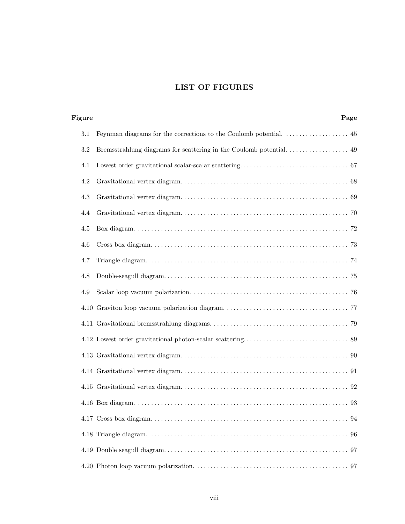## LIST OF FIGURES

| Figure | Page |
|--------|------|
| 3.1    |      |
| 3.2    |      |
| 4.1    |      |
| 4.2    |      |
| 4.3    |      |
| 4.4    |      |
| 4.5    |      |
| 4.6    |      |
| 4.7    |      |
| 4.8    |      |
| 4.9    |      |
|        |      |
|        |      |
|        |      |
|        |      |
|        |      |
|        |      |
|        |      |
|        |      |
|        |      |
|        |      |
|        |      |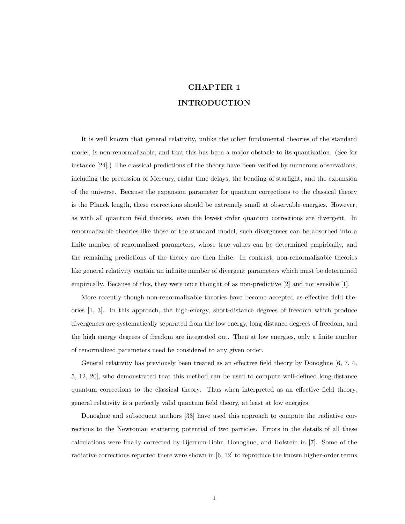## CHAPTER 1 INTRODUCTION

It is well known that general relativity, unlike the other fundamental theories of the standard model, is non-renormalizable, and that this has been a major obstacle to its quantization. (See for instance [24].) The classical predictions of the theory have been verified by numerous observations, including the precession of Mercury, radar time delays, the bending of starlight, and the expansion of the universe. Because the expansion parameter for quantum corrections to the classical theory is the Planck length, these corrections should be extremely small at observable energies. However, as with all quantum field theories, even the lowest order quantum corrections are divergent. In renormalizable theories like those of the standard model, such divergences can be absorbed into a finite number of renormalized parameters, whose true values can be determined empirically, and the remaining predictions of the theory are then finite. In contrast, non-renormalizable theories like general relativity contain an infinite number of divergent parameters which must be determined empirically. Because of this, they were once thought of as non-predictive [2] and not sensible [1].

More recently though non-renormalizable theories have become accepted as effective field theories [1, 3]. In this approach, the high-energy, short-distance degrees of freedom which produce divergences are systematically separated from the low energy, long distance degrees of freedom, and the high energy degrees of freedom are integrated out. Then at low energies, only a finite number of renormalized parameters need be considered to any given order.

General relativity has previously been treated as an effective field theory by Donoghue [6, 7, 4, 5, 12, 20], who demonstrated that this method can be used to compute well-defined long-distance quantum corrections to the classical theory. Thus when interpreted as an effective field theory, general relativity is a perfectly valid quantum field theory, at least at low energies.

Donoghue and subsequent authors [33] have used this approach to compute the radiative corrections to the Newtonian scattering potential of two particles. Errors in the details of all these calculations were finally corrected by Bjerrum-Bohr, Donoghue, and Holstein in [7]. Some of the radiative corrections reported there were shown in [6, 12] to reproduce the known higher-order terms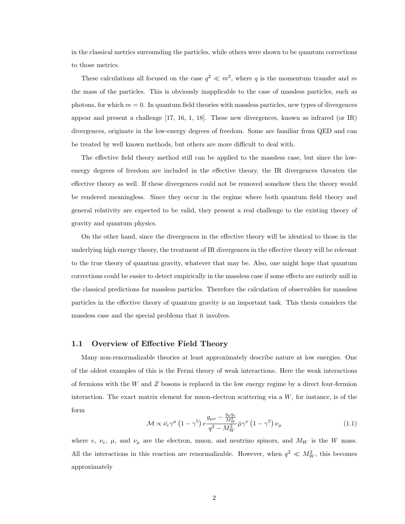in the classical metrics surrounding the particles, while others were shown to be quantum corrections to those metrics.

These calculations all focused on the case  $q^2 \ll m^2$ , where q is the momentum transfer and m the mass of the particles. This is obviously inapplicable to the case of massless particles, such as photons, for which  $m = 0$ . In quantum field theories with massless particles, new types of divergences appear and present a challenge [17, 16, 1, 18]. These new divergences, known as infrared (or IR) divergences, originate in the low-energy degrees of freedom. Some are familiar from QED and can be treated by well known methods, but others are more difficult to deal with.

The effective field theory method still can be applied to the massless case, but since the lowenergy degrees of freedom are included in the effective theory, the IR divergences threaten the effective theory as well. If these divergences could not be removed somehow then the theory would be rendered meaningless. Since they occur in the regime where both quantum field theory and general relativity are expected to be valid, they present a real challenge to the existing theory of gravity and quantum physics.

On the other hand, since the divergences in the effective theory will be identical to those in the underlying high energy theory, the treatment of IR divergences in the effective theory will be relevant to the true theory of quantum gravity, whatever that may be. Also, one might hope that quantum corrections could be easier to detect empirically in the massless case if some effects are entirely null in the classical predictions for massless particles. Therefore the calculation of observables for massless particles in the effective theory of quantum gravity is an important task. This thesis considers the massless case and the special problems that it involves.

#### 1.1 Overview of Effective Field Theory

Many non-renormalizable theories at least approximately describe nature at low energies. One of the oldest examples of this is the Fermi theory of weak interactions. Here the weak interactions of fermions with the W and Z bosons is replaced in the low energy regime by a direct four-fermion interaction. The exact matrix element for muon-electron scattering via a W, for instance, is of the form  $q_{\mu}q_{\mu}$ 

$$
\mathcal{M} \propto \bar{\nu_e} \gamma^{\mu} \left( 1 - \gamma^5 \right) e^{\frac{g_{\mu\nu} - \frac{q_{\mu}q_{\nu}}{M_W^2}}{q^2 - M_W^2}} \bar{\mu} \gamma^{\nu} \left( 1 - \gamma^5 \right) \nu_{\mu} \tag{1.1}
$$

where e,  $\nu_e$ ,  $\mu$ , and  $\nu_{\mu}$  are the electron, muon, and neutrino spinors, and  $M_W$  is the W mass. All the interactions in this reaction are renormalizable. However, when  $q^2 \ll M_W^2$ , this becomes approximately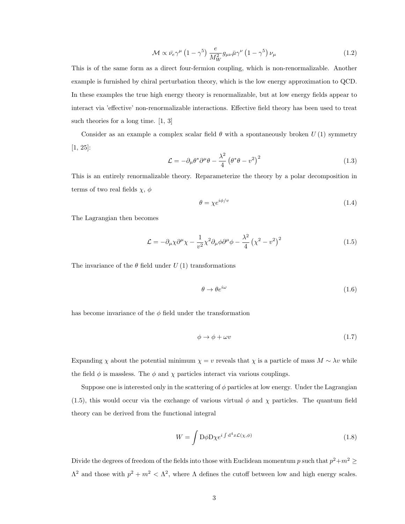$$
\mathcal{M} \propto \bar{\nu_e} \gamma^{\mu} \left( 1 - \gamma^5 \right) \frac{e}{M_W^2} g_{\mu\nu} \bar{\mu} \gamma^{\nu} \left( 1 - \gamma^5 \right) \nu_{\mu} \tag{1.2}
$$

This is of the same form as a direct four-fermion coupling, which is non-renormalizable. Another example is furnished by chiral perturbation theory, which is the low energy approximation to QCD. In these examples the true high energy theory is renormalizable, but at low energy fields appear to interact via 'effective' non-renormalizable interactions. Effective field theory has been used to treat such theories for a long time. [1, 3]

Consider as an example a complex scalar field  $\theta$  with a spontaneously broken  $U(1)$  symmetry [1, 25]:

$$
\mathcal{L} = -\partial_{\mu}\theta^*\partial^{\mu}\theta - \frac{\lambda^2}{4} \left(\theta^*\theta - v^2\right)^2 \tag{1.3}
$$

This is an entirely renormalizable theory. Reparameterize the theory by a polar decomposition in terms of two real fields  $\chi$ ,  $\phi$ 

$$
\theta = \chi e^{i\phi/v} \tag{1.4}
$$

The Lagrangian then becomes

$$
\mathcal{L} = -\partial_{\mu} \chi \partial^{\mu} \chi - \frac{1}{v^2} \chi^2 \partial_{\mu} \phi \partial^{\mu} \phi - \frac{\lambda^2}{4} \left( \chi^2 - v^2 \right)^2 \tag{1.5}
$$

The invariance of the  $\theta$  field under  $U(1)$  transformations

$$
\theta \to \theta e^{i\omega} \tag{1.6}
$$

has become invariance of the  $\phi$  field under the transformation

$$
\phi \to \phi + \omega v \tag{1.7}
$$

Expanding  $\chi$  about the potential minimum  $\chi = v$  reveals that  $\chi$  is a particle of mass  $M \sim \lambda v$  while the field  $\phi$  is massless. The  $\phi$  and  $\chi$  particles interact via various couplings.

Suppose one is interested only in the scattering of  $\phi$  particles at low energy. Under the Lagrangian (1.5), this would occur via the exchange of various virtual  $\phi$  and  $\chi$  particles. The quantum field theory can be derived from the functional integral

$$
W = \int D\phi D\chi e^{i\int d^4x \mathcal{L}(\chi,\phi)} \tag{1.8}
$$

Divide the degrees of freedom of the fields into those with Euclidean momentum p such that  $p^2+m^2\geq$  $Λ<sup>2</sup>$  and those with  $p<sup>2</sup> + m<sup>2</sup> < Λ<sup>2</sup>$ , where Λ defines the cutoff between low and high energy scales.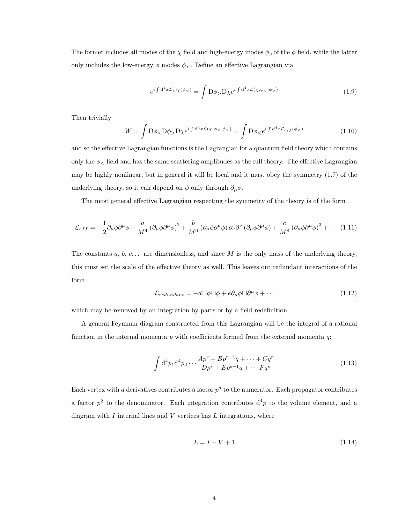The former includes all modes of the  $\chi$  field and high-energy modes  $\phi_{>0}$  the  $\phi$  field, while the latter only includes the low-energy  $\phi$  modes  $\phi_{<}$ . Define an effective Lagrangian via

$$
e^{i\int d^4x \mathcal{L}_{eff}(\phi_<)} = \int D\phi_> D\chi e^{i\int d^4x \mathcal{L}(\chi,\phi_<,\phi_>)}
$$
\n(1.9)

Then trivially

$$
W = \int D\phi_{<} D\phi_{>} D\chi e^{i\int d^4x \mathcal{L}(\chi,\phi_{<} \phi_{>})} = \int D\phi_{<} e^{i\int d^4x \mathcal{L}_{eff}(\phi_{<})} \tag{1.10}
$$

and so the effective Lagrangian functions is the Lagrangian for a quantum field theory which contains only the  $\phi$  field and has the same scattering amplitudes as the full theory. The effective Lagrangian may be highly nonlinear, but in general it will be local and it must obey the symmetry (1.7) of the underlying theory, so it can depend on  $\phi$  only through  $\partial_{\mu}\phi$ .

The most general effective Lagrangian respecting the symmetry of the theory is of the form

$$
\mathcal{L}_{eff} = -\frac{1}{2}\partial_{\mu}\phi\partial^{\mu}\phi + \frac{a}{M^{4}}\left(\partial_{\mu}\phi\partial^{\mu}\phi\right)^{2} + \frac{b}{M^{6}}\left(\partial_{\mu}\phi\partial^{\mu}\phi\right)\partial_{\nu}\partial^{\nu}\left(\partial_{\mu}\phi\partial^{\mu}\phi\right) + \frac{c}{M^{8}}\left(\partial_{\mu}\phi\partial^{\mu}\phi\right)^{3} + \cdots (1.11)
$$

The constants  $a, b, c \ldots$  are dimensionless, and since M is the only mass of the underlying theory, this must set the scale of the effective theory as well. This leaves out redundant interactions of the form

$$
\mathcal{L}_{redundant} = -d\Box\phi\Box\phi + e\partial_{\mu}\phi\Box\partial^{\mu}\phi + \cdots \qquad (1.12)
$$

which may be removed by an integration by parts or by a field redefinition.

A general Feynman diagram constructed from this Lagrangian will be the integral of a rational function in the internal momenta  $p$  with coefficients formed from the external momenta  $q$ :

$$
\int d^4 p_1 d^4 p_2 \cdots \frac{A p^r + B p^{r-1} q + \cdots + C q^r}{D p^s + E p^{s-1} q + \cdots F q^s}
$$
\n(1.13)

Each vertex with d derivatives contributes a factor  $p^d$  to the numerator. Each propagator contributes a factor  $p^2$  to the denominator. Each integration contributes  $d^4p$  to the volume element, and a diagram with  $I$  internal lines and  $V$  vertices has  $L$  integrations, where

$$
L = I - V + 1\tag{1.14}
$$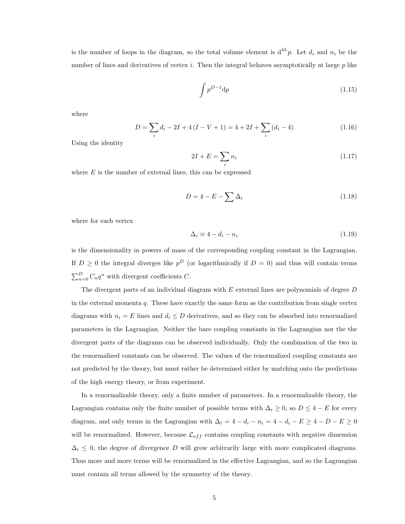is the number of loops in the diagram, so the total volume element is  $d^{4L}p$ . Let  $d_i$  and  $n_i$  be the number of lines and derivatives of vertex i. Then the integral behaves asymptotically at large  $p$  like

$$
\int p^{D-1} \mathrm{d}p \tag{1.15}
$$

where

$$
D = \sum_{i} d_i - 2I + 4(I - V + 1) = 4 + 2I + \sum_{i} (d_i - 4)
$$
\n(1.16)

Using the identity

$$
2I + E = \sum_{i} n_i \tag{1.17}
$$

where  $E$  is the number of external lines, this can be expressed

$$
D = 4 - E - \sum \Delta_i \tag{1.18}
$$

where for each vertex

$$
\Delta_i \equiv 4 - d_i - n_i \tag{1.19}
$$

is the dimensionality in powers of mass of the corresponding coupling constant in the Lagrangian. If  $D \geq 0$  the integral diverges like  $p^D$  (or logarithmically if  $D = 0$ ) and thus will contain terms  $\sum_{n=0}^{D} C_n q^n$  with divergent coefficients C.

The divergent parts of an individual diagram with  $E$  external lines are polynomials of degree  $D$ in the external momenta  $q$ . These have exactly the same form as the contribution from single vertex diagrams with  $n_i = E$  lines and  $d_i \leq D$  derivatives, and so they can be absorbed into renormalized parameters in the Lagrangian. Neither the bare coupling constants in the Lagrangian nor the the divergent parts of the diagrams can be observed individually. Only the combination of the two in the renormalized constants can be observed. The values of the renormalized coupling constants are not predicted by the theory, but must rather be determined either by matching onto the predictions of the high energy theory, or from experiment.

In a renormalizable theory, only a finite number of parameters. In a renormalizable theory, the Lagrangian contains only the finite number of possible terms with  $\Delta_i \geq 0$ , so  $D \leq 4 - E$  for every diagram, and only terms in the Lagrangian with  $\Delta_i = 4 - d_i - n_i = 4 - d_i - E \ge 4 - D - E \ge 0$ will be renormalized. However, because  $\mathcal{L}_{eff}$  contains coupling constants with negative dimension  $\Delta_i \leq 0$ , the degree of divergence D will grow arbitrarily large with more complicated diagrams. Thus more and more terms will be renormalized in the effective Lagrangian, and so the Lagrangian must contain all terms allowed by the symmetry of the theory.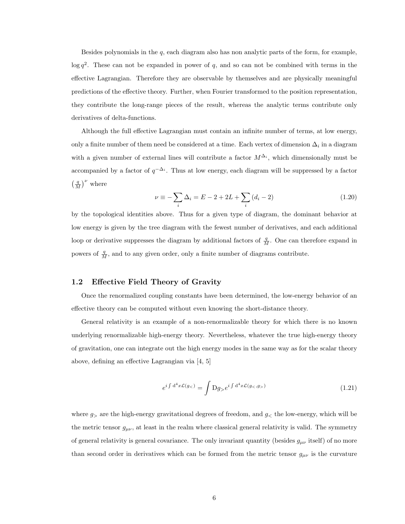Besides polynomials in the  $q$ , each diagram also has non analytic parts of the form, for example,  $\log q^2$ . These can not be expanded in power of q, and so can not be combined with terms in the effective Lagrangian. Therefore they are observable by themselves and are physically meaningful predictions of the effective theory. Further, when Fourier transformed to the position representation, they contribute the long-range pieces of the result, whereas the analytic terms contribute only derivatives of delta-functions.

Although the full effective Lagrangian must contain an infinite number of terms, at low energy, only a finite number of them need be considered at a time. Each vertex of dimension  $\Delta_i$  in a diagram with a given number of external lines will contribute a factor  $M^{\Delta_i}$ , which dimensionally must be accompanied by a factor of  $q^{-\Delta_i}$ . Thus at low energy, each diagram will be suppressed by a factor  $\left(\frac{q}{M}\right)^{\nu}$  where

$$
\nu \equiv -\sum_{i} \Delta_{i} = E - 2 + 2L + \sum_{i} (d_{i} - 2)
$$
\n(1.20)

by the topological identities above. Thus for a given type of diagram, the dominant behavior at low energy is given by the tree diagram with the fewest number of derivatives, and each additional loop or derivative suppresses the diagram by additional factors of  $\frac{q}{M}$ . One can therefore expand in powers of  $\frac{q}{M}$ , and to any given order, only a finite number of diagrams contribute.

#### 1.2 Effective Field Theory of Gravity

Once the renormalized coupling constants have been determined, the low-energy behavior of an effective theory can be computed without even knowing the short-distance theory.

General relativity is an example of a non-renormalizable theory for which there is no known underlying renormalizable high-energy theory. Nevertheless, whatever the true high-energy theory of gravitation, one can integrate out the high energy modes in the same way as for the scalar theory above, defining an effective Lagrangian via [4, 5]

$$
e^{i\int d^4x\mathcal{L}(g_<)} = \int Dg_> e^{i\int d^4x\mathcal{L}(g_<, g_>)}
$$
\n(1.21)

where  $g_{\geq}$  are the high-energy gravitational degrees of freedom, and  $g_{\leq}$  the low-energy, which will be the metric tensor  $g_{\mu\nu}$ , at least in the realm where classical general relativity is valid. The symmetry of general relativity is general covariance. The only invariant quantity (besides  $g_{\mu\nu}$  itself) of no more than second order in derivatives which can be formed from the metric tensor  $g_{\mu\nu}$  is the curvature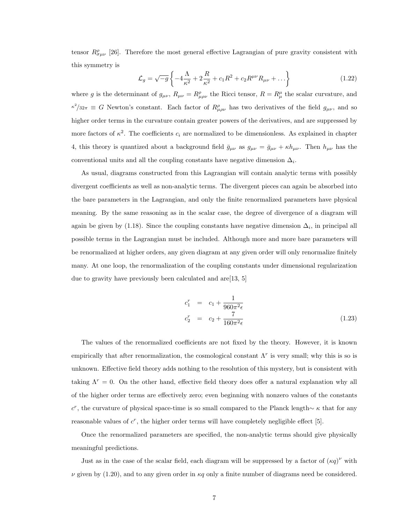tensor  $R^{\rho}_{\sigma\mu\nu}$  [26]. Therefore the most general effective Lagrangian of pure gravity consistent with this symmetry is

$$
\mathcal{L}_g = \sqrt{-g} \left\{ -4 \frac{\Lambda}{\kappa^2} + 2 \frac{R}{\kappa^2} + c_1 R^2 + c_2 R^{\mu \nu} R_{\mu \nu} + \dots \right\}
$$
 (1.22)

where g is the determinant of  $g_{\mu\nu}$ ,  $R_{\mu\nu} = R^{\rho}_{\mu\rho\nu}$  the Ricci tensor,  $R = R^{\mu}_{\mu}$  the scalar curvature, and  $\kappa^2/32\pi \equiv G$  Newton's constant. Each factor of  $R_{\mu\rho\nu}^{\rho}$  has two derivatives of the field  $g_{\mu\nu}$ , and so higher order terms in the curvature contain greater powers of the derivatives, and are suppressed by more factors of  $\kappa^2$ . The coefficients  $c_i$  are normalized to be dimensionless. As explained in chapter 4, this theory is quantized about a background field  $\bar{g}_{\mu\nu}$  as  $g_{\mu\nu} = \bar{g}_{\mu\nu} + \kappa h_{\mu\nu}$ . Then  $h_{\mu\nu}$  has the conventional units and all the coupling constants have negative dimension  $\Delta_i$ .

As usual, diagrams constructed from this Lagrangian will contain analytic terms with possibly divergent coefficients as well as non-analytic terms. The divergent pieces can again be absorbed into the bare parameters in the Lagrangian, and only the finite renormalized parameters have physical meaning. By the same reasoning as in the scalar case, the degree of divergence of a diagram will again be given by (1.18). Since the coupling constants have negative dimension  $\Delta_i$ , in principal all possible terms in the Lagrangian must be included. Although more and more bare parameters will be renormalized at higher orders, any given diagram at any given order will only renormalize finitely many. At one loop, the renormalization of the coupling constants under dimensional regularization due to gravity have previously been calculated and are[13, 5]

$$
c_1^r = c_1 + \frac{1}{960\pi^2 \epsilon}
$$
  
\n
$$
c_2^r = c_2 + \frac{7}{160\pi^2 \epsilon}
$$
\n(1.23)

The values of the renormalized coefficients are not fixed by the theory. However, it is known empirically that after renormalization, the cosmological constant  $\Lambda^r$  is very small; why this is so is unknown. Effective field theory adds nothing to the resolution of this mystery, but is consistent with taking  $\Lambda^r = 0$ . On the other hand, effective field theory does offer a natural explanation why all of the higher order terms are effectively zero; even beginning with nonzero values of the constants  $c^r$ , the curvature of physical space-time is so small compared to the Planck length∼  $\kappa$  that for any reasonable values of  $c^r$ , the higher order terms will have completely negligible effect [5].

Once the renormalized parameters are specified, the non-analytic terms should give physically meaningful predictions.

Just as in the case of the scalar field, each diagram will be suppressed by a factor of  $(\kappa q)^{\nu}$  with  $\nu$  given by (1.20), and to any given order in  $\kappa q$  only a finite number of diagrams need be considered.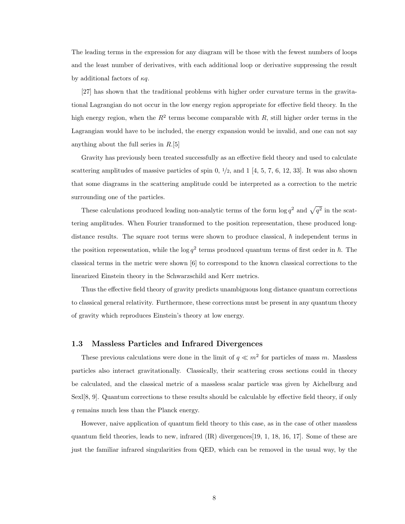The leading terms in the expression for any diagram will be those with the fewest numbers of loops and the least number of derivatives, with each additional loop or derivative suppressing the result by additional factors of  $\kappa q$ .

[27] has shown that the traditional problems with higher order curvature terms in the gravitational Lagrangian do not occur in the low energy region appropriate for effective field theory. In the high energy region, when the  $R^2$  terms become comparable with R, still higher order terms in the Lagrangian would have to be included, the energy expansion would be invalid, and one can not say anything about the full series in  $R.[5]$ 

Gravity has previously been treated successfully as an effective field theory and used to calculate scattering amplitudes of massive particles of spin 0,  $\frac{1}{2}$ , and 1 [4, 5, 7, 6, 12, 33]. It was also shown that some diagrams in the scattering amplitude could be interpreted as a correction to the metric surrounding one of the particles.

These calculations produced leading non-analytic terms of the form  $\log q^2$  and  $\sqrt{q^2}$  in the scattering amplitudes. When Fourier transformed to the position representation, these produced longdistance results. The square root terms were shown to produce classical,  $\hbar$  independent terms in the position representation, while the log  $q^2$  terms produced quantum terms of first order in  $\hbar$ . The classical terms in the metric were shown [6] to correspond to the known classical corrections to the linearized Einstein theory in the Schwarzschild and Kerr metrics.

Thus the effective field theory of gravity predicts unambiguous long distance quantum corrections to classical general relativity. Furthermore, these corrections must be present in any quantum theory of gravity which reproduces Einstein's theory at low energy.

#### 1.3 Massless Particles and Infrared Divergences

These previous calculations were done in the limit of  $q \ll m^2$  for particles of mass m. Massless particles also interact gravitationally. Classically, their scattering cross sections could in theory be calculated, and the classical metric of a massless scalar particle was given by Aichelburg and Sexl[8, 9]. Quantum corrections to these results should be calculable by effective field theory, if only q remains much less than the Planck energy.

However, naive application of quantum field theory to this case, as in the case of other massless quantum field theories, leads to new, infrared (IR) divergences[19, 1, 18, 16, 17]. Some of these are just the familiar infrared singularities from QED, which can be removed in the usual way, by the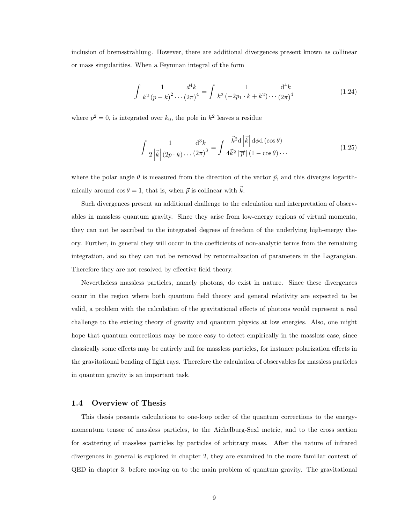inclusion of bremsstrahlung. However, there are additional divergences present known as collinear or mass singularities. When a Feynman integral of the form

$$
\int \frac{1}{k^2 (p-k)^2 \cdots (2\pi)^4} \frac{d^4 k}{(2\pi)^4} = \int \frac{1}{k^2 (-2p_1 \cdot k + k^2) \cdots (2\pi)^4}
$$
(1.24)

where  $p^2 = 0$ , is integrated over  $k_0$ , the pole in  $k^2$  leaves a residue

$$
\int \frac{1}{2\left|\vec{k}\right|(2p \cdot k) \cdots (2\pi)^3} \frac{\mathrm{d}^3 k}{(2\pi)^3} = \int \frac{\vec{k}^2 \mathrm{d}\left|\vec{k}\right| \mathrm{d}\phi \mathrm{d}\left(\cos\theta\right)}{4\vec{k}^2 \left|\vec{p}\right| \left(1 - \cos\theta\right) \cdots} \tag{1.25}
$$

where the polar angle  $\theta$  is measured from the direction of the vector  $\vec{p}$ , and this diverges logarithmically around  $\cos \theta = 1$ , that is, when  $\vec{p}$  is collinear with  $k$ .

Such divergences present an additional challenge to the calculation and interpretation of observables in massless quantum gravity. Since they arise from low-energy regions of virtual momenta, they can not be ascribed to the integrated degrees of freedom of the underlying high-energy theory. Further, in general they will occur in the coefficients of non-analytic terms from the remaining integration, and so they can not be removed by renormalization of parameters in the Lagrangian. Therefore they are not resolved by effective field theory.

Nevertheless massless particles, namely photons, do exist in nature. Since these divergences occur in the region where both quantum field theory and general relativity are expected to be valid, a problem with the calculation of the gravitational effects of photons would represent a real challenge to the existing theory of gravity and quantum physics at low energies. Also, one might hope that quantum corrections may be more easy to detect empirically in the massless case, since classically some effects may be entirely null for massless particles, for instance polarization effects in the gravitational bending of light rays. Therefore the calculation of observables for massless particles in quantum gravity is an important task.

#### 1.4 Overview of Thesis

This thesis presents calculations to one-loop order of the quantum corrections to the energymomentum tensor of massless particles, to the Aichelburg-Sexl metric, and to the cross section for scattering of massless particles by particles of arbitrary mass. After the nature of infrared divergences in general is explored in chapter 2, they are examined in the more familiar context of QED in chapter 3, before moving on to the main problem of quantum gravity. The gravitational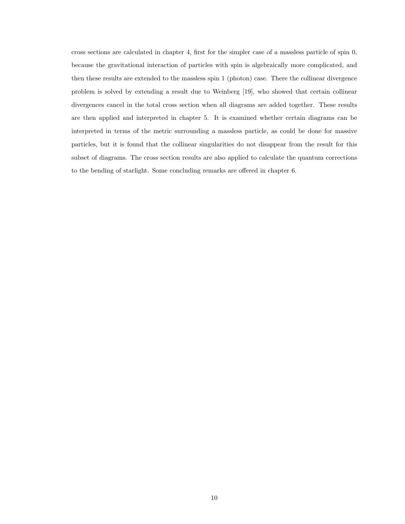cross sections are calculated in chapter 4, first for the simpler case of a massless particle of spin 0, because the gravitational interaction of particles with spin is algebraically more complicated, and then these results are extended to the massless spin 1 (photon) case. There the collinear divergence problem is solved by extending a result due to Weinberg [19], who showed that certain collinear divergences cancel in the total cross section when all diagrams are added together. These results are then applied and interpreted in chapter 5. It is examined whether certain diagrams can be interpreted in terms of the metric surrounding a massless particle, as could be done for massive particles, but it is found that the collinear singularities do not disappear from the result for this subset of diagrams. The cross section results are also applied to calculate the quantum corrections to the bending of starlight. Some concluding remarks are offered in chapter 6.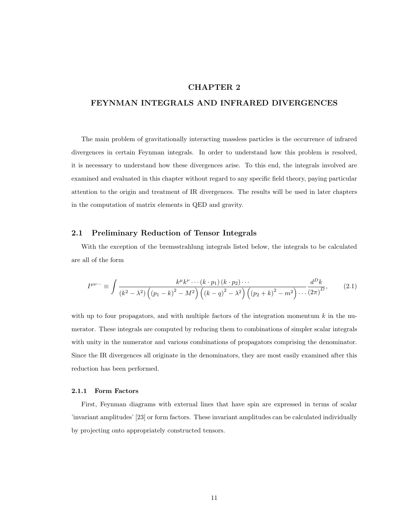### CHAPTER 2

#### FEYNMAN INTEGRALS AND INFRARED DIVERGENCES

The main problem of gravitationally interacting massless particles is the occurrence of infrared divergences in certain Feynman integrals. In order to understand how this problem is resolved, it is necessary to understand how these divergences arise. To this end, the integrals involved are examined and evaluated in this chapter without regard to any specific field theory, paying particular attention to the origin and treatment of IR divergences. The results will be used in later chapters in the computation of matrix elements in QED and gravity.

#### 2.1 Preliminary Reduction of Tensor Integrals

With the exception of the bremsstrahlung integrals listed below, the integrals to be calculated are all of the form

$$
I^{\mu\nu\cdots} \equiv \int \frac{k^{\mu}k^{\nu}\cdots(k\cdot p_{1})(k\cdot p_{2})\cdots}{(k^{2}-\lambda^{2})\left((p_{1}-k)^{2}-M^{2}\right)\left((k-q)^{2}-\lambda^{2}\right)\left((p_{2}+k)^{2}-m^{2}\right)\cdots\frac{d^{D}k}{(2\pi)^{D}},
$$
\n(2.1)

with up to four propagators, and with multiple factors of the integration momentum  $k$  in the numerator. These integrals are computed by reducing them to combinations of simpler scalar integrals with unity in the numerator and various combinations of propagators comprising the denominator. Since the IR divergences all originate in the denominators, they are most easily examined after this reduction has been performed.

#### 2.1.1 Form Factors

First, Feynman diagrams with external lines that have spin are expressed in terms of scalar 'invariant amplitudes' [23] or form factors. These invariant amplitudes can be calculated individually by projecting onto appropriately constructed tensors.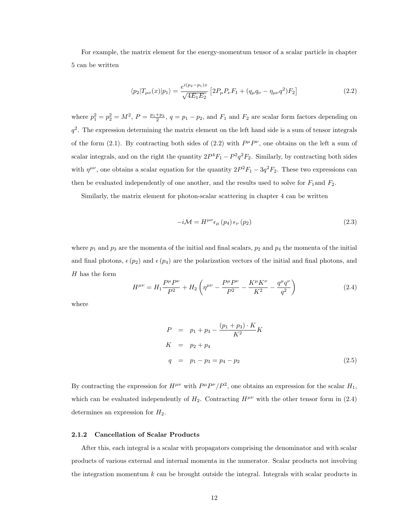For example, the matrix element for the energy-momentum tensor of a scalar particle in chapter 5 can be written

$$
\langle p_2 | T_{\mu\nu}(x) | p_1 \rangle = \frac{e^{i(p_2 - p_1)x}}{\sqrt{4E_1 E_2}} \left[ 2P_{\mu} P_{\nu} F_1 + (q_{\mu} q_{\nu} - \eta_{\mu\nu} q^2) F_2 \right]
$$
(2.2)

where  $p_1^2 = p_2^2 = M^2$ ,  $P = \frac{p_1+p_2}{2}$ ,  $q = p_1 - p_2$ , and  $F_1$  and  $F_2$  are scalar form factors depending on  $q^2$ . The expression determining the matrix element on the left hand side is a sum of tensor integrals of the form (2.1). By contracting both sides of (2.2) with  $P^{\mu}P^{\nu}$ , one obtains on the left a sum of scalar integrals, and on the right the quantity  $2P^4F_1 - P^2q^2F_2$ . Similarly, by contracting both sides with  $\eta^{\mu\nu}$ , one obtains a scalar equation for the quantity  $2P^2F_1 - 3q^2F_2$ . These two expressions can then be evaluated independently of one another, and the results used to solve for  $F_1$  and  $F_2$ .

Similarly, the matrix element for photon-scalar scattering in chapter 4 can be written

$$
-i\mathcal{M} = H^{\mu\nu}\epsilon_{\mu}\left(p_{4}\right)\epsilon_{\nu}\left(p_{2}\right) \tag{2.3}
$$

where  $p_1$  and  $p_3$  are the momenta of the initial and final scalars,  $p_2$  and  $p_4$  the momenta of the initial and final photons,  $\epsilon(p_2)$  and  $\epsilon(p_4)$  are the polarization vectors of the initial and final photons, and  $H$  has the form

$$
H^{\mu\nu} = H_1 \frac{P^{\mu} P^{\nu}}{P^2} + H_2 \left( \eta^{\mu\nu} - \frac{P^{\mu} P^{\nu}}{P^2} - \frac{K^{\mu} K^{\nu}}{K^2} - \frac{q^{\mu} q^{\nu}}{q^2} \right)
$$
 (2.4)

where

$$
P = p_1 + p_3 - \frac{(p_1 + p_3) \cdot K}{K^2} K
$$
  
\n
$$
K = p_2 + p_4
$$
  
\n
$$
q = p_1 - p_3 = p_4 - p_2
$$
\n(2.5)

By contracting the expression for  $H^{\mu\nu}$  with  $P^{\mu}P^{\nu}/P^2$ , one obtains an expression for the scalar  $H_1$ , which can be evaluated independently of  $H_2$ . Contracting  $H^{\mu\nu}$  with the other tensor form in (2.4) determines an expression for  $H_2$ .

#### 2.1.2 Cancellation of Scalar Products

After this, each integral is a scalar with propagators comprising the denominator and with scalar products of various external and internal momenta in the numerator. Scalar products not involving the integration momentum  $k$  can be brought outside the integral. Integrals with scalar products in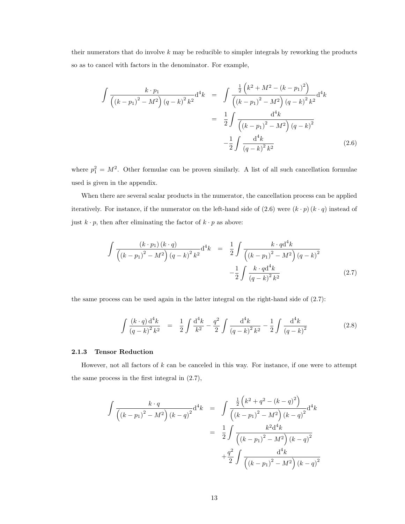their numerators that do involve  $k$  may be reducible to simpler integrals by reworking the products so as to cancel with factors in the denominator. For example,

$$
\int \frac{k \cdot p_1}{\left( (k - p_1)^2 - M^2 \right) (q - k)^2 k^2} d^4k = \int \frac{\frac{1}{2} \left( k^2 + M^2 - (k - p_1)^2 \right)}{\left( (k - p_1)^2 - M^2 \right) (q - k)^2 k^2} d^4k
$$

$$
= \frac{1}{2} \int \frac{d^4k}{\left( (k - p_1)^2 - M^2 \right) (q - k)^2} d^4k
$$

$$
- \frac{1}{2} \int \frac{d^4k}{(q - k)^2 k^2} \tag{2.6}
$$

where  $p_1^2 = M^2$ . Other formulae can be proven similarly. A list of all such cancellation formulae used is given in the appendix.

When there are several scalar products in the numerator, the cancellation process can be applied iteratively. For instance, if the numerator on the left-hand side of  $(2.6)$  were  $(k \cdot p)(k \cdot q)$  instead of just  $k \cdot p$ , then after eliminating the factor of  $k \cdot p$  as above:

$$
\int \frac{(k \cdot p_1)(k \cdot q)}{\left((k - p_1)^2 - M^2\right)(q - k)^2 k^2} d^4k = \frac{1}{2} \int \frac{k \cdot q d^4k}{\left((k - p_1)^2 - M^2\right)(q - k)^2} -\frac{1}{2} \int \frac{k \cdot q d^4k}{\left(q - k\right)^2 k^2}
$$
\n(2.7)

the same process can be used again in the latter integral on the right-hand side of  $(2.7)$ :

$$
\int \frac{(k \cdot q) d^4 k}{(q-k)^2 k^2} = \frac{1}{2} \int \frac{d^4 k}{k^2} - \frac{q^2}{2} \int \frac{d^4 k}{(q-k)^2 k^2} - \frac{1}{2} \int \frac{d^4 k}{(q-k)^2} \tag{2.8}
$$

#### 2.1.3 Tensor Reduction

However, not all factors of k can be canceled in this way. For instance, if one were to attempt the same process in the first integral in (2.7),

$$
\int \frac{k \cdot q}{\left( (k - p_1)^2 - M^2 \right) (k - q)^2} d^4 k = \int \frac{\frac{1}{2} \left( k^2 + q^2 - (k - q)^2 \right)}{\left( (k - p_1)^2 - M^2 \right) (k - q)^2} d^4 k
$$

$$
= \frac{1}{2} \int \frac{k^2 d^4 k}{\left( (k - p_1)^2 - M^2 \right) (k - q)^2} d^4 k
$$

$$
+ \frac{q^2}{2} \int \frac{d^4 k}{\left( (k - p_1)^2 - M^2 \right) (k - q)^2}
$$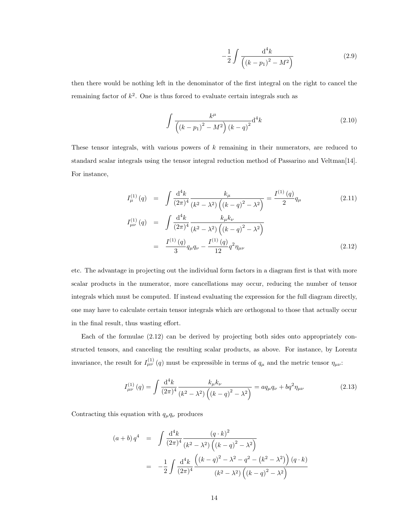$$
-\frac{1}{2} \int \frac{d^4k}{\left( (k - p_1)^2 - M^2 \right)}\tag{2.9}
$$

then there would be nothing left in the denominator of the first integral on the right to cancel the remaining factor of  $k^2$ . One is thus forced to evaluate certain integrals such as

$$
\int \frac{k^{\mu}}{\left((k-p_1)^2 - M^2\right) (k-q)^2} \mathrm{d}^4 k \tag{2.10}
$$

These tensor integrals, with various powers of k remaining in their numerators, are reduced to standard scalar integrals using the tensor integral reduction method of Passarino and Veltman[14]. For instance,

$$
I_{\mu}^{(1)}(q) = \int \frac{d^4 k}{(2\pi)^4} \frac{k_{\mu}}{(k^2 - \lambda^2) \left( (k - q)^2 - \lambda^2 \right)} = \frac{I^{(1)}(q)}{2} q_{\mu}
$$
\n
$$
I_{\mu\nu}^{(1)}(q) = \int \frac{d^4 k}{(2\pi)^4} \frac{k_{\mu} k_{\nu}}{(k^2 - \lambda^2) \left( (k - q)^2 - \lambda^2 \right)}
$$
\n
$$
= \frac{I^{(1)}(q)}{3} q_{\mu} q_{\nu} - \frac{I^{(1)}(q)}{12} q^2 \eta_{\mu\nu}
$$
\n(2.12)

etc. The advantage in projecting out the individual form factors in a diagram first is that with more scalar products in the numerator, more cancellations may occur, reducing the number of tensor integrals which must be computed. If instead evaluating the expression for the full diagram directly, one may have to calculate certain tensor integrals which are orthogonal to those that actually occur in the final result, thus wasting effort.

Each of the formulae (2.12) can be derived by projecting both sides onto appropriately constructed tensors, and canceling the resulting scalar products, as above. For instance, by Lorentz invariance, the result for  $I_{\mu\nu}^{(1)}(q)$  must be expressible in terms of  $q_{\mu}$  and the metric tensor  $\eta_{\mu\nu}$ :

$$
I_{\mu\nu}^{(1)}(q) = \int \frac{\mathrm{d}^4 k}{(2\pi)^4} \frac{k_{\mu}k_{\nu}}{(k^2 - \lambda^2) \left( (k - q)^2 - \lambda^2 \right)} = aq_{\mu}q_{\nu} + bq^2 \eta_{\mu\nu}
$$
(2.13)

Contracting this equation with  $q_{\mu}q_{\nu}$  produces

$$
(a + b) q4 = \int \frac{d^{4}k}{(2\pi)^{4}} \frac{(q \cdot k)^{2}}{(k^{2} - \lambda^{2}) \left( (k - q)^{2} - \lambda^{2} \right)}
$$
  
= 
$$
-\frac{1}{2} \int \frac{d^{4}k}{(2\pi)^{4}} \frac{\left( (k - q)^{2} - \lambda^{2} - q^{2} - (k^{2} - \lambda^{2}) \right) (q \cdot k)}{(k^{2} - \lambda^{2}) \left( (k - q)^{2} - \lambda^{2} \right)}
$$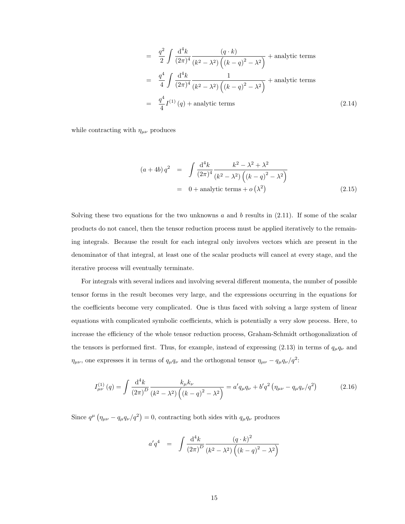$$
= \frac{q^2}{2} \int \frac{d^4 k}{(2\pi)^4} \frac{(q \cdot k)}{(k^2 - \lambda^2) \left( (k - q)^2 - \lambda^2 \right)} + \text{analytic terms}
$$
  
\n
$$
= \frac{q^4}{4} \int \frac{d^4 k}{(2\pi)^4} \frac{1}{(k^2 - \lambda^2) \left( (k - q)^2 - \lambda^2 \right)} + \text{analytic terms}
$$
  
\n
$$
= \frac{q^4}{4} I^{(1)}(q) + \text{analytic terms}
$$
 (2.14)

while contracting with  $\eta_{\mu\nu}$  produces

$$
(a+4b) q2 = \int \frac{d^{4}k}{(2\pi)^{4}} \frac{k^{2} - \lambda^{2} + \lambda^{2}}{(k^{2} - \lambda^{2}) ((k-q)^{2} - \lambda^{2})}
$$
  
= 0 + analytic terms + o(\lambda^{2}) (2.15)

Solving these two equations for the two unknowns  $a$  and  $b$  results in  $(2.11)$ . If some of the scalar products do not cancel, then the tensor reduction process must be applied iteratively to the remaining integrals. Because the result for each integral only involves vectors which are present in the denominator of that integral, at least one of the scalar products will cancel at every stage, and the iterative process will eventually terminate.

For integrals with several indices and involving several different momenta, the number of possible tensor forms in the result becomes very large, and the expressions occurring in the equations for the coefficients become very complicated. One is thus faced with solving a large system of linear equations with complicated symbolic coefficients, which is potentially a very slow process. Here, to increase the efficiency of the whole tensor reduction process, Graham-Schmidt orthogonalization of the tensors is performed first. Thus, for example, instead of expressing (2.13) in terms of  $q_{\mu}q_{\nu}$  and  $\eta_{\mu\nu}$ , one expresses it in terms of  $q_{\mu}q_{\nu}$  and the orthogonal tensor  $\eta_{\mu\nu} - q_{\mu}q_{\nu}/q^2$ :

$$
I_{\mu\nu}^{(1)}(q) = \int \frac{\mathrm{d}^4 k}{(2\pi)^D} \frac{k_{\mu}k_{\nu}}{(k^2 - \lambda^2) \left( (k - q)^2 - \lambda^2 \right)} = a' q_{\mu} q_{\nu} + b' q^2 \left( \eta_{\mu\nu} - q_{\mu} q_{\nu} / q^2 \right) \tag{2.16}
$$

Since  $q^{\mu}$   $(\eta_{\mu\nu} - q_{\mu}q_{\nu}/q^2) = 0$ , contracting both sides with  $q_{\mu}q_{\nu}$  produces

$$
a'q^4 = \int \frac{d^4k}{(2\pi)^D} \frac{(q \cdot k)^2}{(k^2 - \lambda^2) \left( (k - q)^2 - \lambda^2 \right)}
$$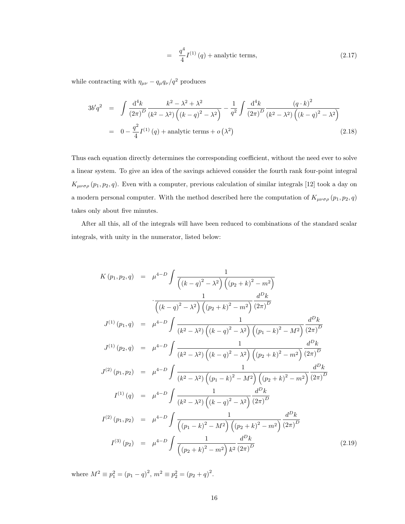$$
= \frac{q^4}{4} I^{(1)}(q) + \text{analytic terms}, \tag{2.17}
$$

while contracting with  $\eta_{\mu\nu}-q_\mu q_\nu/q^2$  produces

$$
3b'q^2 = \int \frac{d^4k}{(2\pi)^D} \frac{k^2 - \lambda^2 + \lambda^2}{(k^2 - \lambda^2) \left( (k - q)^2 - \lambda^2 \right)} - \frac{1}{q^2} \int \frac{d^4k}{(2\pi)^D} \frac{(q \cdot k)^2}{(k^2 - \lambda^2) \left( (k - q)^2 - \lambda^2 \right)}
$$
  
=  $0 - \frac{q^2}{4} I^{(1)}(q) + \text{analytic terms} + o(\lambda^2)$  (2.18)

Thus each equation directly determines the corresponding coefficient, without the need ever to solve a linear system. To give an idea of the savings achieved consider the fourth rank four-point integral  $K_{\mu\nu\sigma\rho}(p_1, p_2, q)$ . Even with a computer, previous calculation of similar integrals [12] took a day on a modern personal computer. With the method described here the computation of  $K_{\mu\nu\sigma\rho}(p_1,p_2,q)$ takes only about five minutes.

After all this, all of the integrals will have been reduced to combinations of the standard scalar integrals, with unity in the numerator, listed below:

$$
K(p_1, p_2, q) = \mu^{4-D} \int \frac{1}{\left( (k-q)^2 - \lambda^2 \right) \left( (p_2 + k)^2 - m^2 \right)}
$$
  

$$
\frac{1}{\left( (k-q)^2 - \lambda^2 \right) \left( (p_2 + k)^2 - m^2 \right)} \frac{d^D k}{(2\pi)^D}
$$
  

$$
J^{(1)}(p_1, q) = \mu^{4-D} \int \frac{1}{(k^2 - \lambda^2) \left( (k-q)^2 - \lambda^2 \right) \left( (p_1 - k)^2 - M^2 \right)} \frac{d^D k}{(2\pi)^D}
$$
  

$$
J^{(1)}(p_2, q) = \mu^{4-D} \int \frac{1}{(k^2 - \lambda^2) \left( (k-q)^2 - \lambda^2 \right) \left( (p_2 + k)^2 - m^2 \right)} \frac{d^D k}{(2\pi)^D}
$$
  

$$
J^{(2)}(p_1, p_2) = \mu^{4-D} \int \frac{1}{(k^2 - \lambda^2) \left( (p_1 - k)^2 - M^2 \right) \left( (p_2 + k)^2 - m^2 \right)} \frac{d^D k}{(2\pi)^D}
$$
  

$$
I^{(1)}(q) = \mu^{4-D} \int \frac{1}{(k^2 - \lambda^2) \left( (k-q)^2 - \lambda^2 \right)} \frac{d^D k}{(2\pi)^D}
$$
  

$$
I^{(2)}(p_1, p_2) = \mu^{4-D} \int \frac{1}{\left( (p_1 - k)^2 - M^2 \right) \left( (p_2 + k)^2 - m^2 \right)} \frac{d^D k}{(2\pi)^D}
$$
  

$$
I^{(3)}(p_2) = \mu^{4-D} \int \frac{1}{\left( (p_2 + k)^2 - m^2 \right) k^2} \frac{d^D k}{(2\pi)^D}
$$
(2.19)

where  $M^2 \equiv p_1^2 = (p_1 - q)^2$ ,  $m^2 \equiv p_2^2 = (p_2 + q)^2$ .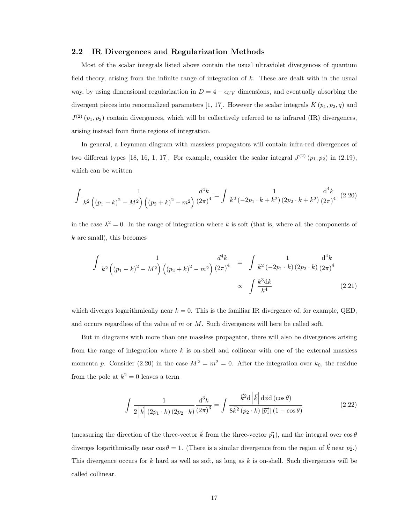#### 2.2 IR Divergences and Regularization Methods

Most of the scalar integrals listed above contain the usual ultraviolet divergences of quantum field theory, arising from the infinite range of integration of  $k$ . These are dealt with in the usual way, by using dimensional regularization in  $D = 4 - \epsilon_{UV}$  dimensions, and eventually absorbing the divergent pieces into renormalized parameters [1, 17]. However the scalar integrals  $K(p_1, p_2, q)$  and  $J^{(2)}(p_1, p_2)$  contain divergences, which will be collectively referred to as infrared (IR) divergences, arising instead from finite regions of integration.

In general, a Feynman diagram with massless propagators will contain infra-red divergences of two different types [18, 16, 1, 17]. For example, consider the scalar integral  $J^{(2)}(p_1, p_2)$  in (2.19), which can be written

$$
\int \frac{1}{k^2 \left( (p_1 - k)^2 - M^2 \right) \left( (p_2 + k)^2 - m^2 \right)} \frac{d^4 k}{(2\pi)^4} = \int \frac{1}{k^2 \left( -2p_1 \cdot k + k^2 \right) \left( 2p_2 \cdot k + k^2 \right)} \frac{d^4 k}{\left( 2\pi \right)^4} \tag{2.20}
$$

in the case  $\lambda^2 = 0$ . In the range of integration where k is soft (that is, where all the components of  $k$  are small), this becomes

$$
\int \frac{1}{k^2 \left( (p_1 - k)^2 - M^2 \right) \left( (p_2 + k)^2 - m^2 \right)} \frac{d^4 k}{(2\pi)^4} = \int \frac{1}{k^2 \left( -2p_1 \cdot k \right) \left( 2p_2 \cdot k \right)} \frac{d^4 k}{\left( 2\pi \right)^4} \propto \int \frac{k^3 dk}{k^4} \quad (2.21)
$$

which diverges logarithmically near  $k = 0$ . This is the familiar IR divergence of, for example, QED, and occurs regardless of the value of  $m$  or  $M$ . Such divergences will here be called soft.

But in diagrams with more than one massless propagator, there will also be divergences arising from the range of integration where  $k$  is on-shell and collinear with one of the external massless momenta p. Consider (2.20) in the case  $M^2 = m^2 = 0$ . After the integration over  $k_0$ , the residue from the pole at  $k^2 = 0$  leaves a term

$$
\int \frac{1}{2\left|\vec{k}\right|(2p_1\cdot k)\left(2p_2\cdot k\right)}\frac{\mathrm{d}^3k}{\left(2\pi\right)^3} = \int \frac{\vec{k}^2\mathrm{d}\left|\vec{k}\right|\mathrm{d}\phi\mathrm{d}\left(\cos\theta\right)}{8\vec{k}^2\left(p_2\cdot k\right)|\vec{p}_1|\left(1-\cos\theta\right)}\tag{2.22}
$$

(measuring the direction of the three-vector  $\vec{k}$  from the three-vector  $\vec{p_1}$ ), and the integral over  $\cos \theta$ diverges logarithmically near  $\cos \theta = 1$ . (There is a similar divergence from the region of  $\vec{k}$  near  $\vec{p_2}$ .) This divergence occurs for  $k$  hard as well as soft, as long as  $k$  is on-shell. Such divergences will be called collinear.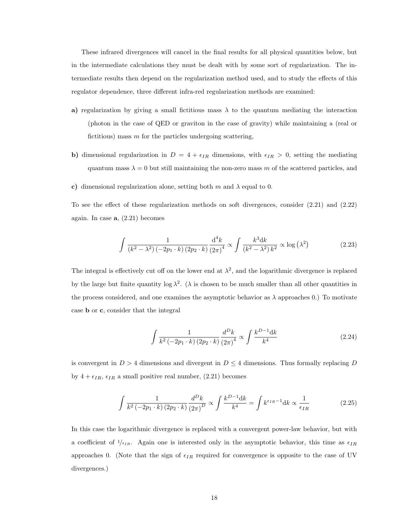These infrared divergences will cancel in the final results for all physical quantities below, but in the intermediate calculations they must be dealt with by some sort of regularization. The intermediate results then depend on the regularization method used, and to study the effects of this regulator dependence, three different infra-red regularization methods are examined:

- a) regularization by giving a small fictitious mass  $\lambda$  to the quantum mediating the interaction (photon in the case of QED or graviton in the case of gravity) while maintaining a (real or fictitious) mass  $m$  for the particles undergoing scattering,
- b) dimensional regularization in  $D = 4 + \epsilon_{IR}$  dimensions, with  $\epsilon_{IR} > 0$ , setting the mediating quantum mass  $\lambda = 0$  but still maintaining the non-zero mass m of the scattered particles, and
- c) dimensional regularization alone, setting both m and  $\lambda$  equal to 0.

To see the effect of these regularization methods on soft divergences, consider (2.21) and (2.22) again. In case  $a, (2.21)$  becomes

$$
\int \frac{1}{\left(k^2 - \lambda^2\right)\left(-2p_1 \cdot k\right)\left(2p_2 \cdot k\right)} \frac{\mathrm{d}^4 k}{\left(2\pi\right)^4} \propto \int \frac{k^3 \mathrm{d} k}{\left(k^2 - \lambda^2\right)k^2} \propto \log\left(\lambda^2\right) \tag{2.23}
$$

The integral is effectively cut off on the lower end at  $\lambda^2$ , and the logarithmic divergence is replaced by the large but finite quantity  $\log \lambda^2$ . ( $\lambda$  is chosen to be much smaller than all other quantities in the process considered, and one examines the asymptotic behavior as  $\lambda$  approaches 0.) To motivate case b or c, consider that the integral

$$
\int \frac{1}{k^2 (-2p_1 \cdot k) (2p_2 \cdot k)} \frac{d^D k}{(2\pi)^4} \propto \int \frac{k^{D-1} dk}{k^4}
$$
\n(2.24)

is convergent in  $D > 4$  dimensions and divergent in  $D \leq 4$  dimensions. Thus formally replacing D by  $4 + \epsilon_{IR}, \epsilon_{IR}$  a small positive real number, (2.21) becomes

$$
\int \frac{1}{k^2 \left(-2p_1 \cdot k\right) \left(2p_2 \cdot k\right)} \frac{d^D k}{\left(2\pi\right)^D} \propto \int \frac{k^{D-1} dk}{k^4} = \int k^{\epsilon_{IR} - 1} dk \propto \frac{1}{\epsilon_{IR}} \tag{2.25}
$$

In this case the logarithmic divergence is replaced with a convergent power-law behavior, but with a coefficient of  $1/\epsilon_{IR}$ . Again one is interested only in the asymptotic behavior, this time as  $\epsilon_{IR}$ approaches 0. (Note that the sign of  $\epsilon_{IR}$  required for convergence is opposite to the case of UV divergences.)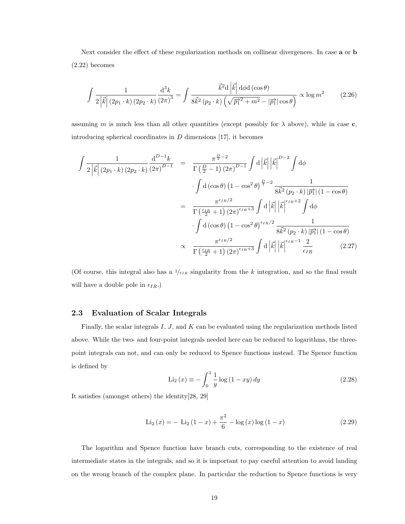Next consider the effect of these regularization methods on collinear divergences. In case a or b (2.22) becomes

$$
\int \frac{1}{2\left|\vec{k}\right|(2p_1\cdot k)\left(2p_2\cdot k\right)}\frac{\mathrm{d}^3k}{\left(2\pi\right)^3} = \int \frac{\vec{k}^2\mathrm{d}\left|\vec{k}\right|\mathrm{d}\phi\mathrm{d}\left(\cos\theta\right)}{8\vec{k}^2\left(p_2\cdot k\right)\left(\sqrt{\vec{p_1}^2 + m^2} - |\vec{p_1}|\cos\theta\right)} \propto \log m^2\tag{2.26}
$$

assuming m is much less than all other quantities (except possibly for  $\lambda$  above), while in case c, introducing spherical coordinates in  $D$  dimensions [17], it becomes

$$
\int \frac{1}{2|\vec{k}|(2p_1 \cdot k)(2p_2 \cdot k)} \frac{d^{D-1}k}{(2\pi)^{D-1}} = \frac{\pi^{\frac{D}{2}-2}}{\Gamma(\frac{D}{2}-1)(2\pi)^{D-1}} \int d|\vec{k}| |\vec{k}|^{D-2} \int d\phi
$$

$$
\cdot \int d(\cos \theta) (1 - \cos^2 \theta)^{\frac{D}{2}-2} \frac{1}{8\vec{k}^2 (p_2 \cdot k) |\vec{p}| (1 - \cos \theta)}
$$

$$
= \frac{\pi^{\epsilon_{IR}/2}}{\Gamma(\frac{\epsilon_{IR}}{2}+1)(2\pi)^{\epsilon_{IR}+3}} \int d|\vec{k}| |\vec{k}|^{\epsilon_{IR}+2} \int d\phi
$$

$$
\cdot \int d(\cos \theta) (1 - \cos^2 \theta)^{\epsilon_{IR}/2} \frac{1}{8\vec{k}^2 (p_2 \cdot k) |\vec{p}| (1 - \cos \theta)}
$$

$$
\propto \frac{\pi^{\epsilon_{IR}/2}}{\Gamma(\frac{\epsilon_{IR}}{2}+1)(2\pi)^{\epsilon_{IR}+3}} \int d|\vec{k}| |\vec{k}|^{\epsilon_{IR}-1} \frac{2}{\epsilon_{IR}} \qquad (2.27)
$$

(Of course, this integral also has a  $1/\epsilon_{IR}$  singularity from the k integration, and so the final result will have a double pole in  $\epsilon_{IR}$ .)

#### 2.3 Evaluation of Scalar Integrals

Finally, the scalar integrals  $I, J$ , and  $K$  can be evaluated using the regularization methods listed above. While the two- and four-point integrals needed here can be reduced to logarithms, the threepoint integrals can not, and can only be reduced to Spence functions instead. The Spence function is defined by

$$
\text{Li}_2(x) \equiv -\int_0^1 \frac{1}{y} \log(1 - xy) \, dy \tag{2.28}
$$

It satisfies (amongst others) the identity[28, 29]

$$
\text{Li}_2(x) = -\text{ Li}_2(1-x) + \frac{\pi^2}{6} - \log(x)\log(1-x) \tag{2.29}
$$

The logarithm and Spence function have branch cuts, corresponding to the existence of real intermediate states in the integrals, and so it is important to pay careful attention to avoid landing on the wrong branch of the complex plane. In particular the reduction to Spence functions is very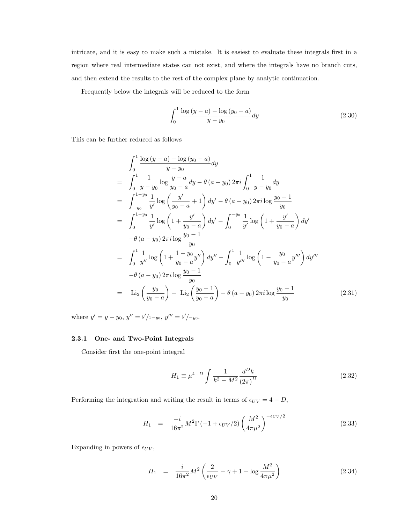intricate, and it is easy to make such a mistake. It is easiest to evaluate these integrals first in a region where real intermediate states can not exist, and where the integrals have no branch cuts, and then extend the results to the rest of the complex plane by analytic continuation.

Frequently below the integrals will be reduced to the form

$$
\int_0^1 \frac{\log (y - a) - \log (y_0 - a)}{y - y_0} dy
$$
\n(2.30)

This can be further reduced as follows

$$
\int_{0}^{1} \frac{\log (y-a) - \log (y_{0}-a)}{y-y_{0}} dy
$$
\n
$$
= \int_{0}^{1} \frac{1}{y-y_{0}} \log \frac{y-a}{y_{0}-a} dy - \theta (a-y_{0}) 2\pi i \int_{0}^{1} \frac{1}{y-y_{0}} dy
$$
\n
$$
= \int_{-y_{0}}^{1-y_{0}} \frac{1}{y'} \log \left(\frac{y'}{y_{0}-a} + 1\right) dy' - \theta (a-y_{0}) 2\pi i \log \frac{y_{0}-1}{y_{0}}
$$
\n
$$
= \int_{0}^{1-y_{0}} \frac{1}{y'} \log \left(1 + \frac{y'}{y_{0}-a}\right) dy' - \int_{0}^{-y_{0}} \frac{1}{y'} \log \left(1 + \frac{y'}{y_{0}-a}\right) dy'
$$
\n
$$
- \theta (a-y_{0}) 2\pi i \log \frac{y_{0}-1}{y_{0}}
$$
\n
$$
= \int_{0}^{1} \frac{1}{y''} \log \left(1 + \frac{1-y_{0}}{y_{0}-a} y''\right) dy'' - \int_{0}^{1} \frac{1}{y'''} \log \left(1 - \frac{y_{0}}{y_{0}-a} y'''\right) dy'''
$$
\n
$$
- \theta (a-y_{0}) 2\pi i \log \frac{y_{0}-1}{y_{0}}
$$
\n
$$
= \text{Li}_{2}\left(\frac{y_{0}}{y_{0}-a}\right) - \text{Li}_{2}\left(\frac{y_{0}-1}{y_{0}-a}\right) - \theta (a-y_{0}) 2\pi i \log \frac{y_{0}-1}{y_{0}}
$$
\n(2.31)

where  $y' = y - y_0$ ,  $y'' = y'/1 - y_0$ ,  $y''' = y'/-y_0$ .

#### 2.3.1 One- and Two-Point Integrals

Consider first the one-point integral

$$
H_1 \equiv \mu^{4-D} \int \frac{1}{k^2 - M^2} \frac{d^D k}{(2\pi)^D}
$$
 (2.32)

Performing the integration and writing the result in terms of  $\epsilon_{UV} = 4 - D$ ,

$$
H_1 = \frac{-i}{16\pi^2} M^2 \Gamma(-1 + \epsilon_{UV}/2) \left(\frac{M^2}{4\pi\mu^2}\right)^{-\epsilon_{UV}/2}
$$
 (2.33)

Expanding in powers of  $\epsilon_{UV}$ ,

$$
H_1 = \frac{i}{16\pi^2} M^2 \left( \frac{2}{\epsilon_{UV}} - \gamma + 1 - \log \frac{M^2}{4\pi\mu^2} \right)
$$
 (2.34)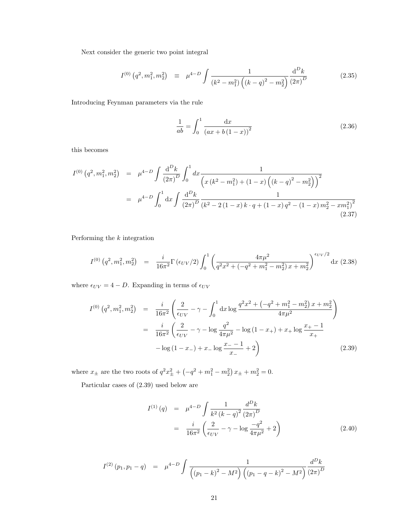Next consider the generic two point integral

$$
I^{(0)}\left(q^2, m_1^2, m_2^2\right) \equiv \mu^{4-D} \int \frac{1}{\left(k^2 - m_1^2\right) \left(\left(k - q\right)^2 - m_2^2\right)} \frac{\mathrm{d}^D k}{\left(2\pi\right)^D} \tag{2.35}
$$

Introducing Feynman parameters via the rule

$$
\frac{1}{ab} = \int_0^1 \frac{\mathrm{d}x}{(ax + b(1 - x))^2} \tag{2.36}
$$

this becomes

$$
I^{(0)}(q^2, m_1^2, m_2^2) = \mu^{4-D} \int \frac{d^D k}{(2\pi)^D} \int_0^1 dx \frac{1}{\left(x(k^2 - m_1^2) + (1 - x)\left((k - q)^2 - m_2^2\right)\right)^2}
$$
  
= 
$$
\mu^{4-D} \int_0^1 dx \int \frac{d^D k}{(2\pi)^D} \frac{1}{(k^2 - 2(1 - x)k \cdot q + (1 - x)q^2 - (1 - x) m_2^2 - x m_1^2)^2}
$$
(2.37)

Performing the  $k$  integration

$$
I^{(0)}(q^2, m_1^2, m_2^2) = \frac{i}{16\pi^2} \Gamma(\epsilon_{UV}/2) \int_0^1 \left( \frac{4\pi\mu^2}{q^2x^2 + (-q^2 + m_1^2 - m_2^2)x + m_2^2} \right)^{\epsilon_{UV}/2} dx \tag{2.38}
$$

where  $\epsilon_{UV} = 4 - D$ . Expanding in terms of  $\epsilon_{UV}$ 

$$
I^{(0)}(q^2, m_1^2, m_2^2) = \frac{i}{16\pi^2} \left( \frac{2}{\epsilon_{UV}} - \gamma - \int_0^1 dx \log \frac{q^2 x^2 + (-q^2 + m_1^2 - m_2^2) x + m_2^2}{4\pi \mu^2} \right)
$$
  

$$
= \frac{i}{16\pi^2} \left( \frac{2}{\epsilon_{UV}} - \gamma - \log \frac{q^2}{4\pi \mu^2} - \log (1 - x_+) + x_+ \log \frac{x_+ - 1}{x_+} - \log (1 - x_-) + x_- \log \frac{x_- - 1}{x_-} + 2 \right)
$$
(2.39)

where  $x_{\pm}$  are the two roots of  $q^2x_{\pm}^2 + (-q^2 + m_1^2 - m_2^2)x_{\pm} + m_2^2 = 0$ .

Particular cases of (2.39) used below are

$$
I^{(1)}(q) = \mu^{4-D} \int \frac{1}{k^2 (k-q)^2} \frac{d^D k}{(2\pi)^D}
$$
  
= 
$$
\frac{i}{16\pi^2} \left( \frac{2}{\epsilon_{UV}} - \gamma - \log \frac{-q^2}{4\pi \mu^2} + 2 \right)
$$
 (2.40)

$$
I^{(2)}(p_1, p_1 - q) = \mu^{4-D} \int \frac{1}{\left( (p_1 - k)^2 - M^2 \right) \left( (p_1 - q - k)^2 - M^2 \right)} \frac{d^D k}{(2\pi)^D}
$$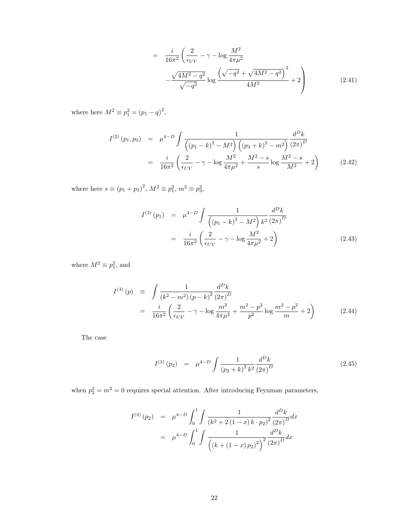$$
= \frac{i}{16\pi^2} \left( \frac{2}{\epsilon_{UV}} - \gamma - \log \frac{M^2}{4\pi\mu^2} - \frac{\sqrt{4M^2 - q^2}}{\sqrt{-q^2}} \log \frac{\left( \sqrt{-q^2} + \sqrt{4M^2 - q^2} \right)^2}{4M^2} + 2 \right)
$$
(2.41)

where here  $M^2 \equiv p_1^2 = (p_1 - q)^2$ ,

$$
I^{(2)}(p_1, p_3) = \mu^{4-D} \int \frac{1}{\left( (p_1 - k)^2 - M^2 \right) \left( (p_3 + k)^2 - m^2 \right)} \frac{d^D k}{\left( 2\pi \right)^D}
$$
  
= 
$$
\frac{i}{16\pi^2} \left( \frac{2}{\epsilon_{UV}} - \gamma - \log \frac{M^2}{4\pi\mu^2} + \frac{M^2 - s}{s} \log \frac{M^2 - s}{M^2} + 2 \right)
$$
(2.42)

where here  $s \equiv (p_1 + p_3)^2$ ,  $M^2 \equiv p_1^2$ ,  $m^2 \equiv p_3^2$ ,

$$
I^{(3)}(p_1) = \mu^{4-D} \int \frac{1}{\left( (p_1 - k)^2 - M^2 \right) k^2} \frac{d^D k}{\left( 2\pi \right)^D}
$$
  
= 
$$
\frac{i}{16\pi^2} \left( \frac{2}{\epsilon_{UV}} - \gamma - \log \frac{M^2}{4\pi \mu^2} + 2 \right)
$$
(2.43)

where  $M^2 \equiv p_1^2$ , and

$$
I^{(4)}(p) \equiv \int \frac{1}{(k^2 - m^2)(p - k)^2} \frac{d^D k}{(2\pi)^D}
$$
  
= 
$$
\frac{i}{16\pi^2} \left( \frac{2}{\epsilon_{UV}} - \gamma - \log \frac{m^2}{4\pi\mu^2} + \frac{m^2 - p^2}{p^2} \log \frac{m^2 - p^2}{m} + 2 \right)
$$
(2.44)

The case

$$
I^{(3)}(p_2) = \mu^{4-D} \int \frac{1}{(p_2+k)^2 k^2} \frac{d^D k}{(2\pi)^D}
$$
 (2.45)

when  $p_2^2 = m^2 = 0$  requires special attention. After introducing Feynman parameters,

$$
I^{(3)}(p_2) = \mu^{4-D} \int_0^1 \int \frac{1}{(k^2 + 2(1-x)k \cdot p_2)^2} \frac{d^D k}{(2\pi)^D} dx
$$
  
=  $\mu^{4-D} \int_0^1 \int \frac{1}{\left( (k + (1-x) p_2)^2 \right)^2} \frac{d^D k}{(2\pi)^D} dx$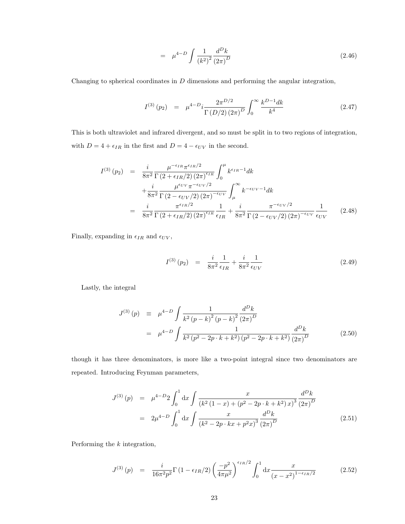$$
= \mu^{4-D} \int \frac{1}{(k^2)^2} \frac{d^D k}{(2\pi)^D} \tag{2.46}
$$

Changing to spherical coordinates in  $D$  dimensions and performing the angular integration,

$$
I^{(3)}(p_2) = \mu^{4-D} i \frac{2\pi^{D/2}}{\Gamma(D/2)(2\pi)^D} \int_0^\infty \frac{k^{D-1} dk}{k^4}
$$
 (2.47)

This is both ultraviolet and infrared divergent, and so must be split in to two regions of integration, with  $D = 4 + \epsilon_{IR}$  in the first and  $D = 4 - \epsilon_{UV}$  in the second.

$$
I^{(3)}(p_2) = \frac{i}{8\pi^2} \frac{\mu^{-\epsilon_{IR}} \pi^{\epsilon_{IR}/2}}{\Gamma(2 + \epsilon_{IR}/2) (2\pi)^{\epsilon_{IR}}} \int_0^\mu k^{\epsilon_{IR} - 1} dk
$$
  
+ 
$$
\frac{i}{8\pi^2} \frac{\mu^{\epsilon_{UV}} \pi^{-\epsilon_{UV}/2}}{\Gamma(2 - \epsilon_{UV}/2) (2\pi)^{-\epsilon_{UV}}} \int_\mu^\infty k^{-\epsilon_{UV} - 1} dk
$$
  
= 
$$
\frac{i}{8\pi^2} \frac{\pi^{\epsilon_{IR}/2}}{\Gamma(2 + \epsilon_{IR}/2) (2\pi)^{\epsilon_{IR}}} \frac{1}{\epsilon_{IR}} + \frac{i}{8\pi^2} \frac{\pi^{-\epsilon_{UV}/2}}{\Gamma(2 - \epsilon_{UV}/2) (2\pi)^{-\epsilon_{UV}}} \frac{1}{\epsilon_{UV}}
$$
(2.48)

Finally, expanding in  $\epsilon_{IR}$  and  $\epsilon_{UV},$ 

$$
I^{(3)}(p_2) = \frac{i}{8\pi^2} \frac{1}{\epsilon_{IR}} + \frac{i}{8\pi^2} \frac{1}{\epsilon_{UV}} \tag{2.49}
$$

Lastly, the integral

$$
J^{(3)}(p) \equiv \mu^{4-D} \int \frac{1}{k^2 (p-k)^2 (p-k)^2} \frac{d^D k}{(2\pi)^D}
$$
  

$$
= \mu^{4-D} \int \frac{1}{k^2 (p^2 - 2p \cdot k + k^2) (p^2 - 2p \cdot k + k^2)} \frac{d^D k}{(2\pi)^D}
$$
(2.50)

though it has three denominators, is more like a two-point integral since two denominators are repeated. Introducing Feynman parameters,

$$
J^{(3)}(p) = \mu^{4-D} 2 \int_0^1 dx \int \frac{x}{(k^2 (1-x) + (p^2 - 2p \cdot k + k^2) x)^3} \frac{d^D k}{(2\pi)^D}
$$
  
=  $2\mu^{4-D} \int_0^1 dx \int \frac{x}{(k^2 - 2p \cdot kx + p^2 x)^3} \frac{d^D k}{(2\pi)^D}$  (2.51)

Performing the k integration,

$$
J^{(3)}(p) = \frac{i}{16\pi^2 p^2} \Gamma(1 - \epsilon_{IR}/2) \left(\frac{-p^2}{4\pi \mu^2}\right)^{\epsilon_{IR}/2} \int_0^1 dx \frac{x}{(x - x^2)^{1 - \epsilon_{IR}/2}} \tag{2.52}
$$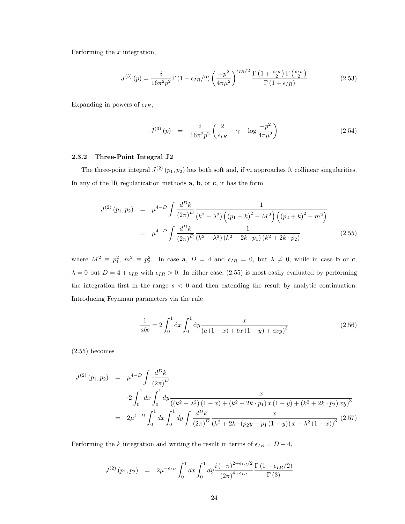Performing the  $x$  integration,

$$
J^{(3)}\left(p\right) = \frac{i}{16\pi^2 p^2} \Gamma\left(1 - \epsilon_{IR}/2\right) \left(\frac{-p^2}{4\pi\mu^2}\right)^{\epsilon_{IR}/2} \frac{\Gamma\left(1 + \frac{\epsilon_{IR}}{2}\right) \Gamma\left(\frac{\epsilon_{IR}}{2}\right)}{\Gamma\left(1 + \epsilon_{IR}\right)}\tag{2.53}
$$

Expanding in powers of  $\epsilon_{IR}$ ,

$$
J^{(3)}(p) = \frac{i}{16\pi^2 p^2} \left( \frac{2}{\epsilon_{IR}} + \gamma + \log \frac{-p^2}{4\pi \mu^2} \right)
$$
 (2.54)

#### 2.3.2 Three-Point Integral J2

The three-point integral  $J^{(2)}(p_1, p_2)$  has both soft and, if m approaches 0, collinear singularities. In any of the IR regularization methods a, b, or c, it has the form

$$
J^{(2)}(p_1, p_2) = \mu^{4-D} \int \frac{d^D k}{(2\pi)^D} \frac{1}{(k^2 - \lambda^2) \left( (p_1 - k)^2 - M^2 \right) \left( (p_2 + k)^2 - m^2 \right)}
$$
  

$$
= \mu^{4-D} \int \frac{d^D k}{(2\pi)^D} \frac{1}{(k^2 - \lambda^2) (k^2 - 2k \cdot p_1) (k^2 + 2k \cdot p_2)}
$$
(2.55)

where  $M^2 \equiv p_1^2$ ,  $m^2 \equiv p_2^2$ . In case **a**,  $D = 4$  and  $\epsilon_{IR} = 0$ , but  $\lambda \neq 0$ , while in case **b** or **c**,  $\lambda = 0$  but  $D = 4 + \epsilon_{IR}$  with  $\epsilon_{IR} > 0$ . In either case, (2.55) is most easily evaluated by performing the integration first in the range  $s < 0$  and then extending the result by analytic continuation. Introducing Feynman parameters via the rule

$$
\frac{1}{abc} = 2 \int_0^1 dx \int_0^1 dy \frac{x}{(a(1-x) + bx(1-y) + cxy)^3}
$$
(2.56)

(2.55) becomes

$$
J^{(2)}(p_1, p_2) = \mu^{4-D} \int \frac{d^D k}{(2\pi)^D}
$$
  

$$
-2 \int_0^1 dx \int_0^1 dy \frac{x}{((k^2 - \lambda^2)(1 - x) + (k^2 - 2k \cdot p_1) x (1 - y) + (k^2 + 2k \cdot p_2) xy)^3}
$$
  

$$
= 2\mu^{4-D} \int_0^1 dx \int_0^1 dy \int \frac{d^D k}{(2\pi)^D} \frac{x}{(k^2 + 2k \cdot (p_2y - p_1(1 - y)) x - \lambda^2 (1 - x))^3} (2.57)
$$

Performing the k integration and writing the result in terms of  $\epsilon_{IR} = D - 4$ ,

$$
J^{(2)}(p_1, p_2) = 2\mu^{-\epsilon_{IR}} \int_0^1 dx \int_0^1 dy \frac{i(-\pi)^{2+\epsilon_{IR}/2}}{(2\pi)^{4+\epsilon_{IR}}} \frac{\Gamma(1-\epsilon_{IR}/2)}{\Gamma(3)}
$$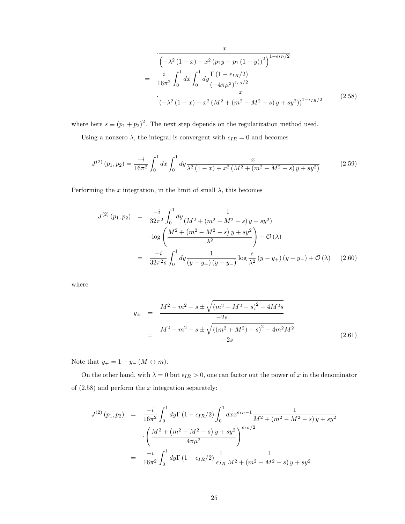$$
\frac{x}{\left(-\lambda^2 (1-x) - x^2 (p_2 y - p_1 (1-y))^2\right)^{1-\epsilon_{IR}/2}}
$$
\n
$$
= \frac{i}{16\pi^2} \int_0^1 dx \int_0^1 dy \frac{\Gamma (1-\epsilon_{IR}/2)}{(-4\pi\mu^2)^{\epsilon_{IR}/2}} dx
$$
\n
$$
\frac{x}{\left(-\lambda^2 (1-x) - x^2 (M^2 + (m^2 - M^2 - s) y + sy^2)\right)^{1-\epsilon_{IR}/2}} \tag{2.58}
$$

where here  $s \equiv (p_1 + p_2)^2$ . The next step depends on the regularization method used.

Using a nonzero  $\lambda$ , the integral is convergent with  $\epsilon_{IR} = 0$  and becomes

$$
J^{(2)}(p_1, p_2) = \frac{-i}{16\pi^2} \int_0^1 dx \int_0^1 dy \frac{x}{\lambda^2 (1-x) + x^2 (M^2 + (m^2 - M^2 - s) y + sy^2)}
$$
(2.59)

Performing the x integration, in the limit of small  $\lambda$ , this becomes

$$
J^{(2)}(p_1, p_2) = \frac{-i}{32\pi^2} \int_0^1 dy \frac{1}{(M^2 + (m^2 - M^2 - s) y + sy^2)}
$$
  
\n
$$
\log\left(\frac{M^2 + (m^2 - M^2 - s) y + sy^2}{\lambda^2}\right) + \mathcal{O}(\lambda)
$$
  
\n
$$
= \frac{-i}{32\pi^2 s} \int_0^1 dy \frac{1}{(y - y_+)(y - y_-)} \log\frac{s}{\lambda^2} (y - y_+)(y - y_-) + \mathcal{O}(\lambda)
$$
 (2.60)

where

$$
y_{\pm} = \frac{M^2 - m^2 - s \pm \sqrt{(m^2 - M^2 - s)^2 - 4M^2 s}}{-2s}
$$
  
= 
$$
\frac{M^2 - m^2 - s \pm \sqrt{((m^2 + M^2) - s)^2 - 4m^2 M^2}}{-2s}
$$
(2.61)

Note that  $y_+ = 1 - y_-\,(M \leftrightarrow m).$ 

On the other hand, with  $\lambda = 0$  but  $\epsilon_{IR} > 0$ , one can factor out the power of x in the denominator of  $(2.58)$  and perform the x integration separately:

$$
J^{(2)}(p_1, p_2) = \frac{-i}{16\pi^2} \int_0^1 dy \Gamma(1 - \epsilon_{IR}/2) \int_0^1 dx x^{\epsilon_{IR} - 1} \frac{1}{M^2 + (m^2 - M^2 - s) y + sy^2}
$$

$$
\cdot \left(\frac{M^2 + (m^2 - M^2 - s) y + sy^2}{4\pi\mu^2}\right)^{\epsilon_{IR}/2}
$$

$$
= \frac{-i}{16\pi^2} \int_0^1 dy \Gamma(1 - \epsilon_{IR}/2) \frac{1}{\epsilon_{IR}} \frac{1}{M^2 + (m^2 - M^2 - s) y + sy^2}
$$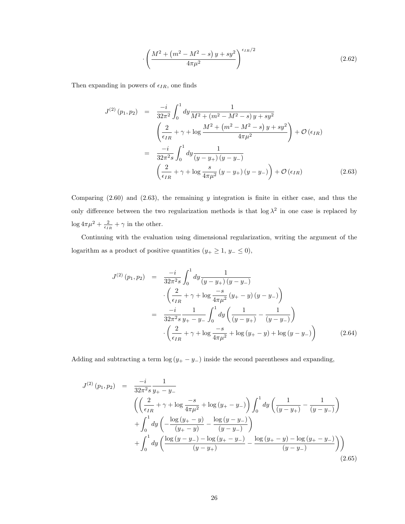$$
\cdot \left(\frac{M^2 + \left(m^2 - M^2 - s\right)y + sy^2}{4\pi\mu^2}\right)^{\epsilon_{IR}/2} \tag{2.62}
$$

Then expanding in powers of  $\epsilon_{IR}$ , one finds

$$
J^{(2)}(p_1, p_2) = \frac{-i}{32\pi^2} \int_0^1 dy \frac{1}{M^2 + (m^2 - M^2 - s) y + sy^2}
$$
  
\n
$$
\left(\frac{2}{\epsilon_{IR}} + \gamma + \log \frac{M^2 + (m^2 - M^2 - s) y + sy^2}{4\pi\mu^2}\right) + \mathcal{O}(\epsilon_{IR})
$$
  
\n
$$
= \frac{-i}{32\pi^2 s} \int_0^1 dy \frac{1}{(y - y_+)(y - y_-)}
$$
  
\n
$$
\left(\frac{2}{\epsilon_{IR}} + \gamma + \log \frac{s}{4\pi\mu^2} (y - y_+)(y - y_-)\right) + \mathcal{O}(\epsilon_{IR})
$$
\n(2.63)

Comparing  $(2.60)$  and  $(2.63)$ , the remaining y integration is finite in either case, and thus the only difference between the two regularization methods is that  $\log \lambda^2$  in one case is replaced by  $\log 4\pi\mu^2 + \frac{2}{\epsilon_{IR}} + \gamma$  in the other.

Continuing with the evaluation using dimensional regularization, writing the argument of the logarithm as a product of positive quantities ( $y_+ \geq 1$ ,  $y_- \leq 0$ ),

$$
J^{(2)}(p_1, p_2) = \frac{-i}{32\pi^2 s} \int_0^1 dy \frac{1}{(y - y_+)(y - y_-)} \n\cdot \left(\frac{2}{\epsilon_{IR}} + \gamma + \log \frac{-s}{4\pi\mu^2} (y_+ - y)(y - y_-)\right) \n= \frac{-i}{32\pi^2 s} \frac{1}{y_+ - y_-} \int_0^1 dy \left(\frac{1}{(y - y_+)} - \frac{1}{(y - y_-)}\right) \n\cdot \left(\frac{2}{\epsilon_{IR}} + \gamma + \log \frac{-s}{4\pi\mu^2} + \log (y_+ - y) + \log (y - y_-)\right)
$$
\n(2.64)

Adding and subtracting a term  $\log(y_+ - y_-)$  inside the second parentheses and expanding,

$$
J^{(2)}(p_1, p_2) = \frac{-i}{32\pi^2 s} \frac{1}{y_+ - y_-}
$$
  
\n
$$
\left( \left( \frac{2}{\epsilon_{IR}} + \gamma + \log \frac{-s}{4\pi\mu^2} + \log (y_+ - y_-) \right) \int_0^1 dy \left( \frac{1}{(y - y_+)} - \frac{1}{(y - y_-)} \right) \right) + \int_0^1 dy \left( -\frac{\log (y_+ - y)}{(y_+ - y)} - \frac{\log (y_+ - y_-)}{(y - y_-)} \right) + \int_0^1 dy \left( \frac{\log (y - y_-) - \log (y_+ - y_-)}{(y - y_+)} - \frac{\log (y_+ - y_-) - \log (y_+ - y_-)}{(y - y_-)} \right) \right)
$$
\n
$$
(2.65)
$$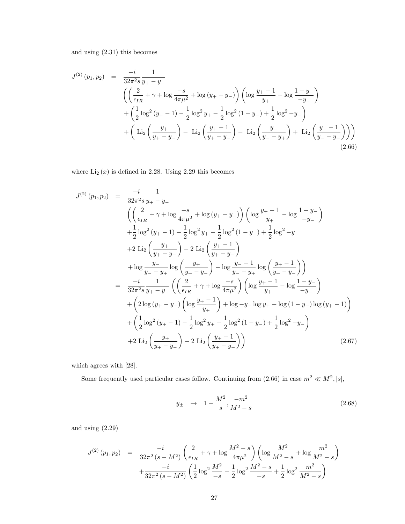and using (2.31) this becomes

$$
J^{(2)}(p_1, p_2) = \frac{-i}{32\pi^2 s} \frac{1}{y_+ - y_-}
$$
  
\n
$$
\left( \left( \frac{2}{\epsilon_{IR}} + \gamma + \log \frac{-s}{4\pi\mu^2} + \log (y_+ - y_-) \right) \left( \log \frac{y_+ - 1}{y_+} - \log \frac{1 - y_-}{-y_-} \right) \right.
$$
  
\n
$$
+ \left( \frac{1}{2} \log^2 (y_+ - 1) - \frac{1}{2} \log^2 y_+ - \frac{1}{2} \log^2 (1 - y_-) + \frac{1}{2} \log^2 - y_- \right)
$$
  
\n
$$
+ \left( \text{Li}_2 \left( \frac{y_+}{y_+ - y_-} \right) - \text{Li}_2 \left( \frac{y_+ - 1}{y_+ - y_-} \right) - \text{Li}_2 \left( \frac{y_-}{y_- - y_+} \right) + \text{Li}_2 \left( \frac{y_- - 1}{y_- - y_+} \right) \right) \right)
$$
  
\n(2.66)

where  $\text{Li}_2(x)$  is defined in 2.28. Using 2.29 this becomes

$$
J^{(2)}(p_1, p_2) = \frac{-i}{32\pi^2 s} \frac{1}{y_+ - y_-}
$$
  
\n
$$
\left( \left( \frac{2}{\epsilon_{IR}} + \gamma + \log \frac{-s}{4\pi\mu^2} + \log (y_+ - y_-) \right) \left( \log \frac{y_+ - 1}{y_+} - \log \frac{1 - y_-}{-y_-} \right) \right.
$$
  
\n
$$
+ \frac{1}{2} \log^2 (y_+ - 1) - \frac{1}{2} \log^2 y_+ - \frac{1}{2} \log^2 (1 - y_-) + \frac{1}{2} \log^2 - y_-
$$
  
\n
$$
+ 2 \operatorname{Li}_2 \left( \frac{y_+}{y_+ - y_-} \right) - 2 \operatorname{Li}_2 \left( \frac{y_+ - 1}{y_+ - y_-} \right)
$$
  
\n
$$
+ \log \frac{y_-}{y_- - y_+} \log \left( \frac{y_+}{y_+ - y_-} \right) - \log \frac{y_- - 1}{y_- - y_+} \log \left( \frac{y_+ - 1}{y_+ - y_-} \right)
$$
  
\n
$$
= \frac{-i}{32\pi^2 s} \frac{1}{y_+ - y_-} \left( \left( \frac{2}{\epsilon_{IR}} + \gamma + \log \frac{-s}{4\pi\mu^2} \right) \left( \log \frac{y_+ - 1}{y_+} - \log \frac{1 - y_-}{-y_-} \right) \right.
$$
  
\n
$$
+ \left( 2 \log (y_+ - y_-) \left( \log \frac{y_+ - 1}{y_+} \right) + \log -y_- \log y_+ - \log (1 - y_-) \log (y_+ - 1) \right)
$$
  
\n
$$
+ \left( \frac{1}{2} \log^2 (y_+ - 1) - \frac{1}{2} \log^2 y_+ - \frac{1}{2} \log^2 (1 - y_-) + \frac{1}{2} \log^2 - y_- \right)
$$
  
\n
$$
+ 2 \operatorname{Li}_2 \left( \frac{y_+}{y_+ - y_-} \right) - 2 \operatorname{Li}_2 \left( \frac{y_+ - 1}{y_+ - y_-} \right)
$$
(2.67)

which agrees with [28].

Some frequently used particular cases follow. Continuing from  $(2.66)$  in case  $m^2 \ll M^2$ ,  $|s|$ ,

$$
y_{\pm} \rightarrow 1 - \frac{M^2}{s}, \frac{-m^2}{M^2 - s} \tag{2.68}
$$

and using (2.29)

$$
J^{(2)}(p_1, p_2) = \frac{-i}{32\pi^2 (s - M^2)} \left( \frac{2}{\epsilon_{IR}} + \gamma + \log \frac{M^2 - s}{4\pi\mu^2} \right) \left( \log \frac{M^2}{M^2 - s} + \log \frac{m^2}{M^2 - s} \right) + \frac{-i}{32\pi^2 (s - M^2)} \left( \frac{1}{2} \log^2 \frac{M^2}{-s} - \frac{1}{2} \log^2 \frac{M^2 - s}{-s} + \frac{1}{2} \log^2 \frac{m^2}{M^2 - s} \right)
$$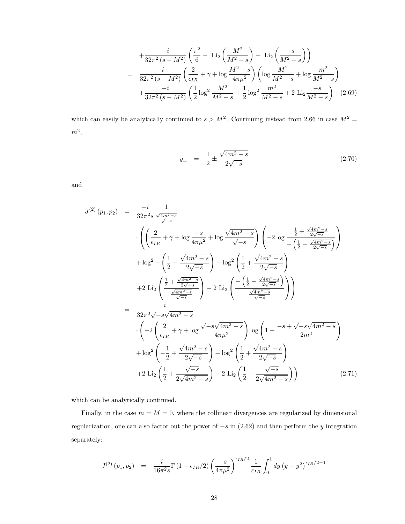$$
+\frac{-i}{32\pi^2 (s-M^2)} \left(\frac{\pi^2}{6} - \text{Li}_2\left(\frac{M^2}{M^2-s}\right) + \text{Li}_2\left(\frac{-s}{M^2-s}\right)\right)
$$
  
= 
$$
\frac{-i}{32\pi^2 (s-M^2)} \left(\frac{2}{\epsilon_{IR}} + \gamma + \log \frac{M^2-s}{4\pi\mu^2}\right) \left(\log \frac{M^2}{M^2-s} + \log \frac{m^2}{M^2-s}\right)
$$

$$
+\frac{-i}{32\pi^2 (s-M^2)} \left(\frac{1}{2} \log^2 \frac{M^2}{M^2-s} + \frac{1}{2} \log^2 \frac{m^2}{M^2-s} + 2 \text{Li}_2\frac{-s}{M^2-s}\right) (2.69)
$$

which can easily be analytically continued to  $s > M^2$ . Continuing instead from 2.66 in case  $M^2 =$  $m^2,$ 

$$
y_{\pm} = \frac{1}{2} \pm \frac{\sqrt{4m^2 - s}}{2\sqrt{-s}}
$$
 (2.70)

and

$$
J^{(2)}(p_1, p_2) = \frac{-i}{32\pi^2 s} \frac{1}{\frac{\sqrt{4m^2 - s}}{\sqrt{-s}}} \n\cdot \left( \left( \frac{2}{\epsilon_{IR}} + \gamma + \log \frac{-s}{4\pi\mu^2} + \log \frac{\sqrt{4m^2 - s}}{\sqrt{-s}} \right) \left( -2\log \frac{\frac{1}{2} + \frac{\sqrt{4m^2 - s}}{2\sqrt{-s}}}{-\left(\frac{1}{2} - \frac{\sqrt{4m^2 - s}}{2\sqrt{-s}}\right)} \right) \right) \n+ \log^2 - \left( \frac{1}{2} - \frac{\sqrt{4m^2 - s}}{2\sqrt{-s}} \right) - \log^2 \left( \frac{1}{2} + \frac{\sqrt{4m^2 - s}}{2\sqrt{-s}} \right) \n+ 2 \text{Li}_2 \left( \frac{\frac{1}{2} + \frac{\sqrt{4m^2 - s}}{2\sqrt{-s}}}{\frac{\sqrt{4m^2 - s}}{\sqrt{-s}}} \right) - 2 \text{Li}_2 \left( \frac{-\left(\frac{1}{2} - \frac{\sqrt{4m^2 - s}}{2\sqrt{-s}}\right)}{\frac{\sqrt{4m^2 - s}}{\sqrt{-s}}} \right) \n= \frac{i}{32\pi^2 \sqrt{-s} \sqrt{4m^2 - s}} \n\cdot \left( -2 \left( \frac{2}{\epsilon_{IR}} + \gamma + \log \frac{\sqrt{-s} \sqrt{4m^2 - s}}{4\pi\mu^2} \right) \log \left( 1 + \frac{-s + \sqrt{-s} \sqrt{4m^2 - s}}{2m^2} \right) \right) \n+ \log^2 \left( -\frac{1}{2} + \frac{\sqrt{4m^2 - s}}{2\sqrt{-s}} \right) - \log^2 \left( \frac{1}{2} + \frac{\sqrt{4m^2 - s}}{2\sqrt{-s}} \right) \n+ 2 \text{Li}_2 \left( \frac{1}{2} + \frac{\sqrt{-s}}{2\sqrt{4m^2 - s}} \right) - 2 \text{Li}_2 \left( \frac{1}{2} - \frac{\sqrt{-s}}{2\sqrt{4m^2 - s}} \right) \right) \tag{2.71}
$$

which can be analytically continued.

Finally, in the case  $m = M = 0$ , where the collinear divergences are regularized by dimensional regularization, one can also factor out the power of  $-s$  in (2.62) and then perform the y integration separately:

$$
J^{(2)}(p_1, p_2) = \frac{i}{16\pi^2 s} \Gamma(1 - \epsilon_{IR}/2) \left(\frac{-s}{4\pi\mu^2}\right)^{\epsilon_{IR}/2} \frac{1}{\epsilon_{IR}} \int_0^1 dy \left(y - y^2\right)^{\epsilon_{IR}/2 - 1}
$$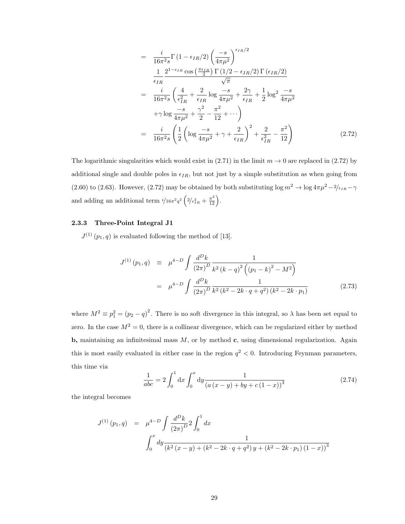$$
= \frac{i}{16\pi^2 s} \Gamma(1 - \epsilon_{IR}/2) \left(\frac{-s}{4\pi\mu^2}\right)^{\epsilon_{IR}/2}
$$
  
\n
$$
= \frac{1}{\epsilon_{IR}} \frac{2^{1-\epsilon_{IR}} \cos\left(\frac{\pi\epsilon_{IR}}{2}\right) \Gamma(1/2 - \epsilon_{IR}/2) \Gamma(\epsilon_{IR}/2)}{\sqrt{\pi}}
$$
  
\n
$$
= \frac{i}{16\pi^2 s} \left(\frac{4}{\epsilon_{IR}^2} + \frac{2}{\epsilon_{IR}} \log \frac{-s}{4\pi\mu^2} + \frac{2\gamma}{\epsilon_{IR}} + \frac{1}{2} \log^2 \frac{-s}{4\pi\mu^2}
$$
  
\n
$$
+ \gamma \log \frac{-s}{4\pi\mu^2} + \frac{\gamma^2}{2} - \frac{\pi^2}{12} + \cdots \right)
$$
  
\n
$$
= \frac{i}{16\pi^2 s} \left(\frac{1}{2} \left( \log \frac{-s}{4\pi\mu^2} + \gamma + \frac{2}{\epsilon_{IR}} \right)^2 + \frac{2}{\epsilon_{IR}^2} - \frac{\pi^2}{12} \right)
$$
(2.72)

The logarithmic singularities which would exist in (2.71) in the limit  $m \to 0$  are replaced in (2.72) by additional single and double poles in  $\epsilon_{IR}$ , but not just by a simple substitution as when going from (2.60) to (2.63). However, (2.72) may be obtained by both substituting log  $m^2 \to \log 4\pi \mu^2 - 2/\epsilon_{IR} - \gamma$ and adding an additional term  $i/16\pi^2 q^2 \left(2/\epsilon_{IR}^2 + \frac{\pi^2}{12}\right)$ .

#### 2.3.3 Three-Point Integral J1

 $J^{(1)}(p_1,q)$  is evaluated following the method of [13].

$$
J^{(1)}(p_1, q) \equiv \mu^{4-D} \int \frac{d^D k}{(2\pi)^D} \frac{1}{k^2 (k-q)^2 ((p_1 - k)^2 - M^2)}
$$
  

$$
= \mu^{4-D} \int \frac{d^D k}{(2\pi)^D} \frac{1}{k^2 (k^2 - 2k \cdot q + q^2) (k^2 - 2k \cdot p_1)}
$$
(2.73)

where  $M^2 \equiv p_1^2 = (p_2 - q)^2$ . There is no soft divergence in this integral, so  $\lambda$  has been set equal to zero. In the case  $M^2 = 0$ , there is a collinear divergence, which can be regularized either by method b, maintaining an infinitesimal mass  $M$ , or by method c, using dimensional regularization. Again this is most easily evaluated in either case in the region  $q^2 < 0$ . Introducing Feynman parameters, this time via

$$
\frac{1}{abc} = 2 \int_0^1 dx \int_0^x dy \frac{1}{(a(x-y) + by + c(1-x))^3}
$$
(2.74)

the integral becomes

$$
J^{(1)}(p_1, q) = \mu^{4-D} \int \frac{d^D k}{(2\pi)^D} 2 \int_0^1 dx
$$
  

$$
\int_0^x dy \frac{1}{(k^2 (x - y) + (k^2 - 2k \cdot q + q^2) y + (k^2 - 2k \cdot p_1) (1 - x))^3}
$$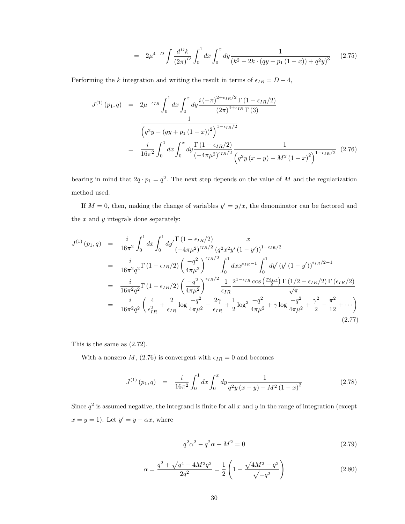$$
= 2\mu^{4-D} \int \frac{d^D k}{\left(2\pi\right)^D} \int_0^1 dx \int_0^x dy \frac{1}{\left(k^2 - 2k \cdot \left(qy + p_1\left(1 - x\right)\right) + q^2 y\right)^3} \tag{2.75}
$$

Performing the k integration and writing the result in terms of  $\epsilon_{IR} = D - 4$ ,

$$
J^{(1)}(p_1, q) = 2\mu^{-\epsilon_{IR}} \int_0^1 dx \int_0^x dy \frac{i(-\pi)^{2+\epsilon_{IR}/2} \Gamma(1 - \epsilon_{IR}/2)}{(2\pi)^{4+\epsilon_{IR}} \Gamma(3)}
$$

$$
= \frac{\left(q^2y - (qy + p_1(1-x))^2\right)^{1-\epsilon_{IR}/2}}{16\pi^2 \int_0^1 dx \int_0^x dy \frac{\Gamma(1 - \epsilon_{IR}/2)}{(-4\pi\mu^2)^{\epsilon_{IR}/2}} \frac{1}{\left(q^2y(x-y) - M^2(1-x)^2\right)^{1-\epsilon_{IR}/2}} (2.76)
$$

bearing in mind that  $2q \cdot p_1 = q^2$ . The next step depends on the value of M and the regularization method used.

If  $M = 0$ , then, making the change of variables  $y' = y/x$ , the denominator can be factored and the  $x$  and  $y$  integrals done separately:

$$
J^{(1)}(p_1, q) = \frac{i}{16\pi^2} \int_0^1 dx \int_0^1 dy' \frac{\Gamma(1 - \epsilon_{IR}/2)}{(-4\pi\mu^2)^{\epsilon_{IR}/2}} \frac{x}{(q^2x^2y'(1 - y'))^{1 - \epsilon_{IR}/2}} = \frac{i}{16\pi^2 q^2} \Gamma(1 - \epsilon_{IR}/2) \left(\frac{-q^2}{4\pi\mu^2}\right)^{\epsilon_{IR}/2} \int_0^1 dx x^{\epsilon_{IR} - 1} \int_0^1 dy' (y'(1 - y'))^{\epsilon_{IR}/2 - 1} = \frac{i}{16\pi^2 q^2} \Gamma(1 - \epsilon_{IR}/2) \left(\frac{-q^2}{4\pi\mu^2}\right)^{\epsilon_{IR}/2} \frac{1}{\epsilon_{IR}} \frac{2^{1 - \epsilon_{IR}} \cos\left(\frac{\pi\epsilon_{IR}}{2}\right) \Gamma(1/2 - \epsilon_{IR}/2) \Gamma(\epsilon_{IR}/2)}{\sqrt{\pi}} = \frac{i}{16\pi^2 q^2} \left(\frac{4}{\epsilon_{IR}^2} + \frac{2}{\epsilon_{IR}} \log \frac{-q^2}{4\pi\mu^2} + \frac{2\gamma}{\epsilon_{IR}} + \frac{1}{2} \log^2 \frac{-q^2}{4\pi\mu^2} + \gamma \log \frac{-q^2}{4\pi\mu^2} + \frac{\gamma^2}{2} - \frac{\pi^2}{12} + \cdots \right)
$$
(2.77)

This is the same as (2.72).

With a nonzero  $M$ , (2.76) is convergent with  $\epsilon_{IR} = 0$  and becomes

$$
J^{(1)}(p_1, q) = \frac{i}{16\pi^2} \int_0^1 dx \int_0^x dy \frac{1}{q^2 y (x - y) - M^2 (1 - x)^2}
$$
(2.78)

Since  $q^2$  is assumed negative, the integrand is finite for all x and y in the range of integration (except  $x = y = 1$ ). Let  $y' = y - \alpha x$ , where

$$
q^2 \alpha^2 - q^2 \alpha + M^2 = 0 \tag{2.79}
$$

$$
\alpha = \frac{q^2 + \sqrt{q^4 - 4M^2 q^2}}{2q^2} = \frac{1}{2} \left( 1 - \frac{\sqrt{4M^2 - q^2}}{\sqrt{-q^2}} \right)
$$
\n(2.80)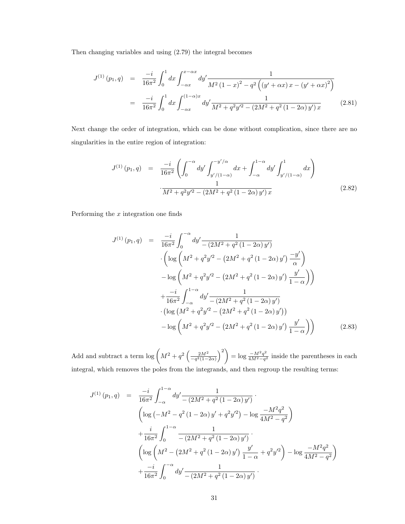Then changing variables and using (2.79) the integral becomes

$$
J^{(1)}(p_1, q) = \frac{-i}{16\pi^2} \int_0^1 dx \int_{-\alpha x}^{x - \alpha x} dy' \frac{1}{M^2 (1 - x)^2 - q^2 \left( (y' + \alpha x) x - (y' + \alpha x)^2 \right)}
$$
  

$$
= \frac{-i}{16\pi^2} \int_0^1 dx \int_{-\alpha x}^{(1 - \alpha)x} dy' \frac{1}{M^2 + q^2 y'^2 - (2M^2 + q^2 (1 - 2\alpha) y') x}
$$
(2.81)

Next change the order of integration, which can be done without complication, since there are no singularities in the entire region of integration:

$$
J^{(1)}(p_1, q) = \frac{-i}{16\pi^2} \left( \int_0^{-\alpha} dy' \int_{y'/(1-\alpha)}^{-y'/\alpha} dx + \int_{-\alpha}^{1-\alpha} dy' \int_{y'/(1-\alpha)}^1 dx \right)
$$

$$
\frac{1}{M^2 + q^2 y'^2 - (2M^2 + q^2 (1 - 2\alpha) y') x} \tag{2.82}
$$

Performing the  $x$  integration one finds

$$
J^{(1)}(p_1, q) = \frac{-i}{16\pi^2} \int_0^{-\alpha} dy' \frac{1}{-(2M^2 + q^2(1 - 2\alpha) y')} \n\cdot \left( \log \left( M^2 + q^2 y'^2 - (2M^2 + q^2(1 - 2\alpha) y') \frac{-y'}{\alpha} \right) \right) \n- \log \left( M^2 + q^2 y'^2 - (2M^2 + q^2(1 - 2\alpha) y') \frac{y'}{1 - \alpha} \right) \right) \n+ \frac{-i}{16\pi^2} \int_{-\alpha}^{1 - \alpha} dy' \frac{1}{-(2M^2 + q^2(1 - 2\alpha) y')} \n\cdot \left( \log \left( M^2 + q^2 y'^2 - (2M^2 + q^2(1 - 2\alpha) y') \right) \right) \n- \log \left( M^2 + q^2 y'^2 - (2M^2 + q^2(1 - 2\alpha) y') \frac{y'}{1 - \alpha} \right) \right)
$$
\n(2.83)

Add and subtract a term  $\log \left( M^2 + q^2 \left( \frac{2M^2}{-q^2(1-2\alpha)} \right)^2 \right) = \log \frac{-M^2q^2}{4M^2-q^2}$  $\frac{-M-q^2}{4M^2-q^2}$  inside the parentheses in each integral, which removes the poles from the integrands, and then regroup the resulting terms:

$$
J^{(1)}(p_1, q) = \frac{-i}{16\pi^2} \int_{-\alpha}^{1-\alpha} dy' \frac{1}{-\left(2M^2 + q^2(1 - 2\alpha)y'\right)}.
$$
  
\n
$$
\left(\log\left(-M^2 - q^2(1 - 2\alpha)y' + q^2y'^2\right) - \log\frac{-M^2q^2}{4M^2 - q^2}\right) + \frac{i}{16\pi^2} \int_0^{1-\alpha} \frac{1}{-\left(2M^2 + q^2(1 - 2\alpha)y'\right)}.
$$
  
\n
$$
\left(\log\left(M^2 - \left(2M^2 + q^2(1 - 2\alpha)y'\right)\frac{y'}{1 - \alpha} + q^2y'^2\right) - \log\frac{-M^2q^2}{4M^2 - q^2}\right) + \frac{-i}{16\pi^2} \int_0^{-\alpha} dy' \frac{1}{-\left(2M^2 + q^2(1 - 2\alpha)y'\right)}.
$$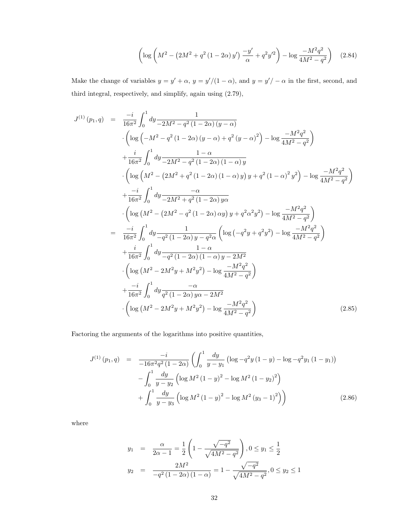$$
\left(\log\left(M^2 - \left(2M^2 + q^2\left(1 - 2\alpha\right)y'\right)\frac{-y'}{\alpha} + q^2y'^2\right) - \log\frac{-M^2q^2}{4M^2 - q^2}\right) \tag{2.84}
$$

Make the change of variables  $y = y' + \alpha$ ,  $y = y'/(1 - \alpha)$ , and  $y = y' / -\alpha$  in the first, second, and third integral, respectively, and simplify, again using (2.79),

$$
J^{(1)}(p_1, q) = \frac{-i}{16\pi^2} \int_0^1 dy \frac{1}{-2M^2 - q^2 (1 - 2\alpha) (y - \alpha)}
$$
  
\n
$$
\cdot \left( \log \left( -M^2 - q^2 (1 - 2\alpha) (y - \alpha) + q^2 (y - \alpha)^2 \right) - \log \frac{-M^2 q^2}{4M^2 - q^2} \right)
$$
  
\n
$$
+ \frac{i}{16\pi^2} \int_0^1 dy \frac{1 - \alpha}{-2M^2 - q^2 (1 - 2\alpha) (1 - \alpha) y}
$$
  
\n
$$
\cdot \left( \log \left( M^2 - (2M^2 + q^2 (1 - 2\alpha) (1 - \alpha) y) y + q^2 (1 - \alpha)^2 y^2 \right) - \log \frac{-M^2 q^2}{4M^2 - q^2} \right)
$$
  
\n
$$
+ \frac{-i}{16\pi^2} \int_0^1 dy \frac{-\alpha}{-2M^2 + q^2 (1 - 2\alpha) y\alpha}
$$
  
\n
$$
\cdot \left( \log \left( M^2 - (2M^2 - q^2 (1 - 2\alpha) xy) y + q^2 \alpha^2 y^2 \right) - \log \frac{-M^2 q^2}{4M^2 - q^2} \right)
$$
  
\n
$$
= \frac{-i}{16\pi^2} \int_0^1 dy \frac{1}{-q^2 (1 - 2\alpha) y - q^2 \alpha} \left( \log \left( -q^2 y + q^2 y^2 \right) - \log \frac{-M^2 q^2}{4M^2 - q^2} \right)
$$
  
\n
$$
+ \frac{i}{16\pi^2} \int_0^1 dy \frac{1 - \alpha}{-q^2 (1 - 2\alpha) (1 - \alpha) y - 2M^2}
$$
  
\n
$$
\cdot \left( \log \left( M^2 - 2M^2 y + M^2 y^2 \right) - \log \frac{-M^2 q^2}{4M^2 - q^2} \right)
$$
  
\n
$$
+ \frac{-i}{16\pi^2} \int_0^1 dy \frac{-\alpha}{q^2 (1 - 2\alpha) y\alpha - 2M^2}
$$
  
\n
$$
\cdot \left( \log \left( M^2 - 2M^2 y +
$$

Factoring the arguments of the logarithms into positive quantities,

$$
J^{(1)}(p_1, q) = \frac{-i}{-16\pi^2 q^2 (1 - 2\alpha)} \left( \int_0^1 \frac{dy}{y - y_1} \left( \log - q^2 y (1 - y) - \log - q^2 y_1 (1 - y_1) \right) - \int_0^1 \frac{dy}{y - y_2} \left( \log M^2 (1 - y)^2 - \log M^2 (1 - y_2)^2 \right) + \int_0^1 \frac{dy}{y - y_3} \left( \log M^2 (1 - y)^2 - \log M^2 (y_3 - 1)^2 \right) \right)
$$
(2.86)

where

$$
y_1 = \frac{\alpha}{2\alpha - 1} = \frac{1}{2} \left( 1 - \frac{\sqrt{-q^2}}{\sqrt{4M^2 - q^2}} \right), 0 \le y_1 \le \frac{1}{2}
$$
  

$$
y_2 = \frac{2M^2}{-q^2 \left( 1 - 2\alpha \right) \left( 1 - \alpha \right)} = 1 - \frac{\sqrt{-q^2}}{\sqrt{4M^2 - q^2}}, 0 \le y_2 \le 1
$$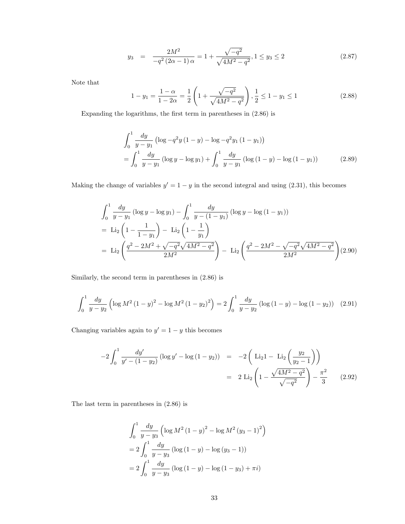$$
y_3 = \frac{2M^2}{-q^2(2\alpha - 1)\alpha} = 1 + \frac{\sqrt{-q^2}}{\sqrt{4M^2 - q^2}}, 1 \le y_3 \le 2 \tag{2.87}
$$

Note that

$$
1 - y_1 = \frac{1 - \alpha}{1 - 2\alpha} = \frac{1}{2} \left( 1 + \frac{\sqrt{-q^2}}{\sqrt{4M^2 - q^2}} \right), \frac{1}{2} \le 1 - y_1 \le 1 \tag{2.88}
$$

Expanding the logarithms, the first term in parentheses in (2.86) is

$$
\int_{0}^{1} \frac{dy}{y - y_{1}} \left( \log -q^{2} y \left( 1 - y \right) - \log -q^{2} y_{1} \left( 1 - y_{1} \right) \right)
$$
\n
$$
= \int_{0}^{1} \frac{dy}{y - y_{1}} \left( \log y - \log y_{1} \right) + \int_{0}^{1} \frac{dy}{y - y_{1}} \left( \log \left( 1 - y \right) - \log \left( 1 - y_{1} \right) \right) \tag{2.89}
$$

Making the change of variables  $y' = 1 - y$  in the second integral and using (2.31), this becomes

$$
\int_0^1 \frac{dy}{y - y_1} (\log y - \log y_1) - \int_0^1 \frac{dy}{y - (1 - y_1)} (\log y - \log (1 - y_1))
$$
  
= Li<sub>2</sub>  $\left(1 - \frac{1}{1 - y_1}\right) - \text{Li}_2 \left(1 - \frac{1}{y_1}\right)$   
= Li<sub>2</sub>  $\left(\frac{q^2 - 2M^2 + \sqrt{-q^2} \sqrt{4M^2 - q^2}}{2M^2}\right) - \text{Li}_2 \left(\frac{q^2 - 2M^2 - \sqrt{-q^2} \sqrt{4M^2 - q^2}}{2M^2}\right) (2.90)$ 

Similarly, the second term in parentheses in (2.86) is

$$
\int_0^1 \frac{dy}{y - y_2} \left( \log M^2 \left( 1 - y \right)^2 - \log M^2 \left( 1 - y_2 \right)^2 \right) = 2 \int_0^1 \frac{dy}{y - y_2} \left( \log \left( 1 - y \right) - \log \left( 1 - y_2 \right) \right) \tag{2.91}
$$

Changing variables again to  $y' = 1 - y$  this becomes

$$
-2\int_0^1 \frac{dy'}{y' - (1 - y_2)} \left(\log y' - \log(1 - y_2)\right) = -2\left(\text{Li}_2 1 - \text{Li}_2 \left(\frac{y_2}{y_2 - 1}\right)\right)
$$

$$
= 2 \text{Li}_2 \left(1 - \frac{\sqrt{4M^2 - q^2}}{\sqrt{-q^2}}\right) - \frac{\pi^2}{3} \qquad (2.92)
$$

The last term in parentheses in (2.86) is

$$
\int_0^1 \frac{dy}{y - y_3} \left( \log M^2 (1 - y)^2 - \log M^2 (y_3 - 1)^2 \right)
$$
  
= 
$$
2 \int_0^1 \frac{dy}{y - y_3} \left( \log (1 - y) - \log (y_3 - 1) \right)
$$
  
= 
$$
2 \int_0^1 \frac{dy}{y - y_3} \left( \log (1 - y) - \log (1 - y_3) + \pi i \right)
$$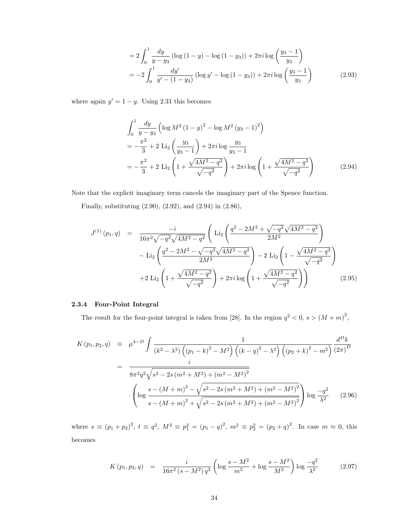$$
= 2 \int_0^1 \frac{dy}{y - y_3} \left( \log \left( 1 - y \right) - \log \left( 1 - y_3 \right) \right) + 2\pi i \log \left( \frac{y_3 - 1}{y_3} \right)
$$
  
= 
$$
-2 \int_0^1 \frac{dy'}{y' - (1 - y_3)} \left( \log y' - \log \left( 1 - y_3 \right) \right) + 2\pi i \log \left( \frac{y_3 - 1}{y_3} \right)
$$
(2.93)

where again  $y' = 1 - y$ . Using 2.31 this becomes

$$
\int_{0}^{1} \frac{dy}{y - y_{3}} \left( \log M^{2} (1 - y)^{2} - \log M^{2} (y_{3} - 1)^{2} \right)
$$
  
=  $-\frac{\pi^{2}}{3} + 2 \operatorname{Li}_{2} \left( \frac{y_{3}}{y_{3} - 1} \right) + 2\pi i \log \frac{y_{3}}{y_{3} - 1}$   
=  $-\frac{\pi^{2}}{3} + 2 \operatorname{Li}_{2} \left( 1 + \frac{\sqrt{4M^{2} - q^{2}}}{\sqrt{-q^{2}}} \right) + 2\pi i \log \left( 1 + \frac{\sqrt{4M^{2} - q^{2}}}{\sqrt{-q^{2}}} \right)$  (2.94)

Note that the explicit imaginary term cancels the imaginary part of the Spence function.

Finally, substituting (2.90), (2.92), and (2.94) in (2.86),

$$
J^{(1)}(p_1, q) = \frac{-i}{16\pi^2 \sqrt{-q^2} \sqrt{4M^2 - q^2}} \left( \text{Li}_2\left(\frac{q^2 - 2M^2 + \sqrt{-q^2} \sqrt{4M^2 - q^2}}{2M^2}\right) - \text{Li}_2\left(\frac{q^2 - 2M^2 - \sqrt{-q^2} \sqrt{4M^2 - q^2}}{2M^2}\right) - 2 \text{Li}_2\left(1 - \frac{\sqrt{4M^2 - q^2}}{\sqrt{-q^2}}\right) + 2 \text{Li}_2\left(1 + \frac{\sqrt{4M^2 - q^2}}{\sqrt{-q^2}}\right) + 2\pi i \log\left(1 + \frac{\sqrt{4M^2 - q^2}}{\sqrt{-q^2}}\right) \right) \tag{2.95}
$$

## 2.3.4 Four-Point Integral

The result for the four-point integral is taken from [28]. In the region  $q^2 < 0$ ,  $s > (M+m)^2$ ,

$$
K(p_1, p_2, q) = \mu^{4-D} \int \frac{1}{(k^2 - \lambda^2) \left( (p_1 - k)^2 - M^2 \right) \left( (k - q)^2 - \lambda^2 \right) \left( (p_2 + k)^2 - m^2 \right)} \frac{d^D k}{(2\pi)^D}
$$
  
= 
$$
\frac{i}{8\pi^2 q^2 \sqrt{s^2 - 2s \left( m^2 + M^2 \right) + \left( m^2 - M^2 \right)^2}}
$$

$$
\cdot \left( \log \frac{s - (M + m)^2 - \sqrt{s^2 - 2s \left( m^2 + M^2 \right) + \left( m^2 - M^2 \right)^2}}{s - (M + m)^2 + \sqrt{s^2 - 2s \left( m^2 + M^2 \right) + \left( m^2 - M^2 \right)^2}} \right) \log \frac{-q^2}{\lambda^2} \tag{2.96}
$$

where  $s \equiv (p_1 + p_2)^2$ ,  $t \equiv q^2$ ,  $M^2 \equiv p_1^2 = (p_1 - q)^2$ ,  $m^2 \equiv p_2^2 = (p_2 + q)^2$ . In case  $m \approx 0$ , this becomes

$$
K(p_1, p_2, q) = \frac{i}{16\pi^2 (s - M^2) q^2} \left( \log \frac{s - M^2}{m^2} + \log \frac{s - M^2}{M^2} \right) \log \frac{-q^2}{\lambda^2}
$$
(2.97)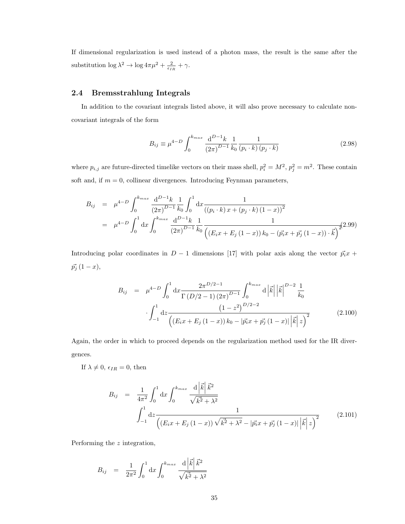If dimensional regularization is used instead of a photon mass, the result is the same after the substitution  $\log \lambda^2 \to \log 4\pi \mu^2 + \frac{2}{\epsilon_{IR}} + \gamma$ .

## 2.4 Bremsstrahlung Integrals

In addition to the covariant integrals listed above, it will also prove necessary to calculate noncovariant integrals of the form

$$
B_{ij} \equiv \mu^{4-D} \int_0^{k_{max}} \frac{\mathrm{d}^{D-1} k}{(2\pi)^{D-1}} \frac{1}{k_0} \frac{1}{(p_i \cdot k) (p_j \cdot k)} \tag{2.98}
$$

where  $p_{i,j}$  are future-directed timelike vectors on their mass shell,  $p_i^2 = M^2$ ,  $p_j^2 = m^2$ . These contain soft and, if  $m = 0$ , collinear divergences. Introducing Feynman parameters,

$$
B_{ij} = \mu^{4-D} \int_0^{k_{max}} \frac{d^{D-1}k}{(2\pi)^{D-1}} \frac{1}{k_0} \int_0^1 dx \frac{1}{((p_i \cdot k) x + (p_j \cdot k) (1-x))^2}
$$
  
= 
$$
\mu^{4-D} \int_0^1 dx \int_0^{k_{max}} \frac{d^{D-1}k}{(2\pi)^{D-1}} \frac{1}{k_0} \frac{1}{((E_i x + E_j (1-x)) k_0 - (\vec{p_i} x + \vec{p_j} (1-x)) \cdot \vec{k})} (2.99)
$$

Introducing polar coordinates in  $D-1$  dimensions [17] with polar axis along the vector  $\vec{p_i}x$  +  $\vec{p_j} (1-x),$ 

$$
B_{ij} = \mu^{4-D} \int_0^1 dx \frac{2\pi^{D/2-1}}{\Gamma(D/2-1)(2\pi)^{D-1}} \int_0^{k_{max}} d\left|\vec{k}\right| \left|\vec{k}\right|^{D-2} \frac{1}{k_0}
$$

$$
\cdot \int_{-1}^1 dz \frac{(1-z^2)^{D/2-2}}{\left((E_ix + E_j(1-x))k_0 - |\vec{p_ix} + \vec{p_j}(1-x)| \left|\vec{k}\right| z\right)^2} \tag{2.100}
$$

Again, the order in which to proceed depends on the regularization method used for the IR divergences.

If  $\lambda \neq 0$ ,  $\epsilon_{IR} = 0$ , then

$$
B_{ij} = \frac{1}{4\pi^2} \int_0^1 dx \int_0^{k_{max}} \frac{d\left|\vec{k}\right| \vec{k}^2}{\sqrt{k^2 + \lambda^2}} \n\int_{-1}^1 dz \frac{1}{\left( (E_i x + E_j (1-x)) \sqrt{k^2 + \lambda^2} - |\vec{p_i} x + \vec{p_j} (1-x)| \left|\vec{k}\right| z \right)^2}
$$
\n(2.101)

Performing the z integration,

$$
B_{ij} = \frac{1}{2\pi^2} \int_0^1 dx \int_0^{k_{max}} \frac{d|\vec{k}| \,\vec{k}^2}{\sqrt{k^2 + \lambda^2}}
$$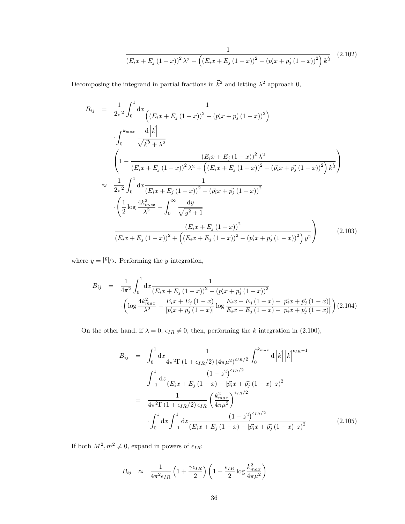$$
\frac{1}{(E_{i}x + E_{j}(1-x))^{2}\lambda^{2} + ((E_{i}x + E_{j}(1-x))^{2} - (\vec{p_{i}}x + \vec{p_{j}}(1-x))^{2})\vec{k}^{2}}
$$
(2.102)

Decomposing the integrand in partial fractions in  $\vec{k}^2$  and letting  $\lambda^2$  approach 0,

$$
B_{ij} = \frac{1}{2\pi^2} \int_0^1 dx \frac{1}{\left( (E_i x + E_j (1 - x))^2 - (\vec{p_i} x + \vec{p_j} (1 - x))^2 \right)}
$$
  

$$
\int_0^{k_{max}} \frac{d |\vec{k}|}{\sqrt{\vec{k^2} + \lambda^2}}
$$
  

$$
\left( 1 - \frac{(E_i x + E_j (1 - x))^2 \lambda^2}{(E_i x + E_j (1 - x))^2 \lambda^2 + \left( (E_i x + E_j (1 - x))^2 - (\vec{p_i} x + \vec{p_j} (1 - x))^2 \right) \vec{k^2}} \right)
$$
  

$$
\approx \frac{1}{2\pi^2} \int_0^1 dx \frac{1}{(E_i x + E_j (1 - x))^2 - (\vec{p_i} x + \vec{p_j} (1 - x))^2}
$$
  

$$
\cdot \left( \frac{1}{2} \log \frac{4k_{max}^2}{\lambda^2} - \int_0^\infty \frac{dy}{\sqrt{y^2 + 1}}
$$
  

$$
\frac{(E_i x + E_j (1 - x))^2}{(E_i x + E_j (1 - x))^2 + \left( (E_i x + E_j (1 - x))^2 - (\vec{p_i} x + \vec{p_j} (1 - x))^2 \right) y^2} \right)
$$
(2.103)

where  $y = |\vec{k}|/\lambda$ . Performing the y integration,

$$
B_{ij} = \frac{1}{4\pi^2} \int_0^1 dx \frac{1}{\left(E_i x + E_j (1-x)\right)^2 - \left(\vec{p_i} x + \vec{p_j} (1-x)\right)^2}
$$

$$
\cdot \left(\log \frac{4k_{max}^2}{\lambda^2} - \frac{E_i x + E_j (1-x)}{|\vec{p_i} x + \vec{p_j} (1-x)|} \log \frac{E_i x + E_j (1-x) + |\vec{p_i} x + \vec{p_j} (1-x)|}{E_i x + E_j (1-x) - |\vec{p_i} x + \vec{p_j} (1-x)|}\right) (2.104)
$$

On the other hand, if  $\lambda = 0$ ,  $\epsilon_{IR} \neq 0$ , then, performing the k integration in (2.100),

$$
B_{ij} = \int_0^1 dx \frac{1}{4\pi^2 \Gamma(1 + \epsilon_{IR}/2) (4\pi\mu^2)^{\epsilon_{IR}/2}} \int_0^{k_{max}} d \left| \vec{k} \right| \left| \vec{k} \right|^{\epsilon_{IR}-1}
$$
  

$$
\int_{-1}^1 dz \frac{(1-z^2)^{\epsilon_{IR}/2}}{(E_i x + E_j (1-x) - |\vec{p_i} x + \vec{p_j} (1-x)| z)^2}
$$
  

$$
= \frac{1}{4\pi^2 \Gamma(1 + \epsilon_{IR}/2) \epsilon_{IR}} \left(\frac{k_{max}^2}{4\pi\mu^2}\right)^{\epsilon_{IR}/2}
$$
  

$$
\int_0^1 dx \int_{-1}^1 dz \frac{(1-z^2)^{\epsilon_{IR}/2}}{(E_i x + E_j (1-x) - |\vec{p_i} x + \vec{p_j} (1-x)| z)^2}
$$
(2.105)

If both  $M^2, m^2 \neq 0$ , expand in powers of  $\epsilon_{IR}$ :

$$
B_{ij} \approx \frac{1}{4\pi^2 \epsilon_{IR}} \left( 1 + \frac{\gamma \epsilon_{IR}}{2} \right) \left( 1 + \frac{\epsilon_{IR}}{2} \log \frac{k_{max}^2}{4\pi \mu^2} \right)
$$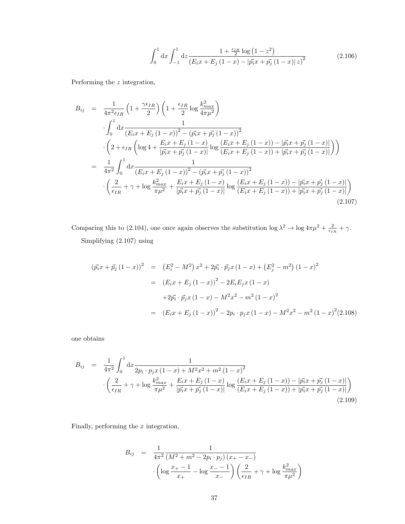$$
\int_0^1 dx \int_{-1}^1 dz \frac{1 + \frac{\epsilon_{IR}}{2} \log (1 - z^2)}{\left(E_i x + E_j (1 - x) - |\vec{p_i} x + \vec{p_j} (1 - x)| z\right)^2}
$$
(2.106)

Performing the z integration,

$$
B_{ij} = \frac{1}{4\pi^2 \epsilon_{IR}} \left( 1 + \frac{\gamma \epsilon_{IR}}{2} \right) \left( 1 + \frac{\epsilon_{IR}}{2} \log \frac{k_{max}^2}{4\pi\mu^2} \right)
$$
  
\n
$$
\int_0^1 dx \frac{1}{(E_i x + E_j (1 - x))^2 - (\vec{p_i} x + \vec{p_j} (1 - x))^2}
$$
  
\n
$$
\cdot \left( 2 + \epsilon_{IR} \left( \log 4 + \frac{E_i x + E_j (1 - x)}{|\vec{p_i} x + \vec{p_j} (1 - x)|} \log \frac{(E_i x + E_j (1 - x)) - |\vec{p_i} x + \vec{p_j} (1 - x)|}{(E_i x + E_j (1 - x)) + |\vec{p_i} x + \vec{p_j} (1 - x)|} \right) \right)
$$
  
\n
$$
= \frac{1}{4\pi^2} \int_0^1 dx \frac{1}{(E_i x + E_j (1 - x))^2 - (\vec{p_i} x + \vec{p_j} (1 - x))^2}
$$
  
\n
$$
\cdot \left( \frac{2}{\epsilon_{IR}} + \gamma + \log \frac{k_{max}^2}{\pi\mu^2} + \frac{E_i x + E_j (1 - x)}{|\vec{p_i} x + \vec{p_j} (1 - x)|} \log \frac{(E_i x + E_j (1 - x)) - |\vec{p_i} x + \vec{p_j} (1 - x)|}{(E_i x + E_j (1 - x)) + |\vec{p_i} x + \vec{p_j} (1 - x)|} \right)
$$
  
\n(2.107)

Comparing this to (2.104), one once again observes the substitution  $\log \lambda^2 \to \log 4\pi \mu^2 + \frac{2}{\epsilon_{IR}} + \gamma$ . Simplifying (2.107) using

$$
(\vec{p_i}x + \vec{p_j}(1-x))^2 = (E_i^2 - M^2) x^2 + 2\vec{p_i} \cdot \vec{p_j} x (1-x) + (E_j^2 - m^2) (1-x)^2
$$
  

$$
= (E_i x + E_j (1-x))^2 - 2E_i E_j x (1-x)
$$
  

$$
+ 2\vec{p_i} \cdot \vec{p_j} x (1-x) - M^2 x^2 - m^2 (1-x)^2
$$
  

$$
= (E_i x + E_j (1-x))^2 - 2p_i \cdot p_j x (1-x) - M^2 x^2 - m^2 (1-x)^2 (2.108)
$$

one obtains

$$
B_{ij} = \frac{1}{4\pi^2} \int_0^1 dx \frac{1}{2p_i \cdot p_j x (1-x) + M^2 x^2 + m^2 (1-x)^2}
$$
  

$$
\cdot \left(\frac{2}{\epsilon_{IR}} + \gamma + \log \frac{k_{max}^2}{\pi \mu^2} + \frac{E_i x + E_j (1-x)}{|\vec{p_i} x + \vec{p_j} (1-x)|} \log \frac{(E_i x + E_j (1-x)) - |\vec{p_i} x + \vec{p_j} (1-x)|}{(E_i x + E_j (1-x)) + |\vec{p_i} x + \vec{p_j} (1-x)|}\right)
$$
(2.109)

Finally, performing the  $x$  integration,

$$
B_{ij} = \frac{1}{4\pi^2} \frac{1}{(M^2 + m^2 - 2p_i \cdot p_j) (x_+ - x_-)} \cdot \left(\log \frac{x_+ - 1}{x_+} - \log \frac{x_- - 1}{x_-}\right) \left(\frac{2}{\epsilon_{IR}} + \gamma + \log \frac{k_{max}^2}{\pi \mu^2}\right)
$$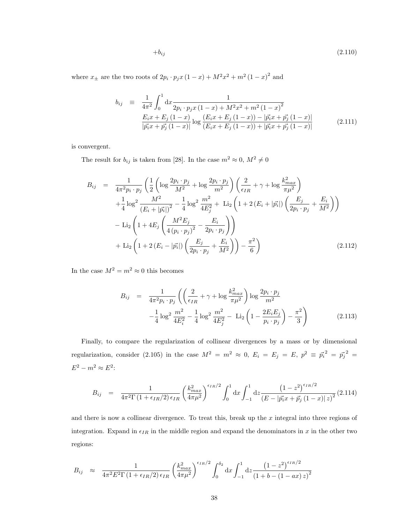$$
+b_{ij} \tag{2.110}
$$

where  $x_{\pm}$  are the two roots of  $2p_i \cdot p_j x (1-x) + M^2 x^2 + m^2 (1-x)^2$  and

$$
b_{ij} \equiv \frac{1}{4\pi^2} \int_0^1 dx \frac{1}{2p_i \cdot p_j x (1-x) + M^2 x^2 + m^2 (1-x)^2}
$$
  
\n
$$
\frac{E_i x + E_j (1-x)}{|\vec{p_i} x + \vec{p_j} (1-x)|} \log \frac{(E_i x + E_j (1-x)) - |\vec{p_i} x + \vec{p_j} (1-x)|}{(E_i x + E_j (1-x)) + |\vec{p_i} x + \vec{p_j} (1-x)|}
$$
(2.111)

is convergent.

The result for  $b_{ij}$  is taken from [28]. In the case  $m^2 \approx 0$ ,  $M^2 \neq 0$ 

$$
B_{ij} = \frac{1}{4\pi^2 p_i \cdot p_j} \left( \frac{1}{2} \left( \log \frac{2p_i \cdot p_j}{M^2} + \log \frac{2p_i \cdot p_j}{m^2} \right) \left( \frac{2}{\epsilon_{IR}} + \gamma + \log \frac{k_{max}^2}{\pi \mu^2} \right) \right) + \frac{1}{4} \log^2 \frac{M^2}{(E_i + |\vec{p_i}|)^2} - \frac{1}{4} \log^2 \frac{m^2}{4E_j^2} + \text{Li}_2 \left( 1 + 2(E_i + |\vec{p_i}|) \left( \frac{E_j}{2p_i \cdot p_j} + \frac{E_i}{M^2} \right) \right) - \text{Li}_2 \left( 1 + 4E_j \left( \frac{M^2 E_j}{4 (p_i \cdot p_j)^2} - \frac{E_i}{2p_i \cdot p_j} \right) \right) + \text{Li}_2 \left( 1 + 2(E_i - |\vec{p_i}|) \left( \frac{E_j}{2p_i \cdot p_j} + \frac{E_i}{M^2} \right) \right) - \frac{\pi^2}{6} \right)
$$
(2.112)

In the case  $M^2 = m^2 \approx 0$  this becomes

$$
B_{ij} = \frac{1}{4\pi^2 p_i \cdot p_j} \left( \left( \frac{2}{\epsilon_{IR}} + \gamma + \log \frac{k_{max}^2}{\pi \mu^2} \right) \log \frac{2p_i \cdot p_j}{m^2} - \frac{1}{4} \log^2 \frac{m^2}{4E_i^2} - \frac{1}{4} \log^2 \frac{m^2}{4E_j^2} - \text{Li}_2 \left( 1 - \frac{2E_i E_j}{p_i \cdot p_j} \right) - \frac{\pi^2}{3} \right) \tag{2.113}
$$

Finally, to compare the regularization of collinear divergences by a mass or by dimensional regularization, consider (2.105) in the case  $M^2 = m^2 \approx 0$ ,  $E_i = E_j = E$ ,  $p^2 \equiv \vec{p_i}^2 = \vec{p_j}^2 =$  $E^2 - m^2 \approx E^2$ :

$$
B_{ij} = \frac{1}{4\pi^2 \Gamma(1 + \epsilon_{IR}/2) \epsilon_{IR}} \left(\frac{k_{max}^2}{4\pi\mu^2}\right)^{\epsilon_{IR}/2} \int_0^1 dx \int_{-1}^1 dz \frac{\left(1 - z^2\right)^{\epsilon_{IR}/2}}{\left(E - |\vec{p_i}x + \vec{p_j}\left(1 - x\right)|z\right)^2} (2.114)
$$

and there is now a collinear divergence. To treat this, break up the  $x$  integral into three regions of integration. Expand in  $\epsilon_{IR}$  in the middle region and expand the denominators in x in the other two regions:

$$
B_{ij} \approx \frac{1}{4\pi^2 E^2 \Gamma (1 + \epsilon_{IR}/2) \epsilon_{IR}} \left(\frac{k_{max}^2}{4\pi \mu^2}\right)^{\epsilon_{IR}/2} \int_0^{\delta_2} dx \int_{-1}^1 dz \frac{\left(1 - z^2\right)^{\epsilon_{IR}/2}}{\left(1 + b - (1 - ax)z\right)^2}
$$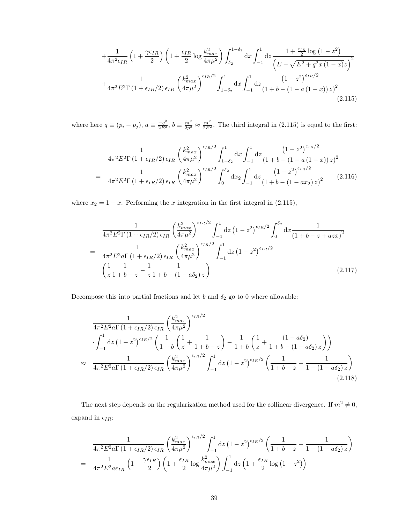$$
+\frac{1}{4\pi^2\epsilon_{IR}}\left(1+\frac{\gamma\epsilon_{IR}}{2}\right)\left(1+\frac{\epsilon_{IR}}{2}\log\frac{k_{max}^2}{4\pi\mu^2}\right)\int_{\delta_2}^{1-\delta_2}dx\int_{-1}^1dz\frac{1+\frac{\epsilon_{IR}}{2}\log\left(1-z^2\right)}{\left(E-\sqrt{E^2+q^2x\left(1-x\right)}z\right)^2}+\frac{1}{4\pi^2E^2\Gamma\left(1+\epsilon_{IR}/2\right)\epsilon_{IR}}\left(\frac{k_{max}^2}{4\pi\mu^2}\right)^{\epsilon_{IR}/2}\int_{1-\delta_2}^1dx\int_{-1}^1dz\frac{\left(1-z^2\right)^{\epsilon_{IR}/2}}{\left(1+b-\left(1-a\left(1-x\right)\right)z\right)^2}\tag{2.115}
$$

where here  $q \equiv (p_i - p_j)$ ,  $a \equiv \frac{-q^2}{2E^2}$ ,  $b \equiv \frac{m^2}{2p^2} \approx \frac{m^2}{2E^2}$ . The third integral in (2.115) is equal to the first:

$$
\frac{1}{4\pi^2 E^2 \Gamma (1 + \epsilon_{IR}/2) \epsilon_{IR}} \left(\frac{k_{max}^2}{4\pi \mu^2}\right)^{\epsilon_{IR}/2} \int_{1-\delta_2}^1 dx \int_{-1}^1 dz \frac{\left(1-z^2\right)^{\epsilon_{IR}/2}}{\left(1+b-\left(1-a\left(1-x\right)\right)z\right)^2} \n= \frac{1}{4\pi^2 E^2 \Gamma (1 + \epsilon_{IR}/2) \epsilon_{IR}} \left(\frac{k_{max}^2}{4\pi \mu^2}\right)^{\epsilon_{IR}/2} \int_0^{\delta_2} dx_2 \int_{-1}^1 dz \frac{\left(1-z^2\right)^{\epsilon_{IR}/2}}{\left(1+b-\left(1-ax_2\right)z\right)^2} \tag{2.116}
$$

where  $x_2 = 1 - x$ . Performing the x integration in the first integral in (2.115),

$$
\frac{1}{4\pi^{2}E^{2}\Gamma(1+\epsilon_{IR}/2)\epsilon_{IR}} \left(\frac{k_{max}^{2}}{4\pi\mu^{2}}\right)^{\epsilon_{IR}/2} \int_{-1}^{1} dz \left(1-z^{2}\right)^{\epsilon_{IR}/2} \int_{0}^{\delta_{2}} dx \frac{1}{\left(1+b-z+azx\right)^{2}}
$$
\n
$$
= \frac{1}{4\pi^{2}E^{2}a\Gamma(1+\epsilon_{IR}/2)\epsilon_{IR}} \left(\frac{k_{max}^{2}}{4\pi\mu^{2}}\right)^{\epsilon_{IR}/2} \int_{-1}^{1} dz \left(1-z^{2}\right)^{\epsilon_{IR}/2} \left(\frac{1}{z}\frac{1}{1+b-z} - \frac{1}{z}\frac{1}{1+b-(1-a\delta_{2})z}\right)
$$
\n(2.117)

Decompose this into partial fractions and let  $b$  and  $\delta_2$  go to  $0$  where allowable:

$$
\frac{1}{4\pi^2 E^2 a \Gamma (1 + \epsilon_{IR}/2) \epsilon_{IR}} \left(\frac{k_{max}^2}{4\pi \mu^2}\right)^{\epsilon_{IR}/2} \left(\frac{1}{1+b} \left(\frac{1}{z} + \frac{1}{1+b-z}\right) - \frac{1}{1+b} \left(\frac{1}{z} + \frac{(1-a\delta_2)}{1+b-(1-a\delta_2)z}\right)\right)
$$
\n
$$
\approx \frac{1}{4\pi^2 E^2 a \Gamma (1 + \epsilon_{IR}/2) \epsilon_{IR}} \left(\frac{k_{max}^2}{4\pi \mu^2}\right)^{\epsilon_{IR}/2} \int_{-1}^1 dz \left(1 - z^2\right)^{\epsilon_{IR}/2} \left(\frac{1}{1+b-z} - \frac{1}{1-(1-a\delta_2)z}\right) \tag{2.118}
$$

The next step depends on the regularization method used for the collinear divergence. If  $m^2 \neq 0$ , expand in  $\epsilon_{IR}$ :

$$
\frac{1}{4\pi^2 E^2 a \Gamma (1 + \epsilon_{IR}/2) \epsilon_{IR}} \left(\frac{k_{max}^2}{4\pi \mu^2}\right)^{\epsilon_{IR}/2} \int_{-1}^1 dz \left(1 - z^2\right)^{\epsilon_{IR}/2} \left(\frac{1}{1 + b - z} - \frac{1}{1 - (1 - a\delta_2) z}\right)
$$
\n
$$
= \frac{1}{4\pi^2 E^2 a \epsilon_{IR}} \left(1 + \frac{\gamma \epsilon_{IR}}{2}\right) \left(1 + \frac{\epsilon_{IR}}{2} \log \frac{k_{max}^2}{4\pi \mu^2}\right) \int_{-1}^1 dz \left(1 + \frac{\epsilon_{IR}}{2} \log \left(1 - z^2\right)\right)
$$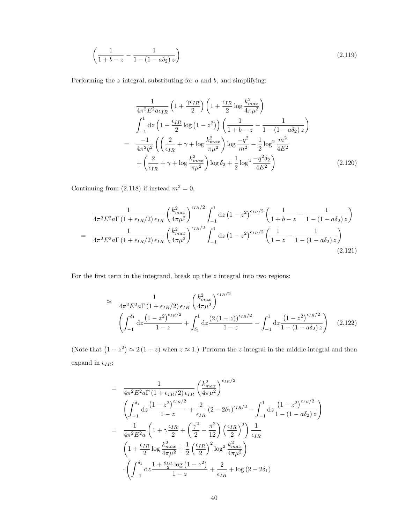$$
\left(\frac{1}{1+b-z} - \frac{1}{1-(1-a\delta_2)z}\right) \tag{2.119}
$$

Performing the  $z$  integral, substituting for  $a$  and  $b$ , and simplifying:

$$
\frac{1}{4\pi^2 E^2 a \epsilon_{IR}} \left( 1 + \frac{\gamma \epsilon_{IR}}{2} \right) \left( 1 + \frac{\epsilon_{IR}}{2} \log \frac{k_{max}^2}{4\pi \mu^2} \right)
$$
\n
$$
\int_{-1}^1 dz \left( 1 + \frac{\epsilon_{IR}}{2} \log \left( 1 - z^2 \right) \right) \left( \frac{1}{1 + b - z} - \frac{1}{1 - (1 - a\delta_2) z} \right)
$$
\n
$$
= \frac{-1}{4\pi^2 q^2} \left( \left( \frac{2}{\epsilon_{IR}} + \gamma + \log \frac{k_{max}^2}{\pi \mu^2} \right) \log \frac{-q^2}{m^2} - \frac{1}{2} \log^2 \frac{m^2}{4E^2} + \left( \frac{2}{\epsilon_{IR}} + \gamma + \log \frac{k_{max}^2}{\pi \mu^2} \right) \log \delta_2 + \frac{1}{2} \log^2 \frac{-q^2 \delta_2}{4E^2} \right) \tag{2.120}
$$

Continuing from (2.118) if instead  $m^2 = 0$ ,

$$
\frac{1}{4\pi^{2}E^{2}a\Gamma\left(1+\epsilon_{IR}/2\right)\epsilon_{IR}}\left(\frac{k_{max}^{2}}{4\pi\mu^{2}}\right)^{\epsilon_{IR}/2}\int_{-1}^{1}dz\left(1-z^{2}\right)^{\epsilon_{IR}/2}\left(\frac{1}{1+b-z}-\frac{1}{1-(1-a\delta_{2})z}\right)
$$
\n
$$
=\frac{1}{4\pi^{2}E^{2}a\Gamma\left(1+\epsilon_{IR}/2\right)\epsilon_{IR}}\left(\frac{k_{max}^{2}}{4\pi\mu^{2}}\right)^{\epsilon_{IR}/2}\int_{-1}^{1}dz\left(1-z^{2}\right)^{\epsilon_{IR}/2}\left(\frac{1}{1-z}-\frac{1}{1-(1-a\delta_{2})z}\right)
$$
\n(2.121)

For the first term in the integrand, break up the  $z$  integral into two regions:

$$
\approx \frac{1}{4\pi^2 E^2 a \Gamma \left(1 + \epsilon_{IR}/2\right) \epsilon_{IR}} \left(\frac{k_{max}^2}{4\pi \mu^2}\right)^{\epsilon_{IR}/2} \left(\int_{-1}^{\delta_1} dz \frac{\left(1 - z^2\right)^{\epsilon_{IR}/2}}{1 - z} + \int_{\delta_1}^1 dz \frac{\left(2\left(1 - z\right)\right)^{\epsilon_{IR}/2}}{1 - z} - \int_{-1}^1 dz \frac{\left(1 - z^2\right)^{\epsilon_{IR}/2}}{1 - \left(1 - a\delta_2\right) z}\right) \tag{2.122}
$$

(Note that  $(1-z^2) \approx 2(1-z)$  when  $z \approx 1$ .) Perform the z integral in the middle integral and then expand in  $\epsilon_{IR}{:}$ 

$$
= \frac{1}{4\pi^2 E^2 a \Gamma (1 + \epsilon_{IR}/2) \epsilon_{IR}} \left(\frac{k_{max}^2}{4\pi \mu^2}\right)^{\epsilon_{IR}/2}
$$
  

$$
\left(\int_{-1}^{\delta_1} dz \frac{(1 - z^2)^{\epsilon_{IR}/2}}{1 - z} + \frac{2}{\epsilon_{IR}} (2 - 2\delta_1)^{\epsilon_{IR}/2} - \int_{-1}^1 dz \frac{(1 - z^2)^{\epsilon_{IR}/2}}{1 - (1 - a\delta_2) z}\right)
$$
  

$$
= \frac{1}{4\pi^2 E^2 a} \left(1 + \gamma \frac{\epsilon_{IR}}{2} + \left(\frac{\gamma^2}{2} - \frac{\pi^2}{12}\right) \left(\frac{\epsilon_{IR}}{2}\right)^2\right) \frac{1}{\epsilon_{IR}}
$$
  

$$
\left(1 + \frac{\epsilon_{IR}}{2} \log \frac{k_{max}^2}{4\pi \mu^2} + \frac{1}{2} \left(\frac{\epsilon_{IR}}{2}\right)^2 \log^2 \frac{k_{max}^2}{4\pi \mu^2}\right)
$$
  

$$
\cdot \left(\int_{-1}^{\delta_1} dz \frac{1 + \frac{\epsilon_{IR}}{2} \log (1 - z^2)}{1 - z} + \frac{2}{\epsilon_{IR}} + \log (2 - 2\delta_1)\right)
$$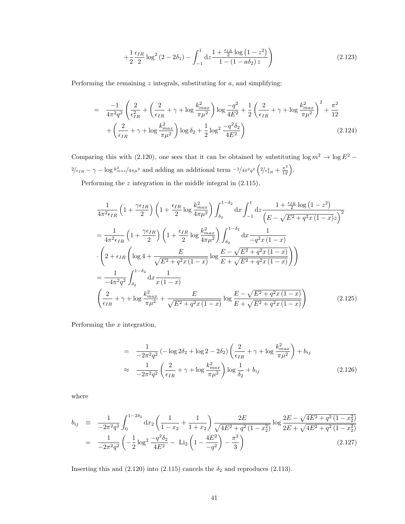$$
+\frac{1}{2}\frac{\epsilon_{IR}}{2}\log^2\left(2-2\delta_1\right)-\int_{-1}^1\mathrm{d}z\frac{1+\frac{\epsilon_{IR}}{2}\log\left(1-z^2\right)}{1-\left(1-a\delta_2\right)z}\right) \tag{2.123}
$$

Performing the remaining  $z$  integrals, substituting for  $a$ , and simplifying:

$$
= \frac{-1}{4\pi^2 q^2} \left( \frac{2}{\epsilon_{IR}^2} + \left( \frac{2}{\epsilon_{IR}} + \gamma + \log \frac{k_{max}^2}{\pi \mu^2} \right) \log \frac{-q^2}{4E^2} + \frac{1}{2} \left( \frac{2}{\epsilon_{IR}} + \gamma + \log \frac{k_{max}^2}{\pi \mu^2} \right)^2 + \frac{\pi^2}{12} + \left( \frac{2}{\epsilon_{IR}} + \gamma + \log \frac{k_{max}^2}{\pi \mu^2} \right) \log \delta_2 + \frac{1}{2} \log^2 \frac{-q^2 \delta_2}{4E^2} \right)
$$
(2.124)

Comparing this with (2.120), one sees that it can be obtained by substituting  $\log m^2 \to \log E^2$  −  $\frac{2}{\epsilon_{IR}} - \gamma - \log k_{max}^2 / 4\pi \mu^2$  and adding an additional term  $\frac{-1}{4\pi^2 q^2} \left( \frac{2}{\epsilon_{IR}^2} + \frac{\pi^2}{12} \right)$ .

Performing the z integration in the middle integral in (2.115),

$$
\frac{1}{4\pi^2 \epsilon_{IR}} \left( 1 + \frac{\gamma \epsilon_{IR}}{2} \right) \left( 1 + \frac{\epsilon_{IR}}{2} \log \frac{k_{max}^2}{4\pi\mu^2} \right) \int_{\delta_2}^{1 - \delta_2} dx \int_{-1}^{1} dz \frac{1 + \frac{\epsilon_{IR}}{2} \log (1 - z^2)}{\left( E - \sqrt{E^2 + q^2 x (1 - x)} z \right)^2}
$$
\n
$$
= \frac{1}{4\pi^2 \epsilon_{IR}} \left( 1 + \frac{\gamma \epsilon_{IR}}{2} \right) \left( 1 + \frac{\epsilon_{IR}}{2} \log \frac{k_{max}^2}{4\pi\mu^2} \right) \int_{\delta_2}^{1 - \delta_2} dx \frac{1}{-q^2 x (1 - x)}
$$
\n
$$
\cdot \left( 2 + \epsilon_{IR} \left( \log 4 + \frac{E}{\sqrt{E^2 + q^2 x (1 - x)}} \log \frac{E - \sqrt{E^2 + q^2 x (1 - x)}}{E + \sqrt{E^2 + q^2 x (1 - x)}} \right) \right)
$$
\n
$$
= \frac{1}{-4\pi^2 q^2} \int_{\delta_2}^{1 - \delta_2} dx \frac{1}{x (1 - x)}
$$
\n
$$
\left( \frac{2}{\epsilon_{IR}} + \gamma + \log \frac{k_{max}^2}{\pi\mu^2} + \frac{E}{\sqrt{E^2 + q^2 x (1 - x)}} \log \frac{E - \sqrt{E^2 + q^2 x (1 - x)}}{E + \sqrt{E^2 + q^2 x (1 - x)}} \right) \tag{2.125}
$$

Performing the  $x$  integration,

$$
= \frac{1}{-2\pi^2 q^2} \left(-\log 2 \delta_2 + \log 2 - 2\delta_2\right) \left(\frac{2}{\epsilon_{IR}} + \gamma + \log \frac{k_{max}^2}{\pi \mu^2}\right) + b_{ij}
$$
  

$$
\approx \frac{1}{-2\pi^2 q^2} \left(\frac{2}{\epsilon_{IR}} + \gamma + \log \frac{k_{max}^2}{\pi \mu^2}\right) \log \frac{1}{\delta_2} + b_{ij}
$$
(2.126)

where

$$
b_{ij} \equiv \frac{1}{-2\pi^2 q^2} \int_0^{1-2\delta_2} dx_2 \left(\frac{1}{1-x_2} + \frac{1}{1+x_2}\right) \frac{2E}{\sqrt{4E^2 + q^2 (1-x_2^2)}} \log \frac{2E - \sqrt{4E^2 + q^2 (1-x_2^2)}}{2E + \sqrt{4E^2 + q^2 (1-x_2^2)}} = \frac{1}{-2\pi^2 q^2} \left(-\frac{1}{2} \log^2 \frac{-q^2 \delta_2}{4E^2} - \text{Li}_2 \left(1 - \frac{4E^2}{-q^2}\right) - \frac{\pi^2}{3}\right)
$$
(2.127)

Inserting this and (2.120) into (2.115) cancels the  $\delta_2$  and reproduces (2.113).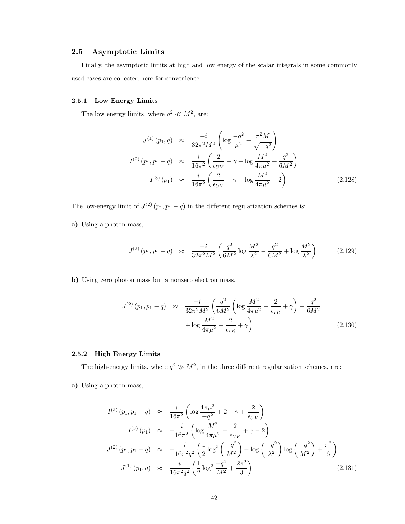## 2.5 Asymptotic Limits

Finally, the asymptotic limits at high and low energy of the scalar integrals in some commonly used cases are collected here for convenience.

#### 2.5.1 Low Energy Limits

The low energy limits, where  $q^2 \ll M^2$ , are:

$$
J^{(1)}(p_1, q) \approx \frac{-i}{32\pi^2 M^2} \left( \log \frac{-q^2}{\mu^2} + \frac{\pi^2 M}{\sqrt{-q^2}} \right)
$$
  

$$
I^{(2)}(p_1, p_1 - q) \approx \frac{i}{16\pi^2} \left( \frac{2}{\epsilon_{UV}} - \gamma - \log \frac{M^2}{4\pi \mu^2} + \frac{q^2}{6M^2} \right)
$$
  

$$
I^{(3)}(p_1) \approx \frac{i}{16\pi^2} \left( \frac{2}{\epsilon_{UV}} - \gamma - \log \frac{M^2}{4\pi \mu^2} + 2 \right)
$$
(2.128)

The low-energy limit of  $J^{(2)}(p_1, p_1 - q)$  in the different regularization schemes is:

a) Using a photon mass,

$$
J^{(2)}\left(p_1, p_1 - q\right) \approx \frac{-i}{32\pi^2 M^2} \left(\frac{q^2}{6M^2} \log \frac{M^2}{\lambda^2} - \frac{q^2}{6M^2} + \log \frac{M^2}{\lambda^2}\right) \tag{2.129}
$$

b) Using zero photon mass but a nonzero electron mass,

$$
J^{(2)}(p_1, p_1 - q) \approx \frac{-i}{32\pi^2 M^2} \left( \frac{q^2}{6M^2} \left( \log \frac{M^2}{4\pi \mu^2} + \frac{2}{\epsilon_{IR}} + \gamma \right) - \frac{q^2}{6M^2} + \log \frac{M^2}{4\pi \mu^2} + \frac{2}{\epsilon_{IR}} + \gamma \right)
$$
(2.130)

#### 2.5.2 High Energy Limits

The high-energy limits, where  $q^2 \gg M^2$ , in the three different regularization schemes, are:

a) Using a photon mass,

$$
I^{(2)}(p_1, p_1 - q) \approx \frac{i}{16\pi^2} \left( \log \frac{4\pi\mu^2}{-q^2} + 2 - \gamma + \frac{2}{\epsilon_{UV}} \right)
$$
  
\n
$$
I^{(3)}(p_1) \approx -\frac{i}{16\pi^2} \left( \log \frac{M^2}{4\pi\mu^2} - \frac{2}{\epsilon_{UV}} + \gamma - 2 \right)
$$
  
\n
$$
J^{(2)}(p_1, p_1 - q) \approx -\frac{i}{16\pi^2 q^2} \left( \frac{1}{2} \log^2 \left( \frac{-q^2}{M^2} \right) - \log \left( \frac{-q^2}{\lambda^2} \right) \log \left( \frac{-q^2}{M^2} \right) + \frac{\pi^2}{6} \right)
$$
  
\n
$$
J^{(1)}(p_1, q) \approx \frac{i}{16\pi^2 q^2} \left( \frac{1}{2} \log^2 \frac{-q^2}{M^2} + \frac{2\pi^2}{3} \right)
$$
 (2.131)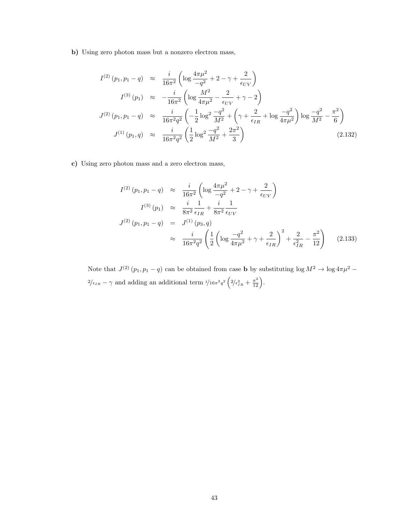b) Using zero photon mass but a nonzero electron mass,

$$
I^{(2)}(p_1, p_1 - q) \approx \frac{i}{16\pi^2} \left( \log \frac{4\pi\mu^2}{-q^2} + 2 - \gamma + \frac{2}{\epsilon_{UV}} \right)
$$
  
\n
$$
I^{(3)}(p_1) \approx -\frac{i}{16\pi^2} \left( \log \frac{M^2}{4\pi\mu^2} - \frac{2}{\epsilon_{UV}} + \gamma - 2 \right)
$$
  
\n
$$
J^{(2)}(p_1, p_1 - q) \approx \frac{i}{16\pi^2 q^2} \left( -\frac{1}{2} \log^2 \frac{-q^2}{M^2} + \left( \gamma + \frac{2}{\epsilon_{IR}} + \log \frac{-q^2}{4\pi\mu^2} \right) \log \frac{-q^2}{M^2} - \frac{\pi^2}{6} \right)
$$
  
\n
$$
J^{(1)}(p_1, q) \approx \frac{i}{16\pi^2 q^2} \left( \frac{1}{2} \log^2 \frac{-q^2}{M^2} + \frac{2\pi^2}{3} \right)
$$
 (2.132)

c) Using zero photon mass and a zero electron mass,

$$
I^{(2)}(p_1, p_1 - q) \approx \frac{i}{16\pi^2} \left( \log \frac{4\pi\mu^2}{-q^2} + 2 - \gamma + \frac{2}{\epsilon_{UV}} \right)
$$
  
\n
$$
I^{(3)}(p_1) \approx \frac{i}{8\pi^2} \frac{1}{\epsilon_{IR}} + \frac{i}{8\pi^2} \frac{1}{\epsilon_{UV}}
$$
  
\n
$$
J^{(2)}(p_1, p_1 - q) = J^{(1)}(p_3, q)
$$
  
\n
$$
\approx \frac{i}{16\pi^2 q^2} \left( \frac{1}{2} \left( \log \frac{-q^2}{4\pi\mu^2} + \gamma + \frac{2}{\epsilon_{IR}} \right)^2 + \frac{2}{\epsilon_{IR}^2} - \frac{\pi^2}{12} \right)
$$
(2.133)

Note that  $J^{(2)}(p_1, p_1 - q)$  can be obtained from case **b** by substituting  $\log M^2 \to \log 4\pi \mu^2$  $\frac{2}{\epsilon_{IR}} - \gamma$  and adding an additional term  $\frac{i}{16\pi^2 q^2} \left( \frac{2}{\epsilon_{IR}^2} + \frac{\pi^2}{12} \right)$ .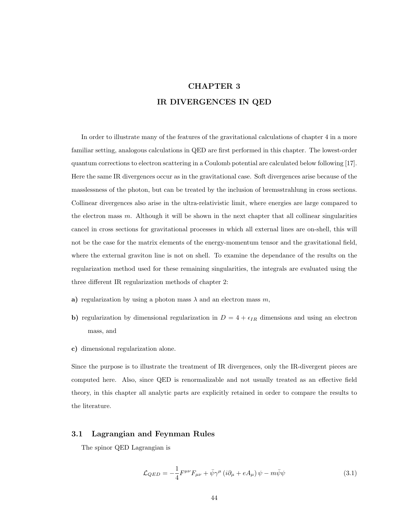## CHAPTER 3 IR DIVERGENCES IN QED

In order to illustrate many of the features of the gravitational calculations of chapter 4 in a more familiar setting, analogous calculations in QED are first performed in this chapter. The lowest-order quantum corrections to electron scattering in a Coulomb potential are calculated below following [17]. Here the same IR divergences occur as in the gravitational case. Soft divergences arise because of the masslessness of the photon, but can be treated by the inclusion of bremsstrahlung in cross sections. Collinear divergences also arise in the ultra-relativistic limit, where energies are large compared to the electron mass  $m$ . Although it will be shown in the next chapter that all collinear singularities cancel in cross sections for gravitational processes in which all external lines are on-shell, this will not be the case for the matrix elements of the energy-momentum tensor and the gravitational field, where the external graviton line is not on shell. To examine the dependance of the results on the regularization method used for these remaining singularities, the integrals are evaluated using the three different IR regularization methods of chapter 2:

- a) regularization by using a photon mass  $\lambda$  and an electron mass m,
- b) regularization by dimensional regularization in  $D = 4 + \epsilon_{IR}$  dimensions and using an electron mass, and
- c) dimensional regularization alone.

Since the purpose is to illustrate the treatment of IR divergences, only the IR-divergent pieces are computed here. Also, since QED is renormalizable and not usually treated as an effective field theory, in this chapter all analytic parts are explicitly retained in order to compare the results to the literature.

## 3.1 Lagrangian and Feynman Rules

The spinor QED Lagrangian is

$$
\mathcal{L}_{QED} = -\frac{1}{4} F^{\mu\nu} F_{\mu\nu} + \bar{\psi} \gamma^{\mu} \left( i \partial_{\mu} + e A_{\mu} \right) \psi - m \bar{\psi} \psi \tag{3.1}
$$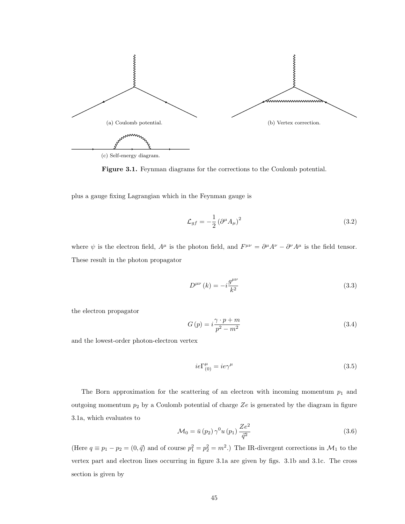

Figure 3.1. Feynman diagrams for the corrections to the Coulomb potential.

plus a gauge fixing Lagrangian which in the Feynman gauge is

$$
\mathcal{L}_{gf} = -\frac{1}{2} \left( \partial^{\mu} A_{\mu} \right)^2 \tag{3.2}
$$

where  $\psi$  is the electron field,  $A^{\mu}$  is the photon field, and  $F^{\mu\nu} = \partial^{\mu}A^{\nu} - \partial^{\nu}A^{\mu}$  is the field tensor. These result in the photon propagator

$$
D^{\mu\nu}\left(k\right) = -i\frac{g^{\mu\nu}}{k^2} \tag{3.3}
$$

the electron propagator

$$
G(p) = i\frac{\gamma \cdot p + m}{p^2 - m^2} \tag{3.4}
$$

and the lowest-order photon-electron vertex

$$
ie\Gamma^{\mu}_{(0)} = ie\gamma^{\mu} \tag{3.5}
$$

The Born approximation for the scattering of an electron with incoming momentum  $p_1$  and outgoing momentum  $p_2$  by a Coulomb potential of charge  $Ze$  is generated by the diagram in figure 3.1a, which evaluates to

$$
\mathcal{M}_0 = \bar{u}(p_2) \gamma^0 u(p_1) \frac{Ze^2}{\bar{q}^2} \tag{3.6}
$$

(Here  $q \equiv p_1 - p_2 = (0, \vec{q})$  and of course  $p_1^2 = p_2^2 = m^2$ .) The IR-divergent corrections in  $\mathcal{M}_1$  to the vertex part and electron lines occurring in figure 3.1a are given by figs. 3.1b and 3.1c. The cross section is given by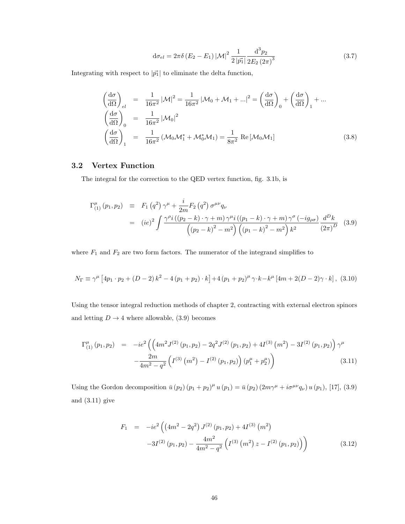$$
d\sigma_{el} = 2\pi\delta \left( E_2 - E_1 \right) |\mathcal{M}|^2 \frac{1}{2 |\vec{p_1}|} \frac{d^3 p_2}{2 E_2 (2\pi)^3}
$$
(3.7)

Integrating with respect to  $|\vec{p_1}|$  to eliminate the delta function,

$$
\begin{aligned}\n\left(\frac{d\sigma}{d\Omega}\right)_{el} &= \frac{1}{16\pi^2} |\mathcal{M}|^2 = \frac{1}{16\pi^2} |\mathcal{M}_0 + \mathcal{M}_1 + \ldots|^2 = \left(\frac{d\sigma}{d\Omega}\right)_0 + \left(\frac{d\sigma}{d\Omega}\right)_1 + \ldots \\
\left(\frac{d\sigma}{d\Omega}\right)_0 &= \frac{1}{16\pi^2} |\mathcal{M}_0|^2 \\
\left(\frac{d\sigma}{d\Omega}\right)_1 &= \frac{1}{16\pi^2} (\mathcal{M}_0 \mathcal{M}_1^* + \mathcal{M}_0^* \mathcal{M}_1) = \frac{1}{8\pi^2} \operatorname{Re} [\mathcal{M}_0 \mathcal{M}_1] \n\end{aligned}
$$
\n(3.8)

## 3.2 Vertex Function

The integral for the correction to the QED vertex function, fig. 3.1b, is

$$
\Gamma_{(1)}^{\mu} (p_1, p_2) \equiv F_1 (q^2) \gamma^{\mu} + \frac{i}{2m} F_2 (q^2) \sigma^{\mu \nu} q_{\nu}
$$
  
=  $(ie)^2 \int \frac{\gamma^{\rho} i ((p_2 - k) \cdot \gamma + m) \gamma^{\mu} i ((p_1 - k) \cdot \gamma + m) \gamma^{\sigma} (-ig_{\rho \sigma})}{((p_2 - k)^2 - m^2) ((p_1 - k)^2 - m^2) k^2} \frac{d^D k}{(2\pi)^D}$  (3.9)

where  $F_1$  and  $F_2$  are two form factors. The numerator of the integrand simplifies to

$$
N_{\Gamma} \equiv \gamma^{\mu} \left[ 4p_1 \cdot p_2 + (D-2) k^2 - 4 (p_1 + p_2) \cdot k \right] + 4 (p_1 + p_2)^{\mu} \gamma \cdot k - k^{\mu} \left[ 4m + 2(D-2) \gamma \cdot k \right], \tag{3.10}
$$

Using the tensor integral reduction methods of chapter 2, contracting with external electron spinors and letting  $D \rightarrow 4$  where allowable, (3.9) becomes

$$
\Gamma_{(1)}^{\mu} (p_1, p_2) = -ie^2 \left( \left( 4m^2 J^{(2)} (p_1, p_2) - 2q^2 J^{(2)} (p_1, p_2) + 4I^{(3)} (m^2) - 3I^{(2)} (p_1, p_2) \right) \gamma^{\mu} - \frac{2m}{4m^2 - q^2} \left( I^{(3)} (m^2) - I^{(2)} (p_1, p_2) \right) (p_1^{\mu} + p_2^{\mu}) \right) \tag{3.11}
$$

Using the Gordon decomposition  $\bar{u}(p_2)(p_1+p_2)^{\mu}u(p_1) = \bar{u}(p_2)(2m\gamma^{\mu} + i\sigma^{\mu\nu}q_{\nu})u(p_1),$  [17], (3.9) and (3.11) give

$$
F_1 = -ie^2 \left( \left( 4m^2 - 2q^2 \right) J^{(2)} \left( p_1, p_2 \right) + 4I^{(3)} \left( m^2 \right) - 3I^{(2)} \left( p_1, p_2 \right) - \frac{4m^2}{4m^2 - q^2} \left( I^{(3)} \left( m^2 \right) z - I^{(2)} \left( p_1, p_2 \right) \right) \right)
$$
(3.12)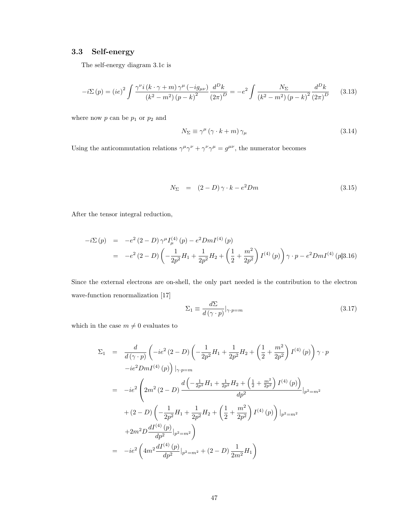## 3.3 Self-energy

The self-energy diagram 3.1c is

$$
-i\Sigma(p) = (ie)^2 \int \frac{\gamma^{\nu} i (k \cdot \gamma + m) \gamma^{\mu} (-ig_{\mu\nu})}{(k^2 - m^2) (p - k)^2} \frac{d^D k}{(2\pi)^D} = -e^2 \int \frac{N_{\Sigma}}{(k^2 - m^2) (p - k)^2} \frac{d^D k}{(2\pi)^D}
$$
(3.13)

where now  $p$  can be  $p_1$  or  $p_2$  and

$$
N_{\Sigma} \equiv \gamma^{\mu} \left( \gamma \cdot k + m \right) \gamma_{\mu} \tag{3.14}
$$

Using the anticommutation relations  $\gamma^{\mu}\gamma^{\nu} + \gamma^{\nu}\gamma^{\mu} = g^{\mu\nu}$ , the numerator becomes

$$
N_{\Sigma} = (2 - D)\gamma \cdot k - e^2 D m \qquad (3.15)
$$

After the tensor integral reduction,

$$
-i\Sigma(p) = -e^2 (2 - D) \gamma^{\mu} I_{\mu}^{(4)}(p) - e^2 Dm I^{(4)}(p)
$$
  
= 
$$
-e^2 (2 - D) \left( -\frac{1}{2p^2} H_1 + \frac{1}{2p^2} H_2 + \left( \frac{1}{2} + \frac{m^2}{2p^2} \right) I^{(4)}(p) \right) \gamma \cdot p - e^2 Dm I^{(4)}(p)3.16)
$$

Since the external electrons are on-shell, the only part needed is the contribution to the electron wave-function renormalization [17]

$$
\Sigma_1 \equiv \frac{d\Sigma}{d\left(\gamma \cdot p\right)}\big|_{\gamma \cdot p = m} \tag{3.17}
$$

which in the case  $m\neq 0$  evaluates to

$$
\Sigma_{1} = \frac{d}{d(\gamma \cdot p)} \left( -ie^{2} (2-D) \left( -\frac{1}{2p^{2}} H_{1} + \frac{1}{2p^{2}} H_{2} + \left( \frac{1}{2} + \frac{m^{2}}{2p^{2}} \right) I^{(4)} (p) \right) \gamma \cdot p -ie^{2} Dm I^{(4)} (p) \right) |\gamma \cdot p = m
$$
\n
$$
= -ie^{2} \left( 2m^{2} (2-D) \frac{d \left( -\frac{1}{2p^{2}} H_{1} + \frac{1}{2p^{2}} H_{2} + \left( \frac{1}{2} + \frac{m^{2}}{2p^{2}} \right) I^{(4)} (p) \right)}{dp^{2}} |_{p^{2}=m^{2}} + (2-D) \left( -\frac{1}{2p^{2}} H_{1} + \frac{1}{2p^{2}} H_{2} + \left( \frac{1}{2} + \frac{m^{2}}{2p^{2}} \right) I^{(4)} (p) \right) |_{p^{2}=m^{2}} + 2m^{2} D \frac{dI^{(4)} (p)}{dp^{2}} |_{p^{2}=m^{2}} \right)
$$
\n
$$
= -ie^{2} \left( 4m^{2} \frac{dI^{(4)} (p)}{dp^{2}} |_{p^{2}=m^{2}} + (2-D) \frac{1}{2m^{2}} H_{1} \right)
$$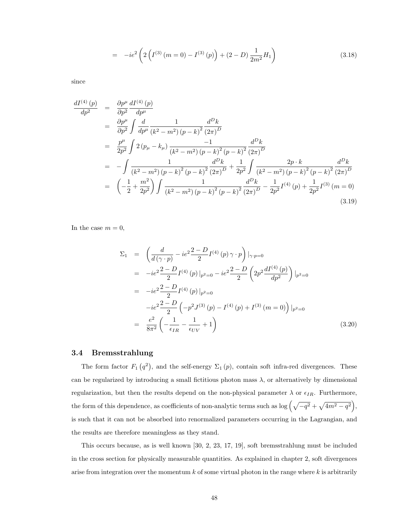$$
= -ie^{2}\left(2\left(I^{(3)}\left(m=0\right) - I^{(3)}\left(p\right)\right) + (2-D)\frac{1}{2m^{2}}H_{1}\right) \tag{3.18}
$$

since

$$
\frac{dI^{(4)}(p)}{dp^2} = \frac{\partial p^{\mu}}{\partial p^2} \frac{dI^{(4)}(p)}{dp^{\mu}}
$$
\n
$$
= \frac{\partial p^{\mu}}{\partial p^2} \int \frac{d}{dp^{\mu}} \frac{1}{(k^2 - m^2)(p - k)^2} \frac{d^D k}{(2\pi)^D}
$$
\n
$$
= \frac{p^{\mu}}{2p^2} \int 2(p_{\mu} - k_{\mu}) \frac{-1}{(k^2 - m^2)(p - k)^2 (p - k)^2} \frac{d^D k}{(2\pi)^D}
$$
\n
$$
= -\int \frac{1}{(k^2 - m^2)(p - k)^2 (p - k)^2} \frac{d^D k}{(2\pi)^D} + \frac{1}{2p^2} \int \frac{2p \cdot k}{(k^2 - m^2)(p - k)^2 (p - k)^2} \frac{d^D k}{(2\pi)^D}
$$
\n
$$
= \left(-\frac{1}{2} + \frac{m^2}{2p^2}\right) \int \frac{1}{(k^2 - m^2)(p - k)^2 (p - k)^2} \frac{d^D k}{(2\pi)^D} - \frac{1}{2p^2} I^{(4)}(p) + \frac{1}{2p^2} I^{(3)}(m = 0)
$$
\n(3.19)

In the case  $m = 0$ ,

$$
\Sigma_{1} = \left(\frac{d}{d(\gamma \cdot p)} - ie^{2} \frac{2 - D}{2} I^{(4)}(p) \gamma \cdot p\right)|_{\gamma \cdot p = 0}
$$
\n
$$
= -ie^{2} \frac{2 - D}{2} I^{(4)}(p)|_{p^{2}=0} - ie^{2} \frac{2 - D}{2} \left(2p^{2} \frac{dI^{(4)}(p)}{dp^{2}}\right)|_{p^{2}=0}
$$
\n
$$
= -ie^{2} \frac{2 - D}{2} I^{(4)}(p)|_{p^{2}=0}
$$
\n
$$
-ie^{2} \frac{2 - D}{2} \left(-p^{2} J^{(3)}(p) - I^{(4)}(p) + I^{(3)}(m=0)\right)|_{p^{2}=0}
$$
\n
$$
= \frac{e^{2}}{8\pi^{2}} \left(-\frac{1}{\epsilon_{IR}} - \frac{1}{\epsilon_{UV}} + 1\right)
$$
\n(3.20)

## 3.4 Bremsstrahlung

The form factor  $F_1(q^2)$ , and the self-energy  $\Sigma_1(p)$ , contain soft infra-red divergences. These can be regularized by introducing a small fictitious photon mass  $\lambda$ , or alternatively by dimensional regularization, but then the results depend on the non-physical parameter  $\lambda$  or  $\epsilon_{IR}$ . Furthermore, the form of this dependence, as coefficients of non-analytic terms such as  $\log (\sqrt{-q^2} + \sqrt{4m^2 - q^2}),$ is such that it can not be absorbed into renormalized parameters occurring in the Lagrangian, and the results are therefore meaningless as they stand.

This occurs because, as is well known [30, 2, 23, 17, 19], soft bremsstrahlung must be included in the cross section for physically measurable quantities. As explained in chapter 2, soft divergences arise from integration over the momentum  $k$  of some virtual photon in the range where  $k$  is arbitrarily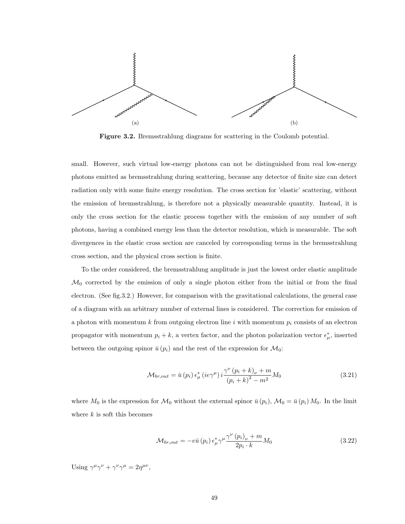

Figure 3.2. Bremsstrahlung diagrams for scattering in the Coulomb potential.

small. However, such virtual low-energy photons can not be distinguished from real low-energy photons emitted as bremsstrahlung during scattering, because any detector of finite size can detect radiation only with some finite energy resolution. The cross section for 'elastic' scattering, without the emission of bremsstrahlung, is therefore not a physically measurable quantity. Instead, it is only the cross section for the elastic process together with the emission of any number of soft photons, having a combined energy less than the detector resolution, which is measurable. The soft divergences in the elastic cross section are canceled by corresponding terms in the bremsstrahlung cross section, and the physical cross section is finite.

To the order considered, the bremsstrahlung amplitude is just the lowest order elastic amplitude  $\mathcal{M}_0$  corrected by the emission of only a single photon either from the initial or from the final electron. (See fig.3.2.) However, for comparison with the gravitational calculations, the general case of a diagram with an arbitrary number of external lines is considered. The correction for emission of a photon with momentum k from outgoing electron line i with momentum  $p_i$  consists of an electron propagator with momentum  $p_i + k$ , a vertex factor, and the photon polarization vector  $\epsilon^*_{\mu}$ , inserted between the outgoing spinor  $\bar{u}(p_i)$  and the rest of the expression for  $\mathcal{M}_0$ :

$$
\mathcal{M}_{br,out} = \bar{u}(p_i) \epsilon^*_{\mu} (ie\gamma^{\mu}) i \frac{\gamma^{\nu} (p_i + k)_{\nu} + m}{(p_i + k)^2 - m^2} M_0
$$
\n(3.21)

where  $M_0$  is the expression for  $M_0$  without the external spinor  $\bar{u}(p_i)$ ,  $M_0 = \bar{u}(p_i) M_0$ . In the limit where  $k$  is soft this becomes

$$
\mathcal{M}_{br,out} = -e\bar{u}(p_i) \epsilon^*_{\mu} \gamma^{\mu} \frac{\gamma^{\nu} (p_i)_{\nu} + m}{2p_i \cdot k} M_0 \tag{3.22}
$$

Using  $\gamma^{\mu}\gamma^{\nu} + \gamma^{\nu}\gamma^{\mu} = 2\eta^{\mu\nu}$ ,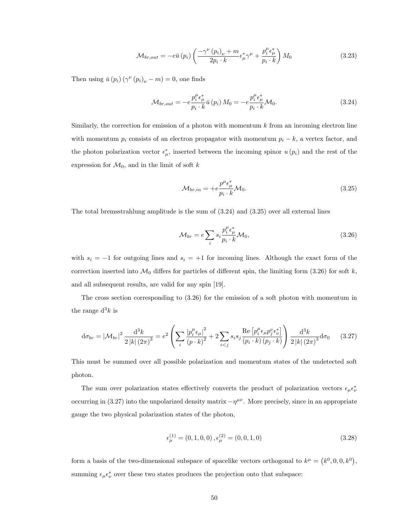$$
\mathcal{M}_{br,out} = -e\bar{u}(p_i) \left( \frac{-\gamma^{\nu}(p_i)_{\nu} + m}{2p_i \cdot k} \epsilon_{\mu}^* \gamma^{\mu} + \frac{p_i^{\mu} \epsilon_{\mu}^*}{p_i \cdot k} \right) M_0
$$
\n(3.23)

Then using  $\bar{u}(p_i) (\gamma^{\nu}(p_i)_{\nu} - m) = 0$ , one finds

$$
\mathcal{M}_{br,out} = -e \frac{p_i^{\mu} \epsilon_{\mu}^*}{p_i \cdot k} \bar{u} \left( p_i \right) M_0 = -e \frac{p_i^{\mu} \epsilon_{\mu}^*}{p_i \cdot k} \mathcal{M}_0.
$$
\n(3.24)

Similarly, the correction for emission of a photon with momentum  $k$  from an incoming electron line with momentum  $p_i$  consists of an electron propagator with momentum  $p_i - k$ , a vertex factor, and the photon polarization vector  $\epsilon^*_{\mu}$ , inserted between the incoming spinor  $u(p_i)$  and the rest of the expression for  $\mathcal{M}_0$ , and in the limit of soft k

$$
\mathcal{M}_{br,in} = +e \frac{p^{\mu} \epsilon_{\mu}^{*}}{p_i \cdot k} \mathcal{M}_0.
$$
\n(3.25)

The total bremsstrahlung amplitude is the sum of (3.24) and (3.25) over all external lines

$$
\mathcal{M}_{br} = e \sum_{i} s_i \frac{p_i^{\mu} \epsilon_{\mu}^*}{p_i \cdot k} \mathcal{M}_0, \tag{3.26}
$$

with  $s_i = -1$  for outgoing lines and  $s_i = +1$  for incoming lines. Although the exact form of the correction inserted into  $\mathcal{M}_0$  differs for particles of different spin, the limiting form (3.26) for soft k, and all subsequent results, are valid for any spin [19].

The cross section corresponding to (3.26) for the emission of a soft photon with momentum in the range  $d^3k$  is

$$
d\sigma_{br} = |\mathcal{M}_{br}|^2 \frac{d^3 k}{2 |k| (2\pi)^3} = e^2 \left( \sum_i \frac{|p_i^{\mu} \epsilon_{\mu}|^2}{(p \cdot k)^2} + 2 \sum_{i < j} s_i s_j \frac{\text{Re} \left[ p_i^{\mu} \epsilon_{\mu} p_j^{\nu} \epsilon_{\nu}^* \right]}{(p_i \cdot k) (p_j \cdot k)} \right) \frac{d^3 k}{2 |k| (2\pi)^3} d\sigma_0 \tag{3.27}
$$

This must be summed over all possible polarization and momentum states of the undetected soft photon.

The sum over polarization states effectively converts the product of polarization vectors  $\epsilon_{\mu} \epsilon_{\nu}^*$ occurring in (3.27) into the unpolarized density matrix  $-\eta^{\mu\nu}$ . More precisely, since in an appropriate gauge the two physical polarization states of the photon,

$$
\epsilon_{\mu}^{(1)} = (0, 1, 0, 0), \epsilon_{\mu}^{(2)} = (0, 0, 1, 0)
$$
\n(3.28)

form a basis of the two-dimensional subspace of spacelike vectors orthogonal to  $k^{\mu} = (k^0, 0, 0, k^0)$ , summing  $\epsilon_{\mu} \epsilon_{\nu}^{*}$  over these two states produces the projection onto that subspace: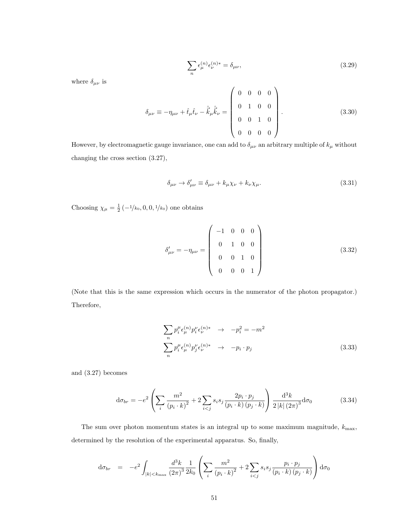$$
\sum_{n} \epsilon_{\mu}^{(n)} \epsilon_{\nu}^{(n)*} = \delta_{\mu\nu},\tag{3.29}
$$

where  $\delta_{\mu\nu}$  is

$$
\delta_{\mu\nu} \equiv -\eta_{\mu\nu} + \hat{t}_{\mu}\hat{t}_{\nu} - \hat{\vec{k}}_{\mu}\hat{\vec{k}}_{\nu} = \begin{pmatrix} 0 & 0 & 0 & 0 \\ 0 & 1 & 0 & 0 \\ 0 & 0 & 1 & 0 \\ 0 & 0 & 0 & 0 \end{pmatrix} . \tag{3.30}
$$

However, by electromagnetic gauge invariance, one can add to  $\delta_{\mu\nu}$  an arbitrary multiple of  $k_\mu$  without changing the cross section (3.27),

$$
\delta_{\mu\nu} \to \delta'_{\mu\nu} \equiv \delta_{\mu\nu} + k_{\mu}\chi_{\nu} + k_{\nu}\chi_{\mu}.
$$
\n(3.31)

Choosing  $\chi_{\mu} = \frac{1}{2} \left( -\frac{1}{k_0}, 0, 0, \frac{1}{k_0} \right)$  one obtains

$$
\delta'_{\mu\nu} = -\eta_{\mu\nu} = \begin{pmatrix} -1 & 0 & 0 & 0 \\ 0 & 1 & 0 & 0 \\ 0 & 0 & 1 & 0 \\ 0 & 0 & 0 & 1 \end{pmatrix}
$$
(3.32)

(Note that this is the same expression which occurs in the numerator of the photon propagator.) Therefore,

$$
\sum_{n} p_i^{\mu} \epsilon_{\mu}^{(n)} p_i^{\nu} \epsilon_{\nu}^{(n)*} \rightarrow -p_i^2 = -m^2
$$
\n
$$
\sum_{n} p_i^{\mu} \epsilon_{\mu}^{(n)} p_j^{\nu} \epsilon_{\nu}^{(n)*} \rightarrow -p_i \cdot p_j
$$
\n(3.33)

and (3.27) becomes

$$
d\sigma_{br} = -e^2 \left( \sum_i \frac{m^2}{(p_i \cdot k)^2} + 2 \sum_{i < j} s_i s_j \frac{2p_i \cdot p_j}{(p_i \cdot k) (p_j \cdot k)} \right) \frac{d^3 k}{2 \left| k \right| (2\pi)^3} d\sigma_0 \tag{3.34}
$$

The sum over photon momentum states is an integral up to some maximum magnitude,  $k_{\rm max}$ , determined by the resolution of the experimental apparatus. So, finally,

$$
d\sigma_{br} = -e^2 \int_{|k| < k_{\text{max}}} \frac{d^3k}{(2\pi)^3} \frac{1}{2k_0} \left( \sum_i \frac{m^2}{(p_i \cdot k)^2} + 2 \sum_{i < j} s_i s_j \frac{p_i \cdot p_j}{(p_i \cdot k) (p_j \cdot k)} \right) d\sigma_0
$$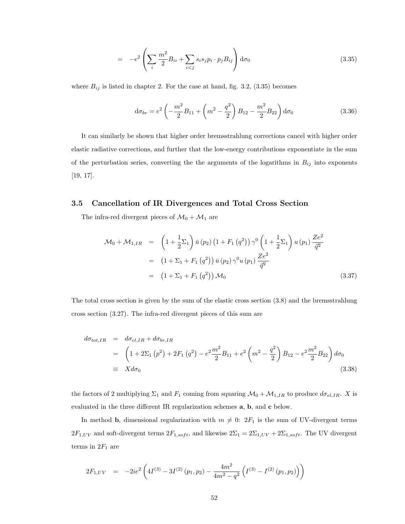$$
= -e^2 \left( \sum_i \frac{m^2}{2} B_{ii} + \sum_{i < j} s_i s_j p_i \cdot p_j B_{ij} \right) d\sigma_0 \tag{3.35}
$$

where  $B_{ij}$  is listed in chapter 2. For the case at hand, fig. 3.2, (3.35) becomes

$$
d\sigma_{br} = e^2 \left( -\frac{m^2}{2} B_{11} + \left( m^2 - \frac{q^2}{2} \right) B_{12} - \frac{m^2}{2} B_{22} \right) d\sigma_0
$$
 (3.36)

It can similarly be shown that higher order bremsstrahlung corrections cancel with higher order elastic radiative corrections, and further that the low-energy contributions exponentiate in the sum of the perturbation series, converting the the arguments of the logarithms in  $B_{ij}$  into exponents [19, 17].

## 3.5 Cancellation of IR Divergences and Total Cross Section

The infra-red divergent pieces of  $\mathcal{M}_0 + \mathcal{M}_1$  are

$$
\mathcal{M}_0 + \mathcal{M}_{1,IR} = \left(1 + \frac{1}{2}\Sigma_1\right) \bar{u}(p_2) \left(1 + F_1(q^2)\right) \gamma^0 \left(1 + \frac{1}{2}\Sigma_1\right) u(p_1) \frac{Ze^2}{\bar{q}^2}
$$
  
\n
$$
= \left(1 + \Sigma_1 + F_1(q^2)\right) \bar{u}(p_2) \gamma^0 u(p_1) \frac{Ze^2}{\bar{q}^2}
$$
  
\n
$$
= \left(1 + \Sigma_1 + F_1(q^2)\right) \mathcal{M}_0 \tag{3.37}
$$

The total cross section is given by the sum of the elastic cross section (3.8) and the bremsstrahlung cross section (3.27). The infra-red divergent pieces of this sum are

$$
d\sigma_{tot,IR} = d\sigma_{el,IR} + d\sigma_{br,IR}
$$
  
= 
$$
\left(1 + 2\Sigma_1 (p^2) + 2F_1 (q^2) - e^2 \frac{m^2}{2} B_{11} + e^2 \left(m^2 - \frac{q^2}{2}\right) B_{12} - e^2 \frac{m^2}{2} B_{22}\right) d\sigma_0
$$
  
\equiv 
$$
X d\sigma_0
$$
 (3.38)

the factors of 2 multiplying  $\Sigma_1$  and  $F_1$  coming from squaring  $\mathcal{M}_0 + \mathcal{M}_{1,IR}$  to produce  $d\sigma_{el,IR}$ . X is evaluated in the three different IR regularization schemes a, b, and c below.

In method **b**, dimensional regularization with  $m \neq 0$ :  $2F_1$  is the sum of UV-divergent terms  $2F_{1,UV}$  and soft-divergent terms  $2F_{1,soft}$ , and likewise  $2\Sigma_1 = 2\Sigma_{1,UV} + 2\Sigma_{1,soft}$ . The UV divergent terms in  $2F_1$  are

$$
2F_{1,UV} = -2ie^2 \left(4I^{(3)} - 3I^{(2)}(p_1, p_2) - \frac{4m^2}{4m^2 - q^2} \left(I^{(3)} - I^{(2)}(p_1, p_2)\right)\right)
$$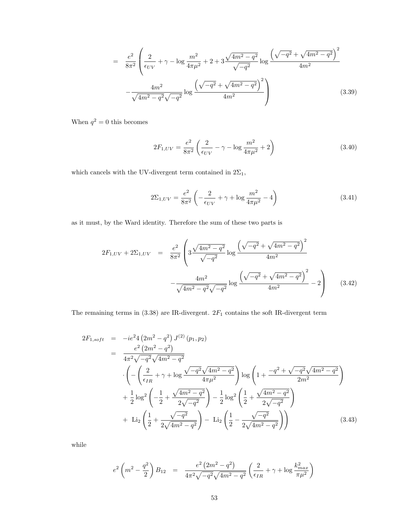$$
= \frac{e^2}{8\pi^2} \left( \frac{2}{\epsilon_{UV}} + \gamma - \log \frac{m^2}{4\pi\mu^2} + 2 + 3 \frac{\sqrt{4m^2 - q^2}}{\sqrt{-q^2}} \log \frac{\left( \sqrt{-q^2} + \sqrt{4m^2 - q^2} \right)^2}{4m^2} - \frac{4m^2}{\sqrt{4m^2 - q^2}\sqrt{-q^2}} \log \frac{\left( \sqrt{-q^2} + \sqrt{4m^2 - q^2} \right)^2}{4m^2} \right)
$$
(3.39)

When  $q^2 = 0$  this becomes

$$
2F_{1,UV} = \frac{e^2}{8\pi^2} \left( \frac{2}{\epsilon_{UV}} - \gamma - \log \frac{m^2}{4\pi\mu^2} + 2 \right)
$$
 (3.40)

which cancels with the UV-divergent term contained in  $2\Sigma_1,$ 

$$
2\Sigma_{1,UV} = \frac{e^2}{8\pi^2} \left( -\frac{2}{\epsilon_{UV}} + \gamma + \log \frac{m^2}{4\pi\mu^2} - 4 \right)
$$
 (3.41)

as it must, by the Ward identity. Therefore the sum of these two parts is

$$
2F_{1,UV} + 2\Sigma_{1,UV} = \frac{e^2}{8\pi^2} \left( 3\frac{\sqrt{4m^2 - q^2}}{\sqrt{-q^2}} \log \frac{\left(\sqrt{-q^2} + \sqrt{4m^2 - q^2}\right)^2}{4m^2} - \frac{4m^2}{\sqrt{4m^2 - q^2}\sqrt{-q^2}} \log \frac{\left(\sqrt{-q^2} + \sqrt{4m^2 - q^2}\right)^2}{4m^2} - 2 \right) \tag{3.42}
$$

The remaining terms in (3.38) are IR-divergent.  $2F_1$  contains the soft IR-divergent term

$$
2F_{1,soft} = -ie^{2}4 (2m^{2} - q^{2}) J^{(2)} (p_{1}, p_{2})
$$
  
\n
$$
= \frac{e^{2} (2m^{2} - q^{2})}{4\pi^{2} \sqrt{-q^{2}} \sqrt{4m^{2} - q^{2}}}
$$
  
\n
$$
\cdot \left(-\left(\frac{2}{\epsilon_{IR}} + \gamma + \log \frac{\sqrt{-q^{2}} \sqrt{4m^{2} - q^{2}}}{4\pi\mu^{2}}\right) \log \left(1 + \frac{-q^{2} + \sqrt{-q^{2}} \sqrt{4m^{2} - q^{2}}}{2m^{2}}\right) + \frac{1}{2} \log^{2} \left(-\frac{1}{2} + \frac{\sqrt{4m^{2} - q^{2}}}{2\sqrt{-q^{2}}}\right) - \frac{1}{2} \log^{2} \left(\frac{1}{2} + \frac{\sqrt{4m^{2} - q^{2}}}{2\sqrt{-q^{2}}}\right)
$$
  
\n
$$
+ \text{Li}_{2} \left(\frac{1}{2} + \frac{\sqrt{-q^{2}}}{2\sqrt{4m^{2} - q^{2}}}\right) - \text{Li}_{2} \left(\frac{1}{2} - \frac{\sqrt{-q^{2}}}{2\sqrt{4m^{2} - q^{2}}}\right) \right)
$$
(3.43)

while

$$
e^{2}\left(m^{2}-\frac{q^{2}}{2}\right)B_{12} = \frac{e^{2}\left(2m^{2}-q^{2}\right)}{4\pi^{2}\sqrt{-q^{2}}\sqrt{4m^{2}-q^{2}}}\left(\frac{2}{\epsilon_{IR}}+\gamma+\log\frac{k_{max}^{2}}{\pi\mu^{2}}\right)
$$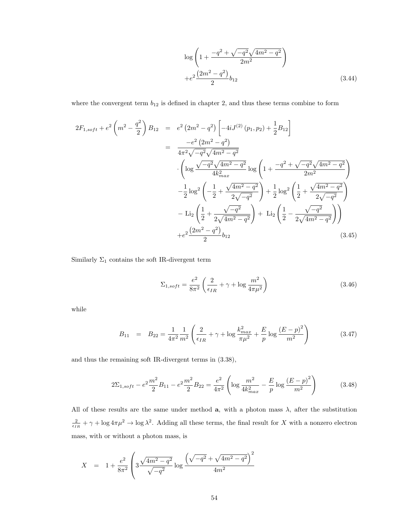$$
\log\left(1+\frac{-q^2+\sqrt{-q^2}\sqrt{4m^2-q^2}}{2m^2}\right) + e^2 \frac{\left(2m^2-q^2\right)}{2} b_{12}
$$
\n(3.44)

where the convergent term  $b_{12}$  is defined in chapter 2, and thus these terms combine to form

$$
2F_{1,soft} + e^{2} \left( m^{2} - \frac{q^{2}}{2} \right) B_{12} = e^{2} \left( 2m^{2} - q^{2} \right) \left[ -4iJ^{(2)} \left( p_{1}, p_{2} \right) + \frac{1}{2} B_{12} \right]
$$
  
\n
$$
= \frac{-e^{2} \left( 2m^{2} - q^{2} \right)}{4\pi^{2} \sqrt{-q^{2}} \sqrt{4m^{2} - q^{2}}} \cdot \left( \log \frac{\sqrt{-q^{2}} \sqrt{4m^{2} - q^{2}}}{4k_{max}^{2}} \log \left( 1 + \frac{-q^{2} + \sqrt{-q^{2}} \sqrt{4m^{2} - q^{2}}}{2m^{2}} \right) \right)
$$
  
\n
$$
- \frac{1}{2} \log^{2} \left( -\frac{1}{2} + \frac{\sqrt{4m^{2} - q^{2}}}{2\sqrt{-q^{2}}} \right) + \frac{1}{2} \log^{2} \left( \frac{1}{2} + \frac{\sqrt{4m^{2} - q^{2}}}{2\sqrt{-q^{2}}} \right)
$$
  
\n
$$
- \operatorname{Li}_{2} \left( \frac{1}{2} + \frac{\sqrt{-q^{2}}}{2\sqrt{4m^{2} - q^{2}}} \right) + \operatorname{Li}_{2} \left( \frac{1}{2} - \frac{\sqrt{-q^{2}}}{2\sqrt{4m^{2} - q^{2}}} \right) \right)
$$
  
\n
$$
+ e^{2} \frac{\left( 2m^{2} - q^{2} \right)}{2} b_{12} \qquad (3.45)
$$

Similarly  $\Sigma_1$  contains the soft IR-divergent term

$$
\Sigma_{1,soft} = \frac{e^2}{8\pi^2} \left( \frac{2}{\epsilon_{IR}} + \gamma + \log \frac{m^2}{4\pi\mu^2} \right)
$$
 (3.46)

while

$$
B_{11} = B_{22} = \frac{1}{4\pi^2} \frac{1}{m^2} \left( \frac{2}{\epsilon_{IR}} + \gamma + \log \frac{k_{max}^2}{\pi \mu^2} + \frac{E}{p} \log \frac{(E - p)^2}{m^2} \right)
$$
(3.47)

and thus the remaining soft IR-divergent terms in (3.38),

$$
2\Sigma_{1,soft} - e^2 \frac{m^2}{2} B_{11} - e^2 \frac{m^2}{2} B_{22} = \frac{e^2}{4\pi^2} \left( \log \frac{m^2}{4k_{max}^2} - \frac{E}{p} \log \frac{(E - p)^2}{m^2} \right)
$$
(3.48)

All of these results are the same under method  $a$ , with a photon mass  $\lambda$ , after the substitution  $\frac{2}{\epsilon_{IR}} + \gamma + \log 4\pi\mu^2 \to \log \lambda^2$ . Adding all these terms, the final result for X with a nonzero electron mass, with or without a photon mass, is

$$
X = 1 + \frac{e^2}{8\pi^2} \left( 3\frac{\sqrt{4m^2 - q^2}}{\sqrt{-q^2}} \log \frac{\left(\sqrt{-q^2} + \sqrt{4m^2 - q^2}\right)^2}{4m^2} \right)
$$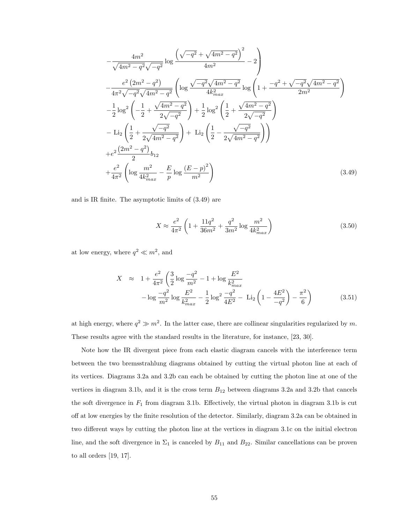$$
-\frac{4m^2}{\sqrt{4m^2 - q^2}\sqrt{-q^2}} \log \frac{\left(\sqrt{-q^2} + \sqrt{4m^2 - q^2}\right)^2}{4m^2} - 2
$$
\n
$$
-\frac{e^2\left(2m^2 - q^2\right)}{4\pi^2\sqrt{-q^2}\sqrt{4m^2 - q^2}} \left( \log \frac{\sqrt{-q^2}\sqrt{4m^2 - q^2}}{4k_{max}^2} \log \left(1 + \frac{-q^2 + \sqrt{-q^2}\sqrt{4m^2 - q^2}}{2m^2}\right) \right)
$$
\n
$$
-\frac{1}{2} \log^2 \left(-\frac{1}{2} + \frac{\sqrt{4m^2 - q^2}}{2\sqrt{-q^2}}\right) + \frac{1}{2} \log^2 \left(\frac{1}{2} + \frac{\sqrt{4m^2 - q^2}}{2\sqrt{-q^2}}\right)
$$
\n
$$
-\text{Li}_2 \left(\frac{1}{2} + \frac{\sqrt{-q^2}}{2\sqrt{4m^2 - q^2}}\right) + \text{Li}_2 \left(\frac{1}{2} - \frac{\sqrt{-q^2}}{2\sqrt{4m^2 - q^2}}\right) \right)
$$
\n
$$
+e^2 \frac{\left(2m^2 - q^2\right)}{2} b_{12}
$$
\n
$$
+\frac{e^2}{4\pi^2} \left( \log \frac{m^2}{4k_{max}^2} - \frac{E}{p} \log \frac{\left(E - p\right)^2}{m^2} \right) \tag{3.49}
$$

and is IR finite. The asymptotic limits of (3.49) are

$$
X \approx \frac{e^2}{4\pi^2} \left( 1 + \frac{11q^2}{36m^2} + \frac{q^2}{3m^2} \log \frac{m^2}{4k_{max}^2} \right)
$$
 (3.50)

at low energy, where  $q^2 \ll m^2$ , and

$$
X \approx 1 + \frac{e^2}{4\pi^2} \left( \frac{3}{2} \log \frac{-q^2}{m^2} - 1 + \log \frac{E^2}{k_{max}^2} - \log \frac{-q^2}{m^2} \log \frac{E^2}{k_{max}^2} - \frac{1}{2} \log^2 \frac{-q^2}{4E^2} - \text{Li}_2 \left( 1 - \frac{4E^2}{-q^2} \right) - \frac{\pi^2}{6} \right) \tag{3.51}
$$

at high energy, where  $q^2 \gg m^2$ . In the latter case, there are collinear singularities regularized by m. These results agree with the standard results in the literature, for instance, [23, 30].

Note how the IR divergent piece from each elastic diagram cancels with the interference term between the two bremsstrahlung diagrams obtained by cutting the virtual photon line at each of its vertices. Diagrams 3.2a and 3.2b can each be obtained by cutting the photon line at one of the vertices in diagram 3.1b, and it is the cross term  $B_{12}$  between diagrams 3.2a and 3.2b that cancels the soft divergence in  $F_1$  from diagram 3.1b. Effectively, the virtual photon in diagram 3.1b is cut off at low energies by the finite resolution of the detector. Similarly, diagram 3.2a can be obtained in two different ways by cutting the photon line at the vertices in diagram 3.1c on the initial electron line, and the soft divergence in  $\Sigma_1$  is canceled by  $B_{11}$  and  $B_{22}$ . Similar cancellations can be proven to all orders [19, 17].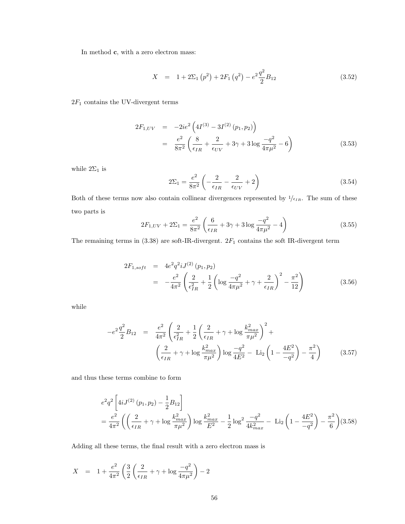In method c, with a zero electron mass:

$$
X = 1 + 2\Sigma_1 (p^2) + 2F_1 (q^2) - e^2 \frac{q^2}{2} B_{12}
$$
 (3.52)

 $2F_1$  contains the UV-divergent terms

$$
2F_{1,UV} = -2ie^2 \left(4I^{(3)} - 3I^{(2)} (p_1, p_2)\right)
$$
  
= 
$$
\frac{e^2}{8\pi^2} \left(\frac{8}{\epsilon_{IR}} + \frac{2}{\epsilon_{UV}} + 3\gamma + 3\log\frac{-q^2}{4\pi\mu^2} - 6\right)
$$
(3.53)

while  $2\Sigma_1$  is

$$
2\Sigma_1 = \frac{e^2}{8\pi^2} \left( -\frac{2}{\epsilon_{IR}} - \frac{2}{\epsilon_{UV}} + 2 \right) \tag{3.54}
$$

Both of these terms now also contain collinear divergences represented by  $1/\epsilon_{IR}$ . The sum of these two parts is

$$
2F_{1,UV} + 2\Sigma_1 = \frac{e^2}{8\pi^2} \left( \frac{6}{\epsilon_{IR}} + 3\gamma + 3\log\frac{-q^2}{4\pi\mu^2} - 4 \right)
$$
(3.55)

The remaining terms in  $(3.38)$  are soft-IR-divergent.  $2F_1$  contains the soft IR-divergent term

$$
2F_{1,soft} = 4e^2 q^2 i J^{(2)}(p_1, p_2)
$$
  
= 
$$
-\frac{e^2}{4\pi^2} \left(\frac{2}{\epsilon_{IR}^2} + \frac{1}{2} \left(\log \frac{-q^2}{4\pi \mu^2} + \gamma + \frac{2}{\epsilon_{IR}}\right)^2 - \frac{\pi^2}{12}\right)
$$
(3.56)

while

$$
-e^{2}\frac{q^{2}}{2}B_{12} = \frac{e^{2}}{4\pi^{2}}\left(\frac{2}{\epsilon_{IR}^{2}} + \frac{1}{2}\left(\frac{2}{\epsilon_{IR}} + \gamma + \log\frac{k_{max}^{2}}{\pi\mu^{2}}\right)^{2} + \left(\frac{2}{\epsilon_{IR}} + \gamma + \log\frac{k_{max}^{2}}{\pi\mu^{2}}\right)\log\frac{-q^{2}}{4E^{2}} - \text{Li}_{2}\left(1 - \frac{4E^{2}}{-q^{2}}\right) - \frac{\pi^{2}}{4}\right)
$$
(3.57)

and thus these terms combine to form

$$
e^{2}q^{2}\left[4iJ^{(2)}\left(p_{1},p_{2}\right)-\frac{1}{2}B_{12}\right]
$$
  
=  $\frac{e^{2}}{4\pi^{2}}\left(\left(\frac{2}{\epsilon_{IR}}+\gamma+\log\frac{k_{max}^{2}}{\pi\mu^{2}}\right)\log\frac{k_{max}^{2}}{E^{2}}-\frac{1}{2}\log^{2}\frac{-q^{2}}{4k_{max}^{2}}-\text{Li}_{2}\left(1-\frac{4E^{2}}{-q^{2}}\right)-\frac{\pi^{2}}{6}\right)(3.58)$ 

Adding all these terms, the final result with a zero electron mass is

$$
X = 1 + \frac{e^2}{4\pi^2} \left( \frac{3}{2} \left( \frac{2}{\epsilon_{IR}} + \gamma + \log \frac{-q^2}{4\pi\mu^2} \right) - 2 \right)
$$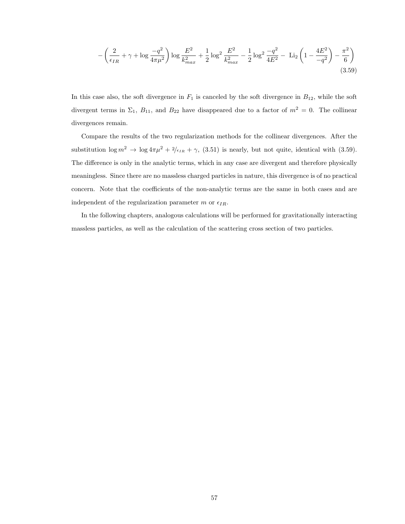$$
-\left(\frac{2}{\epsilon_{IR}} + \gamma + \log\frac{-q^2}{4\pi\mu^2}\right) \log\frac{E^2}{k_{max}^2} + \frac{1}{2}\log^2\frac{E^2}{k_{max}^2} - \frac{1}{2}\log^2\frac{-q^2}{4E^2} - \text{Li}_2\left(1 - \frac{4E^2}{-q^2}\right) - \frac{\pi^2}{6}\right)
$$
\n(3.59)

In this case also, the soft divergence in  $F_1$  is canceled by the soft divergence in  $B_{12}$ , while the soft divergent terms in  $\Sigma_1$ ,  $B_{11}$ , and  $B_{22}$  have disappeared due to a factor of  $m^2 = 0$ . The collinear divergences remain.

Compare the results of the two regularization methods for the collinear divergences. After the substitution  $\log m^2 \to \log 4\pi\mu^2 + 2\ell_{IR} + \gamma$ , (3.51) is nearly, but not quite, identical with (3.59). The difference is only in the analytic terms, which in any case are divergent and therefore physically meaningless. Since there are no massless charged particles in nature, this divergence is of no practical concern. Note that the coefficients of the non-analytic terms are the same in both cases and are independent of the regularization parameter m or  $\epsilon_{IR}$ .

In the following chapters, analogous calculations will be performed for gravitationally interacting massless particles, as well as the calculation of the scattering cross section of two particles.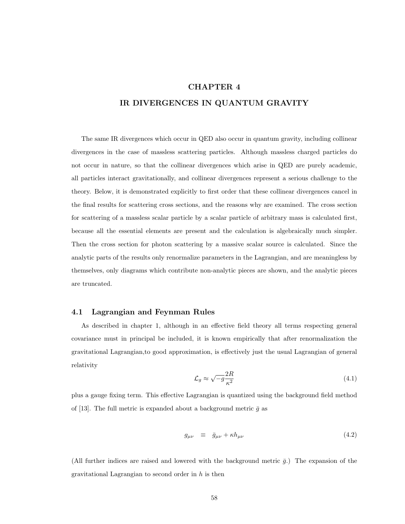# CHAPTER 4 IR DIVERGENCES IN QUANTUM GRAVITY

The same IR divergences which occur in QED also occur in quantum gravity, including collinear divergences in the case of massless scattering particles. Although massless charged particles do not occur in nature, so that the collinear divergences which arise in QED are purely academic, all particles interact gravitationally, and collinear divergences represent a serious challenge to the theory. Below, it is demonstrated explicitly to first order that these collinear divergences cancel in the final results for scattering cross sections, and the reasons why are examined. The cross section for scattering of a massless scalar particle by a scalar particle of arbitrary mass is calculated first, because all the essential elements are present and the calculation is algebraically much simpler. Then the cross section for photon scattering by a massive scalar source is calculated. Since the analytic parts of the results only renormalize parameters in the Lagrangian, and are meaningless by themselves, only diagrams which contribute non-analytic pieces are shown, and the analytic pieces are truncated.

## 4.1 Lagrangian and Feynman Rules

As described in chapter 1, although in an effective field theory all terms respecting general covariance must in principal be included, it is known empirically that after renormalization the gravitational Lagrangian,to good approximation, is effectively just the usual Lagrangian of general relativity

$$
\mathcal{L}_g \approx \sqrt{-g} \frac{2R}{\kappa^2} \tag{4.1}
$$

plus a gauge fixing term. This effective Lagrangian is quantized using the background field method of [13]. The full metric is expanded about a background metric  $\bar{g}$  as

$$
g_{\mu\nu} \equiv \bar{g}_{\mu\nu} + \kappa h_{\mu\nu} \tag{4.2}
$$

(All further indices are raised and lowered with the background metric  $\bar{q}$ .) The expansion of the gravitational Lagrangian to second order in  $h$  is then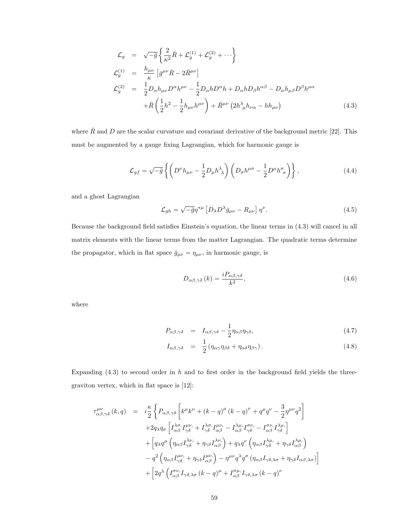$$
\mathcal{L}_{g} = \sqrt{-\bar{g}} \left\{ \frac{2}{\kappa^{2}} \bar{R} + \mathcal{L}_{g}^{(1)} + \mathcal{L}_{g}^{(2)} + \cdots \right\}
$$
\n
$$
\mathcal{L}_{g}^{(1)} = \frac{h_{\mu\nu}}{\kappa} \left[ \bar{g}^{\mu\nu} \bar{R} - 2 \bar{R}^{\mu\nu} \right]
$$
\n
$$
\mathcal{L}_{g}^{(2)} = \frac{1}{2} D_{\alpha} h_{\mu\nu} D^{\alpha} h^{\mu\nu} - \frac{1}{2} D_{\alpha} h D^{\alpha} h + D_{\alpha} h D_{\beta} h^{\alpha\beta} - D_{\alpha} h_{\mu\beta} D^{\beta} h^{\mu\alpha}
$$
\n
$$
+ \bar{R} \left( \frac{1}{2} h^{2} - \frac{1}{2} h_{\mu\nu} h^{\mu\nu} \right) + \bar{R}^{\mu\nu} \left( 2 h^{\lambda}_{\ \mu} h_{\nu\alpha} - h h_{\mu\nu} \right) \tag{4.3}
$$

where  $\bar{R}$  and D are the scalar curvature and covariant derivative of the background metric [22]. This must be augmented by a gauge fixing Lagrangian, which for harmonic gauge is

$$
\mathcal{L}_{gf} = \sqrt{-\bar{g}} \left\{ \left( D^{\nu} h_{\mu\nu} - \frac{1}{2} D_{\mu} h^{\lambda}{}_{\lambda} \right) \left( D_{\sigma} h^{\mu\sigma} - \frac{1}{2} D^{\mu} h^{\sigma}{}_{\sigma} \right) \right\},\tag{4.4}
$$

and a ghost Lagrangian

$$
\mathcal{L}_{gh} = \sqrt{-\bar{g}} \eta^{*\mu} \left[ D_{\lambda} D^{\lambda} \bar{g}_{\mu\nu} - R_{\mu\nu} \right] \eta^{\nu}.
$$
 (4.5)

Because the background field satisfies Einstein's equation, the linear terms in (4.3) will cancel in all matrix elements with the linear terms from the matter Lagrangian. The quadratic terms determine the propagator, which in flat space  $\bar{g}_{\mu\nu} = \eta_{\mu\nu}$ , in harmonic gauge, is

$$
D_{\alpha\beta,\gamma\delta}(k) = \frac{iP_{\alpha\beta,\gamma\delta}}{k^2},\tag{4.6}
$$

where

$$
P_{\alpha\beta,\gamma\delta} = I_{\alpha\beta,\gamma\delta} - \frac{1}{2} \eta_{\alpha\beta} \eta_{\gamma\delta}, \qquad (4.7)
$$

$$
I_{\alpha\beta,\gamma\delta} = \frac{1}{2} (\eta_{\alpha\gamma}\eta_{\beta\delta} + \eta_{\alpha\delta}\eta_{\beta\gamma}). \tag{4.8}
$$

Expanding  $(4.3)$  to second order in h and to first order in the background field yields the threegraviton vertex, which in flat space is [12]:

$$
\tau^{\mu\nu}_{\alpha\beta,\gamma\delta}(k,q) = i\frac{\kappa}{2} \left\{ P_{\alpha\beta,\gamma\delta} \left[ k^{\mu}k^{\nu} + (k-q)^{\mu} (k-q)^{\nu} + q^{\mu}q^{\nu} - \frac{3}{2}\eta^{\mu\nu}q^2 \right] \right.\n+ 2q_{\lambda}q_{\sigma} \left[ I_{\alpha\beta}^{\lambda\sigma}I_{\gamma\delta}^{\mu\nu} + I_{\gamma\delta}^{\lambda\sigma}I_{\alpha\beta}^{\mu\nu} - I_{\alpha\beta}^{\lambda\mu}I_{\gamma\delta}^{\sigma\nu} - I_{\alpha\beta}^{\sigma\nu}I_{\gamma\delta}^{\lambda\mu} \right] \n+ \left[ q_{\lambda}q^{\mu} \left( \eta_{\alpha\beta}I_{\gamma\delta}^{\lambda\nu} + \eta_{\gamma\delta}I_{\alpha\beta}^{\lambda\nu} \right) + q_{\lambda}q^{\nu} \left( \eta_{\alpha\beta}I_{\gamma\delta}^{\lambda\mu} + \eta_{\gamma\delta}I_{\alpha\beta}^{\lambda\mu} \right) \right] \n- q^{2} \left( \eta_{\alpha\beta}I_{\gamma\delta}^{\mu\nu} + \eta_{\gamma\delta}I_{\alpha\beta}^{\mu\nu} \right) - \eta^{\mu\nu}q^{\lambda}q^{\sigma} \left( \eta_{\alpha\beta}I_{\gamma\delta,\lambda\sigma} + \eta_{\gamma\delta}I_{\alpha\beta,\lambda\sigma} \right) \right] \n+ \left[ 2q^{\lambda} \left( I_{\alpha\beta}^{\sigma\nu}I_{\gamma\delta,\lambda\sigma}(k-q)^{\mu} + I_{\alpha\beta}^{\sigma\mu}I_{\gamma\delta,\lambda\sigma}(k-q)^{\nu} \right. \right)
$$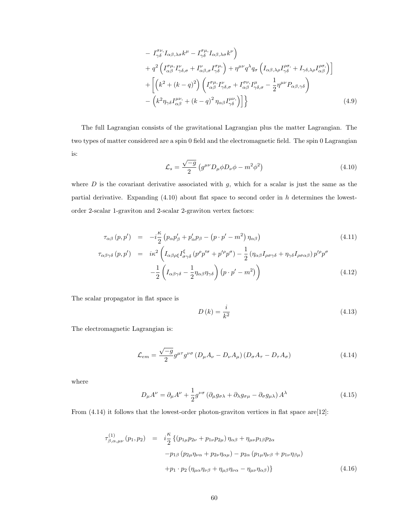$$
- I^{\sigma\nu}_{\gamma\delta} I_{\alpha\beta,\lambda\sigma} k^{\mu} - I^{\sigma\mu}_{\gamma\delta} I_{\alpha\beta,\lambda\sigma} k^{\nu} \Big)
$$
  
+  $q^{2} \left( I^{\sigma\mu}_{\alpha\beta} I^{\nu}_{\gamma\delta,\sigma} + I^{\nu}_{\alpha\beta,\sigma} I^{\sigma\mu}_{\gamma\delta} \right) + \eta^{\mu\nu} q^{\lambda} q_{\sigma} \left( I_{\alpha\beta,\lambda\rho} I^{\rho\sigma}_{\gamma\delta} + I_{\gamma\delta,\lambda\rho} I^{\rho\sigma}_{\alpha\beta} \right) \Big]$   
+  $\left[ \left( k^{2} + (k-q)^{2} \right) \left( I^{\sigma\mu}_{\alpha\beta} I^{\nu}_{\gamma\delta,\sigma} + I^{\sigma\nu}_{\alpha\beta} I^{\mu}_{\gamma\delta,\sigma} - \frac{1}{2} \eta^{\mu\nu} P_{\alpha\beta,\gamma\delta} \right) \right]$   
-  $\left( k^{2} \eta_{\gamma\delta} I^{\mu\nu}_{\alpha\beta} + (k-q)^{2} \eta_{\alpha\beta} I^{\mu\nu}_{\gamma\delta} \right) \Big] \Big\}$  (4.9)

The full Lagrangian consists of the gravitational Lagrangian plus the matter Lagrangian. The two types of matter considered are a spin 0 field and the electromagnetic field. The spin 0 Lagrangian is:

$$
\mathcal{L}_s = \frac{\sqrt{-g}}{2} \left( g^{\mu\nu} D_\mu \phi D_\nu \phi - m^2 \phi^2 \right) \tag{4.10}
$$

where  $D$  is the covariant derivative associated with  $g$ , which for a scalar is just the same as the partial derivative. Expanding  $(4.10)$  about flat space to second order in h determines the lowestorder 2-scalar 1-graviton and 2-scalar 2-graviton vertex factors:

$$
\tau_{\alpha\beta}(p, p') = -i\frac{\kappa}{2} \left( p_{\alpha} p'_{\beta} + p'_{\alpha} p_{\beta} - (p \cdot p' - m^2) \eta_{\alpha\beta} \right)
$$
\n
$$
\tau_{\alpha\beta\gamma\delta}(p, p') = i\kappa^2 \left( I_{\alpha\beta\rho\xi} I_{\sigma\gamma\delta}^{\xi} (p^{\rho} p'^{\sigma} + p'^{\rho} p^{\sigma}) - \frac{1}{2} \left( \eta_{\alpha\beta} I_{\rho\sigma\gamma\delta} + \eta_{\gamma\delta} I_{\rho\sigma\alpha\beta} \right) p'^{\rho} p^{\sigma} - \frac{1}{2} \left( I_{\alpha\beta\gamma\delta} - \frac{1}{2} \eta_{\alpha\beta} \eta_{\gamma\delta} \right) (p \cdot p' - m^2) \right)
$$
\n(4.12)

The scalar propagator in flat space is

$$
D\left(k\right) = \frac{i}{k^2} \tag{4.13}
$$

The electromagnetic Lagrangian is:

$$
\mathcal{L}_{em} = \frac{\sqrt{-g}}{2} g^{\mu\tau} g^{\nu\sigma} \left( D_{\mu} A_{\nu} - D_{\nu} A_{\mu} \right) \left( D_{\sigma} A_{\tau} - D_{\tau} A_{\sigma} \right) \tag{4.14}
$$

where

$$
D_{\mu}A^{\nu} = \partial_{\mu}A^{\nu} + \frac{1}{2}g^{\nu\sigma} \left(\partial_{\mu}g_{\sigma\lambda} + \partial_{\lambda}g_{\sigma\mu} - \partial_{\sigma}g_{\mu\lambda}\right)A^{\lambda}
$$
(4.15)

From  $(4.14)$  it follows that the lowest-order photon-graviton vertices in flat space are [12]:

$$
\tau_{\beta,\alpha,\mu\nu}^{(1)}(p_1, p_2) = i\frac{\kappa}{2} \{ (p_{1\mu}p_{2\nu} + p_{1\nu}p_{2\mu}) \eta_{\alpha\beta} + \eta_{\mu\nu}p_{1\beta}p_{2\alpha} \n- p_{1\beta} (p_{2\mu}\eta_{\nu\alpha} + p_{2\nu}\eta_{\alpha\mu}) - p_{2\alpha} (p_{1\mu}\eta_{\nu\beta} + p_{1\nu}\eta_{\beta\mu}) \n+ p_1 \cdot p_2 (\eta_{\mu\alpha}\eta_{\nu\beta} + \eta_{\mu\beta}\eta_{\nu\alpha} - \eta_{\mu\nu}\eta_{\alpha\beta}) \}
$$
\n(4.16)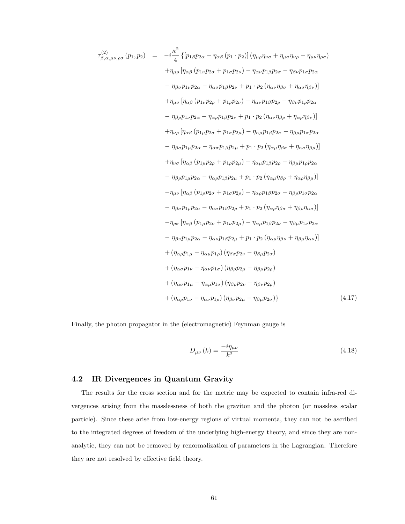$$
\tau_{\beta,\alpha,\mu\nu,\rho\sigma}^{(2)}(p_{1},p_{2}) = -i\frac{\kappa^{2}}{4} \{ [p_{1\beta}p_{2\alpha} - \eta_{\alpha\beta}(p_{1} \cdot p_{2})] (\eta_{\mu\rho}\eta_{\nu\sigma} + \eta_{\mu\sigma}\eta_{\nu\rho} - \eta_{\mu\nu}\eta_{\rho\sigma})
$$
  
\n
$$
+ \eta_{\mu\rho} [\eta_{\alpha\beta}(p_{1\nu}p_{2\sigma} + p_{1\sigma}p_{2\nu}) - \eta_{\alpha\nu}p_{1\beta}p_{2\sigma} - \eta_{\beta\nu}p_{1\sigma}p_{2\alpha}
$$
  
\n
$$
- \eta_{\beta\sigma}p_{1\nu}p_{2\alpha} - \eta_{\alpha\sigma}p_{1\beta}p_{2\nu} + p_{1} \cdot p_{2} (\eta_{\alpha\nu}\eta_{\beta\sigma} + \eta_{\alpha\sigma}\eta_{\beta\nu})]
$$
  
\n
$$
+ \eta_{\mu\sigma} [\eta_{\alpha\beta}(p_{1\nu}p_{2\rho} + p_{1\sigma}p_{2\nu}) - \eta_{\alpha\nu}p_{1\beta}p_{2\rho} - \eta_{\beta\nu}p_{1\rho}p_{2\alpha}
$$
  
\n
$$
- \eta_{\beta\rho}p_{1\nu}p_{2\alpha} - \eta_{\alpha\rho}p_{1\beta}p_{2\nu} + p_{1} \cdot p_{2} (\eta_{\alpha\nu}\eta_{\beta\rho} + \eta_{\alpha\rho}\eta_{\beta\nu})]
$$
  
\n
$$
+ \eta_{\nu\rho} [\eta_{\alpha\beta}(p_{1\mu}p_{2\sigma} + p_{1\sigma}p_{2\mu}) - \eta_{\alpha\mu}p_{1\beta}p_{2\sigma} - \eta_{\beta\mu}p_{1\sigma}p_{2\alpha}
$$
  
\n
$$
- \eta_{\beta\sigma}p_{1\mu}p_{2\alpha} - \eta_{\alpha\sigma}p_{1\beta}p_{2\mu} + p_{1} \cdot p_{2} (\eta_{\alpha\mu}\eta_{\beta\sigma} + \eta_{\alpha\sigma}\eta_{\beta\mu})]
$$
  
\n
$$
+ \eta_{\nu\sigma} [\eta_{\alpha\beta}(p_{1\mu}p_{2\rho} + p_{1\sigma}p_{2\mu}) - \eta_{\alpha\mu
$$

Finally, the photon propagator in the (electromagnetic) Feynman gauge is

$$
D_{\mu\nu}(k) = \frac{-i\eta_{\mu\nu}}{k^2} \tag{4.18}
$$

## 4.2 IR Divergences in Quantum Gravity

The results for the cross section and for the metric may be expected to contain infra-red divergences arising from the masslessness of both the graviton and the photon (or massless scalar particle). Since these arise from low-energy regions of virtual momenta, they can not be ascribed to the integrated degrees of freedom of the underlying high-energy theory, and since they are nonanalytic, they can not be removed by renormalization of parameters in the Lagrangian. Therefore they are not resolved by effective field theory.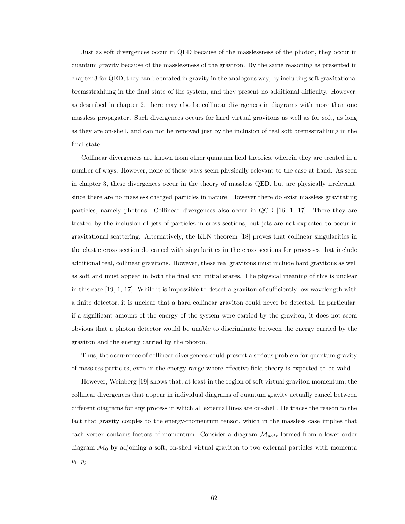Just as soft divergences occur in QED because of the masslessness of the photon, they occur in quantum gravity because of the masslessness of the graviton. By the same reasoning as presented in chapter 3 for QED, they can be treated in gravity in the analogous way, by including soft gravitational bremsstrahlung in the final state of the system, and they present no additional difficulty. However, as described in chapter 2, there may also be collinear divergences in diagrams with more than one massless propagator. Such divergences occurs for hard virtual gravitons as well as for soft, as long as they are on-shell, and can not be removed just by the inclusion of real soft bremsstrahlung in the final state.

Collinear divergences are known from other quantum field theories, wherein they are treated in a number of ways. However, none of these ways seem physically relevant to the case at hand. As seen in chapter 3, these divergences occur in the theory of massless QED, but are physically irrelevant, since there are no massless charged particles in nature. However there do exist massless gravitating particles, namely photons. Collinear divergences also occur in QCD [16, 1, 17]. There they are treated by the inclusion of jets of particles in cross sections, but jets are not expected to occur in gravitational scattering. Alternatively, the KLN theorem [18] proves that collinear singularities in the elastic cross section do cancel with singularities in the cross sections for processes that include additional real, collinear gravitons. However, these real gravitons must include hard gravitons as well as soft and must appear in both the final and initial states. The physical meaning of this is unclear in this case [19, 1, 17]. While it is impossible to detect a graviton of sufficiently low wavelength with a finite detector, it is unclear that a hard collinear graviton could never be detected. In particular, if a significant amount of the energy of the system were carried by the graviton, it does not seem obvious that a photon detector would be unable to discriminate between the energy carried by the graviton and the energy carried by the photon.

Thus, the occurrence of collinear divergences could present a serious problem for quantum gravity of massless particles, even in the energy range where effective field theory is expected to be valid.

However, Weinberg [19] shows that, at least in the region of soft virtual graviton momentum, the collinear divergences that appear in individual diagrams of quantum gravity actually cancel between different diagrams for any process in which all external lines are on-shell. He traces the reason to the fact that gravity couples to the energy-momentum tensor, which in the massless case implies that each vertex contains factors of momentum. Consider a diagram  $\mathcal{M}_{soft}$  formed from a lower order diagram  $\mathcal{M}_0$  by adjoining a soft, on-shell virtual graviton to two external particles with momenta  $p_i, p_j$ :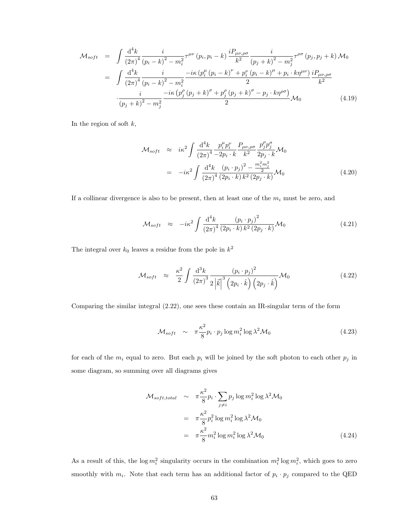$$
\mathcal{M}_{soft} = \int \frac{d^4 k}{(2\pi)^4} \frac{i}{(p_i - k)^2 - m_i^2} \tau^{\mu\nu} (p_i, p_i - k) \frac{i P_{\mu\nu,\rho\sigma}}{k^2} \frac{i}{(p_j + k)^2 - m_j^2} \tau^{\rho\sigma} (p_j, p_j + k) \mathcal{M}_0
$$
  
\n
$$
= \int \frac{d^4 k}{(2\pi)^4} \frac{i}{(p_i - k)^2 - m_i^2} \frac{-i\kappa (p_i^{\mu} (p_i - k)^{\nu} + p_i^{\nu} (p_i - k)^{\mu} + p_i \cdot k\eta^{\mu\nu})}{2} \frac{i P_{\mu\nu,\rho\sigma}}{k^2}
$$
  
\n
$$
\frac{i}{(p_j + k)^2 - m_j^2} \frac{-i\kappa (p_j^{\rho} (p_j + k)^{\sigma} + p_j^{\rho} (p_j + k)^{\sigma} - p_j \cdot k\eta^{\rho\sigma})}{2} \mathcal{M}_0
$$
(4.19)

In the region of soft  $k$ ,

$$
\mathcal{M}_{soft} \approx i\kappa^{2} \int \frac{\mathrm{d}^{4}k}{(2\pi)^{4}} \frac{p_{i}^{\mu}p_{i}^{\nu}}{-2p_{i} \cdot k} \frac{P_{\mu\nu,\rho\sigma}}{k^{2}} \frac{p_{j}^{\rho}p_{j}^{\sigma}}{2p_{j} \cdot k} \mathcal{M}_{0}
$$

$$
= -i\kappa^{2} \int \frac{\mathrm{d}^{4}k}{(2\pi)^{4}} \frac{(p_{i} \cdot p_{j})^{2} - \frac{m_{i}^{2}m_{j}^{2}}{2}}{(2p_{i} \cdot k) k^{2} (2p_{j} \cdot k)} \mathcal{M}_{0}
$$
(4.20)

If a collinear divergence is also to be present, then at least one of the  $m_i$  must be zero, and

$$
\mathcal{M}_{soft} \approx -i\kappa^2 \int \frac{\mathrm{d}^4 k}{\left(2\pi\right)^4} \frac{\left(p_i \cdot p_j\right)^2}{\left(2p_i \cdot k\right) k^2 \left(2p_j \cdot k\right)} \mathcal{M}_0 \tag{4.21}
$$

The integral over  $k_0$  leaves a residue from the pole in  $k^2$ 

$$
\mathcal{M}_{soft} \approx \frac{\kappa^2}{2} \int \frac{\mathrm{d}^3 k}{\left(2\pi\right)^3} \frac{\left(p_i \cdot p_j\right)^2}{2\left|\vec{k}\right|^3 \left(2p_i \cdot \hat{k}\right) \left(2p_j \cdot \hat{k}\right)} \mathcal{M}_0 \tag{4.22}
$$

Comparing the similar integral (2.22), one sees these contain an IR-singular term of the form

$$
\mathcal{M}_{soft} \sim \pi \frac{\kappa^2}{8} p_i \cdot p_j \log m_i^2 \log \lambda^2 \mathcal{M}_0 \tag{4.23}
$$

for each of the  $m_i$  equal to zero. But each  $p_i$  will be joined by the soft photon to each other  $p_j$  in some diagram, so summing over all diagrams gives

$$
\mathcal{M}_{soft,total} \sim \pi \frac{\kappa^2}{8} p_i \cdot \sum_{j \neq i} p_j \log m_i^2 \log \lambda^2 \mathcal{M}_0
$$
  

$$
= \pi \frac{\kappa^2}{8} p_i^2 \log m_i^2 \log \lambda^2 \mathcal{M}_0
$$
  

$$
= \pi \frac{\kappa^2}{8} m_i^2 \log m_i^2 \log \lambda^2 \mathcal{M}_0
$$
(4.24)

As a result of this, the  $\log m_i^2$  singularity occurs in the combination  $m_i^2 \log m_i^2$ , which goes to zero smoothly with  $m_i$ . Note that each term has an additional factor of  $p_i \cdot p_j$  compared to the QED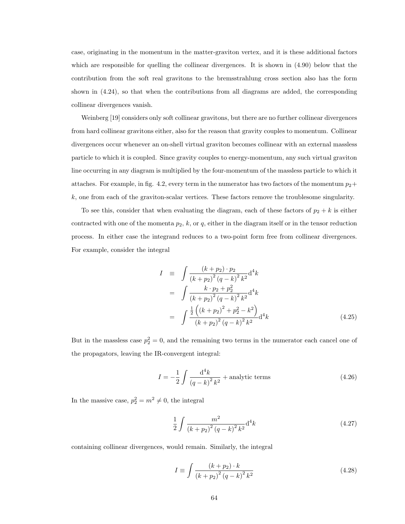case, originating in the momentum in the matter-graviton vertex, and it is these additional factors which are responsible for quelling the collinear divergences. It is shown in (4.90) below that the contribution from the soft real gravitons to the bremsstrahlung cross section also has the form shown in (4.24), so that when the contributions from all diagrams are added, the corresponding collinear divergences vanish.

Weinberg [19] considers only soft collinear gravitons, but there are no further collinear divergences from hard collinear gravitons either, also for the reason that gravity couples to momentum. Collinear divergences occur whenever an on-shell virtual graviton becomes collinear with an external massless particle to which it is coupled. Since gravity couples to energy-momentum, any such virtual graviton line occurring in any diagram is multiplied by the four-momentum of the massless particle to which it attaches. For example, in fig. 4.2, every term in the numerator has two factors of the momentum  $p_2+$ k, one from each of the graviton-scalar vertices. These factors remove the troublesome singularity.

To see this, consider that when evaluating the diagram, each of these factors of  $p_2 + k$  is either contracted with one of the momenta  $p_2$ , k, or q, either in the diagram itself or in the tensor reduction process. In either case the integrand reduces to a two-point form free from collinear divergences. For example, consider the integral

$$
I = \int \frac{(k+p_2) \cdot p_2}{(k+p_2)^2 (q-k)^2 k^2} d^4k
$$
  
= 
$$
\int \frac{k \cdot p_2 + p_2^2}{(k+p_2)^2 (q-k)^2 k^2} d^4k
$$
  
= 
$$
\int \frac{\frac{1}{2} ((k+p_2)^2 + p_2^2 - k^2)}{(k+p_2)^2 (q-k)^2 k^2} d^4k
$$
(4.25)

But in the massless case  $p_2^2 = 0$ , and the remaining two terms in the numerator each cancel one of the propagators, leaving the IR-convergent integral:

$$
I = -\frac{1}{2} \int \frac{\mathrm{d}^4 k}{\left(q - k\right)^2 k^2} + \text{analytic terms} \tag{4.26}
$$

In the massive case,  $p_2^2 = m^2 \neq 0$ , the integral

$$
\frac{1}{2} \int \frac{m^2}{\left(k + p_2\right)^2 \left(q - k\right)^2 k^2} \mathrm{d}^4 k \tag{4.27}
$$

containing collinear divergences, would remain. Similarly, the integral

$$
I \equiv \int \frac{(k+p_2) \cdot k}{(k+p_2)^2 (q-k)^2 k^2}
$$
 (4.28)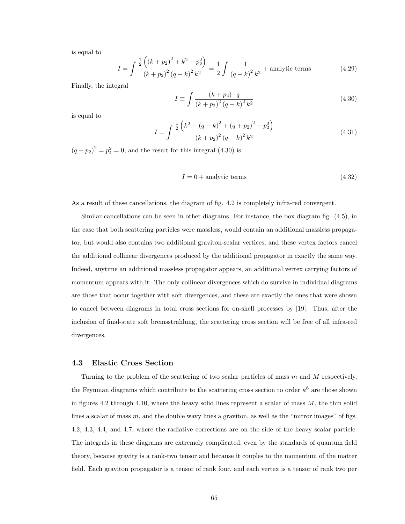is equal to

$$
I = \int \frac{\frac{1}{2} \left( (k + p_2)^2 + k^2 - p_2^2 \right)}{(k + p_2)^2 (q - k)^2 k^2} = \frac{1}{2} \int \frac{1}{(q - k)^2 k^2} + \text{analytic terms}
$$
 (4.29)

Finally, the integral

$$
I \equiv \int \frac{(k+p_2) \cdot q}{(k+p_2)^2 (q-k)^2 k^2} \tag{4.30}
$$

is equal to

$$
I = \int \frac{\frac{1}{2} \left( k^2 - (q - k)^2 + (q + p_2)^2 - p_2^2 \right)}{(k + p_2)^2 (q - k)^2 k^2}
$$
(4.31)

 $(q+p_2)^2 = p_4^2 = 0$ , and the result for this integral (4.30) is

$$
I = 0 + \text{analytic terms} \tag{4.32}
$$

As a result of these cancellations, the diagram of fig. 4.2 is completely infra-red convergent.

Similar cancellations can be seen in other diagrams. For instance, the box diagram fig. (4.5), in the case that both scattering particles were massless, would contain an additional massless propagator, but would also contains two additional graviton-scalar vertices, and these vertex factors cancel the additional collinear divergences produced by the additional propagator in exactly the same way. Indeed, anytime an additional massless propagator appears, an additional vertex carrying factors of momentum appears with it. The only collinear divergences which do survive in individual diagrams are those that occur together with soft divergences, and these are exactly the ones that were shown to cancel between diagrams in total cross sections for on-shell processes by [19]. Thus, after the inclusion of final-state soft bremsstrahlung, the scattering cross section will be free of all infra-red divergences.

#### 4.3 Elastic Cross Section

Turning to the problem of the scattering of two scalar particles of mass m and M respectively, the Feynman diagrams which contribute to the scattering cross section to order  $\kappa^6$  are those shown in figures 4.2 through 4.10, where the heavy solid lines represent a scalar of mass  $M$ , the thin solid lines a scalar of mass  $m$ , and the double wavy lines a graviton, as well as the "mirror images" of figs. 4.2, 4.3, 4.4, and 4.7, where the radiative corrections are on the side of the heavy scalar particle. The integrals in these diagrams are extremely complicated, even by the standards of quantum field theory, because gravity is a rank-two tensor and because it couples to the momentum of the matter field. Each graviton propagator is a tensor of rank four, and each vertex is a tensor of rank two per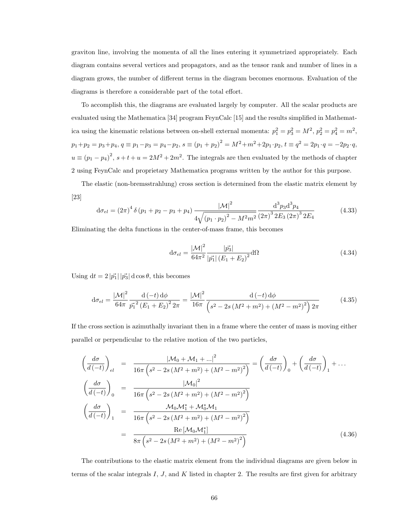graviton line, involving the momenta of all the lines entering it symmetrized appropriately. Each diagram contains several vertices and propagators, and as the tensor rank and number of lines in a diagram grows, the number of different terms in the diagram becomes enormous. Evaluation of the diagrams is therefore a considerable part of the total effort.

To accomplish this, the diagrams are evaluated largely by computer. All the scalar products are evaluated using the Mathematica [34] program FeynCalc [15] and the results simplified in Mathematica using the kinematic relations between on-shell external momenta:  $p_1^2 = p_3^2 = M^2$ ,  $p_2^2 = p_4^2 = m^2$ ,  $p_1+p_2 = p_3+p_4$ ,  $q \equiv p_1-p_3 = p_4-p_2$ ,  $s \equiv (p_1+p_2)^2 = M^2+m^2+2p_1 \cdot p_2$ ,  $t \equiv q^2 = 2p_1 \cdot q = -2p_2 \cdot q$ ,  $u \equiv (p_1 - p_4)^2$ ,  $s + t + u = 2M^2 + 2m^2$ . The integrals are then evaluated by the methods of chapter 2 using FeynCalc and proprietary Mathematica programs written by the author for this purpose.

The elastic (non-bremsstrahlung) cross section is determined from the elastic matrix element by [23]

$$
d\sigma_{el} = (2\pi)^4 \delta (p_1 + p_2 - p_3 + p_4) \frac{|\mathcal{M}|^2}{4\sqrt{(p_1 \cdot p_2)^2 - M^2 m^2}} \frac{d^3 p_3 d^3 p_4}{(2\pi)^3 2E_3 (2\pi)^3 2E_4}
$$
(4.33)

Eliminating the delta functions in the center-of-mass frame, this becomes

$$
d\sigma_{el} = \frac{|\mathcal{M}|^2}{64\pi^2} \frac{|\vec{p_3}|}{|\vec{p_1}| (E_1 + E_2)^2} d\Omega
$$
 (4.34)

Using  $dt = 2 |\vec{p_1}| |\vec{p_3}| d \cos \theta$ , this becomes

$$
d\sigma_{el} = \frac{|\mathcal{M}|^2}{64\pi} \frac{d(-t) d\phi}{\vec{p_1}^2 (E_1 + E_2)^2 2\pi} = \frac{|\mathcal{M}|^2}{16\pi} \frac{d(-t) d\phi}{\left(s^2 - 2s(M^2 + m^2) + (M^2 - m^2)^2\right) 2\pi}
$$
(4.35)

If the cross section is azimuthally invariant then in a frame where the center of mass is moving either parallel or perpendicular to the relative motion of the two particles,

$$
\left(\frac{d\sigma}{d(-t)}\right)_{el} = \frac{|\mathcal{M}_0 + \mathcal{M}_1 + ...|^2}{16\pi \left(s^2 - 2s\left(M^2 + m^2\right) + \left(M^2 - m^2\right)^2\right)} = \left(\frac{d\sigma}{d(-t)}\right)_0 + \left(\frac{d\sigma}{d(-t)}\right)_1 + ...
$$
\n
$$
\left(\frac{d\sigma}{d(-t)}\right)_0 = \frac{|\mathcal{M}_0|^2}{16\pi \left(s^2 - 2s\left(M^2 + m^2\right) + \left(M^2 - m^2\right)^2\right)}
$$
\n
$$
\left(\frac{d\sigma}{d(-t)}\right)_1 = \frac{\mathcal{M}_0 \mathcal{M}_1^* + \mathcal{M}_0^* \mathcal{M}_1}{16\pi \left(s^2 - 2s\left(M^2 + m^2\right) + \left(M^2 - m^2\right)^2\right)}
$$
\n
$$
= \frac{\text{Re} \left[\mathcal{M}_0 \mathcal{M}_1^*\right]}{8\pi \left(s^2 - 2s\left(M^2 + m^2\right) + \left(M^2 - m^2\right)^2\right)}
$$
\n(4.36)

The contributions to the elastic matrix element from the individual diagrams are given below in terms of the scalar integrals  $I, J$ , and  $K$  listed in chapter 2. The results are first given for arbitrary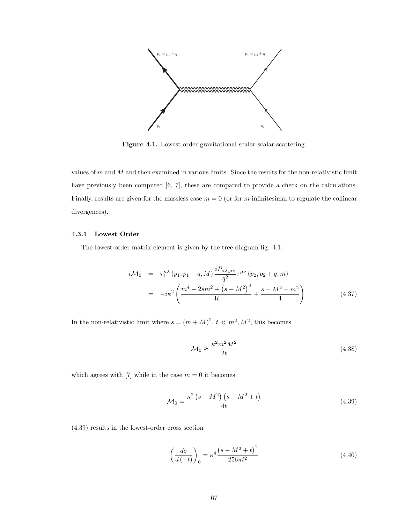

Figure 4.1. Lowest order gravitational scalar-scalar scattering.

values of  $m$  and  $M$  and then examined in various limits. Since the results for the non-relativistic limit have previously been computed [6, 7], these are compared to provide a check on the calculations. Finally, results are given for the massless case  $m = 0$  (or for m infinitesimal to regulate the collinear divergences).

### 4.3.1 Lowest Order

The lowest order matrix element is given by the tree diagram fig. 4.1:

$$
-i\mathcal{M}_0 = \tau_1^{\kappa\lambda} (p_1, p_1 - q, M) \frac{i P_{\kappa\lambda,\mu\nu}}{q^2} \tau^{\mu\nu} (p_2, p_2 + q, m)
$$
  

$$
= -i\kappa^2 \left( \frac{m^4 - 2sm^2 + (s - M^2)^2}{4t} + \frac{s - M^2 - m^2}{4} \right)
$$
(4.37)

In the non-relativistic limit where  $s = (m + M)^2$ ,  $t \ll m^2$ ,  $M^2$ , this becomes

$$
\mathcal{M}_0 \approx \frac{\kappa^2 m^2 M^2}{2t} \tag{4.38}
$$

which agrees with [7] while in the case  $m = 0$  it becomes

$$
\mathcal{M}_0 = \frac{\kappa^2 \left(s - M^2\right) \left(s - M^2 + t\right)}{4t} \tag{4.39}
$$

(4.39) results in the lowest-order cross section

$$
\left(\frac{d\sigma}{d\left(-t\right)}\right)_0 = \kappa^4 \frac{\left(s - M^2 + t\right)^2}{256\pi t^2} \tag{4.40}
$$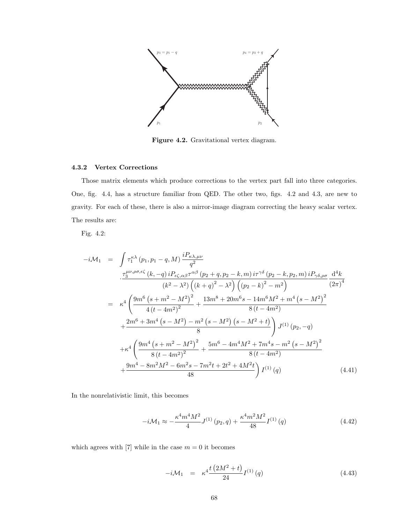

Figure 4.2. Gravitational vertex diagram.

### 4.3.2 Vertex Corrections

Those matrix elements which produce corrections to the vertex part fall into three categories. One, fig. 4.4, has a structure familiar from QED. The other two, figs. 4.2 and 4.3, are new to gravity. For each of these, there is also a mirror-image diagram correcting the heavy scalar vertex. The results are:

Fig. 4.2:

$$
-i\mathcal{M}_{1} = \int \tau_{1}^{\kappa\lambda} (p_{1}, p_{1} - q, M) \frac{iP_{\kappa\lambda,\mu\nu}}{q^{2}}
$$
  

$$
\frac{\tau_{3}^{\mu\nu,\rho\sigma,\epsilon\zeta} (k, -q) iP_{\epsilon\zeta,\alpha\beta}\tau^{\alpha\beta} (p_{2} + q, p_{2} - k, m) i\tau^{\gamma\delta} (p_{2} - k, p_{2}, m) iP_{\gamma\delta,\rho\sigma}}{(k^{2} - \lambda^{2}) \left( (k + q)^{2} - \lambda^{2} \right) \left( (p_{2} - k)^{2} - m^{2} \right)} \frac{d^{4}k}{(2\pi)^{4}}
$$
  

$$
= \kappa^{4} \left( \frac{9m^{6} (s + m^{2} - M^{2})^{2}}{4 (t - 4m^{2})^{2}} + \frac{13m^{8} + 20m^{6} s - 14m^{6} M^{2} + m^{4} (s - M^{2})^{2}}{8 (t - 4m^{2})} + \frac{2m^{6} + 3m^{4} (s - M^{2}) - m^{2} (s - M^{2}) (s - M^{2} + t)}{8} \right) J^{(1)} (p_{2}, -q)
$$
  

$$
+ \kappa^{4} \left( \frac{9m^{4} (s + m^{2} - M^{2})^{2}}{8 (t - 4m^{2})^{2}} + \frac{5m^{6} - 4m^{4} M^{2} + 7m^{4} s - m^{2} (s - M^{2})^{2}}{8 (t - 4m^{2})} + \frac{9m^{4} - 8m^{2} M^{2} - 6m^{2} s - 7m^{2} t + 2t^{2} + 4M^{2} t}{48} \right) I^{(1)} (q)
$$
(4.41)

In the nonrelativistic limit, this becomes

$$
-i\mathcal{M}_1 \approx -\frac{\kappa^4 m^4 M^2}{4} J^{(1)}\left(p_2, q\right) + \frac{\kappa^4 m^2 M^2}{48} I^{(1)}\left(q\right) \tag{4.42}
$$

which agrees with [7] while in the case  $m = 0$  it becomes

$$
-i\mathcal{M}_1 = \kappa^4 \frac{t(2M^2 + t)}{24} I^{(1)}(q) \tag{4.43}
$$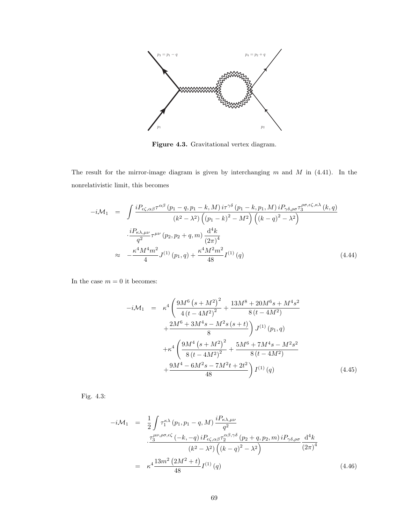

Figure 4.3. Gravitational vertex diagram.

The result for the mirror-image diagram is given by interchanging  $m$  and  $M$  in (4.41). In the nonrelativistic limit, this becomes

$$
-i\mathcal{M}_{1} = \int \frac{iP_{\epsilon\zeta,\alpha\beta}\tau^{\alpha\beta}(p_{1}-q,p_{1}-k,M) i\tau^{\gamma\delta}(p_{1}-k,p_{1},M) iP_{\gamma\delta,\rho\sigma}\tau_{3}^{\rho\sigma,\epsilon\zeta,\kappa\lambda}(k,q)}{(k^{2}-\lambda^{2})\left((p_{1}-k)^{2}-M^{2}\right)\left((k-q)^{2}-\lambda^{2}\right)}
$$

$$
\frac{iP_{\kappa\lambda,\mu\nu}}{q^{2}}\tau^{\mu\nu}(p_{2},p_{2}+q,m)\frac{d^{4}k}{(2\pi)^{4}}
$$

$$
\approx -\frac{\kappa^{4}M^{4}m^{2}}{4}J^{(1)}(p_{1},q)+\frac{\kappa^{4}M^{2}m^{2}}{48}I^{(1)}(q)
$$
(4.44)

In the case  $m = 0$  it becomes:

$$
-i\mathcal{M}_1 = \kappa^4 \left( \frac{9M^6 (s + M^2)^2}{4 (t - 4M^2)^2} + \frac{13M^8 + 20M^6 s + M^4 s^2}{8 (t - 4M^2)} + \frac{2M^6 + 3M^4 s - M^2 s (s + t)}{8} \right) J^{(1)}(p_1, q) + \kappa^4 \left( \frac{9M^4 (s + M^2)^2}{8 (t - 4M^2)^2} + \frac{5M^6 + 7M^4 s - M^2 s^2}{8 (t - 4M^2)} + \frac{9M^4 - 6M^2 s - 7M^2 t + 2t^2}{48} \right) I^{(1)}(q) \tag{4.45}
$$

Fig. 4.3:

$$
-i\mathcal{M}_{1} = \frac{1}{2} \int \tau_{1}^{\kappa\lambda} (p_{1}, p_{1} - q, M) \frac{iP_{\kappa\lambda,\mu\nu}}{q^{2}}
$$

$$
\frac{\tau_{3}^{\mu\nu,\rho\sigma,\epsilon\zeta} (-k, -q) iP_{\epsilon\zeta,\alpha\beta} \tau_{2}^{\alpha\beta,\gamma\delta} (p_{2} + q, p_{2}, m) iP_{\gamma\delta,\rho\sigma}}{(k^{2} - \lambda^{2}) \left( (k - q)^{2} - \lambda^{2} \right)}
$$

$$
= \kappa^{4} \frac{13m^{2} (2M^{2} + t)}{48} I^{(1)}(q)
$$
(4.46)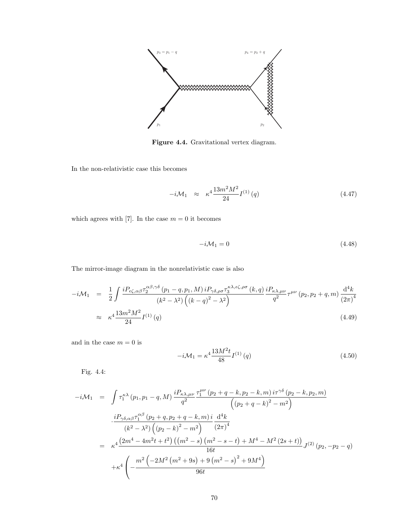

Figure 4.4. Gravitational vertex diagram.

In the non-relativistic case this becomes

$$
-i\mathcal{M}_1 \approx \kappa^4 \frac{13m^2 M^2}{24} I^{(1)}(q) \tag{4.47}
$$

which agrees with [7]. In the case  $m = 0$  it becomes

$$
-i\mathcal{M}_1 = 0\tag{4.48}
$$

The mirror-image diagram in the nonrelativistic case is also

$$
-i\mathcal{M}_1 = \frac{1}{2} \int \frac{i P_{\epsilon\zeta,\alpha\beta} \tau_2^{\alpha\beta,\gamma\delta} (p_1 - q, p_1, M) i P_{\gamma\delta,\rho\sigma} \tau_3^{\kappa\lambda,\epsilon\zeta,\rho\sigma} (k, q) i P_{\kappa\lambda,\mu\nu} \tau^{\mu\nu} (p_2, p_2 + q, m) \frac{d^4 k}{(2\pi)^4}
$$
  

$$
\approx \kappa^4 \frac{13m^2 M^2}{24} I^{(1)}(q)
$$
(4.49)

and in the case  $m = 0$  is

$$
-i\mathcal{M}_1 = \kappa^4 \frac{13M^2 t}{48} I^{(1)}(q)
$$
\n(4.50)

Fig. 4.4:

$$
-i\mathcal{M}_{1} = \int \tau_{1}^{\kappa\lambda} (p_{1}, p_{1} - q, M) \frac{iP_{\kappa\lambda,\mu\nu}}{q^{2}} \frac{\tau_{1}^{\mu\nu} (p_{2} + q - k, p_{2} - k, m) i\tau^{\gamma\delta} (p_{2} - k, p_{2}, m)}{(p_{2} + q - k)^{2} - m^{2}} \n\frac{iP_{\gamma\delta,\alpha\beta}\tau_{1}^{\alpha\beta} (p_{2} + q, p_{2} + q - k, m) i d^{4}k}{(k^{2} - \lambda^{2}) ((p_{2} - k)^{2} - m^{2})} \frac{d^{4}k}{(2\pi)^{4}} \n= \kappa^{4} \frac{(2m^{4} - 4m^{2}t + t^{2}) ((m^{2} - s) (m^{2} - s - t) + M^{4} - M^{2} (2s + t))}{16t} J^{(2)} (p_{2}, -p_{2} - q) \n+ \kappa^{4} \left( -\frac{m^{2} (-2M^{2} (m^{2} + 9s) + 9 (m^{2} - s)^{2} + 9M^{4})}{96t} \right)
$$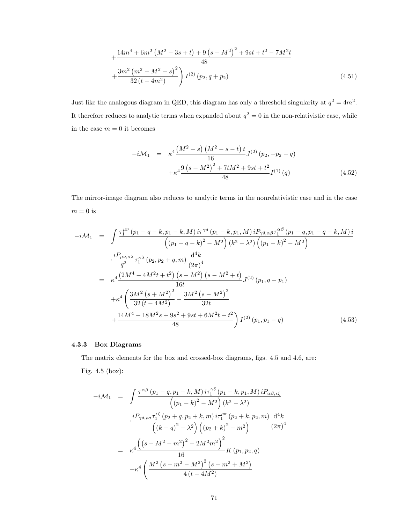$$
+\frac{14m^4 + 6m^2 \left(M^2 - 3s + t\right) + 9\left(s - M^2\right)^2 + 9st + t^2 - 7M^2t}{48} + \frac{3m^2 \left(m^2 - M^2 + s\right)^2}{32\left(t - 4m^2\right)} I^{(2)}\left(p_2, q + p_2\right)
$$
(4.51)

Just like the analogous diagram in QED, this diagram has only a threshold singularity at  $q^2 = 4m^2$ . It therefore reduces to analytic terms when expanded about  $q^2 = 0$  in the non-relativistic case, while in the case  $m = 0$  it becomes

$$
-i\mathcal{M}_1 = \kappa^4 \frac{\left(M^2 - s\right)\left(M^2 - s - t\right)t}{16} J^{(2)}\left(p_2, -p_2 - q\right) + \kappa^4 \frac{9\left(s - M^2\right)^2 + 7tM^2 + 9st + t^2}{48} I^{(1)}\left(q\right) \tag{4.52}
$$

The mirror-image diagram also reduces to analytic terms in the nonrelativistic case and in the case  $m=0$  is

$$
-i\mathcal{M}_{1} = \int \frac{\tau_{1}^{\mu\nu} (p_{1} - q - k, p_{1} - k, M) i\tau^{\gamma\delta} (p_{1} - k, p_{1}, M) i P_{\gamma\delta,\alpha\beta} \tau_{1}^{\alpha\beta} (p_{1} - q, p_{1} - q - k, M) i}{\left( (p_{1} - q - k)^{2} - M^{2} \right) (k^{2} - \lambda^{2}) \left( (p_{1} - k)^{2} - M^{2} \right)}
$$
\n
$$
\frac{i P_{\mu\nu,\kappa\lambda}}{q^{2}} \tau_{1}^{\kappa\lambda} (p_{2}, p_{2} + q, m) \frac{d^{4}k}{(2\pi)^{4}}
$$
\n
$$
= \kappa^{4} \frac{\left( 2M^{4} - 4M^{2}t + t^{2} \right) (s - M^{2}) (s - M^{2} + t)}{16t} J^{(2)} (p_{1}, q - p_{1})
$$
\n
$$
+ \kappa^{4} \left( \frac{3M^{2} (s + M^{2})^{2}}{32 (t - 4M^{2})} - \frac{3M^{2} (s - M^{2})^{2}}{32t} + \frac{14M^{4} - 18M^{2}s + 9s^{2} + 9st + 6M^{2}t + t^{2}}{48} \right) I^{(2)} (p_{1}, p_{1} - q) \tag{4.53}
$$

#### 4.3.3 Box Diagrams

The matrix elements for the box and crossed-box diagrams, figs. 4.5 and 4.6, are: Fig. 4.5 (box):

$$
-i\mathcal{M}_{1} = \int \frac{\tau^{\alpha\beta} (p_{1} - q, p_{1} - k, M) i\tau_{1}^{\gamma\delta} (p_{1} - k, p_{1}, M) iP_{\alpha\beta,\epsilon\zeta}}{(p_{1} - k)^{2} - M^{2} (k^{2} - \lambda^{2})}
$$

$$
\frac{iP_{\gamma\delta,\rho\sigma}\tau_{1}^{\epsilon\zeta} (p_{2} + q, p_{2} + k, m) i\tau_{1}^{\rho\sigma} (p_{2} + k, p_{2}, m)}{(k - q)^{2} - \lambda^{2} (p_{2} + k)^{2} - m^{2}} \frac{\mathrm{d}^{4}k}{(2\pi)^{4}}
$$

$$
= \kappa^{4} \frac{((s - M^{2} - m^{2})^{2} - 2M^{2}m^{2})^{2}}{16} K(p_{1}, p_{2}, q)
$$

$$
+ \kappa^{4} \left(\frac{M^{2} (s - m^{2} - M^{2})^{2} (s - m^{2} + M^{2})}{4 (t - 4M^{2})}\right)
$$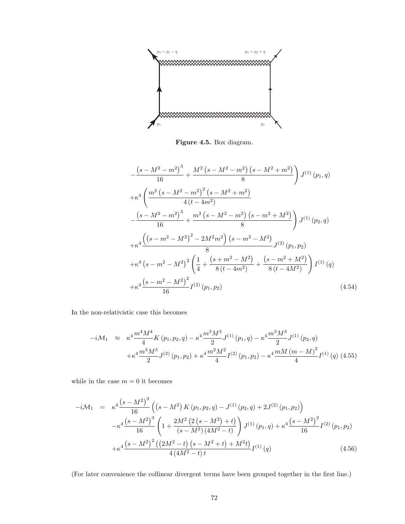

Figure 4.5. Box diagram.

$$
-\frac{\left(s-M^2-m^2\right)^3}{16} + \frac{M^2\left(s-M^2-m^2\right)\left(s-M^2+m^2\right)}{8}\right) J^{(1)}(p_1, q)
$$
  
+  $\kappa^4 \left(\frac{m^2\left(s-M^2-m^2\right)^2\left(s-M^2+m^2\right)}{4\left(t-4m^2\right)} - \frac{\left(s-M^2-m^2\right)^3}{16} + \frac{m^2\left(s-M^2-m^2\right)\left(s-m^2+M^2\right)}{8}\right) J^{(1)}(p_2, q)$   
+  $\kappa^4 \frac{\left(\left(s-m^2-M^2\right)^2 - 2M^2m^2\right)\left(s-m^2-M^2\right)}{8} J^{(2)}(p_1, p_2)$   
+  $\kappa^4 \left(s-m^2-M^2\right)^2 \left(\frac{1}{4} + \frac{\left(s+m^2-M^2\right)}{8\left(t-4m^2\right)} + \frac{\left(s-m^2+M^2\right)}{8\left(t-4M^2\right)}\right) I^{(1)}(q)$   
+  $\kappa^4 \frac{\left(s-m^2-M^2\right)^2}{16} I^{(2)}(p_1, p_2)$  (4.54)

In the non-relativistic case this becomes

$$
-i\mathcal{M}_1 \approx \kappa^4 \frac{m^4 M^4}{4} K(p_1, p_2, q) - \kappa^4 \frac{m^3 M^3}{2} J^{(1)}(p_1, q) - \kappa^4 \frac{m^3 M^3}{2} J^{(1)}(p_2, q)
$$

$$
+ \kappa^4 \frac{m^3 M^3}{2} J^{(2)}(p_1, p_2) + \kappa^4 \frac{m^2 M^2}{4} I^{(2)}(p_1, p_2) - \kappa^4 \frac{m M (m - M)^2}{4} I^{(1)}(q) (4.55)
$$

while in the case  $m = 0$  it becomes

$$
-i\mathcal{M}_1 = \kappa^4 \frac{\left(s - M^2\right)^3}{16} \left( \left(s - M^2\right) K \left(p_1, p_2, q\right) - J^{(1)} \left(p_2, q\right) + 2J^{(2)} \left(p_1, p_2\right) \right) -\kappa^4 \frac{\left(s - M^2\right)^3}{16} \left(1 + \frac{2M^2 \left(2\left(s - M^2\right) + t\right)}{\left(s - M^2\right) \left(4M^2 - t\right)} \right) J^{(1)} \left(p_1, q\right) + \kappa^4 \frac{\left(s - M^2\right)^2}{16} I^{(2)} \left(p_1, p_2\right) +\kappa^4 \frac{\left(s - M^2\right)^2 \left(\left(2M^2 - t\right) \left(s - M^2 + t\right) + M^2 t\right)}{4 \left(4M^2 - t\right) t} I^{(1)} \left(q\right) \tag{4.56}
$$

(For later convenience the collinear divergent terms have been grouped together in the first line.)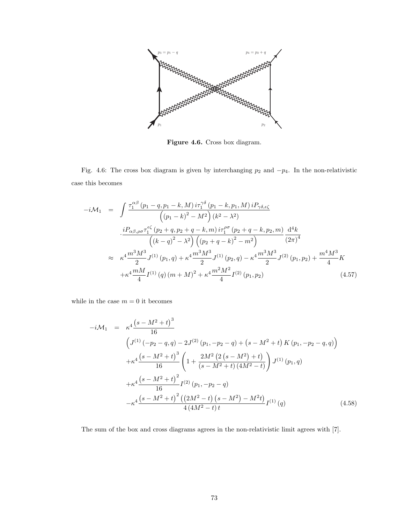

Figure 4.6. Cross box diagram.

Fig. 4.6: The cross box diagram is given by interchanging  $p_2$  and  $-p_4$ . In the non-relativistic case this becomes

$$
-i\mathcal{M}_{1} = \int \frac{\tau_{1}^{\alpha\beta} (p_{1} - q, p_{1} - k, M) i\tau_{1}^{\gamma\delta} (p_{1} - k, p_{1}, M) iP_{\gamma\delta,\epsilon\zeta}}{(p_{1} - k)^{2} - M^{2}) (k^{2} - \lambda^{2})}
$$

$$
\frac{iP_{\alpha\beta,\rho\sigma}\tau_{1}^{\epsilon\zeta} (p_{2} + q, p_{2} + q - k, m) i\tau_{1}^{\rho\sigma} (p_{2} + q - k, p_{2}, m)}{(k - q)^{2} - \lambda^{2}) ((p_{2} + q - k)^{2} - m^{2})} \frac{\mathrm{d}^{4}k}{(2\pi)^{4}}
$$

$$
\approx \kappa^{4} \frac{m^{3}M^{3}}{2} J^{(1)}(p_{1}, q) + \kappa^{4} \frac{m^{3}M^{3}}{2} J^{(1)}(p_{2}, q) - \kappa^{4} \frac{m^{3}M^{3}}{2} J^{(2)}(p_{1}, p_{2}) + \frac{m^{4}M^{3}}{4} K
$$

$$
+ \kappa^{4} \frac{mM}{4} I^{(1)}(q) (m + M)^{2} + \kappa^{4} \frac{m^{2}M^{2}}{4} I^{(2)}(p_{1}, p_{2}) \qquad (4.57)
$$

while in the case  $m = 0$  it becomes

$$
-i\mathcal{M}_1 = \kappa^4 \frac{\left(s - M^2 + t\right)^3}{16}
$$
  
\n
$$
\left(J^{(1)}\left(-p_2 - q, q\right) - 2J^{(2)}\left(p_1, -p_2 - q\right) + \left(s - M^2 + t\right)K\left(p_1, -p_2 - q, q\right)\right)
$$
  
\n
$$
+ \kappa^4 \frac{\left(s - M^2 + t\right)^3}{16} \left(1 + \frac{2M^2\left(2\left(s - M^2\right) + t\right)}{\left(s - M^2 + t\right)\left(4M^2 - t\right)}\right)J^{(1)}\left(p_1, q\right)
$$
  
\n
$$
+ \kappa^4 \frac{\left(s - M^2 + t\right)^2}{16} I^{(2)}\left(p_1, -p_2 - q\right)
$$
  
\n
$$
- \kappa^4 \frac{\left(s - M^2 + t\right)^2 \left(\left(2M^2 - t\right)\left(s - M^2\right) - M^2 t\right)}{4\left(4M^2 - t\right)t} I^{(1)}\left(q\right)
$$
(4.58)

The sum of the box and cross diagrams agrees in the non-relativistic limit agrees with [7].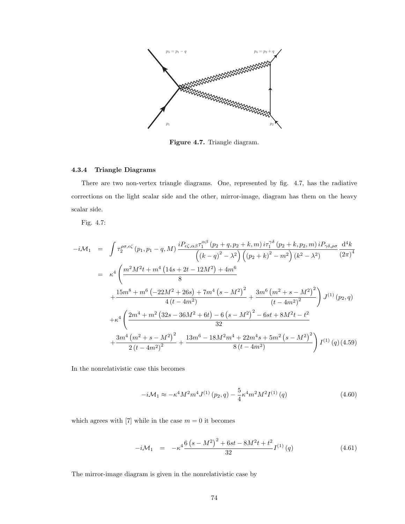

Figure 4.7. Triangle diagram.

### 4.3.4 Triangle Diagrams

There are two non-vertex triangle diagrams. One, represented by fig. 4.7, has the radiative corrections on the light scalar side and the other, mirror-image, diagram has them on the heavy scalar side.

Fig. 4.7:

$$
-i\mathcal{M}_{1} = \int \tau_{2}^{\rho\sigma,\epsilon\zeta} (p_{1},p_{1}-q,M) \frac{i P_{\epsilon\zeta,\alpha\beta} \tau_{1}^{\alpha\beta} (p_{2}+q,p_{2}+k,m) i \tau_{1}^{\gamma\delta} (p_{2}+k,p_{2},m) i P_{\gamma\delta,\rho\sigma}}{(k^{2}-\lambda^{2})} \frac{d^{4}k}{(2\pi)^{4}}
$$
  
\n
$$
= \kappa^{4} \left( \frac{m^{2}M^{2}t + m^{4}(14s + 2t - 12M^{2}) + 4m^{6}}{8} + \frac{15m^{8}+m^{6}(-22M^{2}+26s) + 7m^{4}(s-M^{2})^{2}}{4(t-4m^{2})} + \frac{3m^{6}(m^{2}+s-M^{2})^{2}}{(t-4m^{2})^{2}} \right) J^{(1)}(p_{2},q)
$$
  
\n
$$
+ \kappa^{4} \left( \frac{2m^{4}+m^{2}(32s-36M^{2}+6t) - 6(s-M^{2})^{2} - 6st + 8M^{2}t - t^{2}}{32} + \frac{3m^{4}(m^{2}+s-M^{2})^{2}}{2(t-4m^{2})^{2}} + \frac{13m^{6}-18M^{2}m^{4}+22m^{4}s+5m^{2}(s-M^{2})^{2}}{8(t-4m^{2})} \right) I^{(1)}(q)(4.59)
$$

In the nonrelativistic case this becomes

$$
-i\mathcal{M}_1 \approx -\kappa^4 M^2 m^4 J^{(1)}\left(p_2, q\right) - \frac{5}{4} \kappa^4 m^2 M^2 I^{(1)}\left(q\right) \tag{4.60}
$$

which agrees with [7] while in the case  $m = 0$  it becomes

$$
-i\mathcal{M}_1 = -\kappa^4 \frac{6\left(s - M^2\right)^2 + 6st - 8M^2t + t^2}{32} I^{(1)}(q) \tag{4.61}
$$

The mirror-image diagram is given in the nonrelativistic case by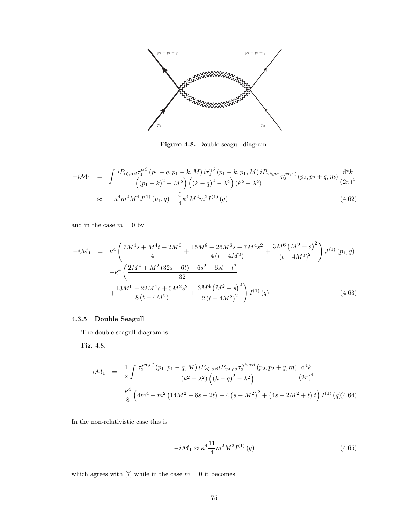

Figure 4.8. Double-seagull diagram.

$$
-i\mathcal{M}_1 = \int \frac{i P_{\epsilon\zeta,\alpha\beta} \tau_1^{\alpha\beta} (p_1 - q, p_1 - k, M) i \tau_1^{\gamma\delta} (p_1 - k, p_1, M) i P_{\gamma\delta,\rho\sigma}}{(p_1 - k)^2 - M^2} \left( (k - q)^2 - \lambda^2 \right) (k^2 - \lambda^2)
$$
\n
$$
\approx -\kappa^4 m^2 M^4 I^{(1)}(p_1, q) - \frac{5}{2} \kappa^4 M^2 m^2 I^{(1)}(q)
$$
\n(4.62)

$$
\approx -\kappa^4 m^2 M^4 J^{(1)}(p_1, q) - \frac{5}{4} \kappa^4 M^2 m^2 I^{(1)}(q) \tag{4.62}
$$

and in the case  $m=0$  by

$$
-i\mathcal{M}_1 = \kappa^4 \left( \frac{7M^4s + M^4t + 2M^6}{4} + \frac{15M^8 + 26M^6s + 7M^4s^2}{4(t - 4M^2)} + \frac{3M^6(M^2 + s)^2}{(t - 4M^2)^2} \right) J^{(1)}(p_1, q)
$$
  
+
$$
\kappa^4 \left( \frac{2M^4 + M^2(32s + 6t) - 6s^2 - 6st - t^2}{32} + \frac{13M^6 + 22M^4s + 5M^2s^2}{8(t - 4M^2)} + \frac{3M^4(M^2 + s)^2}{2(t - 4M^2)^2} \right) I^{(1)}(q)
$$
(4.63)

## 4.3.5 Double Seagull

The double-seagull diagram is:

Fig. 4.8:

$$
-i\mathcal{M}_1 = \frac{1}{2} \int \frac{\tau_2^{\rho\sigma,\epsilon\zeta} (p_1, p_1 - q, M) i P_{\epsilon\zeta,\alpha\beta} i P_{\gamma\delta,\rho\sigma} \tau_2^{\gamma\delta,\alpha\beta} (p_2, p_2 + q, m)}{(k^2 - \lambda^2) ((k - q)^2 - \lambda^2)} \frac{d^4 k}{(2\pi)^4}
$$
  

$$
= \frac{\kappa^4}{8} \left( 4m^4 + m^2 (14M^2 - 8s - 2t) + 4(s - M^2)^2 + (4s - 2M^2 + t) t \right) I^{(1)}(q)(4.64)
$$

In the non-relativistic case this is

$$
-i\mathcal{M}_1 \approx \kappa^4 \frac{11}{4} m^2 M^2 I^{(1)}(q) \tag{4.65}
$$

which agrees with [7] while in the case  $m = 0$  it becomes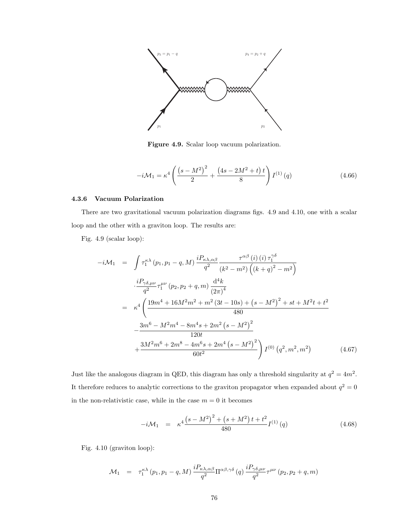

Figure 4.9. Scalar loop vacuum polarization.

$$
-i\mathcal{M}_1 = \kappa^4 \left( \frac{\left(s - M^2\right)^2}{2} + \frac{\left(4s - 2M^2 + t\right)t}{8} \right) I^{(1)}(q) \tag{4.66}
$$

#### 4.3.6 Vacuum Polarization

There are two gravitational vacuum polarization diagrams figs. 4.9 and 4.10, one with a scalar loop and the other with a graviton loop. The results are:

Fig. 4.9 (scalar loop):

$$
-i\mathcal{M}_{1} = \int \tau_{1}^{\kappa\lambda} (p_{1}, p_{1} - q, M) \frac{iP_{\kappa\lambda,\alpha\beta}}{q^{2}} \frac{\tau^{\alpha\beta} (i) (i) \tau_{1}^{\gamma\delta}}{(k^{2} - m^{2}) \left( (k + q)^{2} - m^{2} \right)}
$$

$$
\frac{iP_{\gamma\delta,\mu\nu}}{q^{2}} \tau_{1}^{\mu\nu} (p_{2}, p_{2} + q, m) \frac{d^{4}k}{(2\pi)^{4}}
$$

$$
= \kappa^{4} \left( \frac{19m^{4} + 16M^{2}m^{2} + m^{2}(3t - 10s) + (s - M^{2})^{2} + st + M^{2}t + t^{2}}{480} \right.
$$

$$
- \frac{3m^{6} - M^{2}m^{4} - 8m^{4}s + 2m^{2}(s - M^{2})^{2}}{120t}
$$

$$
+ \frac{3M^{2}m^{6} + 2m^{8} - 4m^{6}s + 2m^{4}(s - M^{2})^{2}}{60t^{2}} \right) I^{(0)} (q^{2}, m^{2}, m^{2}) \qquad (4.67)
$$

Just like the analogous diagram in QED, this diagram has only a threshold singularity at  $q^2 = 4m^2$ . It therefore reduces to analytic corrections to the graviton propagator when expanded about  $q^2 = 0$ in the non-relativistic case, while in the case  $m = 0$  it becomes

$$
-i\mathcal{M}_1 = \kappa^4 \frac{\left(s - M^2\right)^2 + \left(s + M^2\right)t + t^2}{480} I^{(1)}(q) \tag{4.68}
$$

Fig. 4.10 (graviton loop):

$$
\mathcal{M}_1 = \tau_1^{\kappa \lambda} (p_1, p_1 - q, M) \frac{i P_{\kappa \lambda, \alpha \beta}}{q^2} \Pi^{\alpha \beta, \gamma \delta} (q) \frac{i P_{\gamma \delta, \mu \nu}}{q^2} \tau^{\mu \nu} (p_2, p_2 + q, m)
$$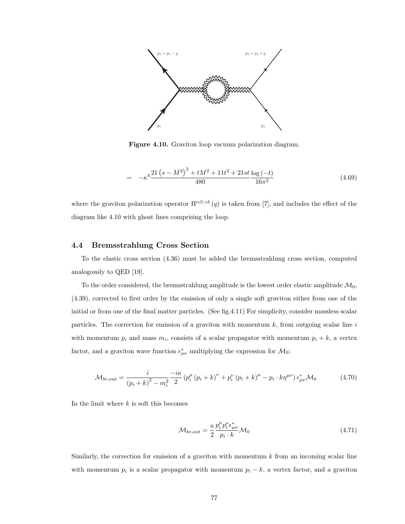

Figure 4.10. Graviton loop vacuum polarization diagram.

$$
= -\kappa^4 \frac{21 (s - M^2)^2 + t M^2 + 11 t^2 + 21 s t \log(-t)}{480} \frac{\log(-t)}{16\pi^2}
$$
(4.69)

where the graviton polarization operator  $\Pi^{\alpha\beta,\gamma\delta}(q)$  is taken from [7], and includes the effect of the diagram like 4.10 with ghost lines comprising the loop.

### 4.4 Bremsstrahlung Cross Section

To the elastic cross section (4.36) must be added the bremsstrahlung cross section, computed analogously to QED [19].

To the order considered, the bremsstrahlung amplitude is the lowest order elastic amplitude  $\mathcal{M}_0$ , (4.39), corrected to first order by the emission of only a single soft graviton either from one of the initial or from one of the final matter particles. (See fig.4.11) For simplicity, consider massless scalar particles. The correction for emission of a graviton with momentum  $k$ , from outgoing scalar line  $i$ with momentum  $p_i$  and mass  $m_i$ , consists of a scalar propagator with momentum  $p_i + k$ , a vertex factor, and a graviton wave function  $\epsilon^*_{\mu\nu}$  multiplying the expression for  $\mathcal{M}_0$ :

$$
\mathcal{M}_{br,out} = \frac{i}{(p_i + k)^2 - m_i^2} \frac{-i\kappa}{2} \left( p_i^{\mu} (p_i + k)^{\nu} + p_i^{\nu} (p_i + k)^{\mu} - p_i \cdot k \eta^{\mu \nu} \right) \epsilon_{\mu \nu}^* \mathcal{M}_0 \tag{4.70}
$$

In the limit where  $k$  is soft this becomes

$$
\mathcal{M}_{br,out} = \frac{\kappa}{2} \frac{p_i^{\mu} p_i^{\nu} \epsilon_{\mu\nu}^*}{p_i \cdot k} \mathcal{M}_0
$$
\n(4.71)

Similarly, the correction for emission of a graviton with momentum  $k$  from an incoming scalar line with momentum  $p_i$  is a scalar propagator with momentum  $p_i - k$ , a vertex factor, and a graviton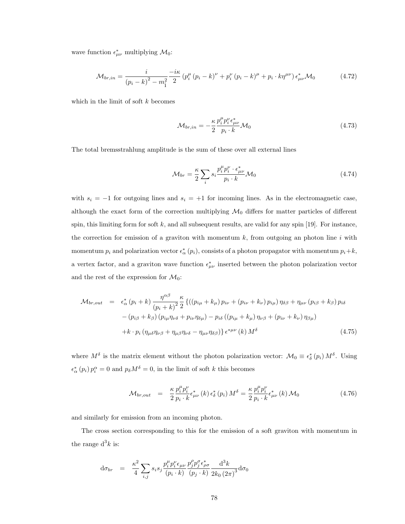wave function  $\epsilon^*_{\mu\nu}$  multiplying  $\mathcal{M}_0$ :

$$
\mathcal{M}_{br,in} = \frac{i}{(p_i - k)^2 - m_i^2} \frac{-i\kappa}{2} (p_i^{\mu} (p_i - k)^{\nu} + p_i^{\nu} (p_i - k)^{\mu} + p_i \cdot k\eta^{\mu\nu}) \epsilon_{\mu\nu}^* \mathcal{M}_0 \tag{4.72}
$$

which in the limit of soft  $k$  becomes

$$
\mathcal{M}_{br,in} = -\frac{\kappa}{2} \frac{p_i^{\mu} p_i^{\nu} \epsilon_{\mu\nu}^{*}}{p_i \cdot k} \mathcal{M}_0
$$
\n(4.73)

The total bremsstrahlung amplitude is the sum of these over all external lines

$$
\mathcal{M}_{br} = \frac{\kappa}{2} \sum_{i} s_i \frac{p_i^{\mu} p_i^{\nu} \cdot \epsilon_{\mu\nu}^*}{p_i \cdot k} \mathcal{M}_0
$$
\n(4.74)

with  $s_i = -1$  for outgoing lines and  $s_i = +1$  for incoming lines. As in the electromagnetic case, although the exact form of the correction multiplying  $\mathcal{M}_0$  differs for matter particles of different spin, this limiting form for soft  $k$ , and all subsequent results, are valid for any spin [19]. For instance, the correction for emission of a graviton with momentum  $k$ , from outgoing an photon line i with momentum  $p_i$  and polarization vector  $\epsilon^*_{\alpha}(p_i)$ , consists of a photon propagator with momentum  $p_i + k$ , a vertex factor, and a graviton wave function  $\epsilon^*_{\mu\nu}$  inserted between the photon polarization vector and the rest of the expression for  $\mathcal{M}_0$ :

$$
\mathcal{M}_{br,out} = \epsilon_{\alpha}^{*} (p_i + k) \frac{\eta^{\alpha\beta}}{(p_i + k)^2} \frac{\kappa}{2} \left\{ \left( (p_{i\mu} + k_{\mu}) p_{i\nu} + (p_{i\nu} + k_{\nu}) p_{i\mu} \right) \eta_{\delta\beta} + \eta_{\mu\nu} (p_{i\beta} + k_{\beta}) p_{i\delta} \right. \\ \left. - (p_{i\beta} + k_{\beta}) (p_{i\mu} \eta_{\nu\delta} + p_{i\nu} \eta_{\delta\mu}) - p_{i\delta} ((p_{i\mu} + k_{\mu}) \eta_{\nu\beta} + (p_{i\nu} + k_{\nu}) \eta_{\beta\mu}) \right\} \\ + k \cdot p_i \left( \eta_{\mu\delta} \eta_{\nu\beta} + \eta_{\mu\beta} \eta_{\nu\delta} - \eta_{\mu\nu} \eta_{\delta\beta} \right) \right\} \epsilon^{*\mu\nu} (k) M^{\delta} \tag{4.75}
$$

where  $M^{\delta}$  is the matrix element without the photon polarization vector:  $\mathcal{M}_0 \equiv \epsilon_{\delta}^* (p_i) M^{\delta}$ . Using  $\epsilon^*_{\alpha}(p_i) p_i^{\alpha} = 0$  and  $p_{\delta} M^{\delta} = 0$ , in the limit of soft k this becomes

$$
\mathcal{M}_{br,out} = \frac{\kappa}{2} \frac{p_i^{\mu} p_i^{\nu}}{p_i \cdot k} \epsilon_{\mu\nu}^{*} (k) \epsilon_{\delta}^{*} (p_i) M^{\delta} = \frac{\kappa}{2} \frac{p_i^{\mu} p_i^{\nu}}{p_i \cdot k} \epsilon_{\mu\nu}^{*} (k) \mathcal{M}_0
$$
\n(4.76)

and similarly for emission from an incoming photon.

The cross section corresponding to this for the emission of a soft graviton with momentum in the range  $d^3k$  is:

$$
d\sigma_{br} = \frac{\kappa^2}{4} \sum_{i,j} s_i s_j \frac{p_i^{\mu} p_i^{\nu} \epsilon_{\mu\nu}}{(p_i \cdot k)} \frac{p_j^{\rho} p_j^{\sigma} \epsilon_{\rho\sigma}^{*}}{(p_j \cdot k)} \frac{d^3 k}{2k_0 (2\pi)^3} d\sigma_0
$$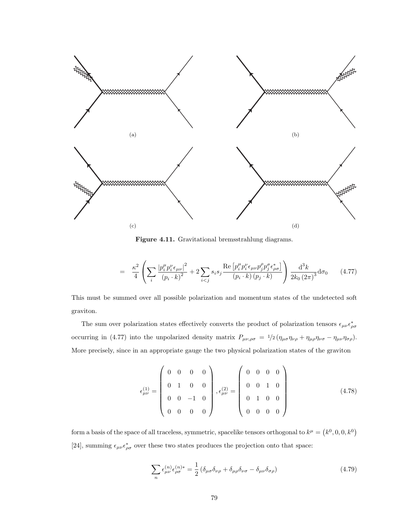

Figure 4.11. Gravitational bremsstrahlung diagrams.

$$
= \frac{\kappa^2}{4} \left( \sum_{i} \frac{|p_i^{\mu} p_i^{\nu} \epsilon_{\mu\nu}|^2}{(p_i \cdot k)^2} + 2 \sum_{i < j} s_i s_j \frac{\text{Re}\left[ p_i^{\mu} p_i^{\nu} \epsilon_{\mu\nu} p_j^{\rho} p_j^{\sigma} \epsilon_{\rho\sigma}^* \right]}{(p_i \cdot k) (p_j \cdot k)} \right) \frac{\mathrm{d}^3 k}{2k_0 (2\pi)^3} \mathrm{d}\sigma_0 \tag{4.77}
$$

This must be summed over all possible polarization and momentum states of the undetected soft graviton.

The sum over polarization states effectively converts the product of polarization tensors  $\epsilon_{\mu\nu}\epsilon_{\rho\sigma}^*$ occurring in (4.77) into the unpolarized density matrix  $P_{\mu\nu,\rho\sigma} = \frac{1}{2} \left( \eta_{\mu\sigma} \eta_{\nu\rho} + \eta_{\mu\rho} \eta_{\nu\sigma} - \eta_{\mu\nu} \eta_{\sigma\rho} \right)$ . More precisely, since in an appropriate gauge the two physical polarization states of the graviton

$$
\epsilon_{\mu\nu}^{(1)} = \begin{pmatrix} 0 & 0 & 0 & 0 \\ 0 & 1 & 0 & 0 \\ 0 & 0 & -1 & 0 \\ 0 & 0 & 0 & 0 \end{pmatrix}, \epsilon_{\mu\nu}^{(2)} = \begin{pmatrix} 0 & 0 & 0 & 0 \\ 0 & 0 & 1 & 0 \\ 0 & 1 & 0 & 0 \\ 0 & 0 & 0 & 0 \end{pmatrix}
$$
(4.78)

form a basis of the space of all traceless, symmetric, spacelike tensors orthogonal to  $k^{\mu} = (k^0, 0, 0, k^0)$ [24], summing  $\epsilon_{\mu\nu}\epsilon_{\rho\sigma}^*$  over these two states produces the projection onto that space:

$$
\sum_{n} \epsilon_{\mu\nu}^{(n)} \epsilon_{\rho\sigma}^{(n)*} = \frac{1}{2} \left( \delta_{\mu\sigma} \delta_{\nu\rho} + \delta_{\mu\rho} \delta_{\nu\sigma} - \delta_{\mu\nu} \delta_{\sigma\rho} \right) \tag{4.79}
$$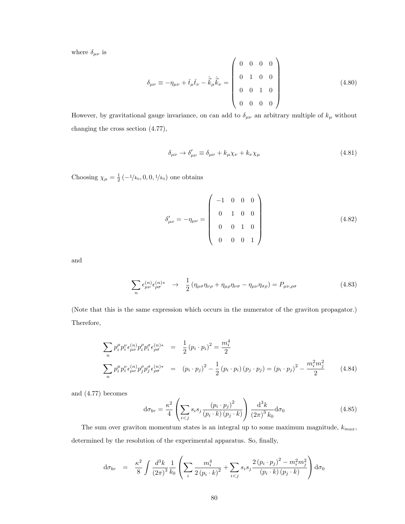where  $\delta_{\mu\nu}$  is

$$
\delta_{\mu\nu} \equiv -\eta_{\mu\nu} + \hat{t}_{\mu}\hat{t}_{\nu} - \hat{\vec{k}}_{\mu}\hat{\vec{k}}_{\nu} = \begin{pmatrix} 0 & 0 & 0 & 0 \\ 0 & 1 & 0 & 0 \\ 0 & 0 & 1 & 0 \\ 0 & 0 & 0 & 0 \end{pmatrix}
$$
(4.80)

However, by gravitational gauge invariance, on can add to  $\delta_{\mu\nu}$  an arbitrary multiple of  $k_{\mu}$  without changing the cross section (4.77),

$$
\delta_{\mu\nu} \to \delta'_{\mu\nu} \equiv \delta_{\mu\nu} + k_{\mu}\chi_{\nu} + k_{\nu}\chi_{\mu} \tag{4.81}
$$

Choosing  $\chi_{\mu} = \frac{1}{2} \left( -\frac{1}{k_0}, 0, 0, \frac{1}{k_0} \right)$  one obtains

$$
\delta'_{\mu\nu} = -\eta_{\mu\nu} = \begin{pmatrix} -1 & 0 & 0 & 0 \\ 0 & 1 & 0 & 0 \\ 0 & 0 & 1 & 0 \\ 0 & 0 & 0 & 1 \end{pmatrix}
$$
(4.82)

and

$$
\sum_{n} \epsilon_{\mu\nu}^{(n)} \epsilon_{\rho\sigma}^{(n)*} \rightarrow \frac{1}{2} (\eta_{\mu\sigma} \eta_{\nu\rho} + \eta_{\mu\rho} \eta_{\nu\sigma} - \eta_{\mu\nu} \eta_{\sigma\rho}) = P_{\mu\nu,\rho\sigma} \tag{4.83}
$$

(Note that this is the same expression which occurs in the numerator of the graviton propagator.) Therefore,

$$
\sum_{n} p_{i}^{\mu} p_{i}^{\nu} \epsilon_{\mu\nu}^{(n)} p_{i}^{\rho} p_{i}^{\sigma} \epsilon_{\rho\sigma}^{(n)*} = \frac{1}{2} (p_{i} \cdot p_{i})^{2} = \frac{m_{i}^{4}}{2}
$$
\n
$$
\sum_{n} p_{i}^{\mu} p_{i}^{\nu} \epsilon_{\mu\nu}^{(n)} p_{j}^{\rho} p_{j}^{\sigma} \epsilon_{\rho\sigma}^{(n)*} = (p_{i} \cdot p_{j})^{2} - \frac{1}{2} (p_{i} \cdot p_{i}) (p_{j} \cdot p_{j}) = (p_{i} \cdot p_{j})^{2} - \frac{m_{i}^{2} m_{j}^{2}}{2} \qquad (4.84)
$$

and (4.77) becomes

$$
\mathrm{d}\sigma_{br} = \frac{\kappa^2}{4} \left( \sum_{i < j} s_i s_j \frac{\left( p_i \cdot p_j \right)^2}{\left( p_i \cdot k \right) \left( p_j \cdot k \right)} \right) \frac{\mathrm{d}^3 k}{\left( 2\pi \right)^3 k_0} \mathrm{d}\sigma_0 \tag{4.85}
$$

The sum over graviton momentum states is an integral up to some maximum magnitude,  $k_{max}$ , determined by the resolution of the experimental apparatus. So, finally,

$$
d\sigma_{br} = \frac{\kappa^2}{8} \int \frac{d^3k}{(2\pi)^3} \frac{1}{k_0} \left( \sum_i \frac{m_i^4}{2 (p_i \cdot k)^2} + \sum_{i < j} s_i s_j \frac{2 (p_i \cdot p_j)^2 - m_i^2 m_j^2}{(p_i \cdot k) (p_j \cdot k)} \right) d\sigma_0
$$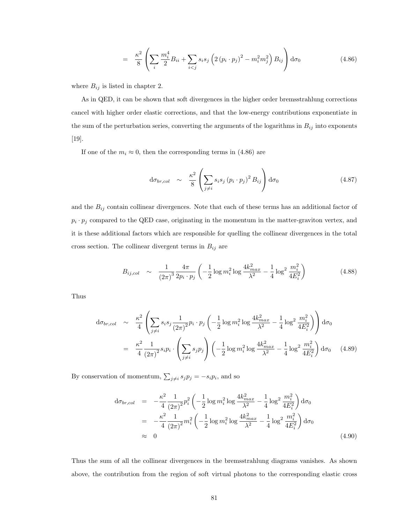$$
= \frac{\kappa^2}{8} \left( \sum_{i} \frac{m_i^4}{2} B_{ii} + \sum_{i < j} s_i s_j \left( 2 \left( p_i \cdot p_j \right)^2 - m_i^2 m_j^2 \right) B_{ij} \right) d\sigma_0 \tag{4.86}
$$

where  $B_{ij}$  is listed in chapter 2.

As in QED, it can be shown that soft divergences in the higher order bremsstrahlung corrections cancel with higher order elastic corrections, and that the low-energy contributions exponentiate in the sum of the perturbation series, converting the arguments of the logarithms in  $B_{ij}$  into exponents [19].

If one of the  $m_i \approx 0$ , then the corresponding terms in (4.86) are

$$
d\sigma_{br,col} \sim \frac{\kappa^2}{8} \left( \sum_{j \neq i} s_i s_j \left( p_i \cdot p_j \right)^2 B_{ij} \right) d\sigma_0 \tag{4.87}
$$

and the  $B_{ij}$  contain collinear divergences. Note that each of these terms has an additional factor of  $p_i \cdot p_j$  compared to the QED case, originating in the momentum in the matter-graviton vertex, and it is these additional factors which are responsible for quelling the collinear divergences in the total cross section. The collinear divergent terms in  $B_{ij}$  are

$$
B_{ij,col} \sim \frac{1}{(2\pi)^3} \frac{4\pi}{2p_i \cdot p_j} \left( -\frac{1}{2} \log m_i^2 \log \frac{4k_{max}^2}{\lambda^2} - \frac{1}{4} \log^2 \frac{m_i^2}{4E_i^2} \right) \tag{4.88}
$$

Thus

$$
d\sigma_{br,col} \sim \frac{\kappa^2}{4} \left( \sum_{j \neq i} s_i s_j \frac{1}{(2\pi)^2} p_i \cdot p_j \left( -\frac{1}{2} \log m_i^2 \log \frac{4k_{max}^2}{\lambda^2} - \frac{1}{4} \log^2 \frac{m_i^2}{4E_i^2} \right) \right) d\sigma_0
$$
  
= 
$$
\frac{\kappa^2}{4} \frac{1}{(2\pi)^2} s_i p_i \cdot \left( \sum_{j \neq i} s_j p_j \right) \left( -\frac{1}{2} \log m_i^2 \log \frac{4k_{max}^2}{\lambda^2} - \frac{1}{4} \log^2 \frac{m_i^2}{4E_i^2} \right) d\sigma_0 \quad (4.89)
$$

By conservation of momentum,  $\sum_{j\neq i} s_j p_j = -s_i p_i$ , and so

$$
d\sigma_{br,col} = -\frac{\kappa^2}{4} \frac{1}{(2\pi)^2} p_i^2 \left( -\frac{1}{2} \log m_i^2 \log \frac{4k_{max}^2}{\lambda^2} - \frac{1}{4} \log^2 \frac{m_i^2}{4E_i^2} \right) d\sigma_0
$$
  
= 
$$
-\frac{\kappa^2}{4} \frac{1}{(2\pi)^2} m_i^2 \left( -\frac{1}{2} \log m_i^2 \log \frac{4k_{max}^2}{\lambda^2} - \frac{1}{4} \log^2 \frac{m_i^2}{4E_i^2} \right) d\sigma_0
$$
  

$$
\approx 0
$$
 (4.90)

Thus the sum of all the collinear divergences in the bremsstrahlung diagrams vanishes. As shown above, the contribution from the region of soft virtual photons to the corresponding elastic cross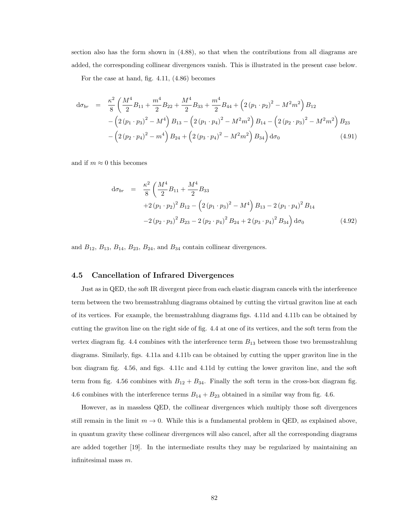section also has the form shown in (4.88), so that when the contributions from all diagrams are added, the corresponding collinear divergences vanish. This is illustrated in the present case below.

For the case at hand, fig. 4.11, (4.86) becomes

$$
d\sigma_{br} = \frac{\kappa^2}{8} \left( \frac{M^4}{2} B_{11} + \frac{m^4}{2} B_{22} + \frac{M^4}{2} B_{33} + \frac{m^4}{2} B_{44} + \left( 2 \left( p_1 \cdot p_2 \right)^2 - M^2 m^2 \right) B_{12} - \left( 2 \left( p_1 \cdot p_3 \right)^2 - M^4 \right) B_{13} - \left( 2 \left( p_1 \cdot p_4 \right)^2 - M^2 m^2 \right) B_{14} - \left( 2 \left( p_2 \cdot p_3 \right)^2 - M^2 m^2 \right) B_{23} - \left( 2 \left( p_2 \cdot p_4 \right)^2 - m^4 \right) B_{24} + \left( 2 \left( p_3 \cdot p_4 \right)^2 - M^2 m^2 \right) B_{34} \right) d\sigma_0 \tag{4.91}
$$

and if  $m \approx 0$  this becomes

$$
d\sigma_{br} = \frac{\kappa^2}{8} \left( \frac{M^4}{2} B_{11} + \frac{M^4}{2} B_{33} + 2 (p_1 \cdot p_2)^2 B_{12} - \left( 2 (p_1 \cdot p_3)^2 - M^4 \right) B_{13} - 2 (p_1 \cdot p_4)^2 B_{14} - 2 (p_2 \cdot p_3)^2 B_{23} - 2 (p_2 \cdot p_4)^2 B_{24} + 2 (p_3 \cdot p_4)^2 B_{34} \right) d\sigma_0
$$
(4.92)

and  $B_{12}$ ,  $B_{13}$ ,  $B_{14}$ ,  $B_{23}$ ,  $B_{24}$ , and  $B_{34}$  contain collinear divergences.

#### 4.5 Cancellation of Infrared Divergences

Just as in QED, the soft IR divergent piece from each elastic diagram cancels with the interference term between the two bremsstrahlung diagrams obtained by cutting the virtual graviton line at each of its vertices. For example, the bremsstrahlung diagrams figs. 4.11d and 4.11b can be obtained by cutting the graviton line on the right side of fig. 4.4 at one of its vertices, and the soft term from the vertex diagram fig. 4.4 combines with the interference term  $B_{13}$  between those two bremsstrahlung diagrams. Similarly, figs. 4.11a and 4.11b can be obtained by cutting the upper graviton line in the box diagram fig. 4.56, and figs. 4.11c and 4.11d by cutting the lower graviton line, and the soft term from fig. 4.56 combines with  $B_{12} + B_{34}$ . Finally the soft term in the cross-box diagram fig. 4.6 combines with the interference terms  $B_{14} + B_{23}$  obtained in a similar way from fig. 4.6.

However, as in massless QED, the collinear divergences which multiply those soft divergences still remain in the limit  $m \to 0$ . While this is a fundamental problem in QED, as explained above, in quantum gravity these collinear divergences will also cancel, after all the corresponding diagrams are added together [19]. In the intermediate results they may be regularized by maintaining an infinitesimal mass m.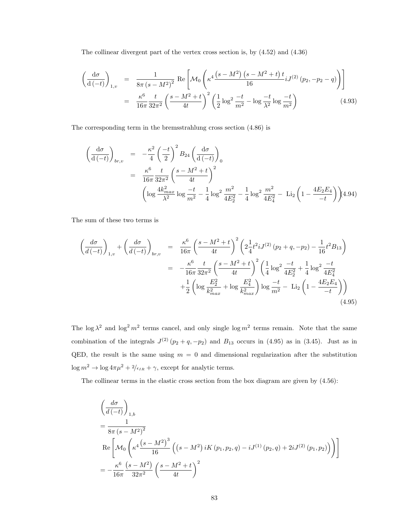The collinear divergent part of the vertex cross section is, by (4.52) and (4.36)

$$
\left(\frac{d\sigma}{d(-t)}\right)_{1,v} = \frac{1}{8\pi (s - M^2)^2} \operatorname{Re}\left[\mathcal{M}_0 \left(\kappa^4 \frac{(s - M^2)(s - M^2 + t) t}{16} i J^{(2)}(p_2, -p_2 - q)\right)\right]
$$

$$
= \frac{\kappa^6}{16\pi} \frac{t}{32\pi^2} \left(\frac{s - M^2 + t}{4t}\right)^2 \left(\frac{1}{2} \log^2 \frac{-t}{m^2} - \log \frac{-t}{\lambda^2} \log \frac{-t}{m^2}\right) \tag{4.93}
$$

The corresponding term in the bremsstrahlung cross section (4.86) is

$$
\begin{split}\n\left(\frac{d\sigma}{d\left(-t\right)}\right)_{br,v} &= -\frac{\kappa^2}{4} \left(\frac{-t}{2}\right)^2 B_{24} \left(\frac{d\sigma}{d\left(-t\right)}\right)_0 \\
&= \frac{\kappa^6}{16\pi} \frac{t}{32\pi^2} \left(\frac{s - M^2 + t}{4t}\right)^2 \\
\left(\log \frac{4k_{max}^2}{\lambda^2} \log \frac{-t}{m^2} - \frac{1}{4} \log^2 \frac{m^2}{4E_2^2} - \frac{1}{4} \log^2 \frac{m^2}{4E_4^2} - \text{Li}_2\left(1 - \frac{4E_2E_4}{-t}\right)\right) 4.94\n\end{split}
$$

The sum of these two terms is

$$
\begin{split}\n\left(\frac{d\sigma}{d\left(-t\right)}\right)_{1,v} + \left(\frac{d\sigma}{d\left(-t\right)}\right)_{br,v} &= \frac{\kappa^6}{16\pi} \left(\frac{s - M^2 + t}{4t}\right)^2 \left(2\frac{1}{4}t^2 i J^{(2)}\left(p_2 + q, -p_2\right) - \frac{1}{16}t^2 B_{13}\right) \\
&= -\frac{\kappa^6}{16\pi} \frac{t}{32\pi^2} \left(\frac{s - M^2 + t}{4t}\right)^2 \left(\frac{1}{4}\log^2\frac{-t}{4E_2^2} + \frac{1}{4}\log^2\frac{-t}{4E_4^2} + \frac{1}{2}\left(\log^2\frac{t}{4E_4^2} + \frac{1}{2}\left(\log^2\frac{E_2^2}{E_{max}^2} + \log\frac{E_4^2}{k_{max}^2}\right)\log\frac{-t}{m^2} - \text{Li}_2\left(1 - \frac{4E_2E_4}{-t}\right)\right) \\
&\tag{4.95}\n\end{split}
$$

The  $\log \lambda^2$  and  $\log^2 m^2$  terms cancel, and only single  $\log m^2$  terms remain. Note that the same combination of the integrals  $J^{(2)}(p_2+q,-p_2)$  and  $B_{13}$  occurs in (4.95) as in (3.45). Just as in QED, the result is the same using  $m = 0$  and dimensional regularization after the substitution  $\log m^2 \to \log 4\pi \mu^2 + 2/\epsilon_{IR} + \gamma,$  except for analytic terms.

The collinear terms in the elastic cross section from the box diagram are given by (4.56):

$$
\left(\frac{d\sigma}{d\left(-t\right)}\right)_{1,b}
$$
\n
$$
=\frac{1}{8\pi\left(s-M^{2}\right)^{2}}
$$
\n
$$
\text{Re}\left[\mathcal{M}_{0}\left(\kappa^{4}\frac{\left(s-M^{2}\right)^{3}}{16}\left(\left(s-M^{2}\right)iK\left(p_{1},p_{2},q\right)-iJ^{(1)}\left(p_{2},q\right)+2iJ^{(2)}\left(p_{1},p_{2}\right)\right)\right)\right]
$$
\n
$$
=-\frac{\kappa^{6}}{16\pi}\frac{\left(s-M^{2}\right)}{32\pi^{2}}\left(\frac{s-M^{2}+t}{4t}\right)^{2}
$$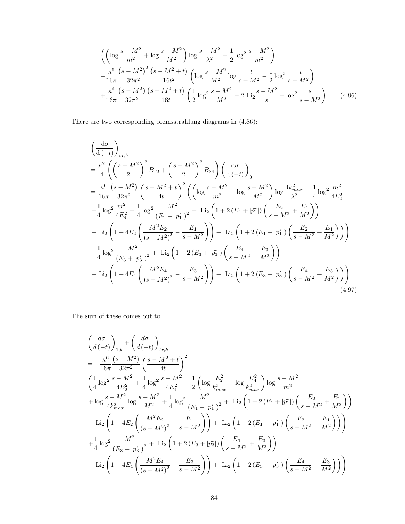$$
\left( \left( \log \frac{s - M^2}{m^2} + \log \frac{s - M^2}{M^2} \right) \log \frac{s - M^2}{\lambda^2} - \frac{1}{2} \log^2 \frac{s - M^2}{m^2} \right) - \frac{\kappa^6}{16\pi} \frac{\left(s - M^2\right)^2}{32\pi^2} \frac{\left(s - M^2 + t\right)}{16t^2} \left( \log \frac{s - M^2}{M^2} \log \frac{-t}{s - M^2} - \frac{1}{2} \log^2 \frac{-t}{s - M^2} \right) + \frac{\kappa^6}{16\pi} \frac{\left(s - M^2\right)}{32\pi^2} \frac{\left(s - M^2 + t\right)}{16t} \left( \frac{1}{2} \log^2 \frac{s - M^2}{M^2} - 2 \text{Li}_2 \frac{s - M^2}{s} - \log^2 \frac{s}{s - M^2} \right) \tag{4.96}
$$

There are two corresponding bremsstrahlung diagrams in (4.86):

$$
\left(\frac{d\sigma}{d\left(-t\right)}\right)_{br,b} \n= \frac{\kappa^2}{4} \left( \left(\frac{s-M^2}{2}\right)^2 B_{12} + \left(\frac{s-M^2}{2}\right)^2 B_{34} \right) \left(\frac{d\sigma}{d\left(-t\right)}\right) \n= \frac{\kappa^6}{16\pi} \frac{\left(s-M^2\right)}{32\pi^2} \left(\frac{s-M^2+t}{4t}\right)^2 \left( \left(\log\frac{s-M^2}{m^2} + \log\frac{s-M^2}{M^2}\right) \log\frac{4k_{max}^2}{\lambda^2} - \frac{1}{4} \log^2\frac{m^2}{4E_2^2} \n- \frac{1}{4} \log^2\frac{m^2}{4E_4^2} + \frac{1}{4} \log^2\frac{M^2}{(E_1+|\vec{p_1}|)^2} + \text{Li}_2\left(1 + 2(E_1+|\vec{p_1}|)\left(\frac{E_2}{s-M^2} + \frac{E_1}{M^2}\right)\right) \n- \text{Li}_2\left(1 + 4E_2\left(\frac{M^2E_2}{(s-M^2)^2} - \frac{E_1}{s-M^2}\right)\right) + \text{Li}_2\left(1 + 2(E_1-|\vec{p_1}|)\left(\frac{E_2}{s-M^2} + \frac{E_1}{M^2}\right)\right) \right) \n+ \frac{1}{4} \log^2\frac{M^2}{(E_3+|\vec{p_3}|)^2} + \text{Li}_2\left(1 + 2(E_3+|\vec{p_3}|)\left(\frac{E_4}{s-M^2} + \frac{E_3}{M^2}\right)\right) \n- \text{Li}_2\left(1 + 4E_4\left(\frac{M^2E_4}{(s-M^2)^2} - \frac{E_3}{s-M^2}\right)\right) + \text{Li}_2\left(1 + 2(E_3-|\vec{p_3}|)\left(\frac{E_4}{s-M^2} + \frac{E_3}{M^2}\right)\right) \right)
$$
\n(4.97)

The sum of these comes out to

$$
\left(\frac{d\sigma}{d\left(-t\right)}\right)_{1,b} + \left(\frac{d\sigma}{d\left(-t\right)}\right)_{br,b} \n= -\frac{\kappa^6}{16\pi} \frac{(s-M^2)}{32\pi^2} \left(\frac{s-M^2+t}{4t}\right)^2 \n\left(\frac{1}{4}\log^2 \frac{s-M^2}{4E_2^2} + \frac{1}{4}\log^2 \frac{s-M^2}{4E_4^2} + \frac{1}{2}\left(\log \frac{E_2^2}{k_{max}^2} + \log \frac{E_4^2}{k_{max}^2}\right) \log \frac{s-M^2}{m^2} \n+ \log \frac{s-M^2}{4k_{max}^2} \log \frac{s-M^2}{M^2} + \frac{1}{4}\log^2 \frac{M^2}{(E_1+|\vec{p_1}|)^2} + \text{Li}_2\left(1+2(E_1+|\vec{p_1}|)\left(\frac{E_2}{s-M^2} + \frac{E_1}{M^2}\right)\right) \n- \text{Li}_2\left(1+4E_2\left(\frac{M^2E_2}{(s-M^2)^2} - \frac{E_1}{s-M^2}\right)\right) + \text{Li}_2\left(1+2(E_1-|\vec{p_1}|)\left(\frac{E_2}{s-M^2} + \frac{E_1}{M^2}\right)\right) \right) \n+ \frac{1}{4}\log^2 \frac{M^2}{(E_3+|\vec{p_3}|)^2} + \text{Li}_2\left(1+2(E_3+|\vec{p_3}|)\left(\frac{E_4}{s-M^2} + \frac{E_3}{M^2}\right)\right) \n- \text{Li}_2\left(1+4E_4\left(\frac{M^2E_4}{(s-M^2)^2} - \frac{E_3}{s-M^2}\right)\right) + \text{Li}_2\left(1+2(E_3-|\vec{p_3}|)\left(\frac{E_4}{s-M^2} + \frac{E_3}{M^2}\right)\right)
$$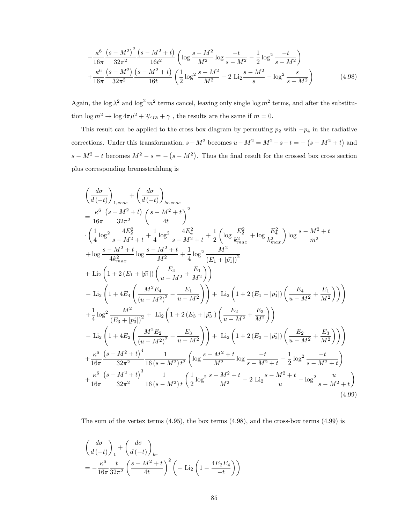$$
-\frac{\kappa^6}{16\pi} \frac{\left(s-M^2\right)^2}{32\pi^2} \frac{\left(s-M^2+t\right)}{16t^2} \left(\log\frac{s-M^2}{M^2}\log\frac{-t}{s-M^2} - \frac{1}{2}\log^2\frac{-t}{s-M^2}\right) + \frac{\kappa^6}{16\pi} \frac{\left(s-M^2\right)}{32\pi^2} \frac{\left(s-M^2+t\right)}{16t} \left(\frac{1}{2}\log^2\frac{s-M^2}{M^2} - 2\text{Li}_2\frac{s-M^2}{s}-\log^2\frac{s}{s-M^2}\right) \tag{4.98}
$$

Again, the log  $\lambda^2$  and log<sup>2</sup>  $m^2$  terms cancel, leaving only single log  $m^2$  terms, and after the substitution $\log m^2 \to \log 4\pi \mu^2 + 2/\epsilon_{IR} + \gamma$  , the results are the same if  $m=0.$ 

This result can be applied to the cross box diagram by permuting  $p_2$  with  $-p_4$  in the radiative corrections. Under this transformation,  $s - M^2$  becomes  $u - M^2 = M^2 - s - t = -\left(s - M^2 + t\right)$  and  $s - M^2 + t$  becomes  $M^2 - s = -(s - M^2)$ . Thus the final result for the crossed box cross section plus corresponding bremsstrahlung is

$$
\left(\frac{d\sigma}{d\left(-t\right)}\right)_{1,cross} + \left(\frac{d\sigma}{d\left(-t\right)}\right)_{b_{r,cross}} \n= \frac{\kappa^6}{16\pi} \frac{\left(s - M^2 + t\right)}{32\pi^2} \left(\frac{s - M^2 + t}{4t}\right)^2 \n\cdot \left(\frac{1}{4}\log^2 \frac{4E_2^2}{s - M^2 + t} + \frac{1}{4}\log^2 \frac{4E_4^2}{s - M^2 + t} + \frac{1}{2}\left(\log \frac{E_2^2}{k_{max}^2} + \log \frac{E_4^2}{k_{max}^2}\right) \log \frac{s - M^2 + t}{m^2} \n+ \log \frac{s - M^2 + t}{4k_{max}^2} \log \frac{s - M^2 + t}{M^2 + t} + \frac{1}{4}\log^2 \frac{M^2}{(E_1 + |\vec{p}_1|)^2} \n+ \text{Li}_2\left(1 + 2\left(E_1 + |\vec{p}_1|\right)\left(\frac{E_4}{u - M^2} + \frac{E_1}{M^2}\right)\right) \n- \text{Li}_2\left(1 + 4E_4\left(\frac{M^2 E_4}{(u - M^2)^2} - \frac{E_1}{u - M^2}\right)\right) + \text{Li}_2\left(1 + 2\left(E_1 - |\vec{p}_1|\right)\left(\frac{E_4}{u - M^2} + \frac{E_1}{M^2}\right)\right) \n+ \frac{1}{4}\log^2 \frac{M^2}{(E_3 + |\vec{p}_3^*|)^2} + \text{Li}_2\left(1 + 2\left(E_3 + |\vec{p}_3^*|\right)\left(\frac{E_2}{u - M^2} + \frac{E_3}{M^2}\right)\right) \n- \text{Li}_2\left(1 + 4E_2\left(\frac{M^2 E_2}{(u - M^2)^2} - \frac{E_3}{u - M^2}\right)\right) + \text{Li}_2\left(1 + 2\left(E_3 - |\vec{p}_3^*|\right)\left(\frac{E_2}{u - M^2} + \frac{E_3}{M^2}\right)\right) \right) \n+ \frac{\kappa^6}{16\pi} \frac{\left(s - M^2 + t\right)^4}{32\pi
$$

The sum of the vertex terms  $(4.95)$ , the box terms  $(4.98)$ , and the cross-box terms  $(4.99)$  is

$$
\begin{aligned} &\left(\frac{d\sigma}{d\left(-t\right)}\right)_1+\left(\frac{d\sigma}{d\left(-t\right)}\right)_{br} \\ &=-\frac{\kappa^6}{16\pi}\frac{t}{32\pi^2}\left(\frac{s-M^2+t}{4t}\right)^2\left(-\text{Li}_2\left(1-\frac{4E_2E_4}{-t}\right)\right) \end{aligned}
$$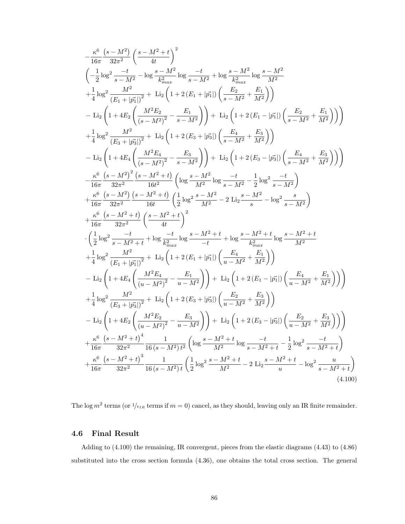$$
\begin{split} &-\frac{\kappa^6}{16\pi}\frac{(s-M^2)}{32\pi^2}\left(\frac{s-M^2+t}{4t}\right)^2\\ &\left(-\frac{1}{2}\log^2\frac{-t}{s-M^2}-\log\frac{s-M^2}{k_{max}^2}\log\frac{-t}{s-M^2}+\log\frac{s-M^2}{k_{max}^2}\log\frac{s-M^2}{M^2}\\ &+\frac{1}{4}\log^2\frac{M^2}{(E_1+|\vec{p_1}|)^2}+ \text{Li}_2\left(1+2\left(E_1+|\vec{p_1}| \right)\left(\frac{E_2}{s-M^2}+\frac{E_1}{M^2}\right)\right)\\ &-\text{Li}_2\left(1+4E_2\left(\frac{M^2E_2}{(s-M^2)^2}-\frac{E_1}{s-M^2}\right)\right)+ \text{Li}_2\left(1+2\left(E_1-|\vec{p_1}| \right)\left(\frac{E_2}{s-M^2}+\frac{E_1}{M^2}\right)\right)\right)\\ &+\frac{1}{4}\log^2\frac{M^2}{(E_3+|\vec{p_3}|)^2}+\text{Li}_2\left(1+2\left(E_3+|\vec{p_3}| \right)\left(\frac{E_4}{s-M^2}+\frac{E_3}{M^2}\right)\right)\\ &-\text{Li}_2\left(1+4E_4\left(\frac{M^2E_4}{(s-M^2)^2}-\frac{E_3}{s-M^2}\right)\right)+ \text{Li}_2\left(1+2\left(E_3-|\vec{p_3}| \right)\left(\frac{E_4}{s-M^2}+\frac{E_3}{M^2}\right)\right)\right)\\ &-\frac{\kappa^6}{16\pi}\frac{(s-M^2)^2}{32\pi^2}\frac{(s-M^2+t)}{16t^2}\left(\log\frac{s-M^2}{M^2}-\log\frac{-t}{s-M^2}-\frac{1}{2}\log^2\frac{-t}{s-M^2}\right)\\ &+\frac{\kappa^6}{16\pi}\frac{(s-M^2+t)}{32\pi^2}\left(\log M^2+t\right)\left(\frac{1}{2}\log^2\frac{s-M^2}{M^2}-2\text{ Li}_2\frac{s-M^2}{s-M^2}-\log^2\frac{s}{s-M^2}\right)\\ &+\frac{\kappa^6}{16\pi}\frac{(s-M^2+t)}{32\pi^2}+\frac{s}{16t
$$

The log  $m^2$  terms (or  $1/\epsilon_{IR}$  terms if  $m = 0$ ) cancel, as they should, leaving only an IR finite remainder.

## 4.6 Final Result

Adding to (4.100) the remaining, IR convergent, pieces from the elastic diagrams (4.43) to (4.86) substituted into the cross section formula (4.36), one obtains the total cross section. The general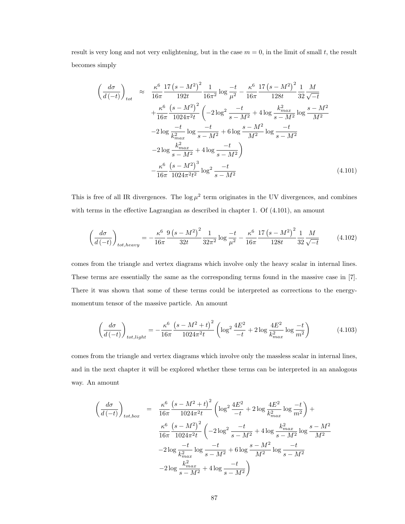result is very long and not very enlightening, but in the case  $m = 0$ , in the limit of small t, the result becomes simply

$$
\left(\frac{d\sigma}{d\left(-t\right)}\right)_{tot} \approx \frac{\kappa^6}{16\pi} \frac{17\left(s - M^2\right)^2}{192t} \frac{1}{16\pi^2} \log \frac{-t}{\mu^2} - \frac{\kappa^6}{16\pi} \frac{17\left(s - M^2\right)^2}{128t} \frac{1}{32} \frac{M}{\sqrt{-t}}
$$
\n
$$
+ \frac{\kappa^6}{16\pi} \frac{\left(s - M^2\right)^2}{1024\pi^2 t} \left(-2\log^2 \frac{-t}{s - M^2} + 4\log \frac{k_{max}^2}{s - M^2} \log \frac{s - M^2}{M^2} - 2\log \frac{-t}{k_{max}^2} \log \frac{-t}{s - M^2} + 6\log \frac{s - M^2}{M^2} \log \frac{-t}{s - M^2}
$$
\n
$$
-2\log \frac{k_{max}^2}{s - M^2} + 4\log \frac{-t}{s - M^2}
$$
\n
$$
- \frac{\kappa^6}{16\pi} \frac{\left(s - M^2\right)^3}{1024\pi^2 t^2} \log^2 \frac{-t}{s - M^2} \tag{4.101}
$$

This is free of all IR divergences. The  $\log \mu^2$  term originates in the UV divergences, and combines with terms in the effective Lagrangian as described in chapter 1. Of (4.101), an amount

$$
\left(\frac{d\sigma}{d\left(-t\right)}\right)_{tot, heavy} = -\frac{\kappa^6}{16\pi} \frac{9\left(s - M^2\right)^2}{32t} \frac{1}{32\pi^2} \log\frac{-t}{\mu^2} - \frac{\kappa^6}{16\pi} \frac{17\left(s - M^2\right)^2}{128t} \frac{1}{32} \frac{M}{\sqrt{-t}}\tag{4.102}
$$

comes from the triangle and vertex diagrams which involve only the heavy scalar in internal lines. These terms are essentially the same as the corresponding terms found in the massive case in [7]. There it was shown that some of these terms could be interpreted as corrections to the energymomentum tensor of the massive particle. An amount

$$
\left(\frac{d\sigma}{d\left(-t\right)}\right)_{tot, light} = -\frac{\kappa^6}{16\pi} \frac{\left(s - M^2 + t\right)^2}{1024\pi^2 t} \left(\log^2 \frac{4E^2}{-t} + 2\log \frac{4E^2}{k_{max}^2} \log \frac{-t}{m^2}\right) \tag{4.103}
$$

comes from the triangle and vertex diagrams which involve only the massless scalar in internal lines, and in the next chapter it will be explored whether these terms can be interpreted in an analogous way. An amount

$$
\left(\frac{d\sigma}{d(-t)}\right)_{tot, box} = \frac{\kappa^6}{16\pi} \frac{\left(s - M^2 + t\right)^2}{1024\pi^2 t} \left(\log^2 \frac{4E^2}{-t} + 2\log \frac{4E^2}{k_{max}^2} \log \frac{-t}{m^2}\right) + \frac{\kappa^6}{16\pi} \frac{\left(s - M^2\right)^2}{1024\pi^2 t} \left(-2\log^2 \frac{-t}{s - M^2} + 4\log \frac{k_{max}^2}{s - M^2} \log \frac{s - M^2}{M^2}\right) - 2\log \frac{-t}{k_{max}^2} \log \frac{-t}{s - M^2} + 6\log \frac{s - M^2}{M^2} \log \frac{-t}{s - M^2}
$$

$$
-2\log \frac{k_{max}^2}{s - M^2} + 4\log \frac{-t}{s - M^2}\right)
$$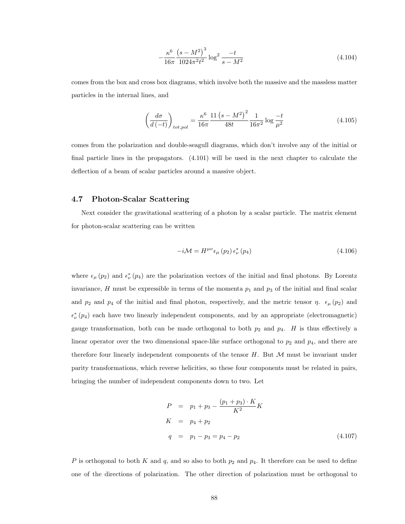$$
-\frac{\kappa^6}{16\pi} \frac{\left(s-M^2\right)^3}{1024\pi^2 t^2} \log^2 \frac{-t}{s-M^2}
$$
\n(4.104)

comes from the box and cross box diagrams, which involve both the massive and the massless matter particles in the internal lines, and

$$
\left(\frac{d\sigma}{d\left(-t\right)}\right)_{tot,pol} = \frac{\kappa^6}{16\pi} \frac{11\left(s - M^2\right)^2}{48t} \frac{1}{16\pi^2} \log \frac{-t}{\mu^2}
$$
\n(4.105)

comes from the polarization and double-seagull diagrams, which don't involve any of the initial or final particle lines in the propagators. (4.101) will be used in the next chapter to calculate the deflection of a beam of scalar particles around a massive object.

### 4.7 Photon-Scalar Scattering

Next consider the gravitational scattering of a photon by a scalar particle. The matrix element for photon-scalar scattering can be written

$$
-i\mathcal{M} = H^{\mu\nu}\epsilon_{\mu}\left(p_{2}\right)\epsilon_{\nu}^{*}\left(p_{4}\right) \tag{4.106}
$$

where  $\epsilon_{\mu}$  ( $p_2$ ) and  $\epsilon_{\nu}^*(p_4)$  are the polarization vectors of the initial and final photons. By Lorentz invariance, H must be expressible in terms of the momenta  $p_1$  and  $p_3$  of the initial and final scalar and  $p_2$  and  $p_4$  of the initial and final photon, respectively, and the metric tensor  $\eta$ .  $\epsilon_{\mu}$  ( $p_2$ ) and  $\epsilon^*_{\nu}(p_4)$  each have two linearly independent components, and by an appropriate (electromagnetic) gauge transformation, both can be made orthogonal to both  $p_2$  and  $p_4$ . H is thus effectively a linear operator over the two dimensional space-like surface orthogonal to  $p_2$  and  $p_4$ , and there are therefore four linearly independent components of the tensor  $H$ . But  $M$  must be invariant under parity transformations, which reverse helicities, so these four components must be related in pairs, bringing the number of independent components down to two. Let

$$
P = p_1 + p_3 - \frac{(p_1 + p_3) \cdot K}{K^2} K
$$
  
\n
$$
K = p_4 + p_2
$$
  
\n
$$
q = p_1 - p_3 = p_4 - p_2
$$
\n(4.107)

P is orthogonal to both K and q, and so also to both  $p_2$  and  $p_4$ . It therefore can be used to define one of the directions of polarization. The other direction of polarization must be orthogonal to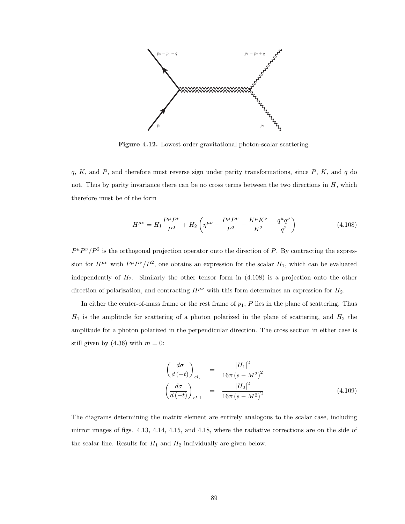

Figure 4.12. Lowest order gravitational photon-scalar scattering.

 $q, K$ , and  $P$ , and therefore must reverse sign under parity transformations, since  $P, K$ , and  $q$  do not. Thus by parity invariance there can be no cross terms between the two directions in  $H$ , which therefore must be of the form

$$
H^{\mu\nu} = H_1 \frac{P^{\mu} P^{\nu}}{P^2} + H_2 \left( \eta^{\mu\nu} - \frac{P^{\mu} P^{\nu}}{P^2} - \frac{K^{\mu} K^{\nu}}{K^2} - \frac{q^{\mu} q^{\nu}}{q^2} \right)
$$
(4.108)

 $P^{\mu}P^{\nu}/P^2$  is the orthogonal projection operator onto the direction of P. By contracting the expression for  $H^{\mu\nu}$  with  $P^{\mu}P^{\nu}/P^2$ , one obtains an expression for the scalar  $H_1$ , which can be evaluated independently of  $H_2$ . Similarly the other tensor form in  $(4.108)$  is a projection onto the other direction of polarization, and contracting  $H^{\mu\nu}$  with this form determines an expression for  $H_2$ .

In either the center-of-mass frame or the rest frame of  $p_1$ ,  $P$  lies in the plane of scattering. Thus  $H_1$  is the amplitude for scattering of a photon polarized in the plane of scattering, and  $H_2$  the amplitude for a photon polarized in the perpendicular direction. The cross section in either case is still given by  $(4.36)$  with  $m = 0$ :

$$
\left(\frac{d\sigma}{d\left(-t\right)}\right)_{el,\parallel} = \frac{|H_1|^2}{16\pi\left(s - M^2\right)^2} \n\left(\frac{d\sigma}{d\left(-t\right)}\right)_{el,\perp} = \frac{|H_2|^2}{16\pi\left(s - M^2\right)^2}
$$
\n(4.109)

The diagrams determining the matrix element are entirely analogous to the scalar case, including mirror images of figs. 4.13, 4.14, 4.15, and 4.18, where the radiative corrections are on the side of the scalar line. Results for  $H_1$  and  $H_2$  individually are given below.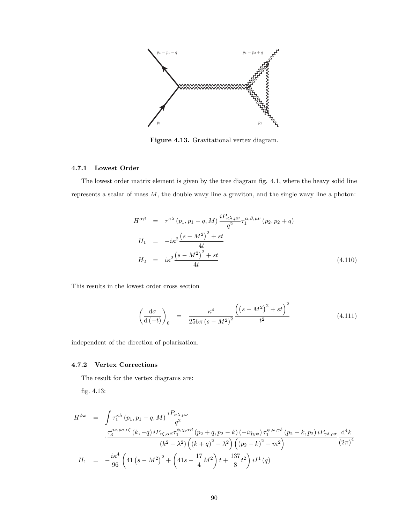

Figure 4.13. Gravitational vertex diagram.

### 4.7.1 Lowest Order

The lowest order matrix element is given by the tree diagram fig. 4.1, where the heavy solid line represents a scalar of mass  $M$ , the double wavy line a graviton, and the single wavy line a photon:

$$
H^{\alpha\beta} = \tau^{\kappa\lambda} (p_1, p_1 - q, M) \frac{i P_{\kappa\lambda,\mu\nu}}{q^2} \tau_1^{\alpha,\beta,\mu\nu} (p_2, p_2 + q)
$$
  
\n
$$
H_1 = -i\kappa^2 \frac{(s - M^2)^2 + st}{4t}
$$
  
\n
$$
H_2 = i\kappa^2 \frac{(s - M^2)^2 + st}{4t}
$$
\n(4.110)

This results in the lowest order cross section

$$
\left(\frac{\mathrm{d}\sigma}{\mathrm{d}\left(-t\right)}\right)_0 = \frac{\kappa^4}{256\pi\left(s-M^2\right)^2} \frac{\left(\left(s-M^2\right)^2 + st\right)^2}{t^2} \tag{4.111}
$$

independent of the direction of polarization.

### 4.7.2 Vertex Corrections

The result for the vertex diagrams are:

fig. 4.13:

$$
H^{\phi\omega} = \int \tau_1^{\kappa\lambda} (p_1, p_1 - q, M) \frac{i P_{\kappa\lambda,\mu\nu}}{q^2}
$$
  

$$
\frac{\tau_3^{\mu\nu,\rho\sigma,\epsilon\zeta} (k, -q) i P_{\epsilon\zeta,\alpha\beta} \tau_1^{\phi,\chi,\alpha\beta} (p_2 + q, p_2 - k) (-i\eta_{\chi\psi}) \tau_1^{\psi,\omega,\gamma\delta} (p_2 - k, p_2) i P_{\gamma\delta,\rho\sigma}}{(k^2 - \lambda^2) \left( (k + q)^2 - \lambda^2 \right) \left( (p_2 - k)^2 - m^2 \right)}
$$
  

$$
H_1 = -\frac{i\kappa^4}{96} \left( 41 \left( s - M^2 \right)^2 + \left( 41 s - \frac{17}{4} M^2 \right) t + \frac{137}{8} t^2 \right) i I^1(q)
$$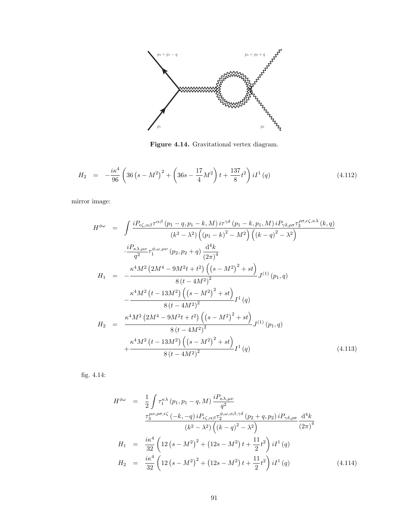

Figure 4.14. Gravitational vertex diagram.

$$
H_2 = -\frac{i\kappa^4}{96} \left( 36 \left( s - M^2 \right)^2 + \left( 36 s - \frac{17}{4} M^2 \right) t + \frac{137}{8} t^2 \right) i I^1(q) \tag{4.112}
$$

mirror image:

$$
H^{\phi\omega} = \int \frac{iP_{\epsilon\zeta,\alpha\beta}\tau^{\alpha\beta}(p_1 - q, p_1 - k, M) i\tau^{\gamma\delta}(p_1 - k, p_1, M) iP_{\gamma\delta,\rho\sigma}\tau_3^{\rho\sigma,\epsilon\zeta,\kappa\lambda}(k, q)}{(k^2 - \lambda^2) ((p_1 - k)^2 - M^2) ((k - q)^2 - \lambda^2)}
$$
  

$$
\frac{\cdot iP_{\kappa\lambda,\mu\nu}}{q^2} \tau_1^{\phi,\omega,\mu\nu}(p_2, p_2 + q) \frac{d^4k}{(2\pi)^4}
$$
  

$$
H_1 = -\frac{\kappa^4 M^2 (2M^4 - 9M^2t + t^2) ((s - M^2)^2 + st)}{8(t - 4M^2)^2} J^{(1)}(p_1, q)
$$
  

$$
-\frac{\kappa^4 M^2 (t - 13M^2) ((s - M^2)^2 + st)}{8(t - 4M^2)^2} I^1(q)
$$
  

$$
H_2 = \frac{\kappa^4 M^2 (2M^4 - 9M^2t + t^2) ((s - M^2)^2 + st)}{8(t - 4M^2)^2} J^{(1)}(p_1, q)
$$
  

$$
+ \frac{\kappa^4 M^2 (t - 13M^2) ((s - M^2)^2 + st)}{8(t - 4M^2)^2} I^1(q)
$$
(4.113)

fig. 4.14:

$$
H^{\phi\omega} = \frac{1}{2} \int \tau_1^{\kappa\lambda} (p_1, p_1 - q, M) \frac{i P_{\kappa\lambda,\mu\nu}}{q^2}
$$
  
\n
$$
\frac{\tau_3^{\mu\nu,\rho\sigma,\epsilon\zeta} (-k, -q) i P_{\epsilon\zeta,\alpha\beta} \tau_2^{\phi,\omega,\alpha\beta,\gamma\delta} (p_2 + q, p_2) i P_{\gamma\delta,\rho\sigma} d^4k}{(k^2 - \lambda^2) ((k - q)^2 - \lambda^2)} \frac{d^4k}{(2\pi)^4}
$$
  
\n
$$
H_1 = \frac{i\kappa^4}{32} \left( 12 (s - M^2)^2 + (12s - M^2) t + \frac{11}{2} t^2 \right) i I^1(q)
$$
  
\n
$$
H_2 = \frac{i\kappa^4}{32} \left( 12 (s - M^2)^2 + (12s - M^2) t + \frac{11}{2} t^2 \right) i I^1(q)
$$
(4.114)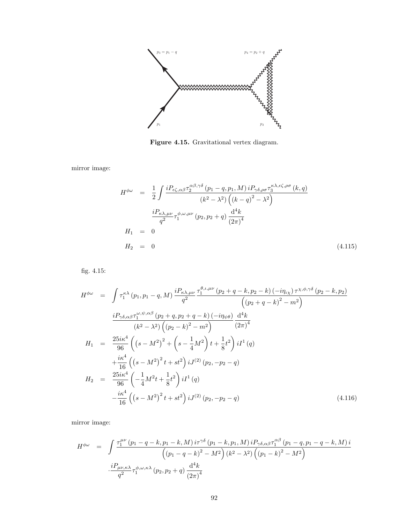

Figure 4.15. Gravitational vertex diagram.

mirror image:

$$
H^{\phi\omega} = \frac{1}{2} \int \frac{i P_{\epsilon\zeta,\alpha\beta} \tau_2^{\alpha\beta,\gamma\delta} (p_1 - q, p_1, M) i P_{\gamma\delta,\rho\sigma} \tau_3^{\kappa\lambda,\epsilon\zeta,\rho\sigma} (k, q)}{(k^2 - \lambda^2) \left( (k - q)^2 - \lambda^2 \right)}
$$
  

$$
\frac{i P_{\kappa\lambda,\mu\nu}}{q^2} \tau_1^{\phi,\omega,\mu\nu} (p_2, p_2 + q) \frac{d^4 k}{(2\pi)^4}
$$
  

$$
H_1 = 0
$$
  

$$
H_2 = 0
$$
 (4.115)

fig. 4.15:

$$
H^{\phi\omega} = \int \tau_1^{\kappa\lambda} (p_1, p_1 - q, M) \frac{i P_{\kappa\lambda,\mu\nu}}{q^2} \frac{\tau_1^{\theta,\iota,\mu\nu} (p_2 + q - k, p_2 - k) (-i\eta_{\iota\lambda}) \tau^{\chi,\phi,\gamma\delta} (p_2 - k, p_2)}{(p_2 + q - k)^2 - m^2}
$$
  

$$
\frac{i P_{\gamma\delta,\alpha\beta} \tau_1^{\omega,\psi,\alpha\beta} (p_2 + q, p_2 + q - k) (-i\eta_{\psi\theta})}{(k^2 - \lambda^2) ((p_2 - k)^2 - m^2)} \frac{d^4 k}{(2\pi)^4}
$$
  

$$
H_1 = \frac{25i\kappa^4}{96} ((s - M^2)^2 + (s - \frac{1}{4}M^2) t + \frac{1}{8}t^2) i I^1(q)
$$
  

$$
+ \frac{i\kappa^4}{16} ((s - M^2)^2 t + st^2) i J^{(2)}(p_2, -p_2 - q)
$$
  

$$
H_2 = \frac{25i\kappa^4}{96} (-\frac{1}{4}M^2 t + \frac{1}{8}t^2) i I^1(q)
$$
  

$$
- \frac{i\kappa^4}{16} ((s - M^2)^2 t + st^2) i J^{(2)}(p_2, -p_2 - q)
$$
 (4.116)

mirror image:

$$
H^{\phi\omega} = \int \frac{\tau_1^{\mu\nu} (p_1 - q - k, p_1 - k, M) i\tau^{\gamma\delta} (p_1 - k, p_1, M) i P_{\gamma\delta,\alpha\beta} \tau_1^{\alpha\beta} (p_1 - q, p_1 - q - k, M) i}{\left( (p_1 - q - k)^2 - M^2 \right) (k^2 - \lambda^2) \left( (p_1 - k)^2 - M^2 \right)}
$$

$$
\cdot \frac{i P_{\mu\nu,\kappa\lambda}}{q^2} \tau_1^{\phi,\omega,\kappa\lambda} (p_2, p_2 + q) \frac{d^4 k}{(2\pi)^4}
$$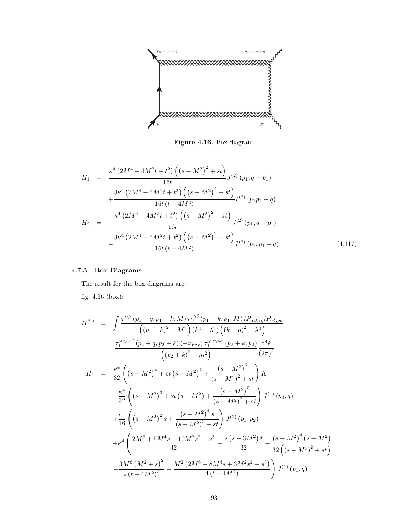

Figure 4.16. Box diagram.

$$
H_{1} = \frac{\kappa^{4} (2M^{4} - 4M^{2}t + t^{2}) ((s - M^{2})^{2} + st)}{16t} J^{(2)} (p_{1}, q - p_{1})
$$
  
+ 
$$
\frac{3\kappa^{4} (2M^{4} - 4M^{2}t + t^{2}) ((s - M^{2})^{2} + st)}{16t (t - 4M^{2})} I^{(2)} (p_{1}p_{1} - q)
$$
  

$$
H_{2} = -\frac{\kappa^{4} (2M^{4} - 4M^{2}t + t^{2}) ((s - M^{2})^{2} + st)}{16t} J^{(2)} (p_{1}, q - p_{1})
$$
  
- 
$$
\frac{3\kappa^{4} (2M^{4} - 4M^{2}t + t^{2}) ((s - M^{2})^{2} + st)}{16t (t - 4M^{2})} I^{(2)} (p_{1}, p_{1} - q)
$$
(4.117)

# 4.7.3 Box Diagrams

The result for the box diagrams are:

fig. 4.16 (box):

$$
H^{\phi\omega} = \int \frac{\tau^{\alpha\beta} (p_1 - q, p_1 - k, M) i\tau_1^{\gamma\delta} (p_1 - k, p_1, M) iP_{\alpha\beta,\epsilon\zeta} iP_{\gamma\delta,\rho\sigma}}{(p_1 - k)^2 - M^2) (k^2 - \lambda^2) ((k - q)^2 - \lambda^2)}
$$
  

$$
\frac{\tau_1^{\omega,\psi,\epsilon\zeta} (p_2 + q, p_2 + k) (-i\eta_{\psi\chi}) \tau_1^{\chi,\phi,\rho\sigma} (p_2 + k, p_2)}{(p_2 + k)^2 - m^2} \frac{d^4k}{(2\pi)^4}
$$
  

$$
H_1 = \frac{\kappa^4}{32} \left( (s - M^2)^4 + st (s - M^2)^2 + \frac{(s - M^2)^6}{(s - M^2)^2 + st} \right) K
$$

$$
-\frac{\kappa^4}{32} \left( (s - M^2)^3 + st (s - M^2) + \frac{(s - M^2)^5}{(s - M^2)^2 + st} \right) J^{(1)}(p_2, q)
$$

$$
+\frac{\kappa^4}{16} \left( (s - M^2)^2 s + \frac{(s - M^2)^4 s}{(s - M^2)^2 + st} \right) J^{(2)}(p_1, p_2)
$$

$$
+ \kappa^4 \left( \frac{2M^6 + 5M^4s + 10M^2s^2 - s^3}{32} - \frac{s(s - 3M^2)t}{32} - \frac{(s - M^2)^4 (s + M^2)}{32(s - M^2)^2 + st} \right)
$$

$$
+\frac{3M^6 (M^2 + s)^2}{2(t - 4M^2)^2} + \frac{M^2 (2M^6 + 8M^4s + 3M^2s^2 + s^3)}{4(t - 4M^2)} \right) J^{(1)}(p_1, q)
$$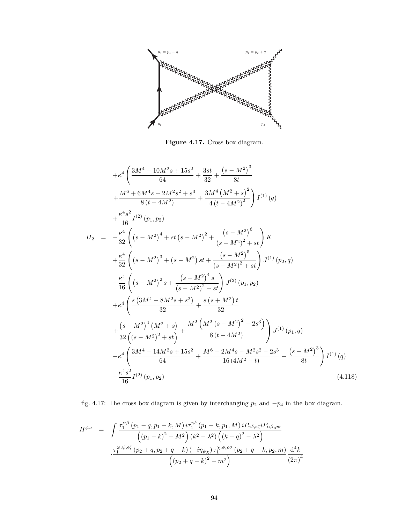

Figure 4.17. Cross box diagram.

$$
+ \kappa^4 \left( \frac{3M^4 - 10M^2s + 15s^2}{64} + \frac{3st}{32} + \frac{(s - M^2)^3}{8t} + \frac{M^6 + 6M^4s + 2M^2s^2 + s^3}{8(t - 4M^2)} + \frac{3M^4(M^2 + s)^2}{4(t - 4M^2)^2} \right) I^{(1)}(q) + \frac{\kappa^4 s^2}{16} I^{(2)}(p_1, p_2) H_2 = -\frac{\kappa^4}{32} \left( (s - M^2)^4 + st (s - M^2)^2 + \frac{(s - M^2)^6}{(s - M^2)^2 + st} \right) K + \frac{\kappa^4}{32} \left( (s - M^2)^3 + (s - M^2) st + \frac{(s - M^2)^5}{(s - M^2)^2 + st} \right) J^{(1)}(p_2, q) - \frac{\kappa^4}{16} \left( (s - M^2)^2 s + \frac{(s - M^2)^4 s}{(s - M^2)^2 + st} \right) J^{(2)}(p_1, p_2) + \kappa^4 \left( \frac{s (3M^4 - 8M^2s + s^2)}{32} + \frac{s (s + M^2)t}{32} + \frac{(s - M^2)^4 (M^2 + s)}{32} + \frac{M^2 (M^2 (s - M^2)^2 - 2s^3)}{32} \right) J^{(1)}(p_1, q) - \kappa^4 \left( \frac{3M^4 - 14M^2s + 15s^2}{64} + \frac{M^6 - 2M^4s - M^2s^2 - 2s^3}{16 (4M^2 - t)} + \frac{(s - M^2)^3}{8t} \right) I^{(1)}(q) - \frac{\kappa^4 s^2}{16} I^{(2)}(p_1, p_2)
$$
(4.118)

fig. 4.17: The cross box diagram is given by interchanging  $p_2$  and  $-p_4$  in the box diagram.

$$
H^{\phi\omega} = \int \frac{\tau_1^{\alpha\beta} (p_1 - q, p_1 - k, M) i\tau_1^{\gamma\delta} (p_1 - k, p_1, M) iP_{\gamma\delta,\epsilon\zeta} iP_{\alpha\beta,\rho\sigma}}{(p_1 - k)^2 - M^2 (k^2 - \lambda^2) ((k - q)^2 - \lambda^2)}
$$

$$
\cdot \frac{\tau_1^{\omega,\psi,\epsilon\zeta} (p_2 + q, p_2 + q - k) (-i\eta_{\psi\chi}) \tau_1^{\chi,\phi,\rho\sigma} (p_2 + q - k, p_2, m)}{(p_2 + q - k)^2 - m^2} \frac{d^4k}{(2\pi)^4}
$$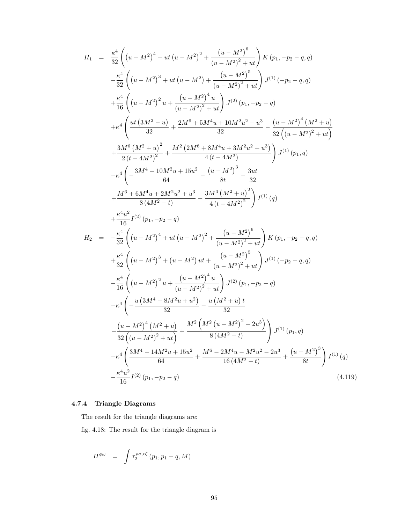$$
H_{1} = \frac{\kappa^{4}}{32} \left( (u - M^{2})^{4} + ut (u - M^{2})^{2} + \frac{(u - M^{2})^{6}}{(u - M^{2})^{2} + ut} \right) K (p_{1}, -p_{2} - q, q)
$$
\n
$$
- \frac{\kappa^{4}}{32} \left( (u - M^{2})^{3} + ut (u - M^{2}) + \frac{(u - M^{2})^{5}}{(u - M^{2})^{2} + ut} \right) J^{(1)} (-p_{2} - q, q)
$$
\n
$$
+ \frac{\kappa^{4}}{16} \left( (u - M^{2})^{2} u + \frac{(u - M^{2})^{4} u}{(u - M^{2})^{2} + ut} \right) J^{(2)} (p_{1}, -p_{2} - q)
$$
\n
$$
+ \kappa^{4} \left( \frac{ut (3M^{2} - u)}{32} + \frac{2M^{6} + 5M^{4} u + 10M^{2} u^{2} - u^{3}}{32} - \frac{(u - M^{2})^{4} (M^{2} + u)}{32( (u - M^{2})^{2} + ut} \right)
$$
\n
$$
+ \frac{3M^{6} (M^{2} + u)^{2}}{2(t - 4M^{2})^{2}} + \frac{M^{2} (2M^{6} + 8M^{4} u + 3M^{2} u^{2} + u^{3})}{4(t - 4M^{2})} \right) J^{(1)} (p_{1}, q)
$$
\n
$$
- \kappa^{4} \left( - \frac{3M^{4} - 10M^{2} u + 15u^{2}}{64} - \frac{(u - M^{2})^{3}}{8t} - \frac{3ut}{32}
$$
\n
$$
+ \frac{M^{6} + 6M^{4} u + 2M^{2} u^{2} + u^{3}}{8(4M^{2} - t)} - \frac{3M^{4} (M^{2} + u)^{2}}{4(t - 4M^{2})^{2}} \right) J^{(1)} (q)
$$
\n
$$
+ \frac{\kappa^{4} u^{2}}{16} J^{(2)} (p_{1}, -p_{2} - q)
$$
\n
$$
H_{2} = - \frac{\kappa^{4}}{32} \left( (u - M^{2})^{4} + ut (u - M^{2})^{2} + \frac{(u - M^{2})
$$

## 4.7.4 Triangle Diagrams

The result for the triangle diagrams are:

fig. 4.18: The result for the triangle diagram is

$$
H^{\phi\omega} = \int \tau_2^{\rho\sigma,\epsilon\zeta} (p_1, p_1 - q, M)
$$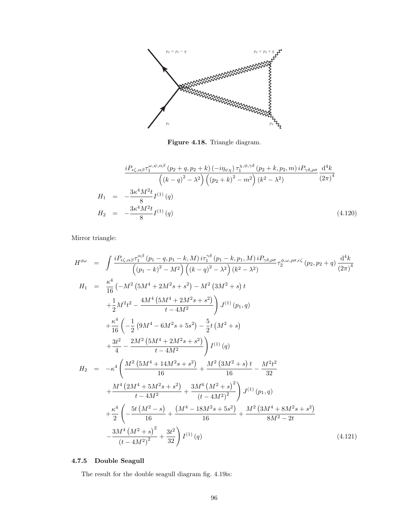

Figure 4.18. Triangle diagram.

$$
\frac{i P_{\epsilon\zeta,\alpha\beta} \tau_1^{\omega,\psi,\alpha\beta} (p_2 + q, p_2 + k) (-i \eta_{\psi\chi}) \tau_1^{\chi,\phi,\gamma\delta} (p_2 + k, p_2, m) i P_{\gamma\delta,\rho\sigma}}{(k - q)^2 - \lambda^2} \left( (p_2 + k)^2 - m^2 \right) (k^2 - \lambda^2) \frac{d^4 k}{(2\pi)^4}
$$
\n
$$
H_1 = -\frac{3\kappa^4 M^2 t}{8} I^{(1)}(q)
$$
\n
$$
H_2 = -\frac{3\kappa^4 M^2 t}{8} I^{(1)}(q) \tag{4.120}
$$

Mirror triangle:

$$
H^{\phi\omega} = \int \frac{iP_{\epsilon\zeta,\alpha\beta}\tau_1^{\alpha\beta}(p_1 - q, p_1 - k, M) i\tau_1^{\gamma\delta}(p_1 - k, p_1, M) iP_{\gamma\delta,\rho\sigma}}{(p_1 - k)^2 - M^2} \left( (k - q)^2 - \lambda^2 \right) (k^2 - \lambda^2)
$$
  
\n
$$
H_1 = \frac{\kappa^4}{16} \left( -M^2 \left( 5M^4 + 2M^2s + s^2 \right) - M^2 \left( 3M^2 + s \right) t + \frac{1}{2}M^2t^2 - \frac{4M^4 \left( 5M^4 + 2M^2s + s^2 \right)}{t - 4M^2} \right) J^{(1)}(p_1, q)
$$
  
\n
$$
+ \frac{\kappa^4}{16} \left( -\frac{1}{2} \left( 9M^4 - 6M^2s + 5s^2 \right) - \frac{5}{2}t \left( M^2 + s \right) + \frac{3t^2}{4} - \frac{2M^2 \left( 5M^4 + 2M^2s + s^2 \right)}{t - 4M^2} \right) J^{(1)}(q)
$$
  
\n
$$
H_2 = -\kappa^4 \left( \frac{M^2 \left( 5M^4 + 14M^2s + s^2 \right)}{16} + \frac{M^2 \left( 3M^2 + s \right)t}{16} - \frac{M^2t^2}{32} + \frac{M^4 \left( 2M^4 + 5M^2s + s^2 \right)}{t - 4M^2} + \frac{3M^6 \left( M^2 + s \right)^2}{(t - 4M^2)^2} \right) J^{(1)}(p_1, q)
$$
  
\n
$$
+ \frac{\kappa^4}{2} \left( -\frac{5t \left( M^2 - s \right)}{16} + \frac{\left( M^4 - 18M^2s + 5s^2 \right)}{16} + \frac{M^2 \left( 3M^4 + 8M^2s + s^2 \right)}{8M^2 - 2t} - \frac{3M^4 \left( M^2 + s \right)^2}{(t - 4M^2)^2} + \frac{3t^2}{32} \right) I^{(1)}(q)
$$
  
\n(

## 4.7.5 Double Seagull

The result for the double seagull diagram fig. 4.19is: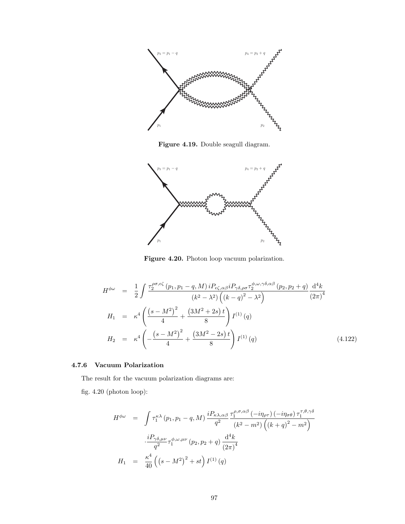

Figure 4.19. Double seagull diagram.



Figure 4.20. Photon loop vacuum polarization.

$$
H^{\phi\omega} = \frac{1}{2} \int \frac{\tau_2^{\rho\sigma,\epsilon\zeta} (p_1, p_1 - q, M) i P_{\epsilon\zeta,\alpha\beta} i P_{\gamma\delta,\rho\sigma} \tau_2^{\phi,\omega,\gamma\delta,\alpha\beta} (p_2, p_2 + q)}{(k^2 - \lambda^2) ((k - q)^2 - \lambda^2)} \frac{\mathrm{d}^4 k}{(2\pi)^4}
$$
  
\n
$$
H_1 = \kappa^4 \left( \frac{(s - M^2)^2}{4} + \frac{(3M^2 + 2s)t}{8} \right) I^{(1)}(q)
$$
  
\n
$$
H_2 = \kappa^4 \left( -\frac{(s - M^2)^2}{4} + \frac{(3M^2 - 2s)t}{8} \right) I^{(1)}(q)
$$
(4.122)

### 4.7.6 Vacuum Polarization

The result for the vacuum polarization diagrams are:

fig. 4.20 (photon loop):

$$
H^{\phi\omega} = \int \tau_1^{\kappa\lambda} (p_1, p_1 - q, M) \frac{i P_{\kappa\lambda,\alpha\beta}}{q^2} \frac{\tau_1^{\rho,\sigma,\alpha\beta} (-i\eta_{\rho\tau}) (-i\eta_{\sigma\theta}) \tau_1^{\tau,\theta,\gamma\delta}}{(k^2 - m^2) \left( (k+q)^2 - m^2 \right)}
$$

$$
\frac{i P_{\gamma\delta,\mu\nu}}{q^2} \tau_1^{\phi,\omega,\mu\nu} (p_2, p_2 + q) \frac{d^4 k}{(2\pi)^4}
$$

$$
H_1 = \frac{\kappa^4}{40} \left( (s - M^2)^2 + st \right) I^{(1)}(q)
$$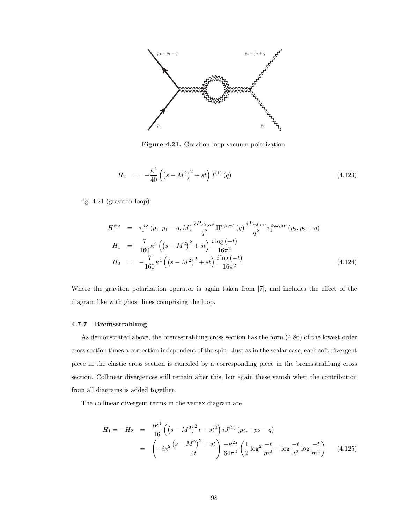

Figure 4.21. Graviton loop vacuum polarization.

$$
H_2 = -\frac{\kappa^4}{40} \left( \left( s - M^2 \right)^2 + st \right) I^{(1)}(q) \tag{4.123}
$$

fig. 4.21 (graviton loop):

$$
H^{\phi\omega} = \tau_1^{\kappa\lambda} (p_1, p_1 - q, M) \frac{i P_{\kappa\lambda,\alpha\beta}}{q^2} \Pi^{\alpha\beta,\gamma\delta} (q) \frac{i P_{\gamma\delta,\mu\nu}}{q^2} \tau_1^{\phi,\omega,\mu\nu} (p_2, p_2 + q)
$$
  
\n
$$
H_1 = \frac{7}{160} \kappa^4 \left( (s - M^2)^2 + st \right) \frac{i \log(-t)}{16\pi^2}
$$
  
\n
$$
H_2 = -\frac{7}{160} \kappa^4 \left( (s - M^2)^2 + st \right) \frac{i \log(-t)}{16\pi^2}
$$
\n(4.124)

Where the graviton polarization operator is again taken from [7], and includes the effect of the diagram like with ghost lines comprising the loop.

### 4.7.7 Bremsstrahlung

As demonstrated above, the bremsstrahlung cross section has the form (4.86) of the lowest order cross section times a correction independent of the spin. Just as in the scalar case, each soft divergent piece in the elastic cross section is canceled by a corresponding piece in the bremsstrahlung cross section. Collinear divergences still remain after this, but again these vanish when the contribution from all diagrams is added together.

The collinear divergent terms in the vertex diagram are

$$
H_1 = -H_2 = \frac{i\kappa^4}{16} \left( \left( s - M^2 \right)^2 t + st^2 \right) iJ^{(2)}(p_2, -p_2 - q)
$$
  
= 
$$
\left( -i\kappa^2 \frac{\left( s - M^2 \right)^2 + st}{4t} \right) \frac{-\kappa^2 t}{64\pi^2} \left( \frac{1}{2} \log^2 \frac{-t}{m^2} - \log \frac{-t}{\lambda^2} \log \frac{-t}{m^2} \right) \tag{4.125}
$$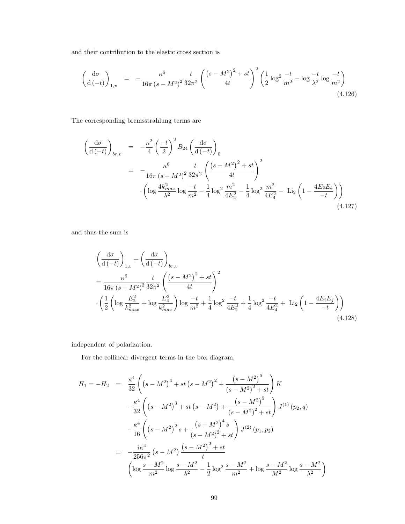and their contribution to the elastic cross section is

$$
\left(\frac{d\sigma}{d\left(-t\right)}\right)_{1,v} = -\frac{\kappa^6}{16\pi\left(s - M^2\right)^2} \frac{t}{32\pi^2} \left(\frac{\left(s - M^2\right)^2 + st}{4t}\right)^2 \left(\frac{1}{2}\log^2\frac{-t}{m^2} - \log\frac{-t}{\lambda^2}\log\frac{-t}{m^2}\right) \tag{4.126}
$$

The corresponding bremsstrahlung terms are

$$
\begin{split}\n\left(\frac{d\sigma}{d\left(-t\right)}\right)_{br,v} &= -\frac{\kappa^2}{4} \left(\frac{-t}{2}\right)^2 B_{24} \left(\frac{d\sigma}{d\left(-t\right)}\right)_0 \\
&= -\frac{\kappa^6}{16\pi \left(s - M^2\right)^2} \frac{t}{32\pi^2} \left(\frac{\left(s - M^2\right)^2 + st}{4t}\right)^2 \\
&\cdot \left(\log \frac{4k_{max}^2}{\lambda^2} \log \frac{-t}{m^2} - \frac{1}{4} \log^2 \frac{m^2}{4E_2^2} - \frac{1}{4} \log^2 \frac{m^2}{4E_4^2} - \text{Li}_2\left(1 - \frac{4E_2 E_4}{-t}\right)\right)\n\end{split}
$$
\n(4.127)

and thus the sum is

$$
\left(\frac{d\sigma}{d(-t)}\right)_{1,v} + \left(\frac{d\sigma}{d(-t)}\right)_{br,v} \n= \frac{\kappa^6}{16\pi (s - M^2)^2} \frac{t}{32\pi^2} \left(\frac{(s - M^2)^2 + st}{4t}\right)^2 \n\cdot \left(\frac{1}{2} \left(\log \frac{E_2^2}{k_{max}^2} + \log \frac{E_4^2}{k_{max}^2}\right) \log \frac{-t}{m^2} + \frac{1}{4} \log^2 \frac{-t}{4E_2^2} + \frac{1}{4} \log^2 \frac{-t}{4E_4^2} + \text{Li}_2\left(1 - \frac{4E_i E_j}{-t}\right)\right)
$$
\n(4.128)

independent of polarization.

For the collinear divergent terms in the box diagram,

$$
H_1 = -H_2 = \frac{\kappa^4}{32} \left( \left( s - M^2 \right)^4 + st \left( s - M^2 \right)^2 + \frac{\left( s - M^2 \right)^6}{\left( s - M^2 \right)^2 + st} \right) K
$$
  

$$
- \frac{\kappa^4}{32} \left( \left( s - M^2 \right)^3 + st \left( s - M^2 \right) + \frac{\left( s - M^2 \right)^5}{\left( s - M^2 \right)^2 + st} \right) J^{(1)}(p_2, q)
$$
  

$$
+ \frac{\kappa^4}{16} \left( \left( s - M^2 \right)^2 s + \frac{\left( s - M^2 \right)^4 s}{\left( s - M^2 \right)^2 + st} \right) J^{(2)}(p_1, p_2)
$$
  

$$
= - \frac{i \kappa^4}{256\pi^2} \left( s - M^2 \right) \frac{\left( s - M^2 \right)^2 + st}{t}
$$
  

$$
\left( \log \frac{s - M^2}{m^2} \log \frac{s - M^2}{\lambda^2} - \frac{1}{2} \log^2 \frac{s - M^2}{m^2} + \log \frac{s - M^2}{M^2} \log \frac{s - M^2}{\lambda^2} \right)
$$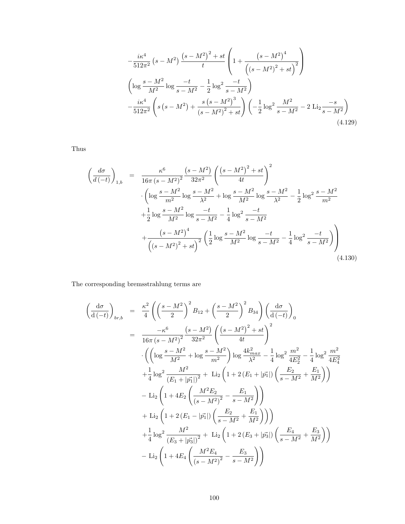$$
-\frac{i\kappa^4}{512\pi^2} \left(s - M^2\right) \frac{\left(s - M^2\right)^2 + st}{t} \left(1 + \frac{\left(s - M^2\right)^4}{\left(\left(s - M^2\right)^2 + st\right)^2}\right)
$$

$$
\left(\log \frac{s - M^2}{M^2} \log \frac{-t}{s - M^2} - \frac{1}{2} \log^2 \frac{-t}{s - M^2}\right)
$$

$$
-\frac{i\kappa^4}{512\pi^2} \left(s\left(s - M^2\right) + \frac{s\left(s - M^2\right)^3}{\left(s - M^2\right)^2 + st}\right) \left(-\frac{1}{2} \log^2 \frac{M^2}{s - M^2} - 2 \text{Li}_2 \frac{-s}{s - M^2}\right) \tag{4.129}
$$

Thus

$$
\left(\frac{d\sigma}{d\left(-t\right)}\right)_{1,b} = \frac{\kappa^6}{16\pi \left(s - M^2\right)^2} \frac{\left(s - M^2\right)}{32\pi^2} \left(\frac{\left(s - M^2\right)^2 + st}{4t}\right)^2
$$

$$
\cdot \left(\log \frac{s - M^2}{m^2} \log \frac{s - M^2}{\lambda^2} + \log \frac{s - M^2}{M^2} \log \frac{s - M^2}{\lambda^2} - \frac{1}{2} \log^2 \frac{s - M^2}{m^2}
$$

$$
+ \frac{1}{2} \log \frac{s - M^2}{M^2} \log \frac{-t}{s - M^2} - \frac{1}{4} \log^2 \frac{-t}{s - M^2}
$$

$$
+ \frac{\left(s - M^2\right)^4}{\left(\left(s - M^2\right)^2 + st\right)^2} \left(\frac{1}{2} \log \frac{s - M^2}{M^2} \log \frac{-t}{s - M^2} - \frac{1}{4} \log^2 \frac{-t}{s - M^2}\right)\right) \tag{4.130}
$$

The corresponding bremsstrahlung terms are

$$
\begin{split}\n&\left(\frac{d\sigma}{d\left(-t\right)}\right)_{br,b} = \frac{\kappa^2}{4} \left( \left(\frac{s-M^2}{2}\right)^2 B_{12} + \left(\frac{s-M^2}{2}\right)^2 B_{34} \right) \left(\frac{d\sigma}{d\left(-t\right)}\right)_0 \\
&= \frac{-\kappa^6}{16\pi (s-M^2)^2} \frac{\left(s-M^2\right)}{32\pi^2} \left( \frac{\left(s-M^2\right)^2 + st}{4t} \right)^2 \\
&\cdot \left( \left(\log \frac{s-M^2}{M^2} + \log \frac{s-M^2}{m^2}\right) \log \frac{4k_{max}^2}{\lambda^2} - \frac{1}{4} \log^2 \frac{m^2}{4E_2^2} - \frac{1}{4} \log^2 \frac{m^2}{4E_4^2} \\
&+ \frac{1}{4} \log^2 \frac{M^2}{(E_1 + |\vec{p}_1|)^2} + \text{Li}_2 \left(1 + 2(E_1 + |\vec{p}_1|) \left(\frac{E_2}{s-M^2} + \frac{E_1}{M^2}\right)\right) \\
&- \text{Li}_2 \left(1 + 4E_2 \left(\frac{M^2 E_2}{(s-M^2)^2} - \frac{E_1}{s-M^2}\right)\right) \\
&+ \text{Li}_2 \left(1 + 2(E_1 - |\vec{p}_1|) \left(\frac{E_2}{s-M^2} + \frac{E_1}{M^2}\right)\right) \\
&+ \frac{1}{4} \log^2 \frac{M^2}{(E_3 + |\vec{p}_3^*|)^2} + \text{Li}_2 \left(1 + 2(E_3 + |\vec{p}_3^*|) \left(\frac{E_4}{s-M^2} + \frac{E_3}{M^2}\right)\right) \\
&- \text{Li}_2 \left(1 + 4E_4 \left(\frac{M^2 E_4}{(s-M^2)^2} - \frac{E_3}{s-M^2}\right)\right)\n\end{split}
$$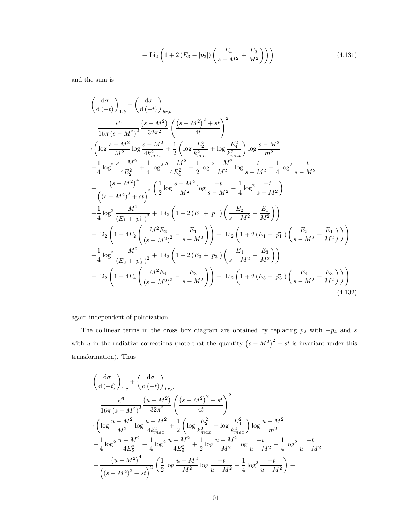+ Li<sub>2</sub> 
$$
\left(1 + 2\left(E_3 - |\vec{p_3}|\right)\left(\frac{E_4}{s - M^2} + \frac{E_3}{M^2}\right)\right)
$$
 (4.131)

and the sum is

$$
\left(\frac{d\sigma}{d(-t)}\right)_{1,b} + \left(\frac{d\sigma}{d(-t)}\right)_{b,r,b}
$$
\n
$$
= \frac{\kappa^6}{16\pi (s - M^2)^2} \frac{(s - M^2)}{32\pi^2} \left(\frac{(s - M^2)^2 + st}{4t}\right)^2
$$
\n
$$
\cdot \left(\log \frac{s - M^2}{M^2} \log \frac{s - M^2}{4k_{max}^2} + \frac{1}{2} \left(\log \frac{E_2^2}{k_{max}^2} + \log \frac{E_4^2}{k_{max}^2}\right) \log \frac{s - M^2}{m^2} + \frac{1}{4} \log^2 \frac{s - M^2}{4E_2^2} + \frac{1}{4} \log^2 \frac{s - M^2}{4E_4^2} + \frac{1}{2} \log \frac{s - M^2}{M^2} \log \frac{-t}{s - M^2} - \frac{1}{4} \log^2 \frac{-t}{s - M^2}
$$
\n
$$
+ \frac{(s - M^2)^4}{\left((s - M^2)^2 + st\right)^2} \left(\frac{1}{2} \log \frac{s - M^2}{M^2} \log \frac{-t}{s - M^2} - \frac{1}{4} \log^2 \frac{-t}{s - M^2}\right)
$$
\n
$$
+ \frac{1}{4} \log^2 \frac{M^2}{(E_1 + |\vec{p_1}|)^2} + \text{Li}_2 \left(1 + 2(E_1 + |\vec{p_1}|) \left(\frac{E_2}{s - M^2} + \frac{E_1}{M^2}\right)\right)
$$
\n
$$
- \text{Li}_2 \left(1 + 4E_2 \left(\frac{M^2 E_2}{(s - M^2)^2} - \frac{E_1}{s - M^2}\right)\right) + \text{Li}_2 \left(1 + 2(E_1 - |\vec{p_1}|) \left(\frac{E_2}{s - M^2} + \frac{E_1}{M^2}\right)\right)
$$
\n
$$
+ \frac{1}{4} \log^2 \frac{M^2}{(E_3 + |\vec{p_3}|)^2} + \text{Li}_2 \left(1 + 2(E_3 + |\vec{p_3}|) \left(\frac{E_4}{s - M^2} + \frac{E_3}{M^2}\right)\right)
$$
\n<math display="block</math>

again independent of polarization.

The collinear terms in the cross box diagram are obtained by replacing  $p_2$  with  $-p_4$  and s with u in the radiative corrections (note that the quantity  $(s - M^2)^2 + st$  is invariant under this transformation). Thus

$$
\left(\frac{d\sigma}{d\left(-t\right)}\right)_{1,c} + \left(\frac{d\sigma}{d\left(-t\right)}\right)_{br,c}
$$
\n
$$
= \frac{\kappa^6}{16\pi (s - M^2)^2} \frac{\left(u - M^2\right)}{32\pi^2} \left(\frac{\left(s - M^2\right)^2 + st}{4t}\right)^2
$$
\n
$$
\cdot \left(\log \frac{u - M^2}{M^2} \log \frac{u - M^2}{4k_{max}^2} + \frac{1}{2} \left(\log \frac{E_2^2}{k_{max}^2} + \log \frac{E_4^2}{k_{max}^2}\right) \log \frac{u - M^2}{m^2}
$$
\n
$$
+ \frac{1}{4} \log^2 \frac{u - M^2}{4E_2^2} + \frac{1}{4} \log^2 \frac{u - M^2}{4E_4^2} + \frac{1}{2} \log \frac{u - M^2}{M^2} \log \frac{-t}{u - M^2} - \frac{1}{4} \log^2 \frac{-t}{u - M^2}
$$
\n
$$
+ \frac{\left(u - M^2\right)^4}{\left(\left(s - M^2\right)^2 + st\right)^2} \left(\frac{1}{2} \log \frac{u - M^2}{M^2} \log \frac{-t}{u - M^2} - \frac{1}{4} \log^2 \frac{-t}{u - M^2}\right) + \frac{1}{4} \left(\frac{1}{2} \log \frac{u - M^2}{M^2} \log \frac{-t}{u - M^2} - \frac{1}{4} \log^2 \frac{-t}{u - M^2}\right) + \frac{1}{4} \left(\frac{1}{2} \log \frac{u - M^2}{M^2} \log \frac{-t}{u - M^2} - \frac{1}{4} \log^2 \frac{-t}{u - M^2}\right) + \frac{1}{4} \left(\frac{1}{2} \log \frac{u - M^2}{M^2} \log \frac{-t}{u - M^2} - \frac{1}{4} \log^2 \frac{-t}{u - M^2}\right) + \frac{1}{4} \left(\frac{1}{2} \log \frac{u - M^2}{M^2} \log \frac{-t}{u - M^2}\right) + \frac{1}{4} \left(\frac{1}{2} \log \frac{u - M^2}{M^2} \log \frac{-t
$$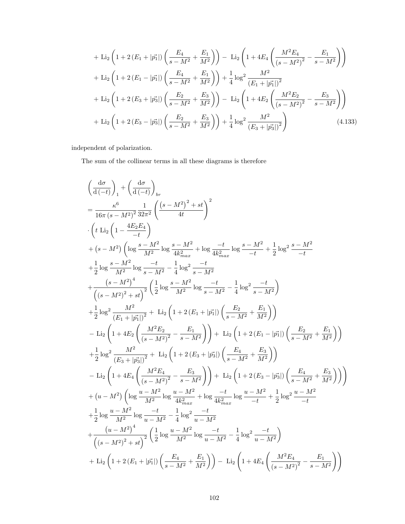$$
+ Li_{2} \left( 1 + 2 \left( E_{1} + |\vec{p_{1}}| \right) \left( \frac{E_{4}}{s - M^{2}} + \frac{E_{1}}{M^{2}} \right) \right) - Li_{2} \left( 1 + 4E_{4} \left( \frac{M^{2} E_{4}}{(s - M^{2})^{2}} - \frac{E_{1}}{s - M^{2}} \right) \right)
$$
  
+ Li\_{2} \left( 1 + 2 \left( E\_{1} - |\vec{p\_{1}}| \right) \left( \frac{E\_{4}}{s - M^{2}} + \frac{E\_{1}}{M^{2}} \right) \right) + \frac{1}{4} \log^{2} \frac{M^{2}}{(E\_{1} + |\vec{p\_{1}}|)^{2}}  
+ Li\_{2} \left( 1 + 2 \left( E\_{3} + |\vec{p\_{3}}| \right) \left( \frac{E\_{2}}{s - M^{2}} + \frac{E\_{3}}{M^{2}} \right) \right) - Li\_{2} \left( 1 + 4E\_{2} \left( \frac{M^{2} E\_{2}}{(s - M^{2})^{2}} - \frac{E\_{3}}{s - M^{2}} \right) \right)   
+ Li\_{2} \left( 1 + 2 \left( E\_{3} - |\vec{p\_{3}}| \right) \left( \frac{E\_{2}}{s - M^{2}} + \frac{E\_{3}}{M^{2}} \right) \right) + \frac{1}{4} \log^{2} \frac{M^{2}}{(E\_{3} + |\vec{p\_{3}}|)^{2}} \right) (4.133)

independent of polarization.

The sum of the collinear terms in all these diagrams is therefore

$$
\left(\frac{d\sigma}{d(-t)}\right)_1 + \left(\frac{d\sigma}{d(-t)}\right)_{br} \n= \frac{\kappa^6}{16\pi (s-M^2)^2} \frac{1}{32\pi^2} \left(\frac{(s-M^2)^2 + st}{4t}\right)^2 \n\cdot \left(t \text{ Li}_2\left(1 - \frac{4E_2E_4}{-t}\right) \n+ (s-M^2) \left(\log \frac{s-M^2}{M^2} \log \frac{s-M^2}{4k_{max}^2} + \log \frac{-t}{4k_{max}^2} \log \frac{s-M^2}{-t} + \frac{1}{2} \log^2 \frac{s-M^2}{-t} \right. \n+ \frac{1}{2} \log \frac{s-M^2}{M^2} \log \frac{-t}{s-M^2} - \frac{1}{4} \log^2 \frac{-t}{s-M^2} \n+ \frac{(s-M^2)^4}{\left((s-M^2)^2 + st\right)^2} \left(\frac{1}{2} \log \frac{s-M^2}{M^2} \log \frac{-t}{s-M^2} - \frac{1}{4} \log^2 \frac{-t}{s-M^2}\right) \n+ \frac{1}{2} \log^2 \frac{M^2}{(E_1 + |\vec{p_1}|)^2} + \text{Li}_2\left(1 + 2(E_1 + |\vec{p_1}|) \left(\frac{E_2}{s-M^2} + \frac{E_1}{M^2}\right)\right) \n- \text{Li}_2\left(1 + 4E_2 \left(\frac{M^2E_2}{(s-M^2)^2} - \frac{E_1}{s-M^2}\right)\right) + \text{Li}_2\left(1 + 2(E_1 - |\vec{p_1}|) \left(\frac{E_2}{s-M^2} + \frac{E_1}{M^2}\right)\right) \n+ \frac{1}{2} \log^2 \frac{M^2}{(E_3 + |\vec{p_3}|)^2} + \text{Li}_2\left(1 + 2(E_3 + |\vec{p_3}|) \left(\frac{E_4}{s-M^2} + \frac{E_3}{M^2}\right)\right) \n+ \frac{1}{2} \log^2 \frac{M^2}{(E_3 + |\vec{p_3}|)^2} + \text{Li}_2\left(1 + 2(E_3 + |\vec{p_3}|) \left(\frac{E_4}{s-M^2} + \frac{E_
$$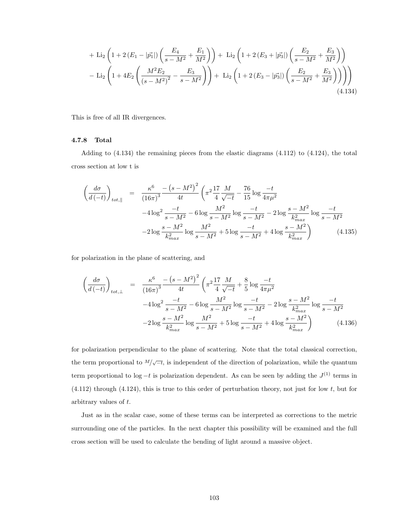$$
+ \text{Li}_2\left(1 + 2\left(E_1 - |\vec{p_1}|\right)\left(\frac{E_4}{s - M^2} + \frac{E_1}{M^2}\right)\right) + \text{Li}_2\left(1 + 2\left(E_3 + |\vec{p_3}|\right)\left(\frac{E_2}{s - M^2} + \frac{E_3}{M^2}\right)\right) - \text{Li}_2\left(1 + 4E_2\left(\frac{M^2E_2}{(s - M^2)^2} - \frac{E_3}{s - M^2}\right)\right) + \text{Li}_2\left(1 + 2\left(E_3 - |\vec{p_3}|\right)\left(\frac{E_2}{s - M^2} + \frac{E_3}{M^2}\right)\right)\right)
$$
\n(4.134)

This is free of all IR divergences.

## 4.7.8 Total

Adding to  $(4.134)$  the remaining pieces from the elastic diagrams  $(4.112)$  to  $(4.124)$ , the total cross section at low t is

$$
\left(\frac{d\sigma}{d\left(-t\right)}\right)_{tot,\parallel} = \frac{\kappa^6}{\left(16\pi\right)^3} \frac{-\left(s-M^2\right)^2}{4t} \left(\pi^2 \frac{17}{4} \frac{M}{\sqrt{-t}} - \frac{76}{15} \log \frac{-t}{4\pi\mu^2} -4 \log^2 \frac{-t}{s-M^2} -6 \log \frac{M^2}{s-M^2} \log \frac{-t}{s-M^2} -2 \log \frac{s-M^2}{k_{max}^2} \log \frac{-t}{s-M^2} -2 \log \frac{s-M^2}{k_{max}^2} \log \frac{-t}{s-M^2} -2 \log \frac{s-M^2}{k_{max}^2} \log \frac{-t}{k_{max}^2} +4 \log \frac{s-M^2}{k_{max}^2} \right) \tag{4.135}
$$

for polarization in the plane of scattering, and

$$
\left(\frac{d\sigma}{d(-t)}\right)_{tot,\perp} = \frac{\kappa^6}{(16\pi)^3} \frac{-\left(s - M^2\right)^2}{4t} \left(\pi^2 \frac{17}{4} \frac{M}{\sqrt{-t}} + \frac{8}{5} \log \frac{-t}{4\pi\mu^2} -4 \log^2 \frac{-t}{s - M^2} - 6 \log \frac{M^2}{s - M^2} \log \frac{-t}{s - M^2} - 2 \log \frac{s - M^2}{k_{max}^2} \log \frac{-t}{s - M^2} - 2 \log \frac{s - M^2}{k_{max}^2} \log \frac{-t}{k_{max}^2} - 2 \log \frac{s - M^2}{k_{max}^2} \log \frac{s - M^2}{s - M^2} + 5 \log \frac{-t}{s - M^2} + 4 \log \frac{s - M^2}{k_{max}^2}\right) \tag{4.136}
$$

for polarization perpendicular to the plane of scattering. Note that the total classical correction, the term proportional to  $M/\sqrt{-t}$ , is independent of the direction of polarization, while the quantum term proportional to  $log - t$  is polarization dependent. As can be seen by adding the  $J^{(1)}$  terms in  $(4.112)$  through  $(4.124)$ , this is true to this order of perturbation theory, not just for low t, but for arbitrary values of t.

Just as in the scalar case, some of these terms can be interpreted as corrections to the metric surrounding one of the particles. In the next chapter this possibility will be examined and the full cross section will be used to calculate the bending of light around a massive object.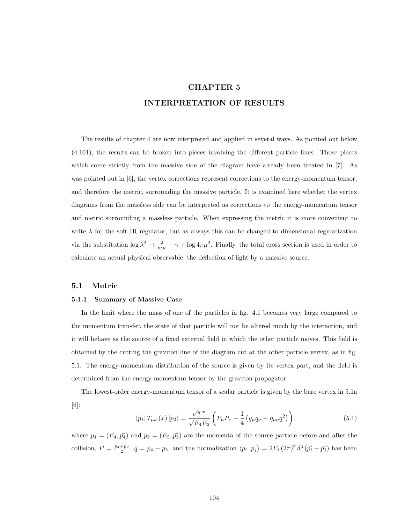## CHAPTER 5

## INTERPRETATION OF RESULTS

The results of chapter 4 are now interpreted and applied in several ways. As pointed out below (4.101), the results can be broken into pieces involving the different particle lines. Those pieces which come strictly from the massive side of the diagram have already been treated in [7]. As was pointed out in [6], the vertex corrections represent corrections to the energy-momentum tensor, and therefore the metric, surrounding the massive particle. It is examined here whether the vertex diagrams from the massless side can be interpreted as corrections to the energy-momentum tensor and metric surrounding a massless particle. When expressing the metric it is more convenient to write  $\lambda$  for the soft IR regulator, but as always this can be changed to dimensional regularization via the substitution  $\log \lambda^2 \to \frac{2}{\epsilon_{IR}} + \gamma + \log 4\pi\mu^2$ . Finally, the total cross section is used in order to calculate an actual physical observable, the deflection of light by a massive source.

## 5.1 Metric

#### 5.1.1 Summary of Massive Case

In the limit where the mass of one of the particles in fig. 4.1 becomes very large compared to the momentum transfer, the state of that particle will not be altered much by the interaction, and it will behave as the source of a fixed external field in which the other particle moves. This field is obtained by the cutting the graviton line of the diagram cut at the other particle vertex, as in fig. 5.1. The energy-momentum distribution of the source is given by its vertex part, and the field is determined from the energy-momentum tensor by the graviton propagator.

The lowest-order energy-momentum tensor of a scalar particle is given by the bare vertex in 5.1a [6]:

$$
\langle p_4 | T_{\mu\nu}(x) | p_2 \rangle = \frac{e^{iq \cdot x}}{\sqrt{E_4 E_2}} \left( P_{\mu} P_{\nu} - \frac{1}{4} \left( q_{\mu} q_{\nu} - \eta_{\mu\nu} q^2 \right) \right)
$$
(5.1)

where  $p_4 = (E_4, \vec{p_4})$  and  $p_2 = (E_2, \vec{p_2})$  are the momenta of the source particle before and after the collision,  $P = \frac{p_4+p_2}{2}$ ,  $q = p_4-p_2$ , and the normalization  $\langle p_i | p_j \rangle = 2E_i (2\pi)^3 \delta^3 (\vec{p_i} - \vec{p_j})$  has been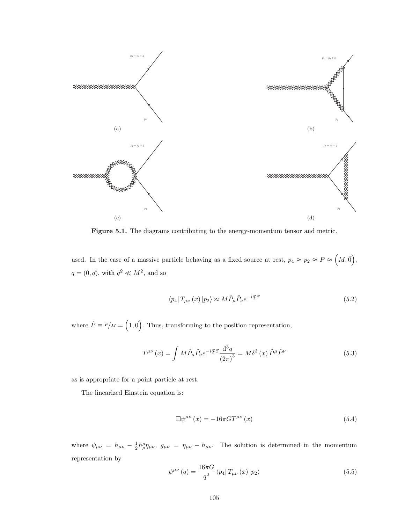

Figure 5.1. The diagrams contributing to the energy-momentum tensor and metric.

used. In the case of a massive particle behaving as a fixed source at rest,  $p_4 \approx p_2 \approx P \approx (M, \vec{0}),$  $q = (0, \vec{q})$ , with  $\vec{q}^2 \ll M^2$ , and so

$$
\langle p_4 | T_{\mu\nu}(x) | p_2 \rangle \approx M \hat{P}_{\mu} \hat{P}_{\nu} e^{-i\vec{q} \cdot \vec{x}} \tag{5.2}
$$

where  $\hat{P} \equiv P/M = (1, \vec{0})$ . Thus, transforming to the position representation,

$$
T^{\mu\nu}(x) = \int M \hat{P}_{\mu} \hat{P}_{\nu} e^{-i\vec{q}\cdot\vec{x}} \frac{\mathrm{d}^3 q}{\left(2\pi\right)^3} = M \delta^3(x) \hat{P}^{\mu} \hat{P}^{\nu} \tag{5.3}
$$

as is appropriate for a point particle at rest.

The linearized Einstein equation is:

$$
\Box \psi^{\mu\nu}(x) = -16\pi G T^{\mu\nu}(x) \tag{5.4}
$$

where  $\psi_{\mu\nu} = h_{\mu\nu} - \frac{1}{2} h^{\rho}_{\rho} \eta_{\mu\nu}$ ,  $g_{\mu\nu} = \eta_{\mu\nu} - h_{\mu\nu}$ . The solution is determined in the momentum representation by

$$
\psi^{\mu\nu}(q) = \frac{16\pi G}{q^2} \left\langle p_4 \right| T_{\mu\nu}(x) \left| p_2 \right\rangle \tag{5.5}
$$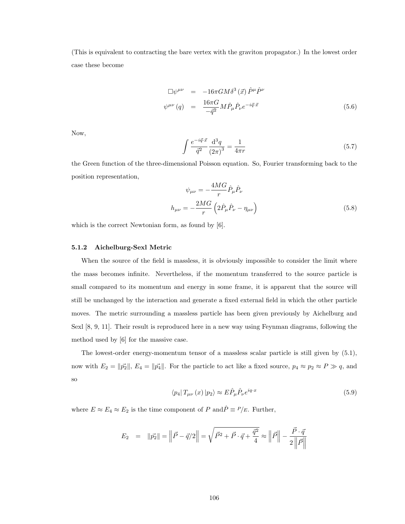(This is equivalent to contracting the bare vertex with the graviton propagator.) In the lowest order case these become

$$
\Box \psi^{\mu\nu} = -16\pi G M \delta^3 (\vec{x}) \hat{P}^{\mu} \hat{P}^{\nu}
$$
  

$$
\psi^{\mu\nu} (q) = \frac{16\pi G}{-\vec{q}^2} M \hat{P}_{\mu} \hat{P}_{\nu} e^{-i\vec{q} \cdot \vec{x}}
$$
(5.6)

Now,

$$
\int \frac{e^{-i\vec{q}\cdot\vec{x}}}{\vec{q}^2} \frac{\mathrm{d}^3 q}{(2\pi)^3} = \frac{1}{4\pi r} \tag{5.7}
$$

the Green function of the three-dimensional Poisson equation. So, Fourier transforming back to the position representation,

$$
\psi_{\mu\nu} = -\frac{4MG}{r}\hat{P}_{\mu}\hat{P}_{\nu}
$$

$$
h_{\mu\nu} = -\frac{2MG}{r}\left(2\hat{P}_{\mu}\hat{P}_{\nu} - \eta_{\mu\nu}\right)
$$
(5.8)

which is the correct Newtonian form, as found by [6].

## 5.1.2 Aichelburg-Sexl Metric

When the source of the field is massless, it is obviously impossible to consider the limit where the mass becomes infinite. Nevertheless, if the momentum transferred to the source particle is small compared to its momentum and energy in some frame, it is apparent that the source will still be unchanged by the interaction and generate a fixed external field in which the other particle moves. The metric surrounding a massless particle has been given previously by Aichelburg and Sexl [8, 9, 11]. Their result is reproduced here in a new way using Feynman diagrams, following the method used by [6] for the massive case.

The lowest-order energy-momentum tensor of a massless scalar particle is still given by (5.1), now with  $E_2 = ||\vec{p_2}||$ ,  $E_4 = ||\vec{p_4}||$ . For the particle to act like a fixed source,  $p_4 \approx p_2 \approx P \gg q$ , and so

$$
\langle p_4 | T_{\mu\nu}(x) | p_2 \rangle \approx E \hat{P}_{\mu} \hat{P}_{\nu} e^{iq \cdot x} \tag{5.9}
$$

where  $E \approx E_4 \approx E_2$  is the time component of P and  $\hat{P} \equiv P/E$ . Further,

$$
E_2 = ||\vec{p_2}|| = ||\vec{P} - \vec{q}/2|| = \sqrt{\vec{P}^2 + \vec{P} \cdot \vec{q} + \frac{\vec{q}^2}{4}} \approx ||\vec{P}|| - \frac{\vec{P} \cdot \vec{q}}{2||\vec{P}||}
$$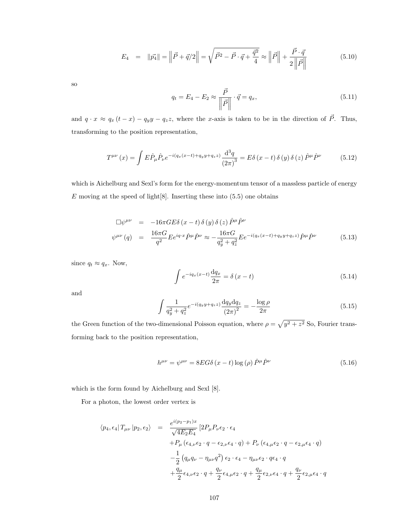$$
E_4 = ||\vec{p_4}|| = ||\vec{P} + \vec{q}/2|| = \sqrt{\vec{P}^2 - \vec{P} \cdot \vec{q} + \frac{\vec{q}^2}{4}} \approx ||\vec{P}|| + \frac{\vec{P} \cdot \vec{q}}{2||\vec{P}||}
$$
(5.10)

so

$$
q_t = E_4 - E_2 \approx \frac{\vec{P}}{\left\| \vec{P} \right\|} \cdot \vec{q} = q_x,\tag{5.11}
$$

and  $q \cdot x \approx q_x (t - x) - q_y y - q_z z$ , where the x-axis is taken to be in the direction of  $\vec{P}$ . Thus, transforming to the position representation,

$$
T^{\mu\nu}(x) = \int E \hat{P}_{\mu} \hat{P}_{\nu} e^{-i(q_x(x-t) + q_y y + q_z z)} \frac{\mathrm{d}^3 q}{\left(2\pi\right)^3} = E \delta \left(x - t\right) \delta \left(y\right) \delta \left(z\right) \hat{P}^{\mu} \hat{P}^{\nu} \tag{5.12}
$$

which is Aichelburg and Sexl's form for the energy-momentum tensor of a massless particle of energy  $E$  moving at the speed of light  $[8]$ . Inserting these into  $(5.5)$  one obtains

$$
\Box \psi^{\mu\nu} = -16\pi GE \delta (x - t) \delta (y) \delta (z) \hat{P}^{\mu} \hat{P}^{\nu}
$$
  

$$
\psi^{\mu\nu} (q) = \frac{16\pi G}{q^2} E e^{iq \cdot x} \hat{P}^{\mu} \hat{P}^{\nu} \approx -\frac{16\pi G}{q_y^2 + q_z^2} E e^{-i(q_x(x-t) + q_y y + q_z z)} \hat{P}^{\mu} \hat{P}^{\nu}
$$
(5.13)

since  $q_t \approx q_x$ . Now,

$$
\int e^{-iq_x(x-t)} \frac{dq_x}{2\pi} = \delta(x-t)
$$
\n(5.14)

and

$$
\int \frac{1}{q_y^2 + q_z^2} e^{-i(q_y y + q_z z)} \frac{dq_y dq_z}{(2\pi)^2} = -\frac{\log \rho}{2\pi}
$$
\n(5.15)

the Green function of the two-dimensional Poisson equation, where  $\rho = \sqrt{y^2 + z^2}$  So, Fourier transforming back to the position representation,

$$
h^{\mu\nu} = \psi^{\mu\nu} = 8EG\delta(x - t)\log(\rho)\hat{P}^{\mu}\hat{P}^{\nu}
$$
\n(5.16)

which is the form found by Aichelburg and Sexl [8].

For a photon, the lowest order vertex is

$$
\langle p_4, \epsilon_4 | T_{\mu\nu} | p_2, \epsilon_2 \rangle = \frac{e^{i(p_2 - p_1)x}}{\sqrt{4E_2 E_4}} \left[ 2P_{\mu} P_{\nu} \epsilon_2 \cdot \epsilon_4 + P_{\mu} (\epsilon_{4,\nu} \epsilon_2 \cdot q - \epsilon_{2,\nu} \epsilon_4 \cdot q) + P_{\nu} (\epsilon_{4,\mu} \epsilon_2 \cdot q - \epsilon_{2,\mu} \epsilon_4 \cdot q) - \frac{1}{2} (q_{\mu} q_{\nu} - \eta_{\mu\nu} q^2) \epsilon_2 \cdot \epsilon_4 - \eta_{\mu\nu} \epsilon_2 \cdot q \epsilon_4 \cdot q + \frac{q_{\mu}}{2} \epsilon_{4,\nu} \epsilon_2 \cdot q + \frac{q_{\nu}}{2} \epsilon_{4,\mu} \epsilon_2 \cdot q + \frac{q_{\mu}}{2} \epsilon_{2,\nu} \epsilon_4 \cdot q + \frac{q_{\nu}}{2} \epsilon_{2,\mu} \epsilon_4 \cdot q
$$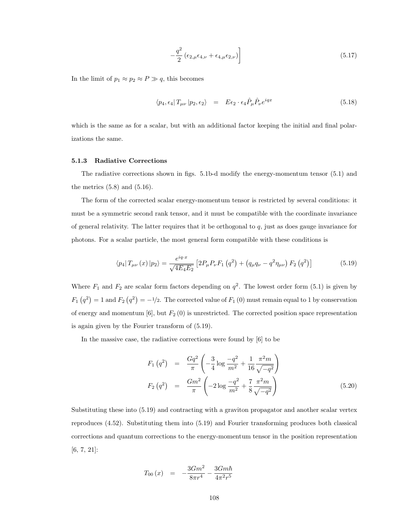$$
-\frac{q^2}{2} \left(\epsilon_{2,\mu}\epsilon_{4,\nu} + \epsilon_{4,\mu}\epsilon_{2,\nu}\right)\right]
$$
\n(5.17)

In the limit of  $p_1 \approx p_2 \approx P \gg q$ , this becomes

$$
\langle p_4, \epsilon_4 | T_{\mu\nu} | p_2, \epsilon_2 \rangle = E \epsilon_2 \cdot \epsilon_4 \hat{P}_{\mu} \hat{P}_{\nu} e^{iqx}
$$
\n(5.18)

which is the same as for a scalar, but with an additional factor keeping the initial and final polarizations the same.

### 5.1.3 Radiative Corrections

The radiative corrections shown in figs. 5.1b-d modify the energy-momentum tensor (5.1) and the metrics  $(5.8)$  and  $(5.16)$ .

The form of the corrected scalar energy-momentum tensor is restricted by several conditions: it must be a symmetric second rank tensor, and it must be compatible with the coordinate invariance of general relativity. The latter requires that it be orthogonal to  $q$ , just as does gauge invariance for photons. For a scalar particle, the most general form compatible with these conditions is

$$
\langle p_4 | T_{\mu\nu}(x) | p_2 \rangle = \frac{e^{iq \cdot x}}{\sqrt{4E_4 E_2}} \left[ 2P_{\mu} P_{\nu} F_1 \left( q^2 \right) + \left( q_{\mu} q_{\nu} - q^2 \eta_{\mu\nu} \right) F_2 \left( q^2 \right) \right]
$$
(5.19)

Where  $F_1$  and  $F_2$  are scalar form factors depending on  $q^2$ . The lowest order form (5.1) is given by  $F_1(q^2) = 1$  and  $F_2(q^2) = -\frac{1}{2}$ . The corrected value of  $F_1(0)$  must remain equal to 1 by conservation of energy and momentum  $[6]$ , but  $F_2(0)$  is unrestricted. The corrected position space representation is again given by the Fourier transform of (5.19).

In the massive case, the radiative corrections were found by [6] to be

$$
F_1(q^2) = \frac{Gq^2}{\pi} \left( -\frac{3}{4} \log \frac{-q^2}{m^2} + \frac{1}{16} \frac{\pi^2 m}{\sqrt{-q^2}} \right)
$$
  
\n
$$
F_2(q^2) = \frac{Gm^2}{\pi} \left( -2 \log \frac{-q^2}{m^2} + \frac{7}{8} \frac{\pi^2 m}{\sqrt{-q^2}} \right)
$$
(5.20)

Substituting these into (5.19) and contracting with a graviton propagator and another scalar vertex reproduces (4.52). Substituting them into (5.19) and Fourier transforming produces both classical corrections and quantum corrections to the energy-momentum tensor in the position representation [6, 7, 21]:

$$
T_{00}\left(x\right) \quad = \quad -\frac{3Gm^2}{8\pi r^4} - \frac{3Gm\hbar}{4\pi^2 r^5}
$$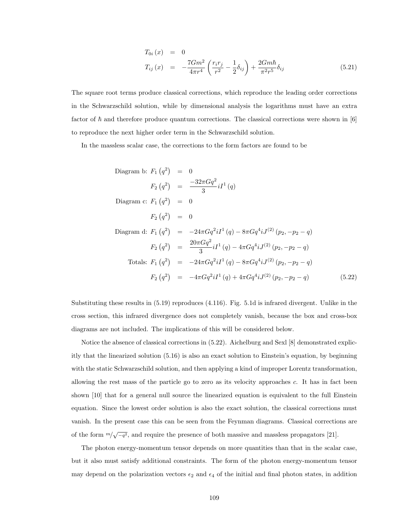$$
T_{0i}(x) = 0
$$
  
\n
$$
T_{ij}(x) = -\frac{7Gm^2}{4\pi r^4} \left(\frac{r_i r_j}{r^2} - \frac{1}{2} \delta_{ij}\right) + \frac{2Gm\hbar}{\pi^2 r^5} \delta_{ij}
$$
\n(5.21)

The square root terms produce classical corrections, which reproduce the leading order corrections in the Schwarzschild solution, while by dimensional analysis the logarithms must have an extra factor of  $\hbar$  and therefore produce quantum corrections. The classical corrections were shown in [6] to reproduce the next higher order term in the Schwarzschild solution.

In the massless scalar case, the corrections to the form factors are found to be

Diagram b: 
$$
F_1(q^2) = 0
$$

\n
$$
F_2(q^2) = \frac{-32\pi Gq^2}{3} iI^1(q)
$$
\nDiagram c:  $F_1(q^2) = 0$ 

\n
$$
F_2(q^2) = 0
$$
\nDiagram d:  $F_1(q^2) = -24\pi Gq^2 iI^1(q) - 8\pi Gq^4 iJ^{(2)}(p_2, -p_2 - q)$ 

\n
$$
F_2(q^2) = \frac{20\pi Gq^2}{3} iI^1(q) - 4\pi Gq^4 iJ^{(2)}(p_2, -p_2 - q)
$$
\nTotals:  $F_1(q^2) = -24\pi Gq^2 iI^1(q) - 8\pi Gq^4 iJ^{(2)}(p_2, -p_2 - q)$ 

\n
$$
F_2(q^2) = -4\pi Gq^2 iI^1(q) + 4\pi Gq^4 iJ^{(2)}(p_2, -p_2 - q)
$$
\n(5.22)

Substituting these results in (5.19) reproduces (4.116). Fig. 5.1d is infrared divergent. Unlike in the cross section, this infrared divergence does not completely vanish, because the box and cross-box diagrams are not included. The implications of this will be considered below.

Notice the absence of classical corrections in (5.22). Aichelburg and Sexl [8] demonstrated explicitly that the linearized solution (5.16) is also an exact solution to Einstein's equation, by beginning with the static Schwarzschild solution, and then applying a kind of improper Lorentz transformation, allowing the rest mass of the particle go to zero as its velocity approaches c. It has in fact been shown [10] that for a general null source the linearized equation is equivalent to the full Einstein equation. Since the lowest order solution is also the exact solution, the classical corrections must vanish. In the present case this can be seen from the Feynman diagrams. Classical corrections are of the form  $m/\sqrt{-q^2}$ , and require the presence of both massive and massless propagators [21].

The photon energy-momentum tensor depends on more quantities than that in the scalar case, but it also must satisfy additional constraints. The form of the photon energy-momentum tensor may depend on the polarization vectors  $\epsilon_2$  and  $\epsilon_4$  of the initial and final photon states, in addition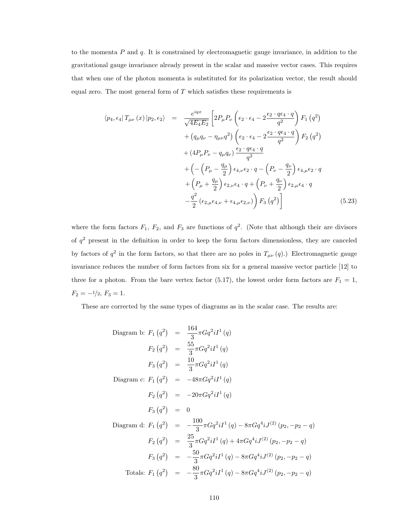to the momenta  $P$  and  $q$ . It is constrained by electromagnetic gauge invariance, in addition to the gravitational gauge invariance already present in the scalar and massive vector cases. This requires that when one of the photon momenta is substituted for its polarization vector, the result should equal zero. The most general form of  $T$  which satisfies these requirements is

$$
\langle p_4, \epsilon_4 | T_{\mu\nu}(x) | p_2, \epsilon_2 \rangle = \frac{e^{iqx}}{\sqrt{4E_4E_2}} \left[ 2P_{\mu}P_{\nu} \left( \epsilon_2 \cdot \epsilon_4 - 2 \frac{\epsilon_2 \cdot q \epsilon_4 \cdot q}{q^2} \right) F_1 \left( q^2 \right) \right.\n+ \left( q_{\mu}q_{\nu} - \eta_{\mu\nu}q^2 \right) \left( \epsilon_2 \cdot \epsilon_4 - 2 \frac{\epsilon_2 \cdot q \epsilon_4 \cdot q}{q^2} \right) F_2 \left( q^2 \right)\n+ \left( 4P_{\mu}P_{\nu} - q_{\mu}q_{\nu} \right) \frac{\epsilon_2 \cdot q \epsilon_4 \cdot q}{q^2}\n+ \left( -\left( P_{\mu} - \frac{q_{\mu}}{2} \right) \epsilon_{4,\nu} \epsilon_2 \cdot q - \left( P_{\nu} - \frac{q_{\nu}}{2} \right) \epsilon_{4,\mu} \epsilon_2 \cdot q \right.\n+ \left( P_{\mu} + \frac{q_{\mu}}{2} \right) \epsilon_{2,\nu} \epsilon_4 \cdot q + \left( P_{\nu} + \frac{q_{\nu}}{2} \right) \epsilon_{2,\mu} \epsilon_4 \cdot q \n- \frac{q^2}{2} \left( \epsilon_{2,\mu} \epsilon_{4,\nu} + \epsilon_{4,\mu} \epsilon_{2,\nu} \right) F_3 \left( q^2 \right) \right] \tag{5.23}
$$

where the form factors  $F_1$ ,  $F_2$ , and  $F_3$  are functions of  $q^2$ . (Note that although their are divisors of  $q<sup>2</sup>$  present in the definition in order to keep the form factors dimensionless, they are canceled by factors of  $q^2$  in the form factors, so that there are no poles in  $T_{\mu\nu}(q)$ .) Electromagnetic gauge invariance reduces the number of form factors from six for a general massive vector particle [12] to three for a photon. From the bare vertex factor (5.17), the lowest order form factors are  $F_1 = 1$ ,  $F_2 = -\frac{1}{2}, F_3 = 1.$ 

These are corrected by the same types of diagrams as in the scalar case. The results are:

Diagram b: 
$$
F_1(q^2) = \frac{164}{3}\pi G q^2 i I^1(q)
$$

\n
$$
F_2(q^2) = \frac{55}{3}\pi G q^2 i I^1(q)
$$
\n
$$
F_3(q^2) = \frac{10}{3}\pi G q^2 i I^1(q)
$$
\nDiagram c:  $F_1(q^2) = -48\pi G q^2 i I^1(q)$ 

\n
$$
F_2(q^2) = -20\pi G q^2 i I^1(q)
$$
\n
$$
F_3(q^2) = 0
$$
\nDiagram d:  $F_1(q^2) = -\frac{100}{3}\pi G q^2 i I^1(q) - 8\pi G q^4 i J^{(2)}(p_2, -p_2 - q)$ 

\n
$$
F_2(q^2) = \frac{25}{3}\pi G q^2 i I^1(q) + 4\pi G q^4 i J^{(2)}(p_2, -p_2 - q)
$$
\n
$$
F_3(q^2) = -\frac{50}{3}\pi G q^2 i I^1(q) - 8\pi G q^4 i J^{(2)}(p_2, -p_2 - q)
$$
\nTotals:  $F_1(q^2) = -\frac{80}{3}\pi G q^2 i I^1(q) - 8\pi G q^4 i J^{(2)}(p_2, -p_2 - q)$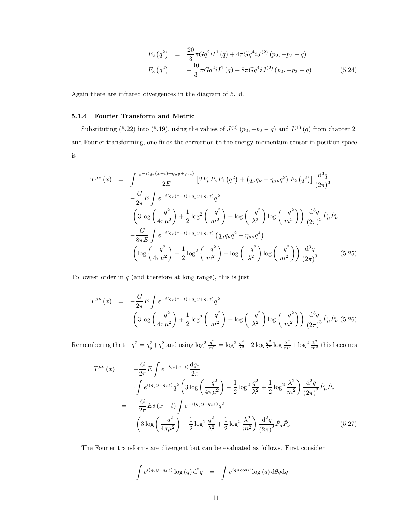$$
F_2(q^2) = \frac{20}{3}\pi G q^2 i I^1(q) + 4\pi G q^4 i J^{(2)}(p_2, -p_2 - q)
$$
  
\n
$$
F_3(q^2) = -\frac{40}{3}\pi G q^2 i I^1(q) - 8\pi G q^4 i J^{(2)}(p_2, -p_2 - q)
$$
\n(5.24)

Again there are infrared divergences in the diagram of 5.1d.

## 5.1.4 Fourier Transform and Metric

Substituting (5.22) into (5.19), using the values of  $J^{(2)}(p_2, -p_2-q)$  and  $I^{(1)}(q)$  from chapter 2, and Fourier transforming, one finds the correction to the energy-momentum tensor in position space is

$$
T^{\mu\nu}(x) = \int \frac{e^{-i(q_x(x-t)+q_yy+q_zz)}}{2E} \left[ 2P_{\mu}P_{\nu}F_1(q^2) + (q_{\mu}q_{\nu} - \eta_{\mu\nu}q^2) F_2(q^2) \right] \frac{d^3q}{(2\pi)^3}
$$
  
\n
$$
= -\frac{G}{2\pi} E \int e^{-i(q_x(x-t)+q_yy+q_zz)} q^2
$$
  
\n
$$
\cdot \left( 3\log\left(\frac{-q^2}{4\pi\mu^2}\right) + \frac{1}{2}\log^2\left(\frac{-q^2}{m^2}\right) - \log\left(\frac{-q^2}{\lambda^2}\right) \log\left(\frac{-q^2}{m^2}\right) \right) \frac{d^3q}{(2\pi)^3} \hat{P}_{\mu} \hat{P}_{\nu}
$$
  
\n
$$
-\frac{G}{8\pi E} \int e^{-i(q_x(x-t)+q_yy+q_zz)} (q_{\mu}q_{\nu}q^2 - \eta_{\mu\nu}q^4)
$$
  
\n
$$
\cdot \left( \log\left(\frac{-q^2}{4\pi\mu^2}\right) - \frac{1}{2}\log^2\left(\frac{-q^2}{m^2}\right) + \log\left(\frac{-q^2}{\lambda^2}\right) \log\left(\frac{-q^2}{m^2}\right) \right) \frac{d^3q}{(2\pi)^3}
$$
(5.25)

To lowest order in  $q$  (and therefore at long range), this is just

$$
T^{\mu\nu}(x) = -\frac{G}{2\pi} E \int e^{-i(q_x(x-t)+q_y y+q_z z)} q^2
$$

$$
\cdot \left(3 \log \left(\frac{-q^2}{4\pi\mu^2}\right) + \frac{1}{2} \log^2 \left(\frac{-q^2}{m^2}\right) - \log \left(\frac{-q^2}{\lambda^2}\right) \log \left(\frac{-q^2}{m^2}\right)\right) \frac{d^3q}{(2\pi)^3} \hat{P}_{\mu} \hat{P}_{\nu} (5.26)
$$

Remembering that  $-q^2 = q_y^2 + q_z^2$  and using  $\log^2 \frac{q^2}{m^2} = \log^2 \frac{q^2}{\lambda^2} + 2 \log \frac{q^2}{\lambda^2} \log \frac{\lambda^2}{m^2} + \log^2 \frac{\lambda^2}{m^2}$  this becomes

$$
T^{\mu\nu}(x) = -\frac{G}{2\pi} E \int e^{-iq_x(x-t)} \frac{dq_x}{2\pi}
$$
  

$$
\int e^{i(q_y y + q_z z)} q^2 \left( 3 \log \left( \frac{-q^2}{4\pi \mu^2} \right) - \frac{1}{2} \log^2 \frac{q^2}{\lambda^2} + \frac{1}{2} \log^2 \frac{\lambda^2}{m^2} \right) \frac{d^2 q}{(2\pi)^2} \hat{P}_{\mu} \hat{P}_{\nu}
$$
  

$$
= -\frac{G}{2\pi} E \delta (x - t) \int e^{-i(q_y y + q_z z)} q^2
$$
  

$$
\cdot \left( 3 \log \left( \frac{-q^2}{4\pi \mu^2} \right) - \frac{1}{2} \log^2 \frac{q^2}{\lambda^2} + \frac{1}{2} \log^2 \frac{\lambda^2}{m^2} \right) \frac{d^2 q}{(2\pi)^2} \hat{P}_{\mu} \hat{P}_{\nu}
$$
 (5.27)

The Fourier transforms are divergent but can be evaluated as follows. First consider

$$
\int e^{i(q_y y + q_z z)} \log(q) d^2 q = \int e^{iq\rho \cos \theta} \log(q) d\theta q dq
$$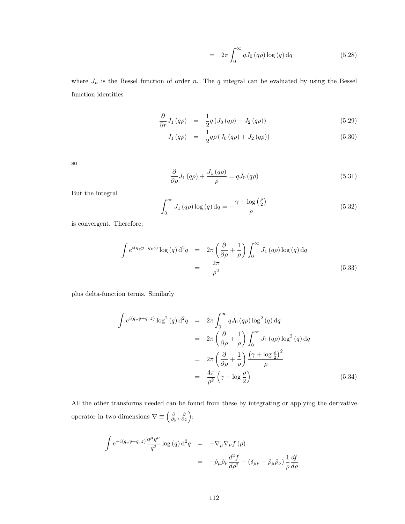$$
= 2\pi \int_0^\infty q J_0(q\rho) \log(q) dq \qquad (5.28)
$$

where  $J_n$  is the Bessel function of order n. The q integral can be evaluated by using the Bessel function identities

$$
\frac{\partial}{\partial r}J_1(q\rho) = \frac{1}{2}q(J_0(q\rho) - J_2(q\rho)) \tag{5.29}
$$

$$
J_1(q\rho) = \frac{1}{2}q\rho\left(J_0(q\rho) + J_2(q\rho)\right) \tag{5.30}
$$

so

$$
\frac{\partial}{\partial \rho} J_1(q\rho) + \frac{J_1(q\rho)}{\rho} = q J_0(q\rho)
$$
\n(5.31)

But the integral

$$
\int_0^\infty J_1(q\rho) \log(q) \, dq = -\frac{\gamma + \log\left(\frac{\rho}{2}\right)}{\rho} \tag{5.32}
$$

is convergent. Therefore,

$$
\int e^{i(q_y y + q_z z)} \log(q) d^2 q = 2\pi \left(\frac{\partial}{\partial \rho} + \frac{1}{\rho}\right) \int_0^\infty J_1(q\rho) \log(q) dq
$$

$$
= -\frac{2\pi}{\rho^2}
$$
(5.33)

plus delta-function terms. Similarly

$$
\int e^{i(q_y y + q_z z)} \log^2(q) d^2q = 2\pi \int_0^\infty q J_0(q\rho) \log^2(q) dq
$$
  
\n
$$
= 2\pi \left(\frac{\partial}{\partial \rho} + \frac{1}{\rho}\right) \int_0^\infty J_1(q\rho) \log^2(q) dq
$$
  
\n
$$
= 2\pi \left(\frac{\partial}{\partial \rho} + \frac{1}{\rho}\right) \frac{(\gamma + \log \frac{\rho}{2})^2}{\rho}
$$
  
\n
$$
= \frac{4\pi}{\rho^2} \left(\gamma + \log \frac{\rho}{2}\right) \tag{5.34}
$$

All the other transforms needed can be found from these by integrating or applying the derivative operator in two dimensions  $\nabla \equiv \left(\frac{\partial}{\partial y}, \frac{\partial}{\partial z}\right)$ :

$$
\int e^{-i(q_y y + q_z z)} \frac{q^{\mu} q^{\nu}}{q^2} \log(q) d^2 q = -\nabla_{\mu} \nabla_{\nu} f(\rho)
$$
  
= 
$$
-\hat{\rho}_{\mu} \hat{\rho}_{\nu} \frac{d^2 f}{d\rho^2} - (\delta_{\mu\nu} - \hat{\rho}_{\mu} \hat{\rho}_{\nu}) \frac{1}{\rho} \frac{df}{d\rho}
$$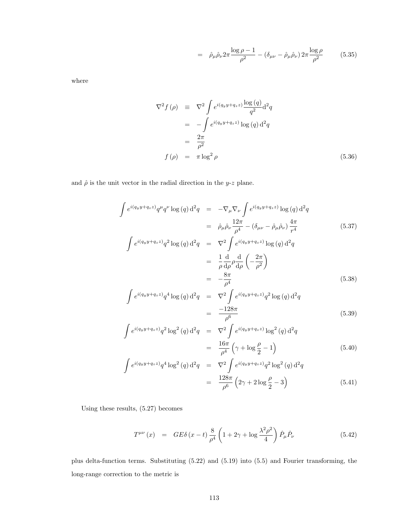$$
= \hat{\rho}_{\mu}\hat{\rho}_{\nu}2\pi \frac{\log \rho - 1}{\rho^2} - (\delta_{\mu\nu} - \hat{\rho}_{\mu}\hat{\rho}_{\nu})2\pi \frac{\log \rho}{\rho^2} \tag{5.35}
$$

where

$$
\nabla^2 f(\rho) \equiv \nabla^2 \int e^{i(q_y y + q_z z)} \frac{\log(q)}{q^2} d^2q
$$
  
\n
$$
= -\int e^{i(q_y y + q_z z)} \log(q) d^2q
$$
  
\n
$$
= \frac{2\pi}{\rho^2}
$$
  
\n
$$
f(\rho) = \pi \log^2 \rho
$$
 (5.36)

and  $\hat{\rho}$  is the unit vector in the radial direction in the y-z plane.

$$
\int e^{i(q_y y + q_z z)} q^{\mu} q^{\nu} \log(q) d^2 q = -\nabla_{\mu} \nabla_{\nu} \int e^{i(q_y y + q_z z)} \log(q) d^2 q
$$
\n
$$
= \hat{\rho}_{\mu} \hat{\rho}_{\nu} \frac{12\pi}{\rho^4} - (\delta_{\mu\nu} - \hat{\rho}_{\mu} \hat{\rho}_{\nu}) \frac{4\pi}{r^4}
$$
\n
$$
\int e^{i(q_y y + q_z z)} q^2 \log(q) d^2 q = \nabla^2 \int e^{i(q_y y + q_z z)} \log(q) d^2 q
$$
\n
$$
= \frac{1}{\rho} \frac{d}{d\rho} \rho \frac{d}{d\rho} \left( -\frac{2\pi}{\rho^2} \right)
$$
\n(5.37)

$$
= -\frac{8\pi}{\rho^4}
$$
 (5.38)

$$
\int e^{i(q_y y + q_z z)} q^4 \log(q) d^2 q = \nabla^2 \int e^{i(q_y y + q_z z)} q^2 \log(q) d^2 q
$$
\n
$$
= \frac{-128\pi}{\rho^6} \tag{5.39}
$$

$$
\int e^{i(q_y y + q_z z)} q^2 \log^2(q) d^2q = \nabla^2 \int e^{i(q_y y + q_z z)} \log^2(q) d^2q
$$
\n
$$
= \frac{16\pi}{\rho^4} \left( \gamma + \log \frac{\rho}{2} - 1 \right) \tag{5.40}
$$

$$
e^{i(q_y y + q_z z)} q^4 \log^2(q) d^2 q = \nabla^2 \int e^{i(q_y y + q_z z)} q^2 \log^2(q) d^2 q
$$
  
\n
$$
= \frac{128\pi}{\rho^6} \left(2\gamma + 2\log\frac{\rho}{2} - 3\right)
$$
\n(5.41)

Using these results, (5.27) becomes

Z

$$
T^{\mu\nu}(x) = GE\delta(x-t)\frac{8}{\rho^4}\left(1+2\gamma+\log\frac{\lambda^2\rho^2}{4}\right)\hat{P}_{\mu}\hat{P}_{\nu}
$$
\n(5.42)

plus delta-function terms. Substituting (5.22) and (5.19) into (5.5) and Fourier transforming, the long-range correction to the metric is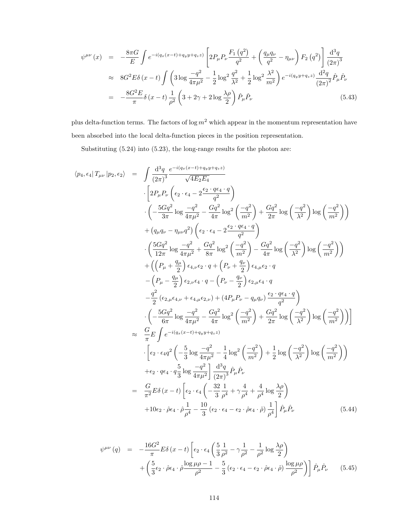$$
\psi^{\mu\nu}(x) = -\frac{8\pi G}{E} \int e^{-i(q_x(x-t)+q_yy+q_zz)} \left[ 2P_{\mu}P_{\nu}\frac{F_1(q^2)}{q^2} + \left(\frac{q_{\mu}q_{\nu}}{q^2} - \eta_{\mu\nu}\right)F_2(q^2) \right] \frac{d^3q}{(2\pi)^3} \n\approx 8G^2 E \delta(x-t) \int \left( 3\log\frac{-q^2}{4\pi\mu^2} - \frac{1}{2}\log^2\frac{q^2}{\lambda^2} + \frac{1}{2}\log^2\frac{\lambda^2}{m^2} \right) e^{-i(q_yy+q_zz)} \frac{d^2q}{(2\pi)^2} \hat{P}_{\mu}\hat{P}_{\nu} \n= -\frac{8G^2 E}{\pi} \delta(x-t) \frac{1}{\rho^2} \left( 3 + 2\gamma + 2\log\frac{\lambda\rho}{2} \right) \hat{P}_{\mu}\hat{P}_{\nu}
$$
\n(5.43)

plus delta-function terms. The factors of  $\log m^2$  which appear in the momentum representation have been absorbed into the local delta-function pieces in the position representation.

Substituting (5.24) into (5.23), the long-range results for the photon are:

$$
\langle p_4, \epsilon_4 | T_{\mu\nu} | p_2, \epsilon_2 \rangle = \int \frac{d^3q}{(2\pi)^3} \frac{e^{-i(q_x(x-t) + q_yy + q_z z)}}{\sqrt{4E_2E_4}} \n\cdot \left[ 2P_{\mu}P_{\nu} \left( \epsilon_2 \cdot \epsilon_4 - 2\frac{\epsilon_2 \cdot q \epsilon_4 \cdot q}{q^2} \right) \right. \n\left. \left( -\frac{5Gq^2}{3\pi} \log \frac{-q^2}{4\pi\mu^2} - \frac{Gq^2}{4\pi} \log^2 \left( \frac{-q^2}{m^2} \right) + \frac{Gq^2}{2\pi} \log \left( \frac{-q^2}{\lambda^2} \right) \log \left( \frac{-q^2}{m^2} \right) \right) \right. \n\left. + (q_{\mu}q_{\nu} - \eta_{\mu\nu}q^2) \left( \epsilon_2 \cdot \epsilon_4 - 2\frac{\epsilon_2 \cdot q \epsilon_4 \cdot q}{q^2} \right) \right. \n\left. \left( \frac{5Gq^2}{12\pi} \log \frac{-q^2}{4\pi\mu^2} + \frac{Gq^2}{8\pi} \log^2 \left( \frac{-q^2}{m^2} \right) - \frac{Gq^2}{4\pi} \log \left( \frac{-q^2}{\lambda^2} \right) \log \left( \frac{-q^2}{m^2} \right) \right) \right. \n\left. + \left( \left( P_{\mu} + \frac{q_{\mu}}{2} \right) \epsilon_4, \mu \epsilon_2 \cdot q + \left( P_{\nu} + \frac{q_{\nu}}{2} \right) \epsilon_4, \mu \epsilon_2 \cdot q \right. \right. \n\left. - \left( P_{\mu} - \frac{q_{\mu}}{2} \right) \epsilon_2, \nu \epsilon_4 \cdot q - \left( P_{\nu} - \frac{q_{\nu}}{2} \right) \epsilon_2, \mu \epsilon_4 \cdot q \right. \n\left. - \frac{q^2}{2} \left( \epsilon_2, \mu \epsilon_4, \nu + \epsilon_4, \mu \epsilon_2, \nu \right) + (4P_{\mu}P_{\nu} - q_{\mu}q_{\nu}) \frac{\epsilon_2 \cdot q \epsilon_4 \cdot q}{q^2} \right
$$

$$
\psi^{\mu\nu}(q) = -\frac{16G^2}{\pi} E \delta(x-t) \left[ \epsilon_2 \cdot \epsilon_4 \left( \frac{5}{3} \frac{1}{\rho^2} - \gamma \frac{1}{\rho^2} - \frac{1}{\rho^2} \log \frac{\lambda \rho}{2} \right) + \left( \frac{5}{3} \epsilon_2 \cdot \hat{\rho} \epsilon_4 \cdot \hat{\rho} \frac{\log \mu \rho - 1}{\rho^2} - \frac{5}{3} \left( \epsilon_2 \cdot \epsilon_4 - \epsilon_2 \cdot \hat{\rho} \epsilon_4 \cdot \hat{\rho} \right) \frac{\log \mu \rho}{\rho^2} \right) \right] \hat{P}_{\mu} \hat{P}_{\nu}
$$
(5.45)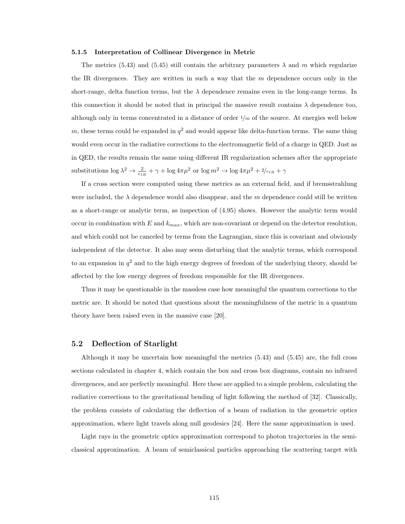#### 5.1.5 Interpretation of Collinear Divergence in Metric

The metrics (5.43) and (5.45) still contain the arbitrary parameters  $\lambda$  and m which regularize the IR divergences. They are written in such a way that the  $m$  dependence occurs only in the short-range, delta function terms, but the  $\lambda$  dependence remains even in the long-range terms. In this connection it should be noted that in principal the massive result contains  $\lambda$  dependence too, although only in terms concentrated in a distance of order  $1/m$  of the source. At energies well below m, these terms could be expanded in  $q^2$  and would appear like delta-function terms. The same thing would even occur in the radiative corrections to the electromagnetic field of a charge in QED. Just as in QED, the results remain the same using different IR regularization schemes after the appropriate substitutions  $\log \lambda^2 \to \frac{2}{\epsilon_{IR}} + \gamma + \log 4\pi\mu^2$  or  $\log m^2 \to \log 4\pi\mu^2 + \frac{2}{\epsilon_{IR}} + \gamma$ 

If a cross section were computed using these metrics as an external field, and if bremsstrahlung were included, the  $\lambda$  dependence would also disappear, and the m dependence could still be written as a short-range or analytic term, as inspection of (4.95) shows. However the analytic term would occur in combination with E and  $k_{max}$ , which are non-covariant or depend on the detector resolution, and which could not be canceled by terms from the Lagrangian, since this is covariant and obviously independent of the detector. It also may seem disturbing that the analytic terms, which correspond to an expansion in  $q^2$  and to the high energy degrees of freedom of the underlying theory, should be affected by the low energy degrees of freedom responsible for the IR divergences.

Thus it may be questionable in the massless case how meaningful the quantum corrections to the metric are. It should be noted that questions about the meaningfulness of the metric in a quantum theory have been raised even in the massive case [20].

## 5.2 Deflection of Starlight

Although it may be uncertain how meaningful the metrics (5.43) and (5.45) are, the full cross sections calculated in chapter 4, which contain the box and cross box diagrams, contain no infrared divergences, and are perfectly meaningful. Here these are applied to a simple problem, calculating the radiative corrections to the gravitational bending of light following the method of [32]. Classically, the problem consists of calculating the deflection of a beam of radiation in the geometric optics approximation, where light travels along null geodesics [24]. Here the same approximation is used.

Light rays in the geometric optics approximation correspond to photon trajectories in the semiclassical approximation. A beam of semiclassical particles approaching the scattering target with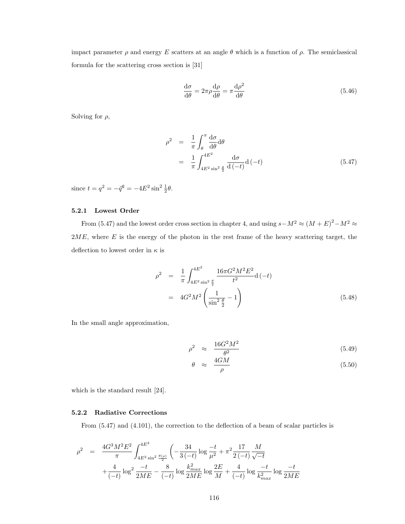impact parameter  $\rho$  and energy E scatters at an angle  $\theta$  which is a function of  $\rho$ . The semiclassical formula for the scattering cross section is [31]

$$
\frac{d\sigma}{d\theta} = 2\pi\rho \frac{d\rho}{d\theta} = \pi \frac{d\rho^2}{d\theta}
$$
\n(5.46)

Solving for  $\rho$ ,

$$
\rho^2 = \frac{1}{\pi} \int_{\theta}^{\pi} \frac{d\sigma}{d\theta} d\theta
$$
  
= 
$$
\frac{1}{\pi} \int_{4E^2 \sin^2 \frac{\theta}{2}}^{4E^2} \frac{d\sigma}{d(-t)} d(-t)
$$
 (5.47)

since  $t = q^2 = -\bar{q}^2 = -4E^2 \sin^2 \frac{1}{2}\theta$ .

## 5.2.1 Lowest Order

From (5.47) and the lowest order cross section in chapter 4, and using  $s-M^2 \approx (M+E)^2 - M^2 \approx$  $2ME$ , where E is the energy of the photon in the rest frame of the heavy scattering target, the deflection to lowest order in  $\kappa$  is

$$
\rho^2 = \frac{1}{\pi} \int_{4E^2 \sin^2 \frac{\theta}{2}}^{4E^2} \frac{16\pi G^2 M^2 E^2}{t^2} d(-t)
$$
  
=  $4G^2 M^2 \left(\frac{1}{\sin^2 \frac{\theta}{2}} - 1\right)$  (5.48)

In the small angle approximation,

$$
\rho^2 \approx \frac{16G^2M^2}{\theta^2} \tag{5.49}
$$

$$
\theta \approx \frac{4GM}{\rho} \tag{5.50}
$$

which is the standard result [24].

## 5.2.2 Radiative Corrections

From (5.47) and (4.101), the correction to the deflection of a beam of scalar particles is

$$
\rho^2 = \frac{4G^3 M^2 E^2}{\pi} \int_{4E^2 \sin^2 \frac{\theta(\rho)}{2}}^{4E^2} \left( -\frac{34}{3(-t)} \log \frac{-t}{\mu^2} + \pi^2 \frac{17}{2(-t)} \frac{M}{\sqrt{-t}} \right. \\
\left. + \frac{4}{(-t)} \log^2 \frac{-t}{2ME} - \frac{8}{(-t)} \log \frac{k_{max}^2}{2ME} \log \frac{2E}{M} + \frac{4}{(-t)} \log \frac{-t}{k_{max}^2} \log \frac{-t}{2ME}
$$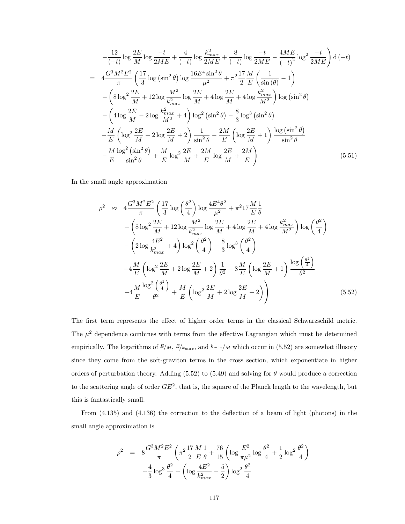$$
-\frac{12}{(-t)}\log\frac{2E}{M}\log\frac{-t}{2ME} + \frac{4}{(-t)}\log\frac{k_{max}^2}{2ME} + \frac{8}{(-t)}\log\frac{-t}{2ME} - \frac{4ME}{(-t)^2}\log^2\frac{-t}{2ME}\right) d(-t)
$$
  
= 
$$
4\frac{G^3M^2E^2}{\pi} \left(\frac{17}{3}\log(\sin^2\theta)\log\frac{16E^4\sin^2\theta}{\mu^2} + \pi^2\frac{17}{2}\frac{M}{E}\left(\frac{1}{\sin(\theta)} - 1\right) - \left(8\log^2\frac{2E}{M} + 12\log\frac{M^2}{k_{max}^2}\log\frac{2E}{M} + 4\log\frac{2E}{M} + 4\log\frac{k_{max}^2}{M^2}\right)\log(\sin^2\theta) - \left(4\log\frac{2E}{M} - 2\log\frac{k_{max}^2}{M^2} + 4\right)\log^2(\sin^2\theta) - \frac{8}{3}\log^3(\sin^2\theta) - \frac{M}{E}\left(\log^2\frac{2E}{M} + 2\log\frac{2E}{M} + 2\right)\frac{1}{\sin^2\theta} - \frac{2M}{E}\left(\log\frac{2E}{M} + 1\right)\frac{\log(\sin^2\theta)}{\sin^2\theta} - \frac{M}{E}\frac{\log^2(\sin^2\theta)}{\sin^2\theta} + \frac{M}{E}\log^2\frac{2E}{M} + \frac{2M}{E}\log\frac{2E}{M} + \frac{2M}{E}\right) \tag{5.51}
$$

In the small angle approximation

$$
\rho^2 \approx 4 \frac{G^3 M^2 E^2}{\pi} \left( \frac{17}{3} \log \left( \frac{\theta^2}{4} \right) \log \frac{4E^4 \theta^2}{\mu^2} + \pi^2 17 \frac{M}{E} \frac{1}{\theta} \right)
$$
  
 
$$
- \left( 8 \log^2 \frac{2E}{M} + 12 \log \frac{M^2}{k_{max}^2} \log \frac{2E}{M} + 4 \log \frac{2E}{M} + 4 \log \frac{k_{max}^2}{M^2} \right) \log \left( \frac{\theta^2}{4} \right)
$$
  
 
$$
- \left( 2 \log \frac{4E^2}{k_{max}^2} + 4 \right) \log^2 \left( \frac{\theta^2}{4} \right) - \frac{8}{3} \log^3 \left( \frac{\theta^2}{4} \right)
$$
  
 
$$
-4 \frac{M}{E} \left( \log^2 \frac{2E}{M} + 2 \log \frac{2E}{M} + 2 \right) \frac{1}{\theta^2} - 8 \frac{M}{E} \left( \log \frac{2E}{M} + 1 \right) \frac{\log \left( \frac{\theta^2}{4} \right)}{\theta^2}
$$
  
 
$$
-4 \frac{M}{E} \frac{\log^2 \left( \frac{\theta^2}{4} \right)}{\theta^2} + \frac{M}{E} \left( \log^2 \frac{2E}{M} + 2 \log \frac{2E}{M} + 2 \right) \right)
$$
(5.52)

The first term represents the effect of higher order terms in the classical Schwarzschild metric. The  $\mu^2$  dependence combines with terms from the effective Lagrangian which must be determined empirically. The logarithms of  $E/M$ ,  $E/k_{max}$ , and  $k_{max}/M$  which occur in (5.52) are somewhat illusory since they come from the soft-graviton terms in the cross section, which exponentiate in higher orders of perturbation theory. Adding (5.52) to (5.49) and solving for  $\theta$  would produce a correction to the scattering angle of order  $GE^2$ , that is, the square of the Planck length to the wavelength, but this is fantastically small.

From (4.135) and (4.136) the correction to the deflection of a beam of light (photons) in the small angle approximation is

$$
\rho^2 = 8 \frac{G^3 M^2 E^2}{\pi} \left( \pi^2 \frac{17}{2} \frac{M}{E} \frac{1}{\theta} + \frac{76}{15} \left( \log \frac{E^2}{\pi \mu^2} \log \frac{\theta^2}{4} + \frac{1}{2} \log^2 \frac{\theta^2}{4} \right) + \frac{4}{3} \log^3 \frac{\theta^2}{4} + \left( \log \frac{4E^2}{k_{max}^2} - \frac{5}{2} \right) \log^2 \frac{\theta^2}{4}
$$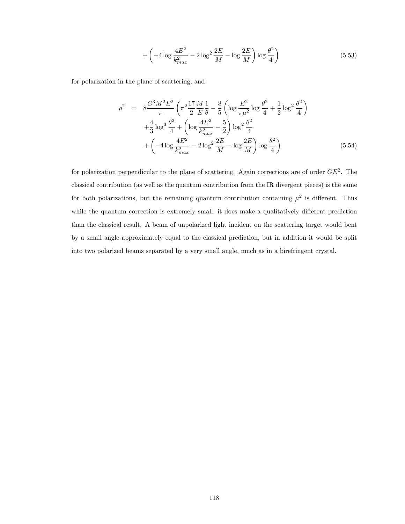$$
+\left(-4\log\frac{4E^2}{k_{max}^2} - 2\log^2\frac{2E}{M} - \log\frac{2E}{M}\right)\log\frac{\theta^2}{4}\right)
$$
(5.53)

for polarization in the plane of scattering, and

$$
\rho^2 = 8 \frac{G^3 M^2 E^2}{\pi} \left( \pi^2 \frac{17}{2} \frac{M}{E} \frac{1}{\theta} - \frac{8}{5} \left( \log \frac{E^2}{\pi \mu^2} \log \frac{\theta^2}{4} + \frac{1}{2} \log^2 \frac{\theta^2}{4} \right) \right)
$$
  
+ 
$$
\frac{4}{3} \log^3 \frac{\theta^2}{4} + \left( \log \frac{4E^2}{k_{max}^2} - \frac{5}{2} \right) \log^2 \frac{\theta^2}{4}
$$
  
+ 
$$
\left( -4 \log \frac{4E^2}{k_{max}^2} - 2 \log^2 \frac{2E}{M} - \log \frac{2E}{M} \right) \log \frac{\theta^2}{4} \right)
$$
(5.54)

for polarization perpendicular to the plane of scattering. Again corrections are of order  $GE^2$ . The classical contribution (as well as the quantum contribution from the IR divergent pieces) is the same for both polarizations, but the remaining quantum contribution containing  $\mu^2$  is different. Thus while the quantum correction is extremely small, it does make a qualitatively different prediction than the classical result. A beam of unpolarized light incident on the scattering target would bent by a small angle approximately equal to the classical prediction, but in addition it would be split into two polarized beams separated by a very small angle, much as in a birefringent crystal.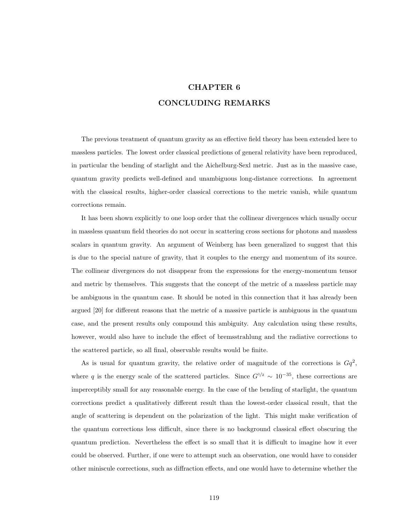# CHAPTER 6 CONCLUDING REMARKS

The previous treatment of quantum gravity as an effective field theory has been extended here to massless particles. The lowest order classical predictions of general relativity have been reproduced, in particular the bending of starlight and the Aichelburg-Sexl metric. Just as in the massive case, quantum gravity predicts well-defined and unambiguous long-distance corrections. In agreement with the classical results, higher-order classical corrections to the metric vanish, while quantum corrections remain.

It has been shown explicitly to one loop order that the collinear divergences which usually occur in massless quantum field theories do not occur in scattering cross sections for photons and massless scalars in quantum gravity. An argument of Weinberg has been generalized to suggest that this is due to the special nature of gravity, that it couples to the energy and momentum of its source. The collinear divergences do not disappear from the expressions for the energy-momentum tensor and metric by themselves. This suggests that the concept of the metric of a massless particle may be ambiguous in the quantum case. It should be noted in this connection that it has already been argued [20] for different reasons that the metric of a massive particle is ambiguous in the quantum case, and the present results only compound this ambiguity. Any calculation using these results, however, would also have to include the effect of bremsstrahlung and the radiative corrections to the scattered particle, so all final, observable results would be finite.

As is usual for quantum gravity, the relative order of magnitude of the corrections is  $Gq^2$ , where q is the energy scale of the scattered particles. Since  $G^{1/2} \sim 10^{-35}$ , these corrections are imperceptibly small for any reasonable energy. In the case of the bending of starlight, the quantum corrections predict a qualitatively different result than the lowest-order classical result, that the angle of scattering is dependent on the polarization of the light. This might make verification of the quantum corrections less difficult, since there is no background classical effect obscuring the quantum prediction. Nevertheless the effect is so small that it is difficult to imagine how it ever could be observed. Further, if one were to attempt such an observation, one would have to consider other miniscule corrections, such as diffraction effects, and one would have to determine whether the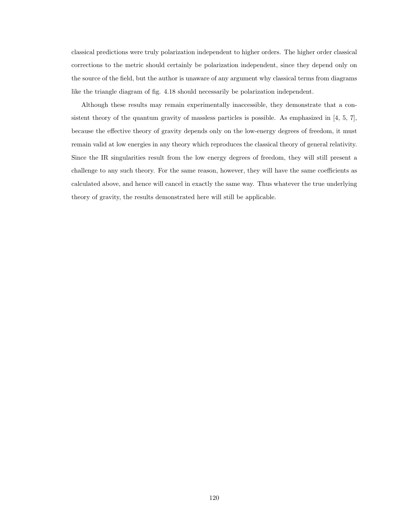classical predictions were truly polarization independent to higher orders. The higher order classical corrections to the metric should certainly be polarization independent, since they depend only on the source of the field, but the author is unaware of any argument why classical terms from diagrams like the triangle diagram of fig. 4.18 should necessarily be polarization independent.

Although these results may remain experimentally inaccessible, they demonstrate that a consistent theory of the quantum gravity of massless particles is possible. As emphasized in [4, 5, 7], because the effective theory of gravity depends only on the low-energy degrees of freedom, it must remain valid at low energies in any theory which reproduces the classical theory of general relativity. Since the IR singularities result from the low energy degrees of freedom, they will still present a challenge to any such theory. For the same reason, however, they will have the same coefficients as calculated above, and hence will cancel in exactly the same way. Thus whatever the true underlying theory of gravity, the results demonstrated here will still be applicable.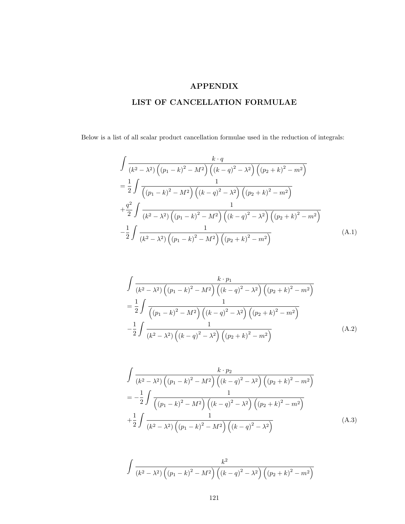## APPENDIX

## LIST OF CANCELLATION FORMULAE

Below is a list of all scalar product cancellation formulae used in the reduction of integrals:

$$
\int \frac{k \cdot q}{(k^2 - \lambda^2) ((p_1 - k)^2 - M^2) ((k - q)^2 - \lambda^2) ((p_2 + k)^2 - m^2)}
$$
\n
$$
= \frac{1}{2} \int \frac{1}{((p_1 - k)^2 - M^2) ((k - q)^2 - \lambda^2) ((p_2 + k)^2 - m^2)}
$$
\n
$$
+ \frac{q^2}{2} \int \frac{1}{(k^2 - \lambda^2) ((p_1 - k)^2 - M^2) ((k - q)^2 - \lambda^2) ((p_2 + k)^2 - m^2)}
$$
\n
$$
- \frac{1}{2} \int \frac{1}{(k^2 - \lambda^2) ((p_1 - k)^2 - M^2) ((p_2 + k)^2 - m^2)}
$$
\n(A.1)

$$
\int \frac{k \cdot p_1}{(k^2 - \lambda^2) \left( (p_1 - k)^2 - M^2 \right) \left( (k - q)^2 - \lambda^2 \right) \left( (p_2 + k)^2 - m^2 \right)}
$$
\n
$$
= \frac{1}{2} \int \frac{1}{\left( (p_1 - k)^2 - M^2 \right) \left( (k - q)^2 - \lambda^2 \right) \left( (p_2 + k)^2 - m^2 \right)}
$$
\n
$$
- \frac{1}{2} \int \frac{1}{(k^2 - \lambda^2) \left( (k - q)^2 - \lambda^2 \right) \left( (p_2 + k)^2 - m^2 \right)} \tag{A.2}
$$

$$
\int \frac{k \cdot p_2}{(k^2 - \lambda^2) \left( (p_1 - k)^2 - M^2 \right) \left( (k - q)^2 - \lambda^2 \right) \left( (p_2 + k)^2 - m^2 \right)}
$$
\n
$$
= -\frac{1}{2} \int \frac{1}{\left( (p_1 - k)^2 - M^2 \right) \left( (k - q)^2 - \lambda^2 \right) \left( (p_2 + k)^2 - m^2 \right)}
$$
\n
$$
+ \frac{1}{2} \int \frac{1}{(k^2 - \lambda^2) \left( (p_1 - k)^2 - M^2 \right) \left( (k - q)^2 - \lambda^2 \right)} \tag{A.3}
$$

$$
\int \frac{k^2}{(k^2 - \lambda^2) ((p_1 - k)^2 - M^2) ((k - q)^2 - \lambda^2) ((p_2 + k)^2 - m^2)}
$$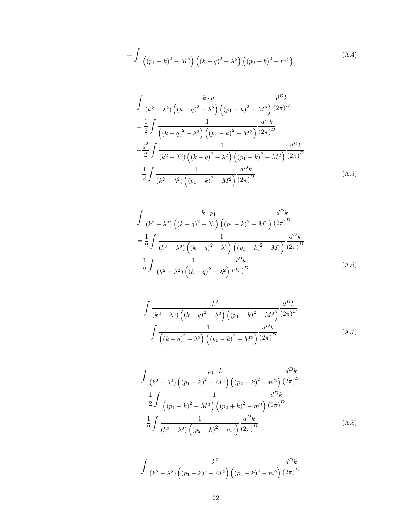$$
= \int \frac{1}{\left( (p_1 - k)^2 - M^2 \right) \left( (k - q)^2 - \lambda^2 \right) \left( (p_2 + k)^2 - m^2 \right)} \tag{A.4}
$$

$$
\int \frac{k \cdot q}{(k^2 - \lambda^2) \left( (k - q)^2 - \lambda^2 \right) \left( (p_1 - k)^2 - M^2 \right)} \frac{d^D k}{(2\pi)^D}
$$
\n
$$
= \frac{1}{2} \int \frac{1}{\left( (k - q)^2 - \lambda^2 \right) \left( (p_1 - k)^2 - M^2 \right)} \frac{d^D k}{(2\pi)^D}
$$
\n
$$
+ \frac{q^2}{2} \int \frac{1}{(k^2 - \lambda^2) \left( (k - q)^2 - \lambda^2 \right) \left( (p_1 - k)^2 - M^2 \right)} \frac{d^D k}{(2\pi)^D}
$$
\n
$$
- \frac{1}{2} \int \frac{1}{(k^2 - \lambda^2) \left( (p_1 - k)^2 - M^2 \right)} \frac{d^D k}{(2\pi)^D} \tag{A.5}
$$

$$
\int \frac{k \cdot p_1}{(k^2 - \lambda^2) \left( (k - q)^2 - \lambda^2 \right) \left( (p_1 - k)^2 - M^2 \right)} \frac{d^D k}{(2\pi)^D}
$$
\n
$$
= \frac{1}{2} \int \frac{1}{(k^2 - \lambda^2) \left( (k - q)^2 - \lambda^2 \right) \left( (p_1 - k)^2 - M^2 \right)} \frac{d^D k}{(2\pi)^D}
$$
\n
$$
- \frac{1}{2} \int \frac{1}{(k^2 - \lambda^2) \left( (k - q)^2 - \lambda^2 \right)} \frac{d^D k}{(2\pi)^D}
$$
\n(A.6)

$$
\int \frac{k^2}{(k^2 - \lambda^2) ((k - q)^2 - \lambda^2) ((p_1 - k)^2 - M^2)} \frac{d^D k}{(2\pi)^D}
$$

$$
= \int \frac{1}{((k - q)^2 - \lambda^2) ((p_1 - k)^2 - M^2)} \frac{d^D k}{(2\pi)^D}
$$
(A.7)

$$
\int \frac{p_1 \cdot k}{(k^2 - \lambda^2) \left( (p_1 - k)^2 - M^2 \right) \left( (p_2 + k)^2 - m^2 \right)} \frac{d^D k}{(2\pi)^D}
$$
\n
$$
= \frac{1}{2} \int \frac{1}{\left( (p_1 - k)^2 - M^2 \right) \left( (p_2 + k)^2 - m^2 \right)} \frac{d^D k}{(2\pi)^D}
$$
\n
$$
- \frac{1}{2} \int \frac{1}{(k^2 - \lambda^2) \left( (p_2 + k)^2 - m^2 \right)} \frac{d^D k}{(2\pi)^D}
$$
\n(A.8)

$$
\int \frac{k^2}{(k^2 - \lambda^2) \left( (p_1 - k)^2 - M^2 \right) \left( (p_2 + k)^2 - m^2 \right)} \frac{d^D k}{(2\pi)^D}
$$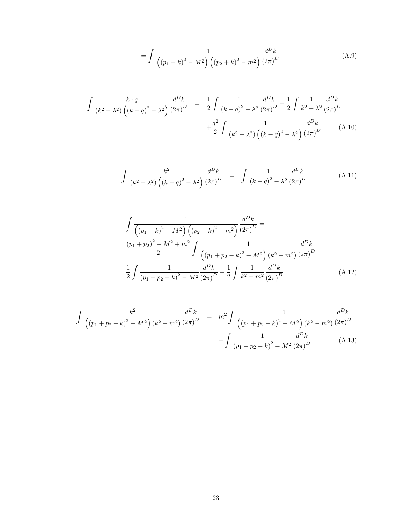$$
= \int \frac{1}{\left( (p_1 - k)^2 - M^2 \right) \left( (p_2 + k)^2 - m^2 \right)} \frac{d^D k}{(2\pi)^D}
$$
(A.9)

$$
\int \frac{k \cdot q}{(k^2 - \lambda^2) \left( (k - q)^2 - \lambda^2 \right)} \frac{d^D k}{(2\pi)^D} = \frac{1}{2} \int \frac{1}{(k - q)^2 - \lambda^2} \frac{d^D k}{(2\pi)^D} - \frac{1}{2} \int \frac{1}{k^2 - \lambda^2} \frac{d^D k}{(2\pi)^D} + \frac{q^2}{2} \int \frac{1}{(k^2 - \lambda^2) \left( (k - q)^2 - \lambda^2 \right)} \frac{d^D k}{(2\pi)^D}
$$
(A.10)

$$
\int \frac{k^2}{(k^2 - \lambda^2) \left( (k - q)^2 - \lambda^2 \right)} \frac{d^D k}{(2\pi)^D} = \int \frac{1}{(k - q)^2 - \lambda^2} \frac{d^D k}{(2\pi)^D}
$$
(A.11)

$$
\int \frac{1}{\left( (p_1 - k)^2 - M^2 \right) \left( (p_2 + k)^2 - m^2 \right)} \frac{d^D k}{(2\pi)^D} =
$$
\n
$$
\frac{(p_1 + p_2)^2 - M^2 + m^2}{2} \int \frac{1}{\left( (p_1 + p_2 - k)^2 - M^2 \right) \left( k^2 - m^2 \right)} \frac{d^D k}{(2\pi)^D}
$$
\n
$$
\frac{1}{2} \int \frac{1}{\left( p_1 + p_2 - k \right)^2 - M^2} \frac{d^D k}{(2\pi)^D} - \frac{1}{2} \int \frac{1}{k^2 - m^2} \frac{d^D k}{(2\pi)^D} \tag{A.12}
$$

$$
\int \frac{k^2}{\left( (p_1 + p_2 - k)^2 - M^2 \right) (k^2 - m^2)} \frac{d^D k}{(2\pi)^D} = m^2 \int \frac{1}{\left( (p_1 + p_2 - k)^2 - M^2 \right) (k^2 - m^2)} \frac{d^D k}{(2\pi)^D} + \int \frac{1}{\left( p_1 + p_2 - k \right)^2 - M^2} \frac{d^D k}{(2\pi)^D}
$$
\n(A.13)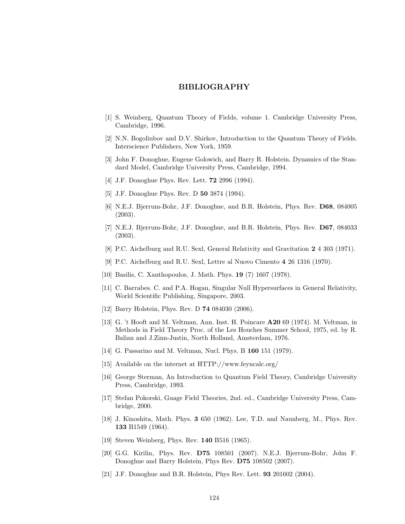## BIBLIOGRAPHY

- [1] S. Weinberg, Quantum Theory of Fields, volume 1. Cambridge University Press, Cambridge, 1996.
- [2] N.N. Bogoliubov and D.V. Shirkov, Introduction to the Quantum Theory of Fields. Interscience Publishers, New York, 1959.
- [3] John F. Donoghue, Eugene Golowich, and Barry R. Holstein. Dynamics of the Standard Model, Cambridge University Press, Cambridge, 1994.
- [4] J.F. Donoghue Phys. Rev. Lett. 72 2996 (1994).
- [5] J.F. Donoghue Phys. Rev. D **50** 3874 (1994).
- [6] N.E.J. Bjerrum-Bohr, J.F. Donoghue, and B.R. Holstein, Phys. Rev. D68, 084005 (2003).
- [7] N.E.J. Bjerrum-Bohr, J.F. Donoghue, and B.R. Holstein, Phys. Rev. D67, 084033 (2003).
- [8] P.C. Aichelburg and R.U. Sexl, General Relativity and Gravitation 2 4 303 (1971).
- [9] P.C. Aichelburg and R.U. Sexl, Lettre al Nuovo Cimento 4 26 1316 (1970).
- [10] Basilis, C. Xanthopoulos, J. Math. Phys. **19** (7) 1607 (1978).
- [11] C. Barrabes. C. and P.A. Hogan, Singular Null Hypersurfaces in General Relativity, World Scientific Publishing, Singapore, 2003.
- [12] Barry Holstein, Phys. Rev. D **74** 084030 (2006).
- [13] G. 't Hooft and M. Veltman, Ann. Inst. H. Poincare A20 69 (1974). M. Veltman, in Methods in Field Theory Proc. of the Les Houches Summer School, 1975, ed. by R. Balian and J.Zinn-Justin, North Holland, Amsterdam, 1976.
- [14] G. Passarino and M. Veltman, Nucl. Phys. B **160** 151 (1979).
- [15] Available on the internet at HTTP://www.feyncalc.org/
- [16] George Sterman, An Introduction to Quantum Field Theory, Cambridge University Press, Cambridge, 1993.
- [17] Stefan Pokorski, Guage Field Theories, 2nd. ed., Cambridge University Press, Cambridge, 2000.
- [18] J. Kinoshita, Math. Phys. 3 650 (1962). Lee, T.D. and Naunberg, M., Phys. Rev. 133 B1549 (1964).
- [19] Steven Weinberg, Phys. Rev. **140** B516 (1965).
- [20] G.G. Kirilin, Phys. Rev. D75 108501 (2007). N.E.J. Bjerrum-Bohr, John F. Donoghue and Barry Holstein, Phys Rev. D75 108502 (2007).
- [21] J.F. Donoghue and B.R. Holstein, Phys Rev. Lett. 93 201602 (2004).